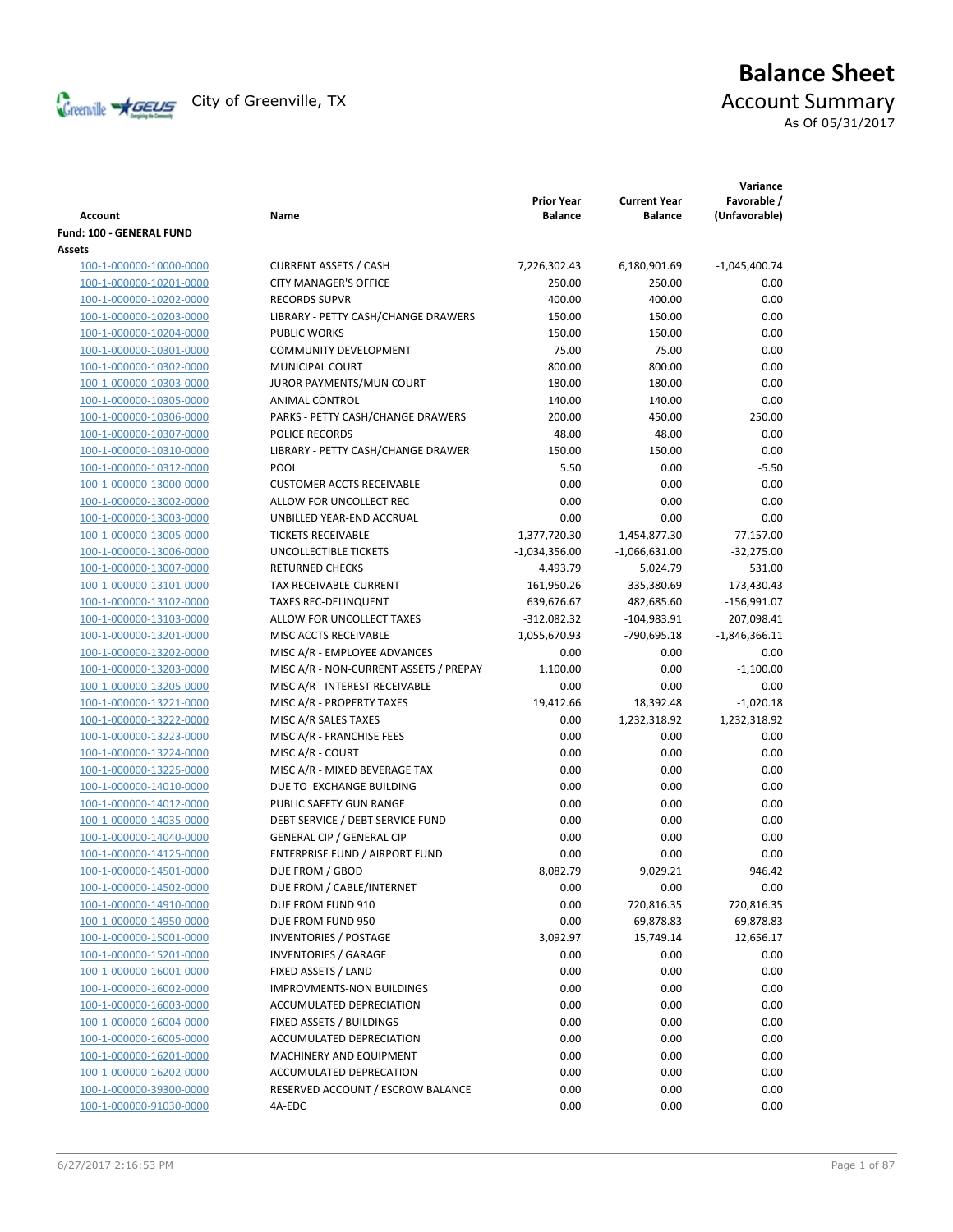

# **Balance Sheet** Creenville  $\star$  GEUS</del> City of Greenville, TX **ACCOUNT** Summary

As Of 05/31/2017

| <b>Account</b>                                     | Name                                                 | <b>Prior Year</b><br><b>Balance</b> | <b>Current Year</b><br><b>Balance</b> | Variance<br>Favorable /<br>(Unfavorable) |
|----------------------------------------------------|------------------------------------------------------|-------------------------------------|---------------------------------------|------------------------------------------|
| Fund: 100 - GENERAL FUND                           |                                                      |                                     |                                       |                                          |
| Assets                                             |                                                      |                                     |                                       |                                          |
| 100-1-000000-10000-0000                            | <b>CURRENT ASSETS / CASH</b>                         | 7,226,302.43                        | 6,180,901.69                          | $-1,045,400.74$                          |
| 100-1-000000-10201-0000                            | <b>CITY MANAGER'S OFFICE</b>                         | 250.00                              | 250.00                                | 0.00                                     |
| 100-1-000000-10202-0000                            | <b>RECORDS SUPVR</b>                                 | 400.00                              | 400.00                                | 0.00                                     |
| 100-1-000000-10203-0000                            | LIBRARY - PETTY CASH/CHANGE DRAWERS                  | 150.00                              | 150.00                                | 0.00                                     |
| 100-1-000000-10204-0000                            | <b>PUBLIC WORKS</b>                                  | 150.00                              | 150.00                                | 0.00                                     |
| 100-1-000000-10301-0000                            | <b>COMMUNITY DEVELOPMENT</b>                         | 75.00                               | 75.00                                 | 0.00                                     |
| 100-1-000000-10302-0000                            | MUNICIPAL COURT                                      | 800.00                              | 800.00                                | 0.00                                     |
| 100-1-000000-10303-0000                            | JUROR PAYMENTS/MUN COURT                             | 180.00                              | 180.00                                | 0.00                                     |
| 100-1-000000-10305-0000                            | ANIMAL CONTROL                                       | 140.00                              | 140.00                                | 0.00                                     |
| 100-1-000000-10306-0000                            | PARKS - PETTY CASH/CHANGE DRAWERS                    | 200.00                              | 450.00                                | 250.00                                   |
| 100-1-000000-10307-0000                            | POLICE RECORDS                                       | 48.00                               | 48.00                                 | 0.00                                     |
| 100-1-000000-10310-0000                            | LIBRARY - PETTY CASH/CHANGE DRAWER                   | 150.00                              | 150.00                                | 0.00                                     |
| 100-1-000000-10312-0000                            | <b>POOL</b>                                          | 5.50                                | 0.00                                  | $-5.50$                                  |
| 100-1-000000-13000-0000                            | <b>CUSTOMER ACCTS RECEIVABLE</b>                     | 0.00                                | 0.00                                  | 0.00                                     |
| 100-1-000000-13002-0000                            | ALLOW FOR UNCOLLECT REC                              | 0.00                                | 0.00                                  | 0.00                                     |
| 100-1-000000-13003-0000                            | UNBILLED YEAR-END ACCRUAL                            | 0.00                                | 0.00                                  | 0.00                                     |
| 100-1-000000-13005-0000                            | <b>TICKETS RECEIVABLE</b>                            | 1,377,720.30                        | 1,454,877.30                          | 77,157.00                                |
| 100-1-000000-13006-0000                            | UNCOLLECTIBLE TICKETS                                | $-1,034,356.00$                     | $-1,066,631.00$                       | $-32,275.00$                             |
| 100-1-000000-13007-0000                            | <b>RETURNED CHECKS</b>                               | 4,493.79                            | 5,024.79                              | 531.00                                   |
| 100-1-000000-13101-0000                            | TAX RECEIVABLE-CURRENT                               | 161,950.26                          | 335,380.69                            | 173,430.43                               |
| 100-1-000000-13102-0000                            | <b>TAXES REC-DELINQUENT</b>                          | 639,676.67                          | 482,685.60                            | $-156,991.07$                            |
| 100-1-000000-13103-0000                            | ALLOW FOR UNCOLLECT TAXES                            | $-312,082.32$                       | $-104,983.91$                         | 207,098.41                               |
| 100-1-000000-13201-0000                            | MISC ACCTS RECEIVABLE                                | 1,055,670.93                        | -790,695.18                           | $-1,846,366.11$                          |
| 100-1-000000-13202-0000                            | MISC A/R - EMPLOYEE ADVANCES                         | 0.00                                | 0.00                                  | 0.00                                     |
| 100-1-000000-13203-0000                            | MISC A/R - NON-CURRENT ASSETS / PREPAY               | 1,100.00                            | 0.00                                  | $-1,100.00$                              |
| 100-1-000000-13205-0000                            | MISC A/R - INTEREST RECEIVABLE                       | 0.00                                | 0.00                                  | 0.00                                     |
| 100-1-000000-13221-0000                            | MISC A/R - PROPERTY TAXES                            | 19,412.66                           | 18,392.48                             | $-1,020.18$                              |
| 100-1-000000-13222-0000                            | MISC A/R SALES TAXES                                 | 0.00                                | 1,232,318.92                          | 1,232,318.92                             |
| 100-1-000000-13223-0000                            | MISC A/R - FRANCHISE FEES                            | 0.00                                | 0.00                                  | 0.00                                     |
| 100-1-000000-13224-0000                            | MISC A/R - COURT                                     | 0.00                                | 0.00                                  | 0.00                                     |
| 100-1-000000-13225-0000                            | MISC A/R - MIXED BEVERAGE TAX                        | 0.00                                | 0.00                                  | 0.00                                     |
| 100-1-000000-14010-0000                            | DUE TO EXCHANGE BUILDING                             | 0.00                                | 0.00                                  | 0.00                                     |
| 100-1-000000-14012-0000                            | PUBLIC SAFETY GUN RANGE                              | 0.00                                | 0.00                                  | 0.00                                     |
| 100-1-000000-14035-0000                            | DEBT SERVICE / DEBT SERVICE FUND                     | 0.00                                | 0.00                                  | 0.00                                     |
| 100-1-000000-14040-0000                            | <b>GENERAL CIP / GENERAL CIP</b>                     | 0.00                                | 0.00                                  | 0.00                                     |
| 100-1-000000-14125-0000                            | ENTERPRISE FUND / AIRPORT FUND                       | 0.00                                | 0.00                                  | 0.00                                     |
| 100-1-000000-14501-0000                            | DUE FROM / GBOD                                      | 8,082.79                            | 9,029.21                              | 946.42                                   |
| 100-1-000000-14502-0000                            | DUE FROM / CABLE/INTERNET                            | 0.00                                | 0.00                                  | 0.00                                     |
| 100-1-000000-14910-0000                            | DUE FROM FUND 910                                    | 0.00                                | 720,816.35                            | 720,816.35                               |
| 100-1-000000-14950-0000                            | DUE FROM FUND 950                                    | 0.00                                | 69,878.83                             | 69,878.83                                |
| 100-1-000000-15001-0000                            | <b>INVENTORIES / POSTAGE</b>                         | 3,092.97                            | 15,749.14                             | 12,656.17                                |
| 100-1-000000-15201-0000                            | <b>INVENTORIES / GARAGE</b>                          | 0.00                                | 0.00                                  | 0.00                                     |
| 100-1-000000-16001-0000                            | FIXED ASSETS / LAND                                  | 0.00                                | 0.00                                  | 0.00                                     |
| 100-1-000000-16002-0000                            | IMPROVMENTS-NON BUILDINGS                            | 0.00                                | 0.00                                  | 0.00                                     |
| 100-1-000000-16003-0000<br>100-1-000000-16004-0000 | ACCUMULATED DEPRECIATION<br>FIXED ASSETS / BUILDINGS | 0.00                                | 0.00                                  | 0.00                                     |
|                                                    |                                                      | 0.00                                | 0.00                                  | 0.00                                     |
| 100-1-000000-16005-0000                            | ACCUMULATED DEPRECIATION                             | 0.00                                | 0.00                                  | 0.00                                     |
| 100-1-000000-16201-0000                            | MACHINERY AND EQUIPMENT                              | 0.00                                | 0.00                                  | 0.00                                     |
| 100-1-000000-16202-0000                            | ACCUMULATED DEPRECATION                              | 0.00                                | 0.00                                  | 0.00                                     |
| 100-1-000000-39300-0000                            | RESERVED ACCOUNT / ESCROW BALANCE                    | 0.00                                | 0.00                                  | 0.00                                     |
| 100-1-000000-91030-0000                            | 4A-EDC                                               | 0.00                                | 0.00                                  | 0.00                                     |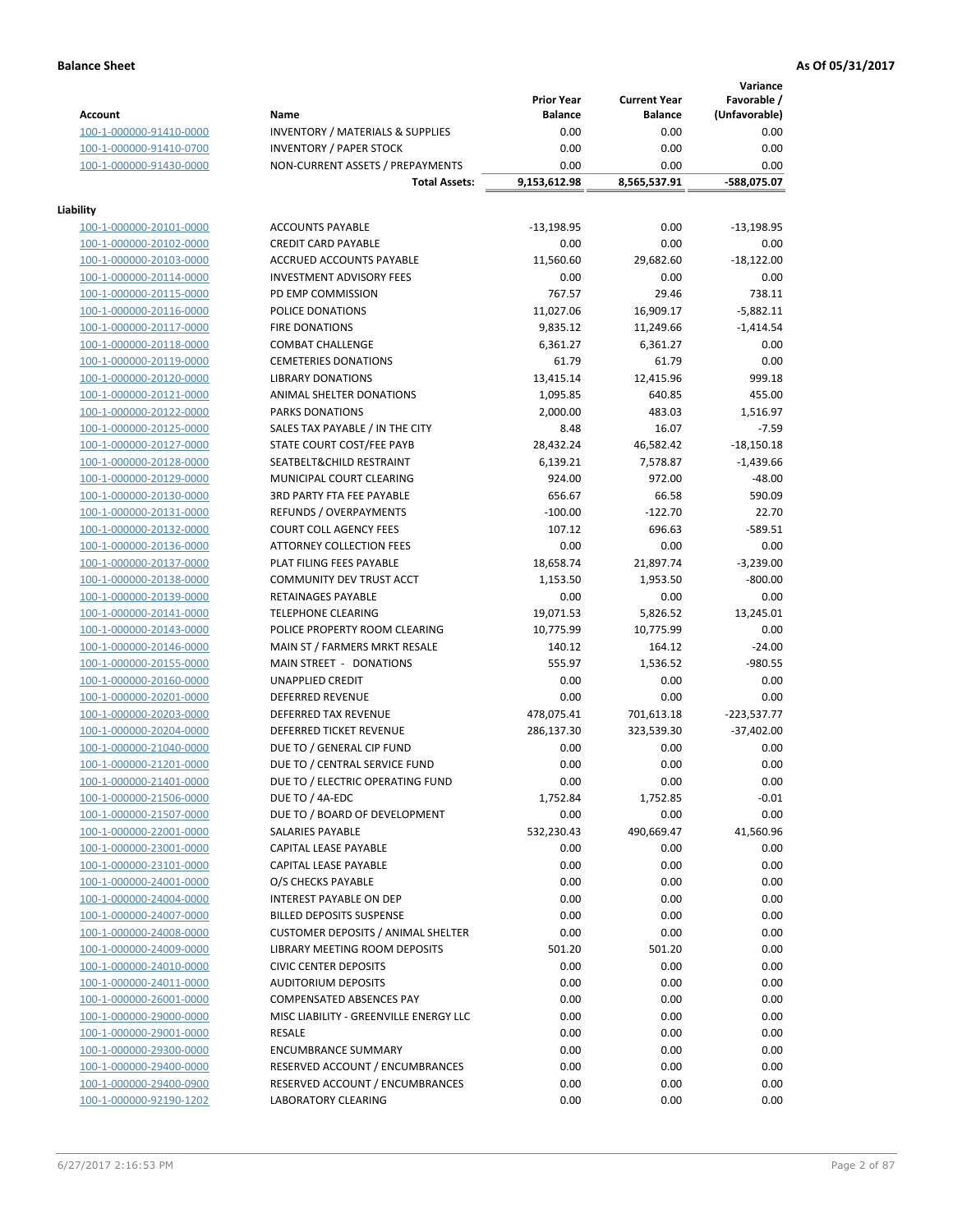**Variance**

|                         |                                             | <b>Prior Year</b> | <b>Current Year</b> | Favorable /   |
|-------------------------|---------------------------------------------|-------------------|---------------------|---------------|
| <b>Account</b>          | Name                                        | <b>Balance</b>    | <b>Balance</b>      | (Unfavorable) |
| 100-1-000000-91410-0000 | <b>INVENTORY / MATERIALS &amp; SUPPLIES</b> | 0.00              | 0.00                | 0.00          |
| 100-1-000000-91410-0700 | <b>INVENTORY / PAPER STOCK</b>              | 0.00              | 0.00                | 0.00          |
| 100-1-000000-91430-0000 | NON-CURRENT ASSETS / PREPAYMENTS            | 0.00              | 0.00                | 0.00          |
|                         | <b>Total Assets:</b>                        | 9,153,612.98      | 8,565,537.91        | -588,075.07   |
| Liability               |                                             |                   |                     |               |
| 100-1-000000-20101-0000 | <b>ACCOUNTS PAYABLE</b>                     | $-13,198.95$      | 0.00                | $-13,198.95$  |
| 100-1-000000-20102-0000 | <b>CREDIT CARD PAYABLE</b>                  | 0.00              | 0.00                | 0.00          |
| 100-1-000000-20103-0000 | ACCRUED ACCOUNTS PAYABLE                    | 11,560.60         | 29,682.60           | $-18,122.00$  |
| 100-1-000000-20114-0000 | <b>INVESTMENT ADVISORY FEES</b>             | 0.00              | 0.00                | 0.00          |
| 100-1-000000-20115-0000 | PD EMP COMMISSION                           | 767.57            | 29.46               | 738.11        |
| 100-1-000000-20116-0000 | POLICE DONATIONS                            | 11,027.06         | 16,909.17           | $-5,882.11$   |
| 100-1-000000-20117-0000 | <b>FIRE DONATIONS</b>                       | 9,835.12          | 11,249.66           | $-1,414.54$   |
| 100-1-000000-20118-0000 | <b>COMBAT CHALLENGE</b>                     | 6,361.27          | 6,361.27            | 0.00          |
| 100-1-000000-20119-0000 | <b>CEMETERIES DONATIONS</b>                 | 61.79             | 61.79               | 0.00          |
| 100-1-000000-20120-0000 | <b>LIBRARY DONATIONS</b>                    | 13,415.14         | 12,415.96           | 999.18        |
| 100-1-000000-20121-0000 | ANIMAL SHELTER DONATIONS                    | 1,095.85          | 640.85              | 455.00        |
| 100-1-000000-20122-0000 | PARKS DONATIONS                             | 2,000.00          | 483.03              | 1,516.97      |
| 100-1-000000-20125-0000 | SALES TAX PAYABLE / IN THE CITY             | 8.48              | 16.07               | $-7.59$       |
| 100-1-000000-20127-0000 | STATE COURT COST/FEE PAYB                   | 28,432.24         | 46,582.42           | $-18,150.18$  |
| 100-1-000000-20128-0000 | SEATBELT&CHILD RESTRAINT                    | 6,139.21          | 7,578.87            | $-1,439.66$   |
| 100-1-000000-20129-0000 | MUNICIPAL COURT CLEARING                    | 924.00            | 972.00              | $-48.00$      |
| 100-1-000000-20130-0000 | <b>3RD PARTY FTA FEE PAYABLE</b>            | 656.67            | 66.58               | 590.09        |
| 100-1-000000-20131-0000 | REFUNDS / OVERPAYMENTS                      | $-100.00$         | $-122.70$           | 22.70         |
| 100-1-000000-20132-0000 | COURT COLL AGENCY FEES                      | 107.12            | 696.63              | $-589.51$     |
| 100-1-000000-20136-0000 | <b>ATTORNEY COLLECTION FEES</b>             | 0.00              | 0.00                | 0.00          |
| 100-1-000000-20137-0000 | PLAT FILING FEES PAYABLE                    | 18,658.74         | 21,897.74           | $-3,239.00$   |
| 100-1-000000-20138-0000 | COMMUNITY DEV TRUST ACCT                    | 1,153.50          | 1,953.50            | $-800.00$     |
| 100-1-000000-20139-0000 | RETAINAGES PAYABLE                          | 0.00              | 0.00                | 0.00          |
| 100-1-000000-20141-0000 | <b>TELEPHONE CLEARING</b>                   | 19,071.53         | 5,826.52            | 13,245.01     |
| 100-1-000000-20143-0000 | POLICE PROPERTY ROOM CLEARING               | 10,775.99         | 10,775.99           | 0.00          |
| 100-1-000000-20146-0000 | MAIN ST / FARMERS MRKT RESALE               | 140.12            | 164.12              | $-24.00$      |
| 100-1-000000-20155-0000 | MAIN STREET - DONATIONS                     | 555.97            | 1,536.52            | $-980.55$     |
| 100-1-000000-20160-0000 | UNAPPLIED CREDIT                            | 0.00              | 0.00                | 0.00          |
| 100-1-000000-20201-0000 | <b>DEFERRED REVENUE</b>                     | 0.00              | 0.00                | 0.00          |
| 100-1-000000-20203-0000 | DEFERRED TAX REVENUE                        | 478,075.41        | 701,613.18          | $-223,537.77$ |
| 100-1-000000-20204-0000 | DEFERRED TICKET REVENUE                     | 286,137.30        | 323,539.30          | $-37,402.00$  |
| 100-1-000000-21040-0000 | DUE TO / GENERAL CIP FUND                   | 0.00              | 0.00                | 0.00          |
| 100-1-000000-21201-0000 | DUE TO / CENTRAL SERVICE FUND               | 0.00              | 0.00                | 0.00          |
| 100-1-000000-21401-0000 | DUE TO / ELECTRIC OPERATING FUND            | 0.00              | 0.00                | 0.00          |
| 100-1-000000-21506-0000 | DUE TO / 4A-EDC                             | 1,752.84          | 1,752.85            | $-0.01$       |
| 100-1-000000-21507-0000 | DUE TO / BOARD OF DEVELOPMENT               | 0.00              | 0.00                | 0.00          |
| 100-1-000000-22001-0000 | SALARIES PAYABLE                            | 532,230.43        | 490,669.47          | 41,560.96     |
| 100-1-000000-23001-0000 | CAPITAL LEASE PAYABLE                       | 0.00              | 0.00                | 0.00          |
| 100-1-000000-23101-0000 | CAPITAL LEASE PAYABLE                       | 0.00              | 0.00                | 0.00          |
| 100-1-000000-24001-0000 | O/S CHECKS PAYABLE                          | 0.00              | 0.00                | 0.00          |
| 100-1-000000-24004-0000 | INTEREST PAYABLE ON DEP                     | 0.00              | 0.00                | 0.00          |
| 100-1-000000-24007-0000 | <b>BILLED DEPOSITS SUSPENSE</b>             | 0.00              | 0.00                | 0.00          |
| 100-1-000000-24008-0000 | <b>CUSTOMER DEPOSITS / ANIMAL SHELTER</b>   | 0.00              | 0.00                | 0.00          |
| 100-1-000000-24009-0000 | <b>LIBRARY MEETING ROOM DEPOSITS</b>        | 501.20            | 501.20              | 0.00          |
| 100-1-000000-24010-0000 | <b>CIVIC CENTER DEPOSITS</b>                | 0.00              | 0.00                | 0.00          |
| 100-1-000000-24011-0000 | <b>AUDITORIUM DEPOSITS</b>                  | 0.00              | 0.00                | 0.00          |
| 100-1-000000-26001-0000 | <b>COMPENSATED ABSENCES PAY</b>             | 0.00              | 0.00                | 0.00          |
| 100-1-000000-29000-0000 | MISC LIABILITY - GREENVILLE ENERGY LLC      | 0.00              | 0.00                | 0.00          |
| 100-1-000000-29001-0000 | RESALE                                      | 0.00              | 0.00                | 0.00          |
| 100-1-000000-29300-0000 | <b>ENCUMBRANCE SUMMARY</b>                  | 0.00              | 0.00                | 0.00          |
| 100-1-000000-29400-0000 | RESERVED ACCOUNT / ENCUMBRANCES             | 0.00              | 0.00                | 0.00          |
| 100-1-000000-29400-0900 | RESERVED ACCOUNT / ENCUMBRANCES             | 0.00              | 0.00                | 0.00          |
| 100-1-000000-92190-1202 | LABORATORY CLEARING                         | 0.00              | 0.00                | 0.00          |
|                         |                                             |                   |                     |               |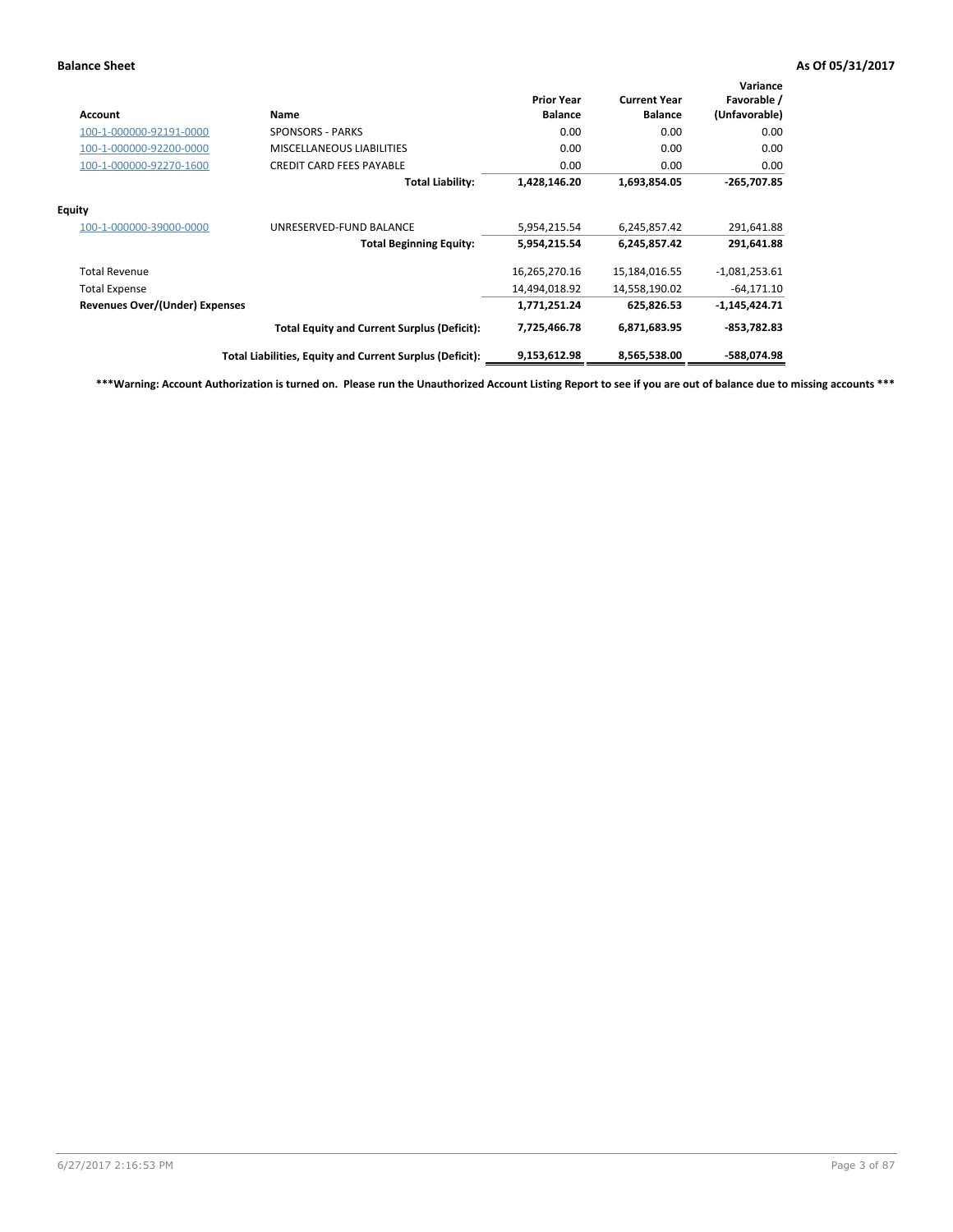| Account                        | Name                                                     | <b>Prior Year</b><br><b>Balance</b> | <b>Current Year</b><br><b>Balance</b> | Variance<br>Favorable /<br>(Unfavorable) |
|--------------------------------|----------------------------------------------------------|-------------------------------------|---------------------------------------|------------------------------------------|
| 100-1-000000-92191-0000        | <b>SPONSORS - PARKS</b>                                  | 0.00                                | 0.00                                  | 0.00                                     |
| 100-1-000000-92200-0000        | <b>MISCELLANEOUS LIABILITIES</b>                         | 0.00                                | 0.00                                  | 0.00                                     |
| 100-1-000000-92270-1600        | <b>CREDIT CARD FEES PAYABLE</b>                          | 0.00                                | 0.00                                  | 0.00                                     |
|                                | <b>Total Liability:</b>                                  | 1,428,146.20                        | 1,693,854.05                          | $-265,707.85$                            |
| <b>Equity</b>                  |                                                          |                                     |                                       |                                          |
| 100-1-000000-39000-0000        | UNRESERVED-FUND BALANCE                                  | 5,954,215.54                        | 6,245,857.42                          | 291,641.88                               |
|                                | <b>Total Beginning Equity:</b>                           | 5,954,215.54                        | 6,245,857.42                          | 291,641.88                               |
| <b>Total Revenue</b>           |                                                          | 16,265,270.16                       | 15,184,016.55                         | $-1,081,253.61$                          |
| <b>Total Expense</b>           |                                                          | 14,494,018.92                       | 14,558,190.02                         | $-64,171.10$                             |
| Revenues Over/(Under) Expenses |                                                          | 1,771,251.24                        | 625,826.53                            | $-1,145,424.71$                          |
|                                | <b>Total Equity and Current Surplus (Deficit):</b>       | 7,725,466.78                        | 6,871,683.95                          | -853,782.83                              |
|                                | Total Liabilities, Equity and Current Surplus (Deficit): | 9,153,612.98                        | 8,565,538.00                          | -588,074.98                              |

**\*\*\*Warning: Account Authorization is turned on. Please run the Unauthorized Account Listing Report to see if you are out of balance due to missing accounts \*\*\***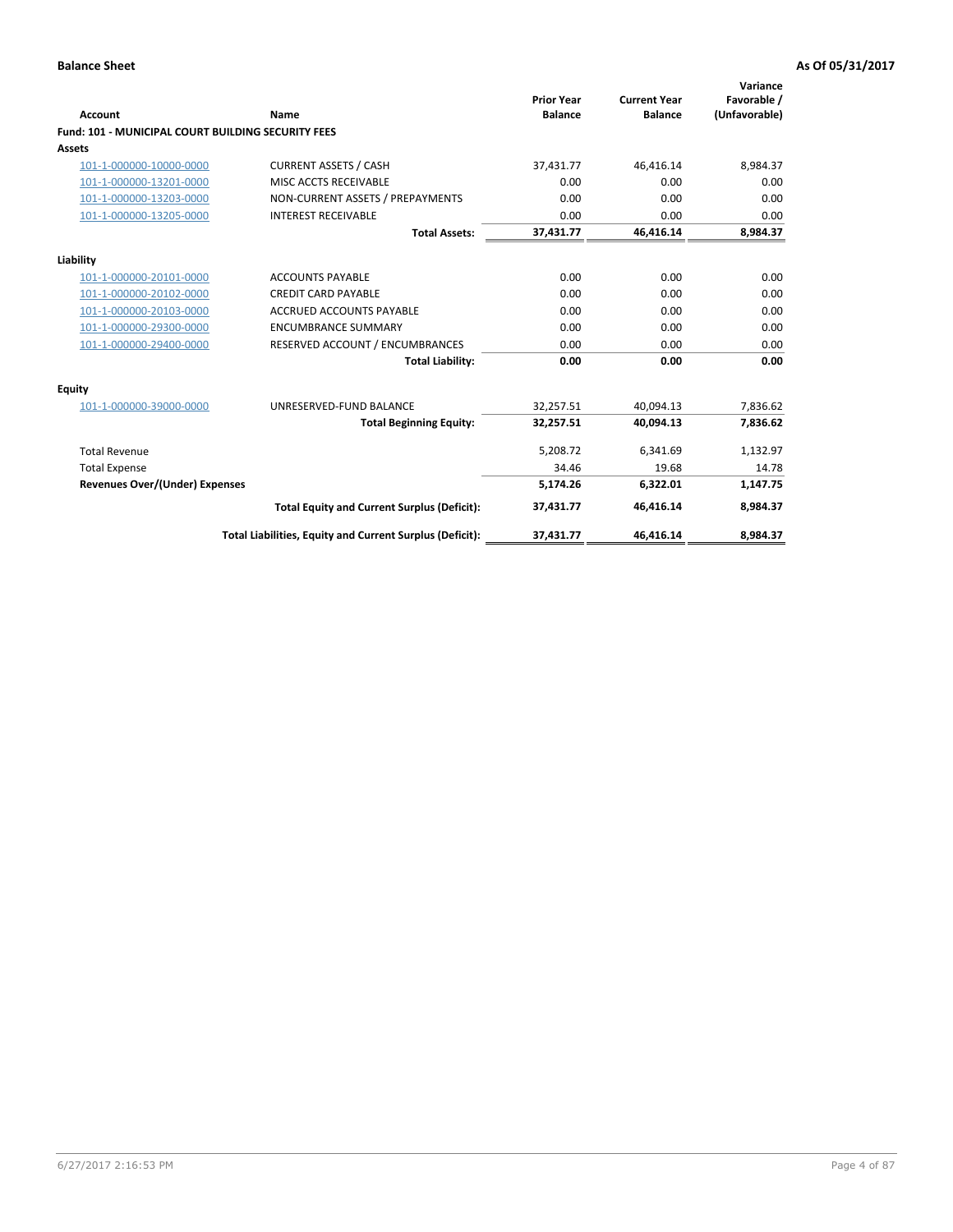| <b>Account</b>                                            | Name                                                     | <b>Prior Year</b><br><b>Balance</b> | <b>Current Year</b><br><b>Balance</b> | Variance<br>Favorable /<br>(Unfavorable) |
|-----------------------------------------------------------|----------------------------------------------------------|-------------------------------------|---------------------------------------|------------------------------------------|
| <b>Fund: 101 - MUNICIPAL COURT BUILDING SECURITY FEES</b> |                                                          |                                     |                                       |                                          |
| <b>Assets</b>                                             |                                                          |                                     |                                       |                                          |
| 101-1-000000-10000-0000                                   | <b>CURRENT ASSETS / CASH</b>                             | 37,431.77                           | 46,416.14                             | 8,984.37                                 |
| 101-1-000000-13201-0000                                   | <b>MISC ACCTS RECEIVABLE</b>                             | 0.00                                | 0.00                                  | 0.00                                     |
| 101-1-000000-13203-0000                                   | NON-CURRENT ASSETS / PREPAYMENTS                         | 0.00                                | 0.00                                  | 0.00                                     |
| 101-1-000000-13205-0000                                   | <b>INTEREST RECEIVABLE</b>                               | 0.00                                | 0.00                                  | 0.00                                     |
|                                                           | <b>Total Assets:</b>                                     | 37,431.77                           | 46,416.14                             | 8,984.37                                 |
| Liability                                                 |                                                          |                                     |                                       |                                          |
| 101-1-000000-20101-0000                                   | <b>ACCOUNTS PAYABLE</b>                                  | 0.00                                | 0.00                                  | 0.00                                     |
| 101-1-000000-20102-0000                                   | <b>CREDIT CARD PAYABLE</b>                               | 0.00                                | 0.00                                  | 0.00                                     |
| 101-1-000000-20103-0000                                   | <b>ACCRUED ACCOUNTS PAYABLE</b>                          | 0.00                                | 0.00                                  | 0.00                                     |
| 101-1-000000-29300-0000                                   | <b>ENCUMBRANCE SUMMARY</b>                               | 0.00                                | 0.00                                  | 0.00                                     |
| 101-1-000000-29400-0000                                   | RESERVED ACCOUNT / ENCUMBRANCES                          | 0.00                                | 0.00                                  | 0.00                                     |
|                                                           | <b>Total Liability:</b>                                  | 0.00                                | 0.00                                  | 0.00                                     |
| <b>Equity</b>                                             |                                                          |                                     |                                       |                                          |
| 101-1-000000-39000-0000                                   | UNRESERVED-FUND BALANCE                                  | 32,257.51                           | 40.094.13                             | 7,836.62                                 |
|                                                           | <b>Total Beginning Equity:</b>                           | 32,257.51                           | 40.094.13                             | 7,836.62                                 |
| <b>Total Revenue</b>                                      |                                                          | 5,208.72                            | 6,341.69                              | 1,132.97                                 |
| <b>Total Expense</b>                                      |                                                          | 34.46                               | 19.68                                 | 14.78                                    |
| <b>Revenues Over/(Under) Expenses</b>                     |                                                          | 5,174.26                            | 6,322.01                              | 1,147.75                                 |
|                                                           | <b>Total Equity and Current Surplus (Deficit):</b>       | 37,431.77                           | 46,416.14                             | 8,984.37                                 |
|                                                           | Total Liabilities, Equity and Current Surplus (Deficit): | 37,431.77                           | 46,416.14                             | 8,984.37                                 |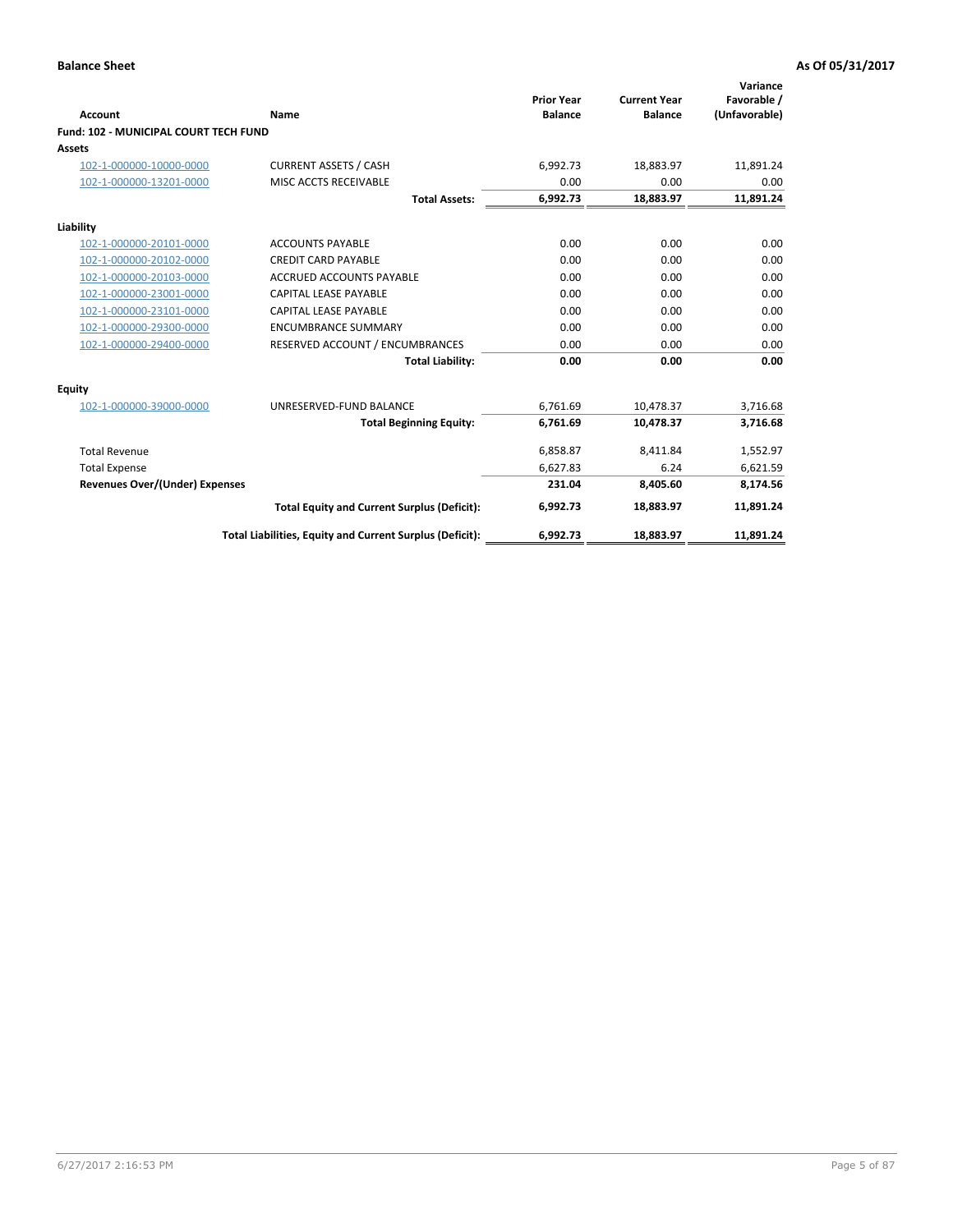| <b>Account</b>                               | Name                                                     | <b>Prior Year</b><br><b>Balance</b> | <b>Current Year</b><br><b>Balance</b> | Variance<br>Favorable /<br>(Unfavorable) |
|----------------------------------------------|----------------------------------------------------------|-------------------------------------|---------------------------------------|------------------------------------------|
| <b>Fund: 102 - MUNICIPAL COURT TECH FUND</b> |                                                          |                                     |                                       |                                          |
| <b>Assets</b>                                |                                                          |                                     |                                       |                                          |
| 102-1-000000-10000-0000                      | <b>CURRENT ASSETS / CASH</b>                             | 6,992.73                            | 18,883.97                             | 11,891.24                                |
| 102-1-000000-13201-0000                      | MISC ACCTS RECEIVABLE                                    | 0.00                                | 0.00                                  | 0.00                                     |
|                                              | <b>Total Assets:</b>                                     | 6,992.73                            | 18,883.97                             | 11,891.24                                |
| Liability                                    |                                                          |                                     |                                       |                                          |
| 102-1-000000-20101-0000                      | <b>ACCOUNTS PAYABLE</b>                                  | 0.00                                | 0.00                                  | 0.00                                     |
| 102-1-000000-20102-0000                      | <b>CREDIT CARD PAYABLE</b>                               | 0.00                                | 0.00                                  | 0.00                                     |
| 102-1-000000-20103-0000                      | <b>ACCRUED ACCOUNTS PAYABLE</b>                          | 0.00                                | 0.00                                  | 0.00                                     |
| 102-1-000000-23001-0000                      | <b>CAPITAL LEASE PAYABLE</b>                             | 0.00                                | 0.00                                  | 0.00                                     |
| 102-1-000000-23101-0000                      | <b>CAPITAL LEASE PAYABLE</b>                             | 0.00                                | 0.00                                  | 0.00                                     |
| 102-1-000000-29300-0000                      | <b>ENCUMBRANCE SUMMARY</b>                               | 0.00                                | 0.00                                  | 0.00                                     |
| 102-1-000000-29400-0000                      | RESERVED ACCOUNT / ENCUMBRANCES                          | 0.00                                | 0.00                                  | 0.00                                     |
|                                              | <b>Total Liability:</b>                                  | 0.00                                | 0.00                                  | 0.00                                     |
| Equity                                       |                                                          |                                     |                                       |                                          |
| 102-1-000000-39000-0000                      | UNRESERVED-FUND BALANCE                                  | 6,761.69                            | 10,478.37                             | 3,716.68                                 |
|                                              | <b>Total Beginning Equity:</b>                           | 6,761.69                            | 10,478.37                             | 3,716.68                                 |
| <b>Total Revenue</b>                         |                                                          | 6,858.87                            | 8,411.84                              | 1,552.97                                 |
| <b>Total Expense</b>                         |                                                          | 6,627.83                            | 6.24                                  | 6,621.59                                 |
| Revenues Over/(Under) Expenses               |                                                          | 231.04                              | 8,405.60                              | 8,174.56                                 |
|                                              | <b>Total Equity and Current Surplus (Deficit):</b>       | 6,992.73                            | 18,883.97                             | 11,891.24                                |
|                                              | Total Liabilities, Equity and Current Surplus (Deficit): | 6,992.73                            | 18,883.97                             | 11,891.24                                |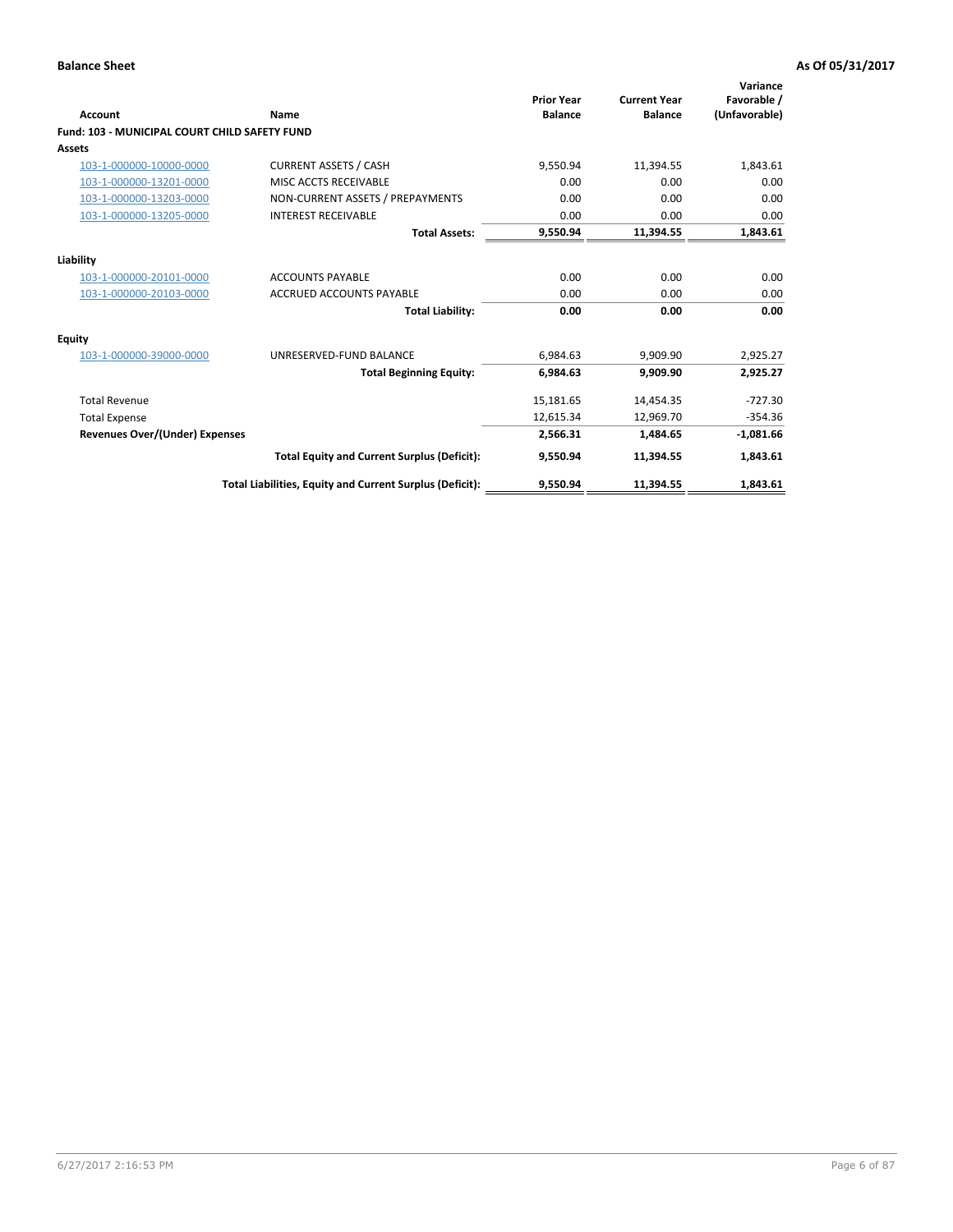| Account                                       | Name                                                     | <b>Prior Year</b><br><b>Balance</b> | <b>Current Year</b><br><b>Balance</b> | Variance<br>Favorable /<br>(Unfavorable) |
|-----------------------------------------------|----------------------------------------------------------|-------------------------------------|---------------------------------------|------------------------------------------|
| Fund: 103 - MUNICIPAL COURT CHILD SAFETY FUND |                                                          |                                     |                                       |                                          |
| <b>Assets</b>                                 |                                                          |                                     |                                       |                                          |
| 103-1-000000-10000-0000                       | <b>CURRENT ASSETS / CASH</b>                             | 9,550.94                            | 11,394.55                             | 1,843.61                                 |
| 103-1-000000-13201-0000                       | MISC ACCTS RECEIVABLE                                    | 0.00                                | 0.00                                  | 0.00                                     |
| 103-1-000000-13203-0000                       | NON-CURRENT ASSETS / PREPAYMENTS                         | 0.00                                | 0.00                                  | 0.00                                     |
| 103-1-000000-13205-0000                       | <b>INTEREST RECEIVABLE</b>                               | 0.00                                | 0.00                                  | 0.00                                     |
|                                               | <b>Total Assets:</b>                                     | 9,550.94                            | 11,394.55                             | 1,843.61                                 |
| Liability                                     |                                                          |                                     |                                       |                                          |
| 103-1-000000-20101-0000                       | <b>ACCOUNTS PAYABLE</b>                                  | 0.00                                | 0.00                                  | 0.00                                     |
| 103-1-000000-20103-0000                       | <b>ACCRUED ACCOUNTS PAYABLE</b>                          | 0.00                                | 0.00                                  | 0.00                                     |
|                                               | <b>Total Liability:</b>                                  | 0.00                                | 0.00                                  | 0.00                                     |
| <b>Equity</b>                                 |                                                          |                                     |                                       |                                          |
| 103-1-000000-39000-0000                       | UNRESERVED-FUND BALANCE                                  | 6,984.63                            | 9,909.90                              | 2,925.27                                 |
|                                               | <b>Total Beginning Equity:</b>                           | 6,984.63                            | 9.909.90                              | 2,925.27                                 |
| <b>Total Revenue</b>                          |                                                          | 15,181.65                           | 14,454.35                             | $-727.30$                                |
| <b>Total Expense</b>                          |                                                          | 12,615.34                           | 12,969.70                             | $-354.36$                                |
| Revenues Over/(Under) Expenses                |                                                          | 2,566.31                            | 1,484.65                              | $-1,081.66$                              |
|                                               | <b>Total Equity and Current Surplus (Deficit):</b>       | 9,550.94                            | 11,394.55                             | 1,843.61                                 |
|                                               | Total Liabilities, Equity and Current Surplus (Deficit): | 9,550.94                            | 11,394.55                             | 1.843.61                                 |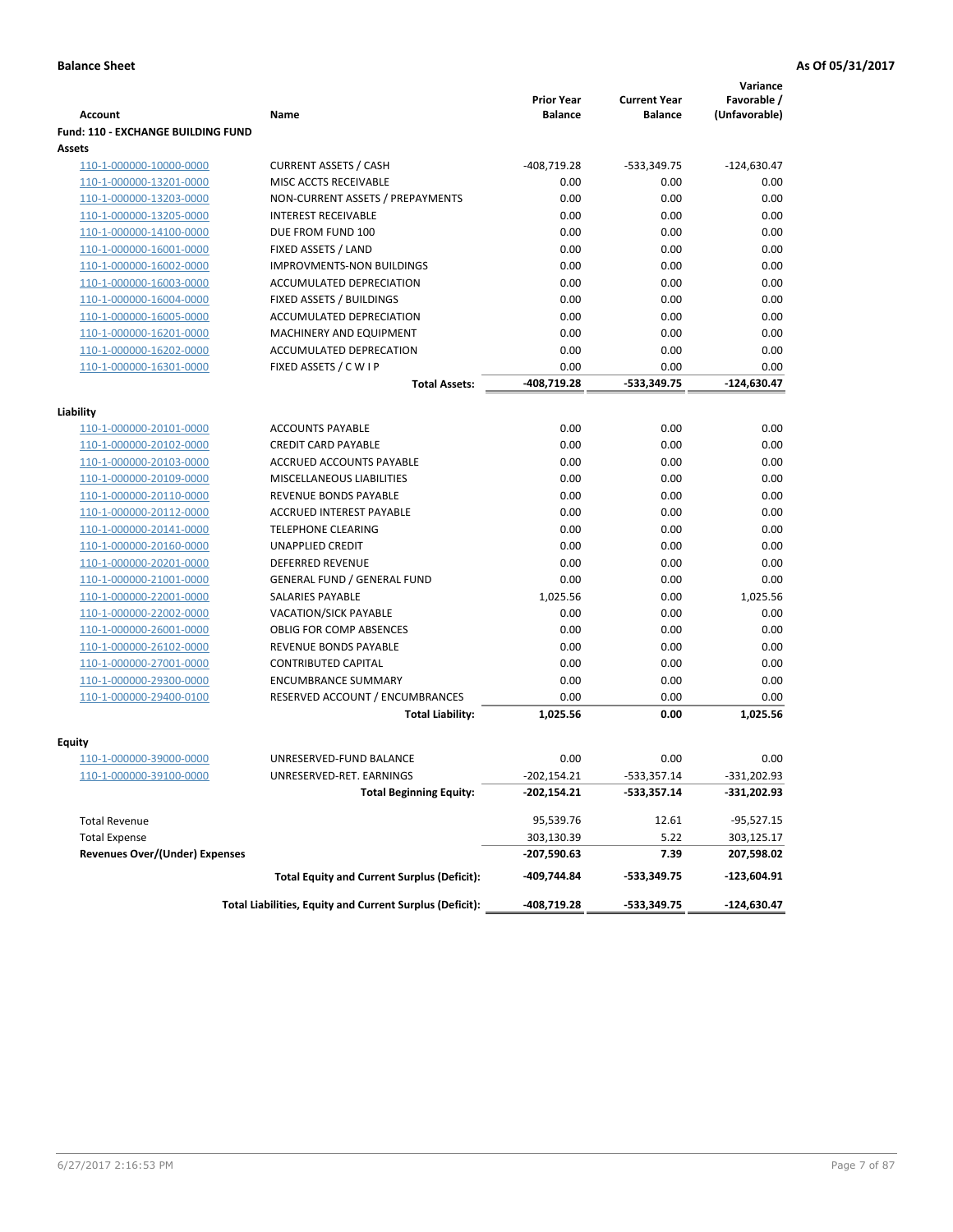| <b>Account</b>                            | Name                                                          | <b>Prior Year</b><br><b>Balance</b> | <b>Current Year</b><br><b>Balance</b> | Variance<br>Favorable /<br>(Unfavorable) |
|-------------------------------------------|---------------------------------------------------------------|-------------------------------------|---------------------------------------|------------------------------------------|
| <b>Fund: 110 - EXCHANGE BUILDING FUND</b> |                                                               |                                     |                                       |                                          |
| Assets                                    |                                                               |                                     |                                       |                                          |
| 110-1-000000-10000-0000                   | <b>CURRENT ASSETS / CASH</b>                                  | $-408,719.28$                       | $-533,349.75$                         | $-124,630.47$                            |
| 110-1-000000-13201-0000                   | MISC ACCTS RECEIVABLE                                         | 0.00                                | 0.00                                  | 0.00                                     |
| 110-1-000000-13203-0000                   | NON-CURRENT ASSETS / PREPAYMENTS                              | 0.00                                | 0.00                                  | 0.00                                     |
| 110-1-000000-13205-0000                   | <b>INTEREST RECEIVABLE</b>                                    | 0.00                                | 0.00                                  | 0.00                                     |
| 110-1-000000-14100-0000                   | DUE FROM FUND 100                                             | 0.00                                | 0.00                                  | 0.00                                     |
| 110-1-000000-16001-0000                   | FIXED ASSETS / LAND                                           | 0.00                                | 0.00                                  | 0.00                                     |
| 110-1-000000-16002-0000                   | <b>IMPROVMENTS-NON BUILDINGS</b>                              | 0.00                                | 0.00                                  | 0.00                                     |
| 110-1-000000-16003-0000                   | ACCUMULATED DEPRECIATION                                      | 0.00                                | 0.00                                  | 0.00                                     |
| 110-1-000000-16004-0000                   | FIXED ASSETS / BUILDINGS                                      | 0.00                                | 0.00                                  | 0.00                                     |
| 110-1-000000-16005-0000                   | ACCUMULATED DEPRECIATION                                      | 0.00                                | 0.00                                  | 0.00                                     |
| 110-1-000000-16201-0000                   | MACHINERY AND EQUIPMENT                                       | 0.00                                | 0.00                                  | 0.00                                     |
| 110-1-000000-16202-0000                   | ACCUMULATED DEPRECATION                                       | 0.00                                | 0.00                                  | 0.00                                     |
| 110-1-000000-16301-0000                   | FIXED ASSETS / C W I P                                        | 0.00                                | 0.00                                  | 0.00                                     |
|                                           | <b>Total Assets:</b>                                          | -408,719.28                         | -533,349.75                           | $-124,630.47$                            |
|                                           |                                                               |                                     |                                       |                                          |
| Liability                                 |                                                               |                                     |                                       |                                          |
| 110-1-000000-20101-0000                   | <b>ACCOUNTS PAYABLE</b>                                       | 0.00                                | 0.00                                  | 0.00                                     |
| 110-1-000000-20102-0000                   | <b>CREDIT CARD PAYABLE</b>                                    | 0.00                                | 0.00                                  | 0.00                                     |
| 110-1-000000-20103-0000                   | ACCRUED ACCOUNTS PAYABLE                                      | 0.00                                | 0.00                                  | 0.00                                     |
| 110-1-000000-20109-0000                   | MISCELLANEOUS LIABILITIES                                     | 0.00                                | 0.00                                  | 0.00                                     |
| 110-1-000000-20110-0000                   | REVENUE BONDS PAYABLE                                         | 0.00                                | 0.00                                  | 0.00                                     |
| 110-1-000000-20112-0000                   | <b>ACCRUED INTEREST PAYABLE</b>                               | 0.00                                | 0.00                                  | 0.00                                     |
| 110-1-000000-20141-0000                   | <b>TELEPHONE CLEARING</b>                                     | 0.00                                | 0.00                                  | 0.00                                     |
| 110-1-000000-20160-0000                   | <b>UNAPPLIED CREDIT</b>                                       | 0.00                                | 0.00                                  | 0.00                                     |
| 110-1-000000-20201-0000                   | <b>DEFERRED REVENUE</b>                                       | 0.00                                | 0.00                                  | 0.00                                     |
| 110-1-000000-21001-0000                   | <b>GENERAL FUND / GENERAL FUND</b>                            | 0.00                                | 0.00                                  | 0.00                                     |
| 110-1-000000-22001-0000                   | SALARIES PAYABLE                                              | 1,025.56                            | 0.00                                  | 1,025.56                                 |
| 110-1-000000-22002-0000                   | VACATION/SICK PAYABLE                                         | 0.00                                | 0.00                                  | 0.00                                     |
| 110-1-000000-26001-0000                   | <b>OBLIG FOR COMP ABSENCES</b>                                | 0.00                                | 0.00                                  | 0.00                                     |
| 110-1-000000-26102-0000                   | <b>REVENUE BONDS PAYABLE</b>                                  | 0.00                                | 0.00                                  | 0.00                                     |
| 110-1-000000-27001-0000                   | <b>CONTRIBUTED CAPITAL</b>                                    | 0.00                                | 0.00                                  | 0.00                                     |
| 110-1-000000-29300-0000                   | <b>ENCUMBRANCE SUMMARY</b><br>RESERVED ACCOUNT / ENCUMBRANCES | 0.00<br>0.00                        | 0.00<br>0.00                          | 0.00<br>0.00                             |
| 110-1-000000-29400-0100                   | <b>Total Liability:</b>                                       | 1,025.56                            | 0.00                                  | 1,025.56                                 |
|                                           |                                                               |                                     |                                       |                                          |
| <b>Equity</b>                             |                                                               |                                     |                                       |                                          |
| 110-1-000000-39000-0000                   | UNRESERVED-FUND BALANCE                                       | 0.00                                | 0.00                                  | 0.00                                     |
| <u>110-1-000000-39100-0000</u>            | UNRESERVED-RET. EARNINGS                                      | -202,154.21                         | -533,357.14                           | -331,202.93                              |
|                                           | <b>Total Beginning Equity:</b>                                | $-202,154.21$                       | -533,357.14                           | $-331,202.93$                            |
| <b>Total Revenue</b>                      |                                                               | 95,539.76                           | 12.61                                 | -95,527.15                               |
| <b>Total Expense</b>                      |                                                               | 303,130.39                          | 5.22                                  | 303,125.17                               |
| <b>Revenues Over/(Under) Expenses</b>     |                                                               | -207,590.63                         | 7.39                                  | 207,598.02                               |
|                                           | <b>Total Equity and Current Surplus (Deficit):</b>            | -409,744.84                         | -533,349.75                           | -123,604.91                              |
|                                           | Total Liabilities, Equity and Current Surplus (Deficit):      | -408,719.28                         | -533,349.75                           | -124,630.47                              |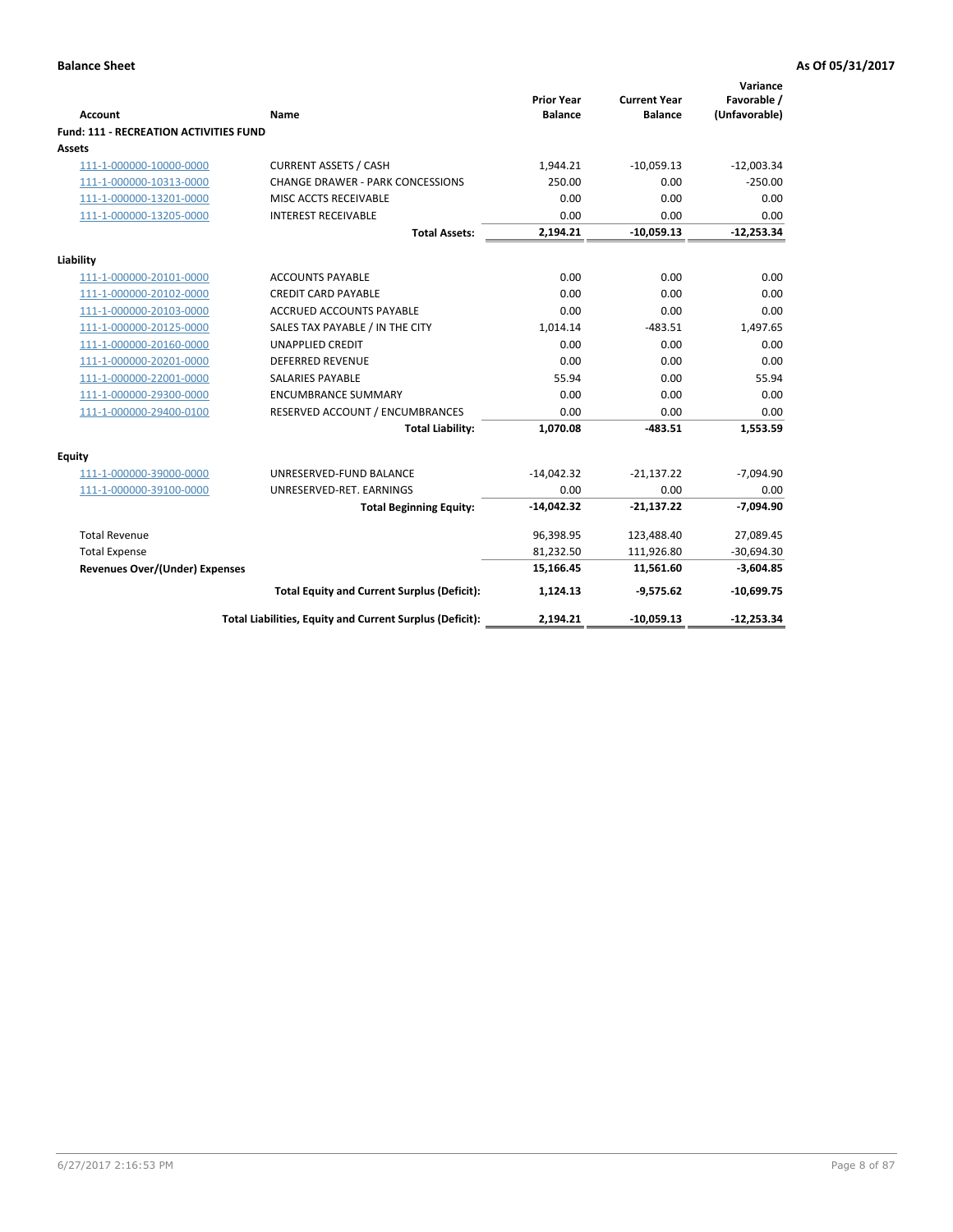|                                               |                                                          | <b>Prior Year</b> | <b>Current Year</b> | Variance<br>Favorable / |
|-----------------------------------------------|----------------------------------------------------------|-------------------|---------------------|-------------------------|
| Account                                       | Name                                                     | <b>Balance</b>    | <b>Balance</b>      | (Unfavorable)           |
| <b>Fund: 111 - RECREATION ACTIVITIES FUND</b> |                                                          |                   |                     |                         |
| Assets                                        |                                                          |                   |                     |                         |
| 111-1-000000-10000-0000                       | <b>CURRENT ASSETS / CASH</b>                             | 1,944.21          | $-10,059.13$        | $-12,003.34$            |
| 111-1-000000-10313-0000                       | <b>CHANGE DRAWER - PARK CONCESSIONS</b>                  | 250.00            | 0.00                | $-250.00$               |
| 111-1-000000-13201-0000                       | MISC ACCTS RECEIVABLE                                    | 0.00              | 0.00                | 0.00                    |
| 111-1-000000-13205-0000                       | <b>INTEREST RECEIVABLE</b>                               | 0.00              | 0.00                | 0.00                    |
|                                               | <b>Total Assets:</b>                                     | 2,194.21          | $-10,059.13$        | $-12,253.34$            |
| Liability                                     |                                                          |                   |                     |                         |
| 111-1-000000-20101-0000                       | <b>ACCOUNTS PAYABLE</b>                                  | 0.00              | 0.00                | 0.00                    |
| 111-1-000000-20102-0000                       | <b>CREDIT CARD PAYABLE</b>                               | 0.00              | 0.00                | 0.00                    |
| 111-1-000000-20103-0000                       | <b>ACCRUED ACCOUNTS PAYABLE</b>                          | 0.00              | 0.00                | 0.00                    |
| 111-1-000000-20125-0000                       | SALES TAX PAYABLE / IN THE CITY                          | 1,014.14          | $-483.51$           | 1,497.65                |
| 111-1-000000-20160-0000                       | <b>UNAPPLIED CREDIT</b>                                  | 0.00              | 0.00                | 0.00                    |
| 111-1-000000-20201-0000                       | <b>DEFERRED REVENUE</b>                                  | 0.00              | 0.00                | 0.00                    |
| 111-1-000000-22001-0000                       | <b>SALARIES PAYABLE</b>                                  | 55.94             | 0.00                | 55.94                   |
| 111-1-000000-29300-0000                       | <b>ENCUMBRANCE SUMMARY</b>                               | 0.00              | 0.00                | 0.00                    |
| 111-1-000000-29400-0100                       | RESERVED ACCOUNT / ENCUMBRANCES                          | 0.00              | 0.00                | 0.00                    |
|                                               | <b>Total Liability:</b>                                  | 1,070.08          | $-483.51$           | 1,553.59                |
| <b>Equity</b>                                 |                                                          |                   |                     |                         |
| 111-1-000000-39000-0000                       | UNRESERVED-FUND BALANCE                                  | $-14,042.32$      | $-21,137.22$        | $-7,094.90$             |
| 111-1-000000-39100-0000                       | UNRESERVED-RET. EARNINGS                                 | 0.00              | 0.00                | 0.00                    |
|                                               | <b>Total Beginning Equity:</b>                           | $-14,042.32$      | $-21,137.22$        | $-7,094.90$             |
| <b>Total Revenue</b>                          |                                                          | 96,398.95         | 123,488.40          | 27,089.45               |
| <b>Total Expense</b>                          |                                                          | 81,232.50         | 111,926.80          | $-30,694.30$            |
| <b>Revenues Over/(Under) Expenses</b>         |                                                          | 15,166.45         | 11,561.60           | $-3,604.85$             |
|                                               | <b>Total Equity and Current Surplus (Deficit):</b>       | 1,124.13          | $-9,575.62$         | $-10,699.75$            |
|                                               | Total Liabilities, Equity and Current Surplus (Deficit): | 2,194.21          | $-10,059.13$        | $-12,253.34$            |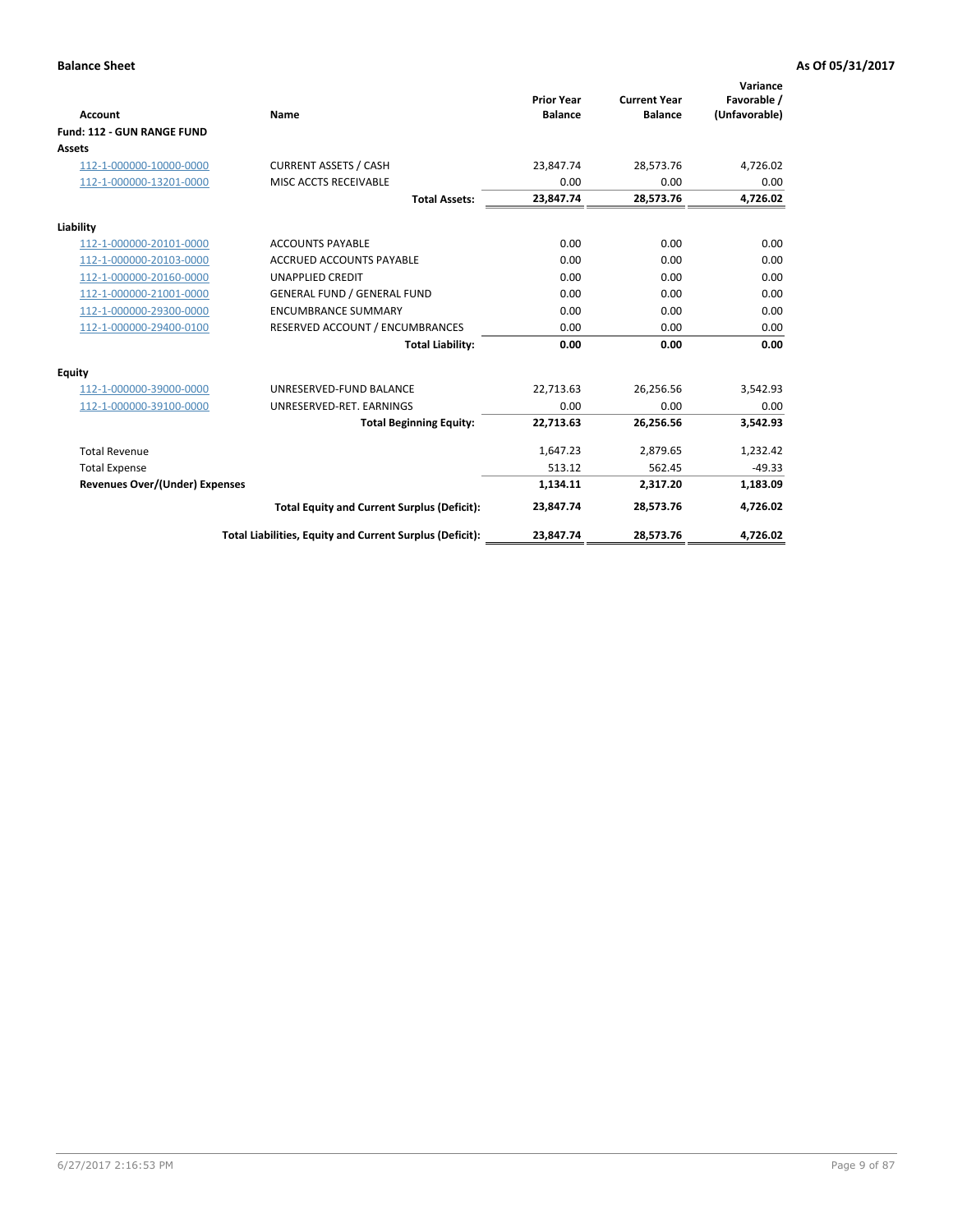|                                       |                                                          |                                     |                                       | Variance                     |
|---------------------------------------|----------------------------------------------------------|-------------------------------------|---------------------------------------|------------------------------|
| <b>Account</b>                        | Name                                                     | <b>Prior Year</b><br><b>Balance</b> | <b>Current Year</b><br><b>Balance</b> | Favorable /<br>(Unfavorable) |
| Fund: 112 - GUN RANGE FUND            |                                                          |                                     |                                       |                              |
| <b>Assets</b>                         |                                                          |                                     |                                       |                              |
| 112-1-000000-10000-0000               | <b>CURRENT ASSETS / CASH</b>                             | 23,847.74                           | 28,573.76                             | 4,726.02                     |
| 112-1-000000-13201-0000               | MISC ACCTS RECEIVABLE                                    | 0.00                                | 0.00                                  | 0.00                         |
|                                       | <b>Total Assets:</b>                                     | 23,847.74                           | 28,573.76                             | 4,726.02                     |
| Liability                             |                                                          |                                     |                                       |                              |
| 112-1-000000-20101-0000               | <b>ACCOUNTS PAYABLE</b>                                  | 0.00                                | 0.00                                  | 0.00                         |
| 112-1-000000-20103-0000               | <b>ACCRUED ACCOUNTS PAYABLE</b>                          | 0.00                                | 0.00                                  | 0.00                         |
| 112-1-000000-20160-0000               | <b>UNAPPLIED CREDIT</b>                                  | 0.00                                | 0.00                                  | 0.00                         |
| 112-1-000000-21001-0000               | <b>GENERAL FUND / GENERAL FUND</b>                       | 0.00                                | 0.00                                  | 0.00                         |
| 112-1-000000-29300-0000               | <b>ENCUMBRANCE SUMMARY</b>                               | 0.00                                | 0.00                                  | 0.00                         |
| 112-1-000000-29400-0100               | RESERVED ACCOUNT / ENCUMBRANCES                          | 0.00                                | 0.00                                  | 0.00                         |
|                                       | <b>Total Liability:</b>                                  | 0.00                                | 0.00                                  | 0.00                         |
| Equity                                |                                                          |                                     |                                       |                              |
| 112-1-000000-39000-0000               | UNRESERVED-FUND BALANCE                                  | 22,713.63                           | 26,256.56                             | 3,542.93                     |
| 112-1-000000-39100-0000               | UNRESERVED-RET. EARNINGS                                 | 0.00                                | 0.00                                  | 0.00                         |
|                                       | <b>Total Beginning Equity:</b>                           | 22,713.63                           | 26,256.56                             | 3,542.93                     |
| <b>Total Revenue</b>                  |                                                          | 1,647.23                            | 2,879.65                              | 1,232.42                     |
| <b>Total Expense</b>                  |                                                          | 513.12                              | 562.45                                | $-49.33$                     |
| <b>Revenues Over/(Under) Expenses</b> |                                                          | 1,134.11                            | 2,317.20                              | 1,183.09                     |
|                                       | <b>Total Equity and Current Surplus (Deficit):</b>       | 23,847.74                           | 28,573.76                             | 4,726.02                     |
|                                       | Total Liabilities, Equity and Current Surplus (Deficit): | 23,847.74                           | 28,573.76                             | 4,726.02                     |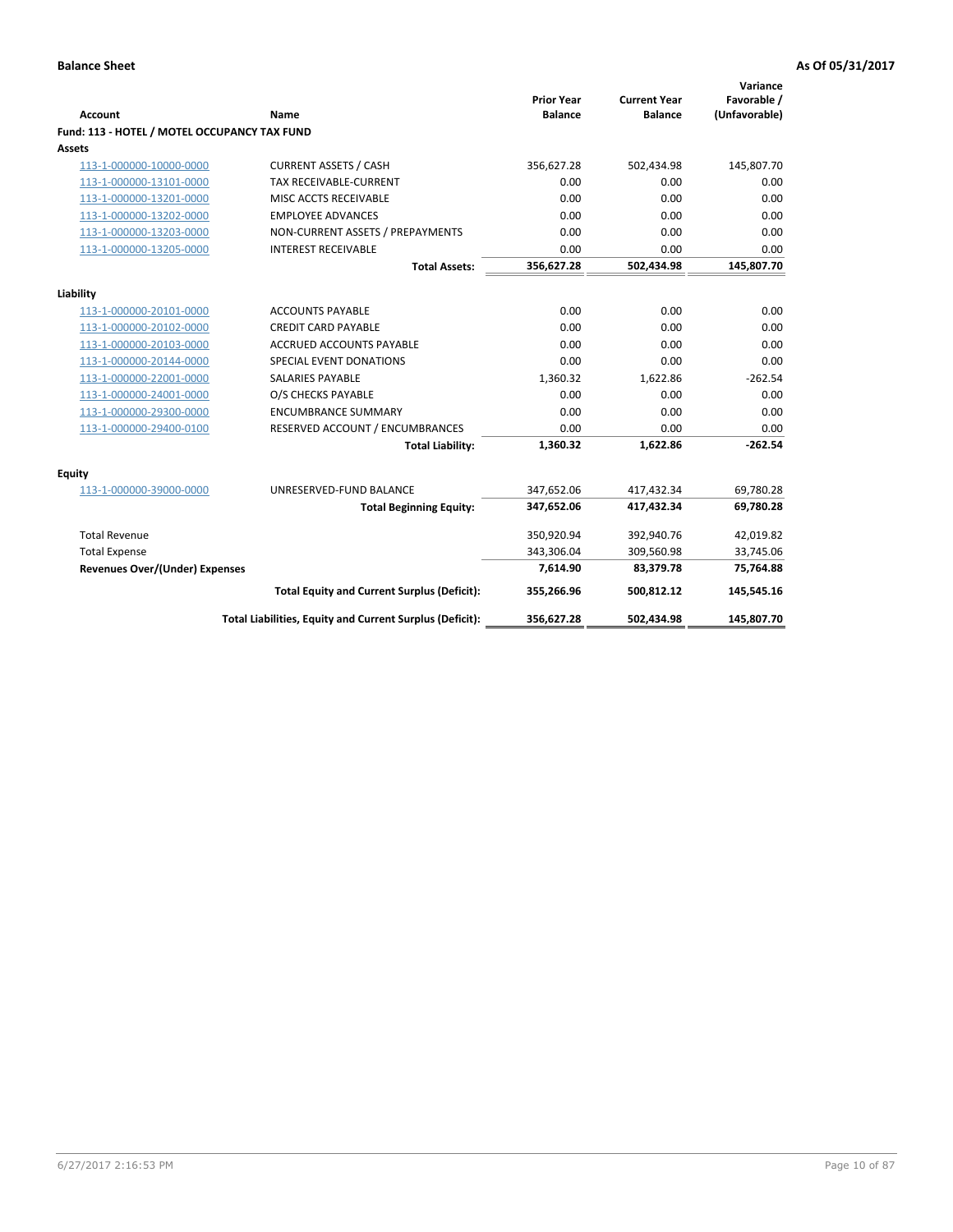| <b>Account</b>                                     | Name                                                     | <b>Prior Year</b><br><b>Balance</b> | <b>Current Year</b><br><b>Balance</b> | Variance<br>Favorable /<br>(Unfavorable) |
|----------------------------------------------------|----------------------------------------------------------|-------------------------------------|---------------------------------------|------------------------------------------|
| Fund: 113 - HOTEL / MOTEL OCCUPANCY TAX FUND       |                                                          |                                     |                                       |                                          |
| Assets                                             |                                                          |                                     |                                       |                                          |
| 113-1-000000-10000-0000                            | <b>CURRENT ASSETS / CASH</b>                             | 356,627.28                          | 502,434.98                            | 145,807.70                               |
| 113-1-000000-13101-0000                            | TAX RECEIVABLE-CURRENT                                   | 0.00                                | 0.00                                  | 0.00                                     |
| 113-1-000000-13201-0000                            | MISC ACCTS RECEIVABLE                                    | 0.00                                | 0.00                                  | 0.00                                     |
| 113-1-000000-13202-0000                            | <b>EMPLOYEE ADVANCES</b>                                 | 0.00                                | 0.00                                  | 0.00                                     |
| 113-1-000000-13203-0000                            | NON-CURRENT ASSETS / PREPAYMENTS                         | 0.00                                | 0.00                                  | 0.00                                     |
| 113-1-000000-13205-0000                            | <b>INTEREST RECEIVABLE</b>                               | 0.00                                | 0.00                                  | 0.00                                     |
|                                                    | <b>Total Assets:</b>                                     | 356,627.28                          | 502,434.98                            | 145,807.70                               |
|                                                    |                                                          |                                     |                                       |                                          |
| Liability                                          | <b>ACCOUNTS PAYABLE</b>                                  | 0.00                                | 0.00                                  | 0.00                                     |
| 113-1-000000-20101-0000<br>113-1-000000-20102-0000 | <b>CREDIT CARD PAYABLE</b>                               | 0.00                                | 0.00                                  | 0.00                                     |
| 113-1-000000-20103-0000                            | <b>ACCRUED ACCOUNTS PAYABLE</b>                          | 0.00                                | 0.00                                  | 0.00                                     |
| 113-1-000000-20144-0000                            | SPECIAL EVENT DONATIONS                                  | 0.00                                | 0.00                                  | 0.00                                     |
|                                                    | <b>SALARIES PAYABLE</b>                                  | 1,360.32                            | 1,622.86                              | $-262.54$                                |
| 113-1-000000-22001-0000                            |                                                          | 0.00                                |                                       |                                          |
| 113-1-000000-24001-0000                            | O/S CHECKS PAYABLE                                       |                                     | 0.00                                  | 0.00                                     |
| 113-1-000000-29300-0000                            | <b>ENCUMBRANCE SUMMARY</b>                               | 0.00                                | 0.00                                  | 0.00                                     |
| 113-1-000000-29400-0100                            | RESERVED ACCOUNT / ENCUMBRANCES                          | 0.00                                | 0.00                                  | 0.00                                     |
|                                                    | <b>Total Liability:</b>                                  | 1,360.32                            | 1,622.86                              | $-262.54$                                |
| Equity                                             |                                                          |                                     |                                       |                                          |
| 113-1-000000-39000-0000                            | UNRESERVED-FUND BALANCE                                  | 347,652.06                          | 417,432.34                            | 69,780.28                                |
|                                                    | <b>Total Beginning Equity:</b>                           | 347,652.06                          | 417,432.34                            | 69,780.28                                |
| <b>Total Revenue</b>                               |                                                          | 350,920.94                          | 392,940.76                            | 42,019.82                                |
| <b>Total Expense</b>                               |                                                          | 343,306.04                          | 309,560.98                            | 33,745.06                                |
| <b>Revenues Over/(Under) Expenses</b>              |                                                          | 7,614.90                            | 83,379.78                             | 75,764.88                                |
|                                                    | <b>Total Equity and Current Surplus (Deficit):</b>       | 355,266.96                          | 500,812.12                            | 145,545.16                               |
|                                                    | Total Liabilities, Equity and Current Surplus (Deficit): | 356,627.28                          | 502,434.98                            | 145,807.70                               |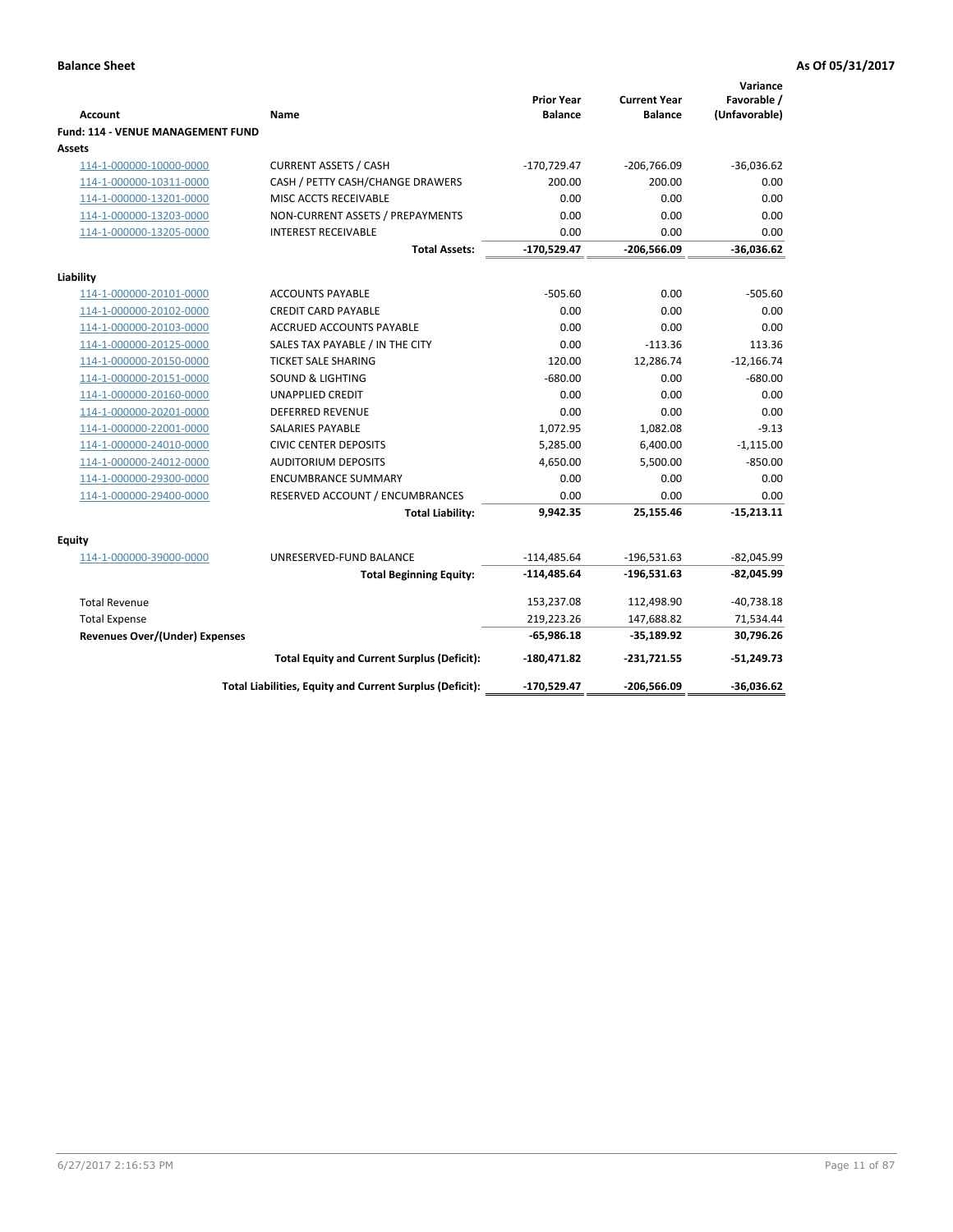| <b>Account</b>                           | Name                                                     | <b>Prior Year</b><br><b>Balance</b> | <b>Current Year</b><br><b>Balance</b> | Variance<br>Favorable /<br>(Unfavorable) |
|------------------------------------------|----------------------------------------------------------|-------------------------------------|---------------------------------------|------------------------------------------|
| <b>Fund: 114 - VENUE MANAGEMENT FUND</b> |                                                          |                                     |                                       |                                          |
| Assets                                   |                                                          |                                     |                                       |                                          |
| 114-1-000000-10000-0000                  | <b>CURRENT ASSETS / CASH</b>                             | $-170,729.47$                       | $-206,766.09$                         | $-36,036.62$                             |
| 114-1-000000-10311-0000                  | CASH / PETTY CASH/CHANGE DRAWERS                         | 200.00                              | 200.00                                | 0.00                                     |
| 114-1-000000-13201-0000                  | MISC ACCTS RECEIVABLE                                    | 0.00                                | 0.00                                  | 0.00                                     |
| 114-1-000000-13203-0000                  | NON-CURRENT ASSETS / PREPAYMENTS                         | 0.00                                | 0.00                                  | 0.00                                     |
| 114-1-000000-13205-0000                  | <b>INTEREST RECEIVABLE</b>                               | 0.00                                | 0.00                                  | 0.00                                     |
|                                          | <b>Total Assets:</b>                                     | $-170,529.47$                       | $-206,566.09$                         | $-36,036.62$                             |
| Liability                                |                                                          |                                     |                                       |                                          |
| 114-1-000000-20101-0000                  | <b>ACCOUNTS PAYABLE</b>                                  | $-505.60$                           | 0.00                                  | $-505.60$                                |
| 114-1-000000-20102-0000                  | <b>CREDIT CARD PAYABLE</b>                               | 0.00                                | 0.00                                  | 0.00                                     |
| 114-1-000000-20103-0000                  | ACCRUED ACCOUNTS PAYABLE                                 | 0.00                                | 0.00                                  | 0.00                                     |
| 114-1-000000-20125-0000                  | SALES TAX PAYABLE / IN THE CITY                          | 0.00                                | $-113.36$                             | 113.36                                   |
| 114-1-000000-20150-0000                  | <b>TICKET SALE SHARING</b>                               | 120.00                              | 12,286.74                             | $-12,166.74$                             |
| 114-1-000000-20151-0000                  | <b>SOUND &amp; LIGHTING</b>                              | $-680.00$                           | 0.00                                  | $-680.00$                                |
| 114-1-000000-20160-0000                  | <b>UNAPPLIED CREDIT</b>                                  | 0.00                                | 0.00                                  | 0.00                                     |
| 114-1-000000-20201-0000                  | <b>DEFERRED REVENUE</b>                                  | 0.00                                | 0.00                                  | 0.00                                     |
| 114-1-000000-22001-0000                  | SALARIES PAYABLE                                         | 1,072.95                            | 1,082.08                              | $-9.13$                                  |
| 114-1-000000-24010-0000                  | <b>CIVIC CENTER DEPOSITS</b>                             | 5,285.00                            | 6,400.00                              | $-1,115.00$                              |
| 114-1-000000-24012-0000                  | <b>AUDITORIUM DEPOSITS</b>                               | 4,650.00                            | 5,500.00                              | $-850.00$                                |
| 114-1-000000-29300-0000                  | <b>ENCUMBRANCE SUMMARY</b>                               | 0.00                                | 0.00                                  | 0.00                                     |
| 114-1-000000-29400-0000                  | RESERVED ACCOUNT / ENCUMBRANCES                          | 0.00                                | 0.00                                  | 0.00                                     |
|                                          | <b>Total Liability:</b>                                  | 9,942.35                            | 25,155.46                             | $-15,213.11$                             |
|                                          |                                                          |                                     |                                       |                                          |
| Equity                                   |                                                          |                                     |                                       |                                          |
| 114-1-000000-39000-0000                  | UNRESERVED-FUND BALANCE                                  | $-114,485.64$                       | $-196,531.63$                         | $-82,045.99$                             |
|                                          | <b>Total Beginning Equity:</b>                           | $-114,485.64$                       | $-196,531.63$                         | $-82,045.99$                             |
| <b>Total Revenue</b>                     |                                                          | 153,237.08                          | 112,498.90                            | $-40,738.18$                             |
| <b>Total Expense</b>                     |                                                          | 219,223.26                          | 147,688.82                            | 71,534.44                                |
| <b>Revenues Over/(Under) Expenses</b>    |                                                          | $-65,986.18$                        | $-35,189.92$                          | 30,796.26                                |
|                                          | <b>Total Equity and Current Surplus (Deficit):</b>       | $-180,471.82$                       | $-231,721.55$                         | $-51,249.73$                             |
|                                          | Total Liabilities, Equity and Current Surplus (Deficit): | -170,529.47                         | -206,566.09                           | $-36.036.62$                             |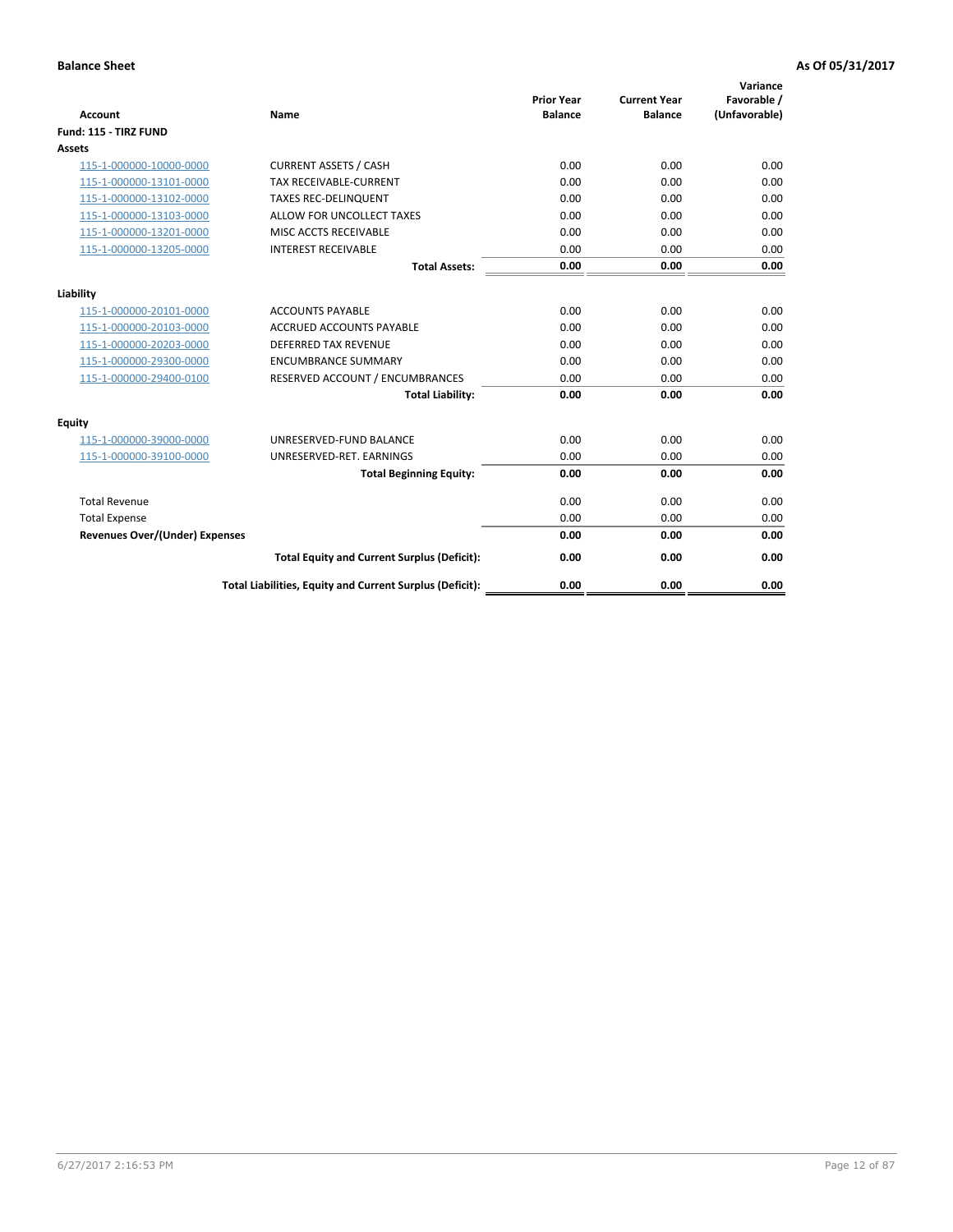| <b>Account</b>                        | <b>Name</b>                                              | <b>Prior Year</b><br><b>Balance</b> | <b>Current Year</b><br><b>Balance</b> | Variance<br>Favorable /<br>(Unfavorable) |
|---------------------------------------|----------------------------------------------------------|-------------------------------------|---------------------------------------|------------------------------------------|
| Fund: 115 - TIRZ FUND                 |                                                          |                                     |                                       |                                          |
| <b>Assets</b>                         |                                                          |                                     |                                       |                                          |
| 115-1-000000-10000-0000               | <b>CURRENT ASSETS / CASH</b>                             | 0.00                                | 0.00                                  | 0.00                                     |
| 115-1-000000-13101-0000               | <b>TAX RECEIVABLE-CURRENT</b>                            | 0.00                                | 0.00                                  | 0.00                                     |
| 115-1-000000-13102-0000               | <b>TAXES REC-DELINQUENT</b>                              | 0.00                                | 0.00                                  | 0.00                                     |
| 115-1-000000-13103-0000               | ALLOW FOR UNCOLLECT TAXES                                | 0.00                                | 0.00                                  | 0.00                                     |
| 115-1-000000-13201-0000               | <b>MISC ACCTS RECEIVABLE</b>                             | 0.00                                | 0.00                                  | 0.00                                     |
| 115-1-000000-13205-0000               | <b>INTEREST RECEIVABLE</b>                               | 0.00                                | 0.00                                  | 0.00                                     |
|                                       | <b>Total Assets:</b>                                     | 0.00                                | 0.00                                  | 0.00                                     |
| Liability                             |                                                          |                                     |                                       |                                          |
| 115-1-000000-20101-0000               | <b>ACCOUNTS PAYABLE</b>                                  | 0.00                                | 0.00                                  | 0.00                                     |
| 115-1-000000-20103-0000               | <b>ACCRUED ACCOUNTS PAYABLE</b>                          | 0.00                                | 0.00                                  | 0.00                                     |
| 115-1-000000-20203-0000               | <b>DEFERRED TAX REVENUE</b>                              | 0.00                                | 0.00                                  | 0.00                                     |
| 115-1-000000-29300-0000               | <b>ENCUMBRANCE SUMMARY</b>                               | 0.00                                | 0.00                                  | 0.00                                     |
| 115-1-000000-29400-0100               | RESERVED ACCOUNT / ENCUMBRANCES                          | 0.00                                | 0.00                                  | 0.00                                     |
|                                       | <b>Total Liability:</b>                                  | 0.00                                | 0.00                                  | 0.00                                     |
| <b>Equity</b>                         |                                                          |                                     |                                       |                                          |
| 115-1-000000-39000-0000               | UNRESERVED-FUND BALANCE                                  | 0.00                                | 0.00                                  | 0.00                                     |
| 115-1-000000-39100-0000               | UNRESERVED-RET. EARNINGS                                 | 0.00                                | 0.00                                  | 0.00                                     |
|                                       | <b>Total Beginning Equity:</b>                           | 0.00                                | 0.00                                  | 0.00                                     |
| <b>Total Revenue</b>                  |                                                          | 0.00                                | 0.00                                  | 0.00                                     |
| <b>Total Expense</b>                  |                                                          | 0.00                                | 0.00                                  | 0.00                                     |
| <b>Revenues Over/(Under) Expenses</b> |                                                          | 0.00                                | 0.00                                  | 0.00                                     |
|                                       | <b>Total Equity and Current Surplus (Deficit):</b>       | 0.00                                | 0.00                                  | 0.00                                     |
|                                       | Total Liabilities, Equity and Current Surplus (Deficit): | 0.00                                | 0.00                                  | 0.00                                     |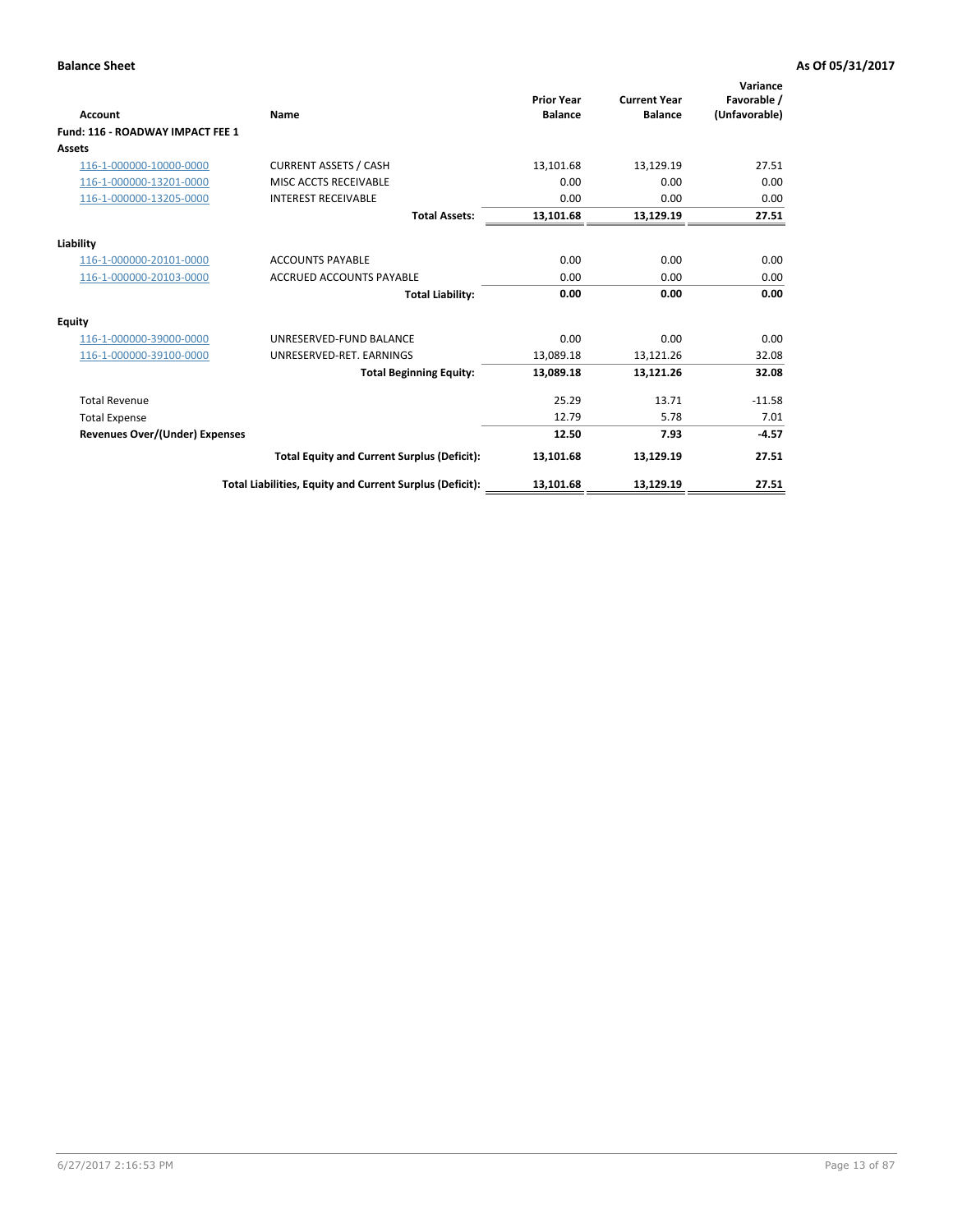| <b>Account</b>                        | Name                                                     | <b>Prior Year</b><br><b>Balance</b> | <b>Current Year</b><br><b>Balance</b> | Variance<br>Favorable /<br>(Unfavorable) |
|---------------------------------------|----------------------------------------------------------|-------------------------------------|---------------------------------------|------------------------------------------|
| Fund: 116 - ROADWAY IMPACT FEE 1      |                                                          |                                     |                                       |                                          |
| <b>Assets</b>                         |                                                          |                                     |                                       |                                          |
| 116-1-000000-10000-0000               | <b>CURRENT ASSETS / CASH</b>                             | 13,101.68                           | 13,129.19                             | 27.51                                    |
| 116-1-000000-13201-0000               | MISC ACCTS RECEIVABLE                                    | 0.00                                | 0.00                                  | 0.00                                     |
| 116-1-000000-13205-0000               | <b>INTEREST RECEIVABLE</b>                               | 0.00                                | 0.00                                  | 0.00                                     |
|                                       | <b>Total Assets:</b>                                     | 13,101.68                           | 13,129.19                             | 27.51                                    |
| Liability                             |                                                          |                                     |                                       |                                          |
| 116-1-000000-20101-0000               | <b>ACCOUNTS PAYABLE</b>                                  | 0.00                                | 0.00                                  | 0.00                                     |
| 116-1-000000-20103-0000               | <b>ACCRUED ACCOUNTS PAYABLE</b>                          | 0.00                                | 0.00                                  | 0.00                                     |
|                                       | <b>Total Liability:</b>                                  | 0.00                                | 0.00                                  | 0.00                                     |
| <b>Equity</b>                         |                                                          |                                     |                                       |                                          |
| 116-1-000000-39000-0000               | UNRESERVED-FUND BALANCE                                  | 0.00                                | 0.00                                  | 0.00                                     |
| 116-1-000000-39100-0000               | UNRESERVED-RET. EARNINGS                                 | 13,089.18                           | 13,121.26                             | 32.08                                    |
|                                       | <b>Total Beginning Equity:</b>                           | 13.089.18                           | 13,121.26                             | 32.08                                    |
| <b>Total Revenue</b>                  |                                                          | 25.29                               | 13.71                                 | $-11.58$                                 |
| <b>Total Expense</b>                  |                                                          | 12.79                               | 5.78                                  | 7.01                                     |
| <b>Revenues Over/(Under) Expenses</b> |                                                          | 12.50                               | 7.93                                  | $-4.57$                                  |
|                                       | <b>Total Equity and Current Surplus (Deficit):</b>       | 13,101.68                           | 13,129.19                             | 27.51                                    |
|                                       | Total Liabilities, Equity and Current Surplus (Deficit): | 13,101.68                           | 13,129.19                             | 27.51                                    |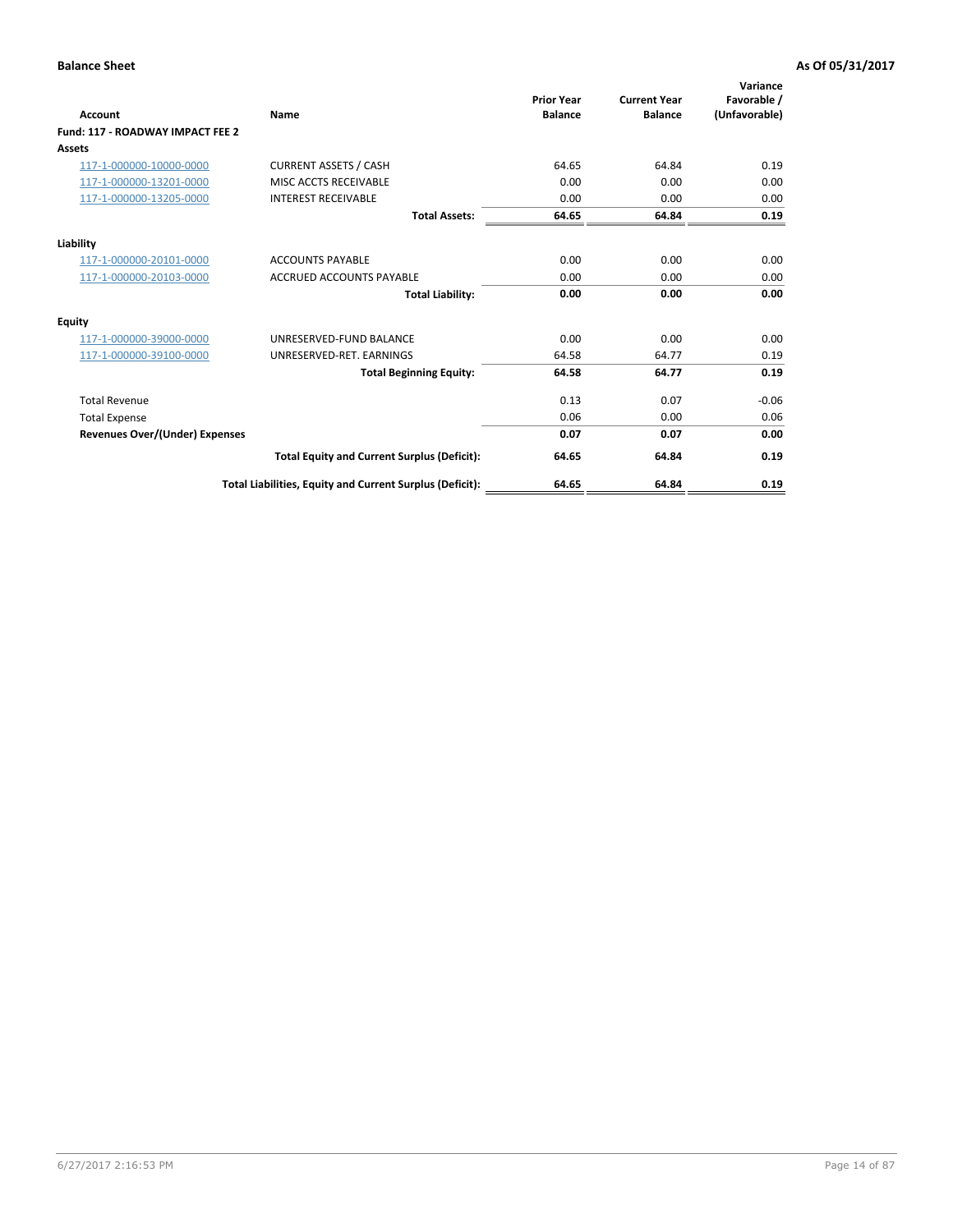| <b>Account</b>                        | Name                                                     | <b>Prior Year</b><br><b>Balance</b> | <b>Current Year</b><br><b>Balance</b> | Variance<br>Favorable /<br>(Unfavorable) |
|---------------------------------------|----------------------------------------------------------|-------------------------------------|---------------------------------------|------------------------------------------|
| Fund: 117 - ROADWAY IMPACT FEE 2      |                                                          |                                     |                                       |                                          |
| <b>Assets</b>                         |                                                          |                                     |                                       |                                          |
| 117-1-000000-10000-0000               | <b>CURRENT ASSETS / CASH</b>                             | 64.65                               | 64.84                                 | 0.19                                     |
| 117-1-000000-13201-0000               | MISC ACCTS RECEIVABLE                                    | 0.00                                | 0.00                                  | 0.00                                     |
| 117-1-000000-13205-0000               | <b>INTEREST RECEIVABLE</b>                               | 0.00                                | 0.00                                  | 0.00                                     |
|                                       | <b>Total Assets:</b>                                     | 64.65                               | 64.84                                 | 0.19                                     |
| Liability                             |                                                          |                                     |                                       |                                          |
| 117-1-000000-20101-0000               | <b>ACCOUNTS PAYABLE</b>                                  | 0.00                                | 0.00                                  | 0.00                                     |
| 117-1-000000-20103-0000               | <b>ACCRUED ACCOUNTS PAYABLE</b>                          | 0.00                                | 0.00                                  | 0.00                                     |
|                                       | <b>Total Liability:</b>                                  | 0.00                                | 0.00                                  | 0.00                                     |
| <b>Equity</b>                         |                                                          |                                     |                                       |                                          |
| 117-1-000000-39000-0000               | UNRESERVED-FUND BALANCE                                  | 0.00                                | 0.00                                  | 0.00                                     |
| 117-1-000000-39100-0000               | UNRESERVED-RET. EARNINGS                                 | 64.58                               | 64.77                                 | 0.19                                     |
|                                       | <b>Total Beginning Equity:</b>                           | 64.58                               | 64.77                                 | 0.19                                     |
| <b>Total Revenue</b>                  |                                                          | 0.13                                | 0.07                                  | $-0.06$                                  |
| <b>Total Expense</b>                  |                                                          | 0.06                                | 0.00                                  | 0.06                                     |
| <b>Revenues Over/(Under) Expenses</b> |                                                          | 0.07                                | 0.07                                  | 0.00                                     |
|                                       | <b>Total Equity and Current Surplus (Deficit):</b>       | 64.65                               | 64.84                                 | 0.19                                     |
|                                       | Total Liabilities, Equity and Current Surplus (Deficit): | 64.65                               | 64.84                                 | 0.19                                     |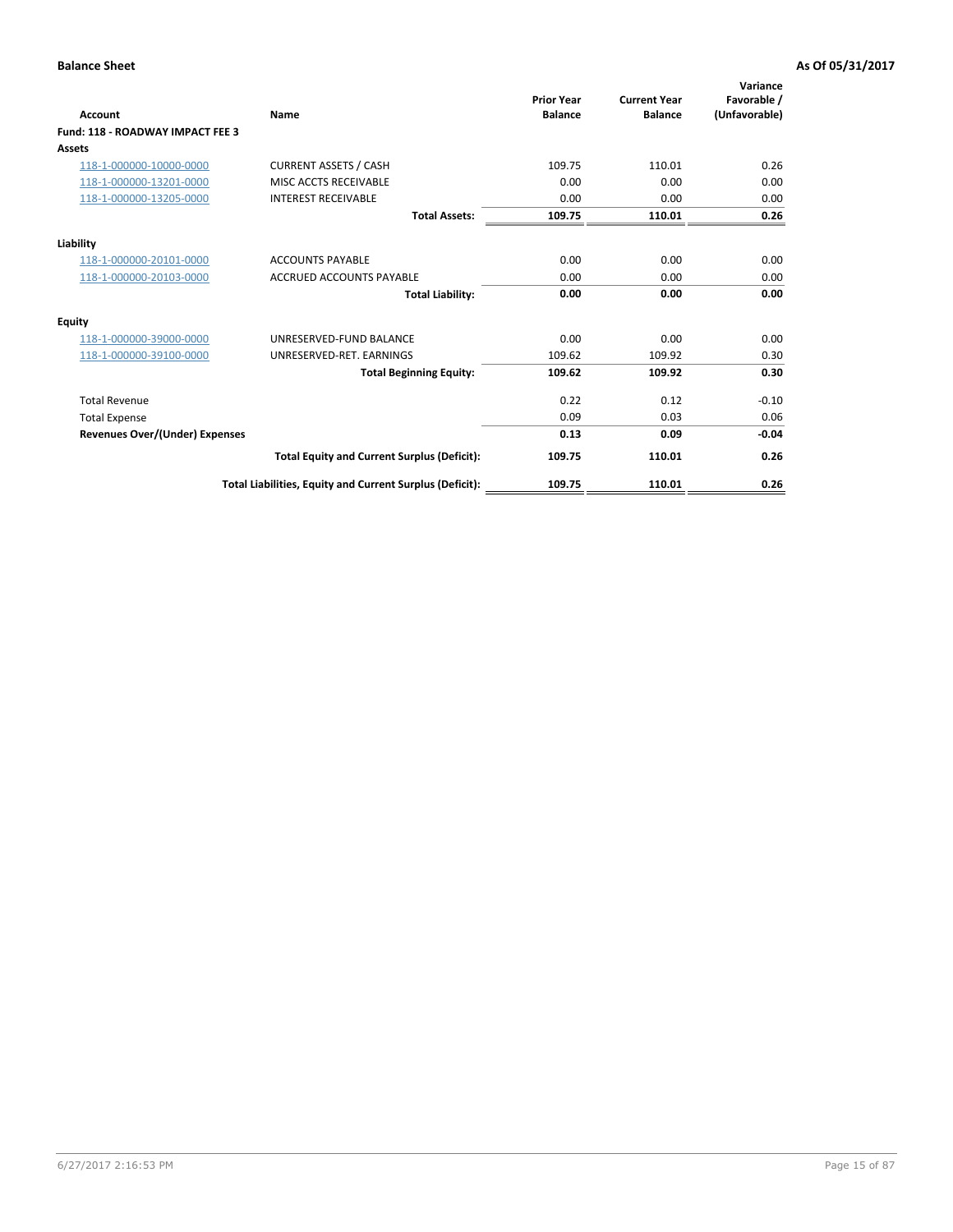| <b>Account</b>                        | Name                                                     | <b>Prior Year</b><br><b>Balance</b> | <b>Current Year</b><br><b>Balance</b> | Variance<br>Favorable /<br>(Unfavorable) |
|---------------------------------------|----------------------------------------------------------|-------------------------------------|---------------------------------------|------------------------------------------|
| Fund: 118 - ROADWAY IMPACT FEE 3      |                                                          |                                     |                                       |                                          |
| Assets                                |                                                          |                                     |                                       |                                          |
| 118-1-000000-10000-0000               | <b>CURRENT ASSETS / CASH</b>                             | 109.75                              | 110.01                                | 0.26                                     |
| 118-1-000000-13201-0000               | MISC ACCTS RECEIVABLE                                    | 0.00                                | 0.00                                  | 0.00                                     |
| 118-1-000000-13205-0000               | <b>INTEREST RECEIVABLE</b>                               | 0.00                                | 0.00                                  | 0.00                                     |
|                                       | <b>Total Assets:</b>                                     | 109.75                              | 110.01                                | 0.26                                     |
| Liability                             |                                                          |                                     |                                       |                                          |
| 118-1-000000-20101-0000               | <b>ACCOUNTS PAYABLE</b>                                  | 0.00                                | 0.00                                  | 0.00                                     |
| 118-1-000000-20103-0000               | <b>ACCRUED ACCOUNTS PAYABLE</b>                          | 0.00                                | 0.00                                  | 0.00                                     |
|                                       | <b>Total Liability:</b>                                  | 0.00                                | 0.00                                  | 0.00                                     |
| <b>Equity</b>                         |                                                          |                                     |                                       |                                          |
| 118-1-000000-39000-0000               | UNRESERVED-FUND BALANCE                                  | 0.00                                | 0.00                                  | 0.00                                     |
| 118-1-000000-39100-0000               | UNRESERVED-RET. EARNINGS                                 | 109.62                              | 109.92                                | 0.30                                     |
|                                       | <b>Total Beginning Equity:</b>                           | 109.62                              | 109.92                                | 0.30                                     |
| <b>Total Revenue</b>                  |                                                          | 0.22                                | 0.12                                  | $-0.10$                                  |
| <b>Total Expense</b>                  |                                                          | 0.09                                | 0.03                                  | 0.06                                     |
| <b>Revenues Over/(Under) Expenses</b> |                                                          | 0.13                                | 0.09                                  | $-0.04$                                  |
|                                       | <b>Total Equity and Current Surplus (Deficit):</b>       | 109.75                              | 110.01                                | 0.26                                     |
|                                       | Total Liabilities, Equity and Current Surplus (Deficit): | 109.75                              | 110.01                                | 0.26                                     |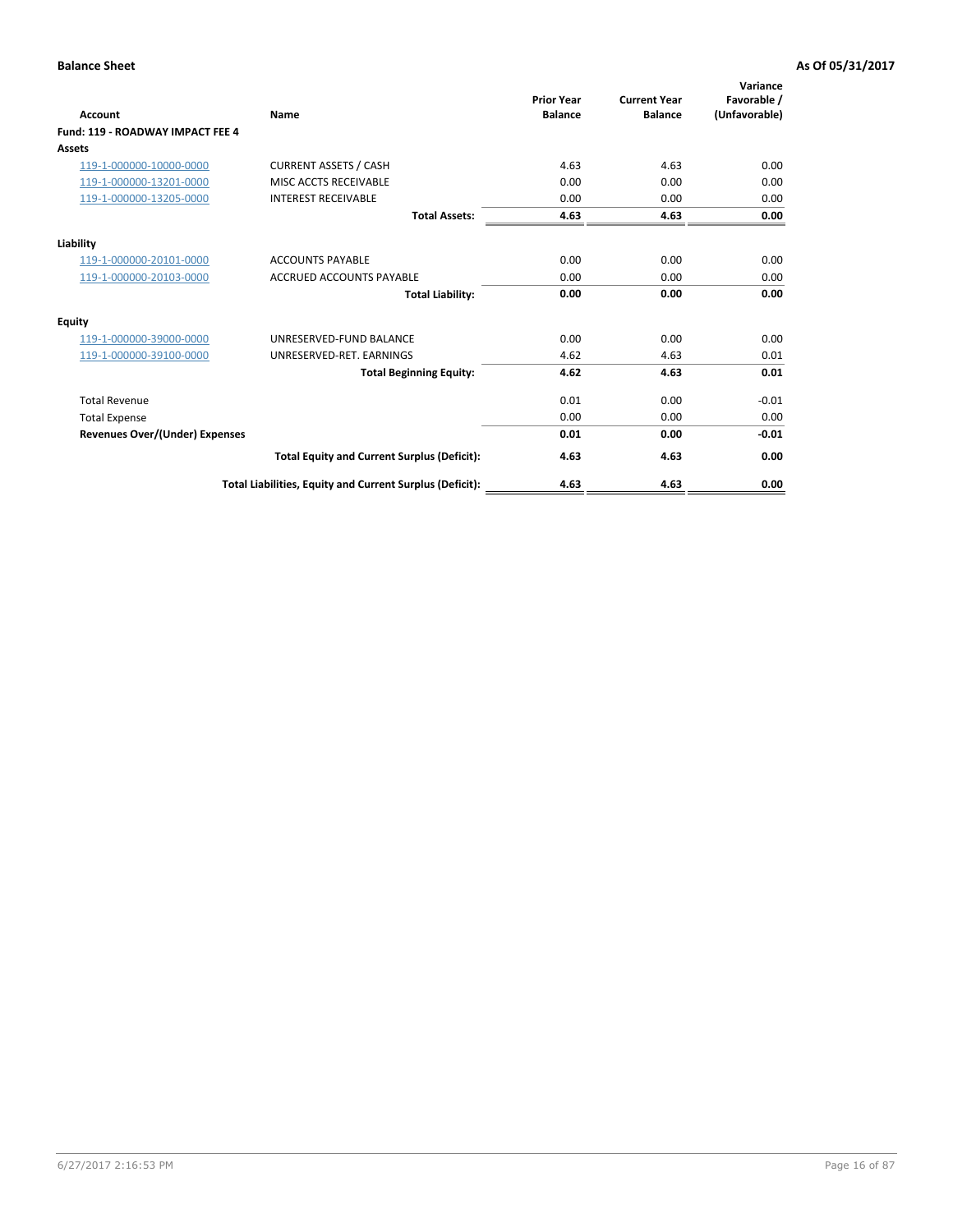| Account                               | <b>Name</b>                                              | <b>Prior Year</b><br><b>Balance</b> | <b>Current Year</b><br><b>Balance</b> | Variance<br>Favorable /<br>(Unfavorable) |
|---------------------------------------|----------------------------------------------------------|-------------------------------------|---------------------------------------|------------------------------------------|
| Fund: 119 - ROADWAY IMPACT FEE 4      |                                                          |                                     |                                       |                                          |
| Assets                                |                                                          |                                     |                                       |                                          |
| 119-1-000000-10000-0000               | <b>CURRENT ASSETS / CASH</b>                             | 4.63                                | 4.63                                  | 0.00                                     |
| 119-1-000000-13201-0000               | <b>MISC ACCTS RECEIVABLE</b>                             | 0.00                                | 0.00                                  | 0.00                                     |
| 119-1-000000-13205-0000               | <b>INTEREST RECEIVABLE</b>                               | 0.00                                | 0.00                                  | 0.00                                     |
|                                       | <b>Total Assets:</b>                                     | 4.63                                | 4.63                                  | 0.00                                     |
| Liability                             |                                                          |                                     |                                       |                                          |
| 119-1-000000-20101-0000               | <b>ACCOUNTS PAYABLE</b>                                  | 0.00                                | 0.00                                  | 0.00                                     |
| 119-1-000000-20103-0000               | <b>ACCRUED ACCOUNTS PAYABLE</b>                          | 0.00                                | 0.00                                  | 0.00                                     |
|                                       | <b>Total Liability:</b>                                  | 0.00                                | 0.00                                  | 0.00                                     |
| Equity                                |                                                          |                                     |                                       |                                          |
| 119-1-000000-39000-0000               | UNRESERVED-FUND BALANCE                                  | 0.00                                | 0.00                                  | 0.00                                     |
| 119-1-000000-39100-0000               | UNRESERVED-RET. EARNINGS                                 | 4.62                                | 4.63                                  | 0.01                                     |
|                                       | <b>Total Beginning Equity:</b>                           | 4.62                                | 4.63                                  | 0.01                                     |
| <b>Total Revenue</b>                  |                                                          | 0.01                                | 0.00                                  | $-0.01$                                  |
| <b>Total Expense</b>                  |                                                          | 0.00                                | 0.00                                  | 0.00                                     |
| <b>Revenues Over/(Under) Expenses</b> |                                                          | 0.01                                | 0.00                                  | $-0.01$                                  |
|                                       | <b>Total Equity and Current Surplus (Deficit):</b>       | 4.63                                | 4.63                                  | 0.00                                     |
|                                       | Total Liabilities, Equity and Current Surplus (Deficit): | 4.63                                | 4.63                                  | 0.00                                     |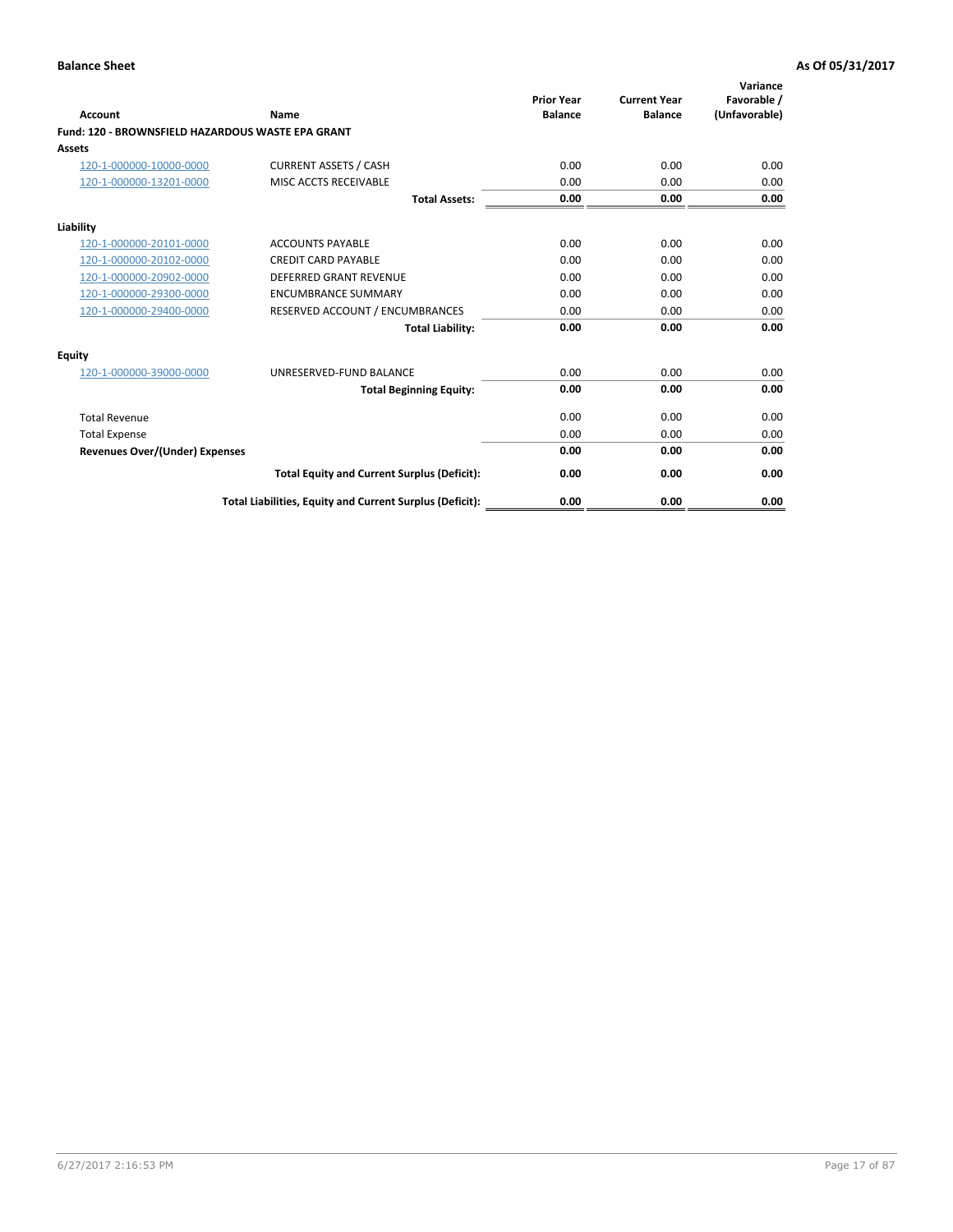|                                                   |                                                          | <b>Prior Year</b> | <b>Current Year</b> | Variance<br>Favorable / |
|---------------------------------------------------|----------------------------------------------------------|-------------------|---------------------|-------------------------|
| <b>Account</b>                                    | Name                                                     | <b>Balance</b>    | <b>Balance</b>      | (Unfavorable)           |
| Fund: 120 - BROWNSFIELD HAZARDOUS WASTE EPA GRANT |                                                          |                   |                     |                         |
| <b>Assets</b>                                     |                                                          |                   |                     |                         |
| 120-1-000000-10000-0000                           | <b>CURRENT ASSETS / CASH</b>                             | 0.00              | 0.00                | 0.00                    |
| 120-1-000000-13201-0000                           | MISC ACCTS RECEIVABLE                                    | 0.00              | 0.00                | 0.00                    |
|                                                   | <b>Total Assets:</b>                                     | 0.00              | 0.00                | 0.00                    |
| Liability                                         |                                                          |                   |                     |                         |
| 120-1-000000-20101-0000                           | <b>ACCOUNTS PAYABLE</b>                                  | 0.00              | 0.00                | 0.00                    |
| 120-1-000000-20102-0000                           | <b>CREDIT CARD PAYABLE</b>                               | 0.00              | 0.00                | 0.00                    |
| 120-1-000000-20902-0000                           | DEFERRED GRANT REVENUE                                   | 0.00              | 0.00                | 0.00                    |
| 120-1-000000-29300-0000                           | <b>ENCUMBRANCE SUMMARY</b>                               | 0.00              | 0.00                | 0.00                    |
| 120-1-000000-29400-0000                           | RESERVED ACCOUNT / ENCUMBRANCES                          | 0.00              | 0.00                | 0.00                    |
|                                                   | <b>Total Liability:</b>                                  | 0.00              | 0.00                | 0.00                    |
| Equity                                            |                                                          |                   |                     |                         |
| 120-1-000000-39000-0000                           | UNRESERVED-FUND BALANCE                                  | 0.00              | 0.00                | 0.00                    |
|                                                   | <b>Total Beginning Equity:</b>                           | 0.00              | 0.00                | 0.00                    |
| <b>Total Revenue</b>                              |                                                          | 0.00              | 0.00                | 0.00                    |
| <b>Total Expense</b>                              |                                                          | 0.00              | 0.00                | 0.00                    |
| Revenues Over/(Under) Expenses                    |                                                          | 0.00              | 0.00                | 0.00                    |
|                                                   | <b>Total Equity and Current Surplus (Deficit):</b>       | 0.00              | 0.00                | 0.00                    |
|                                                   | Total Liabilities, Equity and Current Surplus (Deficit): | 0.00              | 0.00                | 0.00                    |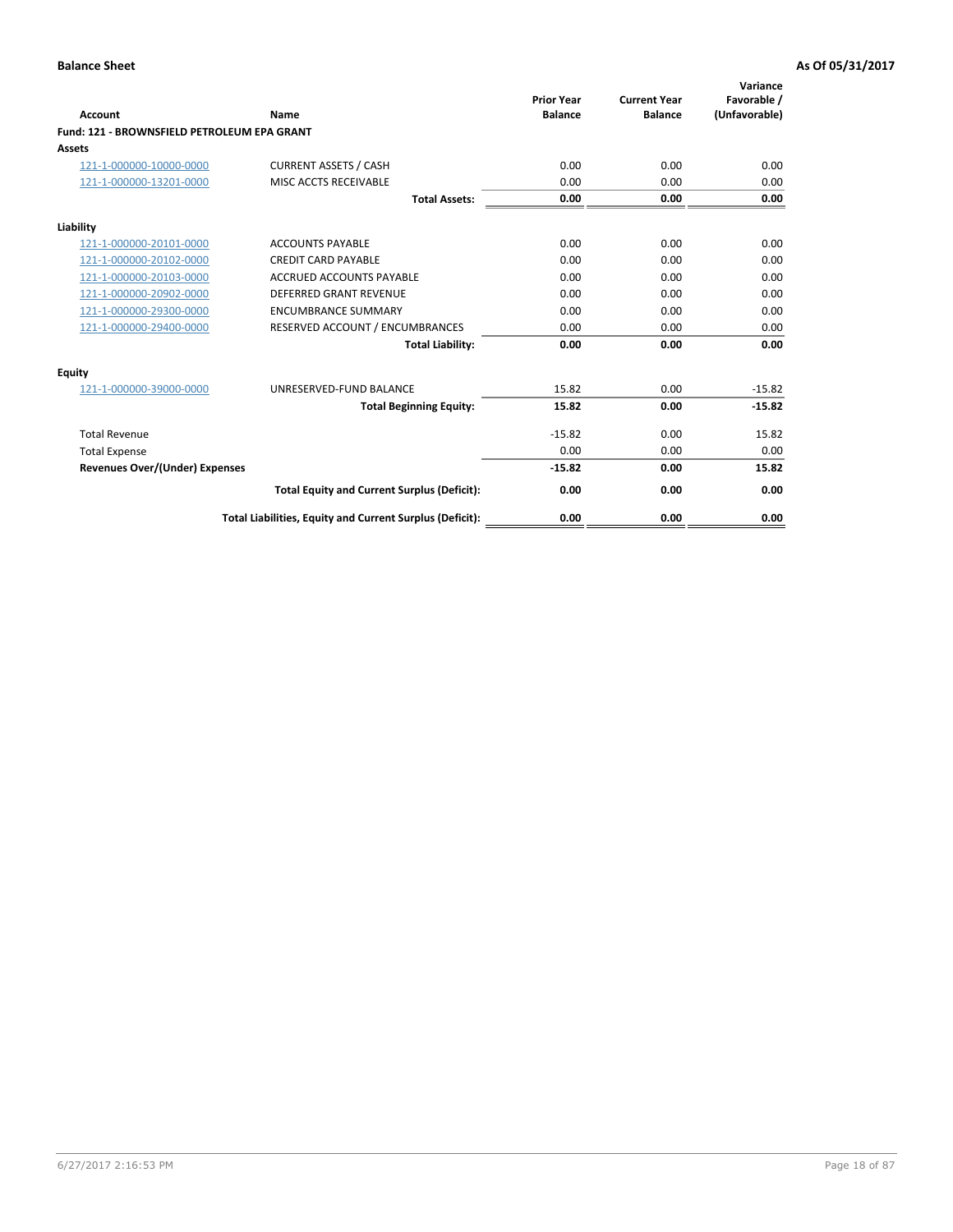| Account                                     | Name                                                     | <b>Prior Year</b><br><b>Balance</b> | <b>Current Year</b><br><b>Balance</b> | Variance<br>Favorable /<br>(Unfavorable) |
|---------------------------------------------|----------------------------------------------------------|-------------------------------------|---------------------------------------|------------------------------------------|
| Fund: 121 - BROWNSFIELD PETROLEUM EPA GRANT |                                                          |                                     |                                       |                                          |
| <b>Assets</b>                               |                                                          |                                     |                                       |                                          |
| 121-1-000000-10000-0000                     | <b>CURRENT ASSETS / CASH</b>                             | 0.00                                | 0.00                                  | 0.00                                     |
| 121-1-000000-13201-0000                     | <b>MISC ACCTS RECEIVABLE</b>                             | 0.00                                | 0.00                                  | 0.00                                     |
|                                             | <b>Total Assets:</b>                                     | 0.00                                | 0.00                                  | 0.00                                     |
| Liability                                   |                                                          |                                     |                                       |                                          |
| 121-1-000000-20101-0000                     | <b>ACCOUNTS PAYABLE</b>                                  | 0.00                                | 0.00                                  | 0.00                                     |
| 121-1-000000-20102-0000                     | <b>CREDIT CARD PAYABLE</b>                               | 0.00                                | 0.00                                  | 0.00                                     |
| 121-1-000000-20103-0000                     | <b>ACCRUED ACCOUNTS PAYABLE</b>                          | 0.00                                | 0.00                                  | 0.00                                     |
| 121-1-000000-20902-0000                     | <b>DEFERRED GRANT REVENUE</b>                            | 0.00                                | 0.00                                  | 0.00                                     |
| 121-1-000000-29300-0000                     | <b>ENCUMBRANCE SUMMARY</b>                               | 0.00                                | 0.00                                  | 0.00                                     |
| 121-1-000000-29400-0000                     | RESERVED ACCOUNT / ENCUMBRANCES                          | 0.00                                | 0.00                                  | 0.00                                     |
|                                             | <b>Total Liability:</b>                                  | 0.00                                | 0.00                                  | 0.00                                     |
| <b>Equity</b>                               |                                                          |                                     |                                       |                                          |
| 121-1-000000-39000-0000                     | UNRESERVED-FUND BALANCE                                  | 15.82                               | 0.00                                  | $-15.82$                                 |
|                                             | <b>Total Beginning Equity:</b>                           | 15.82                               | 0.00                                  | $-15.82$                                 |
| <b>Total Revenue</b>                        |                                                          | $-15.82$                            | 0.00                                  | 15.82                                    |
| <b>Total Expense</b>                        |                                                          | 0.00                                | 0.00                                  | 0.00                                     |
| <b>Revenues Over/(Under) Expenses</b>       |                                                          | $-15.82$                            | 0.00                                  | 15.82                                    |
|                                             | <b>Total Equity and Current Surplus (Deficit):</b>       | 0.00                                | 0.00                                  | 0.00                                     |
|                                             | Total Liabilities, Equity and Current Surplus (Deficit): | 0.00                                | 0.00                                  | 0.00                                     |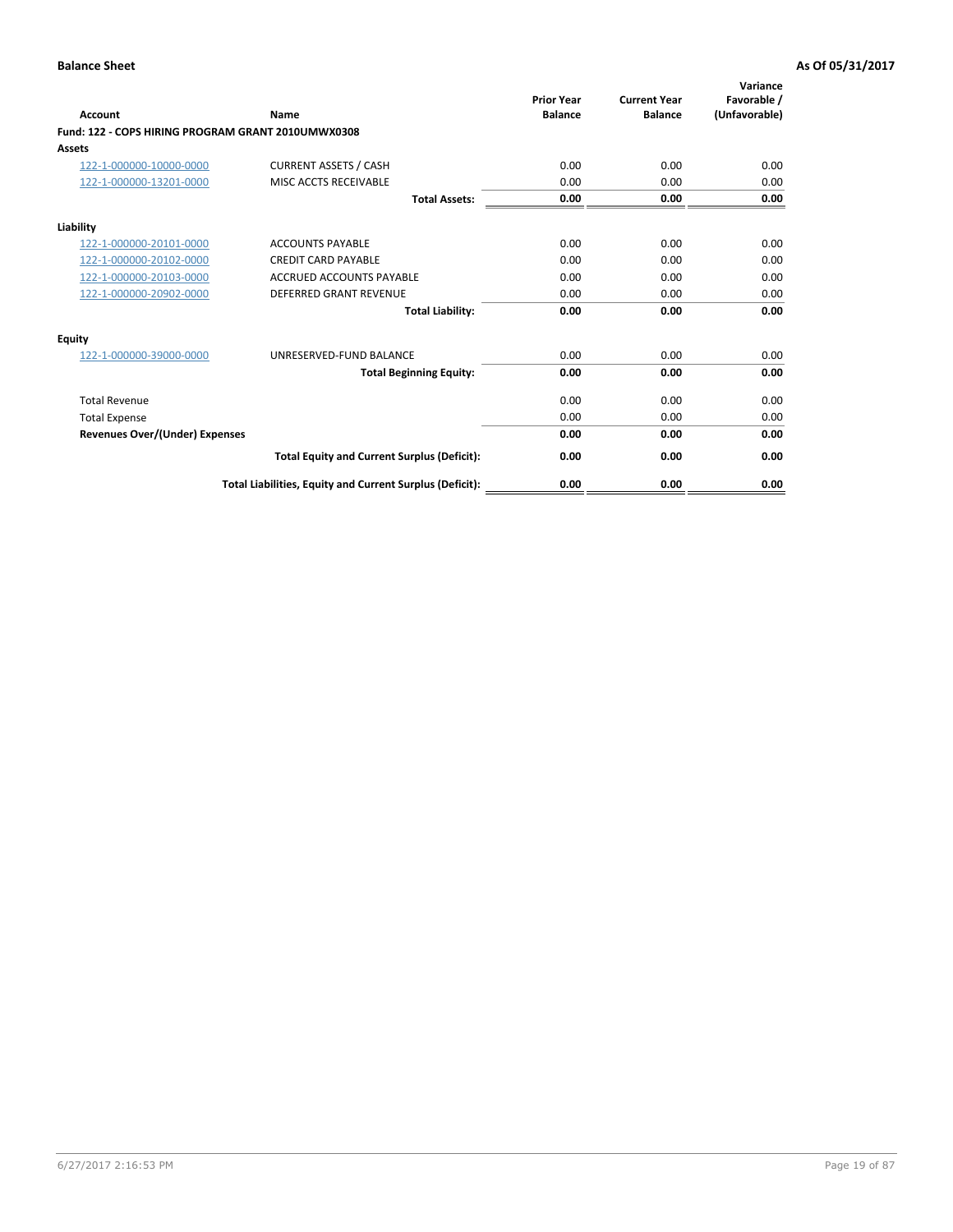| <b>Account</b>                                     | Name                                                     | <b>Prior Year</b><br><b>Balance</b> | <b>Current Year</b><br><b>Balance</b> | Variance<br>Favorable /<br>(Unfavorable) |
|----------------------------------------------------|----------------------------------------------------------|-------------------------------------|---------------------------------------|------------------------------------------|
| Fund: 122 - COPS HIRING PROGRAM GRANT 2010UMWX0308 |                                                          |                                     |                                       |                                          |
| Assets                                             |                                                          |                                     |                                       |                                          |
| 122-1-000000-10000-0000                            | <b>CURRENT ASSETS / CASH</b>                             | 0.00                                | 0.00                                  | 0.00                                     |
| 122-1-000000-13201-0000                            | MISC ACCTS RECEIVABLE                                    | 0.00                                | 0.00                                  | 0.00                                     |
|                                                    | <b>Total Assets:</b>                                     | 0.00                                | 0.00                                  | 0.00                                     |
| Liability                                          |                                                          |                                     |                                       |                                          |
| 122-1-000000-20101-0000                            | <b>ACCOUNTS PAYABLE</b>                                  | 0.00                                | 0.00                                  | 0.00                                     |
| 122-1-000000-20102-0000                            | <b>CREDIT CARD PAYABLE</b>                               | 0.00                                | 0.00                                  | 0.00                                     |
| 122-1-000000-20103-0000                            | <b>ACCRUED ACCOUNTS PAYABLE</b>                          | 0.00                                | 0.00                                  | 0.00                                     |
| 122-1-000000-20902-0000                            | <b>DEFERRED GRANT REVENUE</b>                            | 0.00                                | 0.00                                  | 0.00                                     |
|                                                    | <b>Total Liability:</b>                                  | 0.00                                | 0.00                                  | 0.00                                     |
| Equity                                             |                                                          |                                     |                                       |                                          |
| 122-1-000000-39000-0000                            | UNRESERVED-FUND BALANCE                                  | 0.00                                | 0.00                                  | 0.00                                     |
|                                                    | <b>Total Beginning Equity:</b>                           | 0.00                                | 0.00                                  | 0.00                                     |
| <b>Total Revenue</b>                               |                                                          | 0.00                                | 0.00                                  | 0.00                                     |
| <b>Total Expense</b>                               |                                                          | 0.00                                | 0.00                                  | 0.00                                     |
| <b>Revenues Over/(Under) Expenses</b>              |                                                          | 0.00                                | 0.00                                  | 0.00                                     |
|                                                    | <b>Total Equity and Current Surplus (Deficit):</b>       | 0.00                                | 0.00                                  | 0.00                                     |
|                                                    | Total Liabilities, Equity and Current Surplus (Deficit): | 0.00                                | 0.00                                  | 0.00                                     |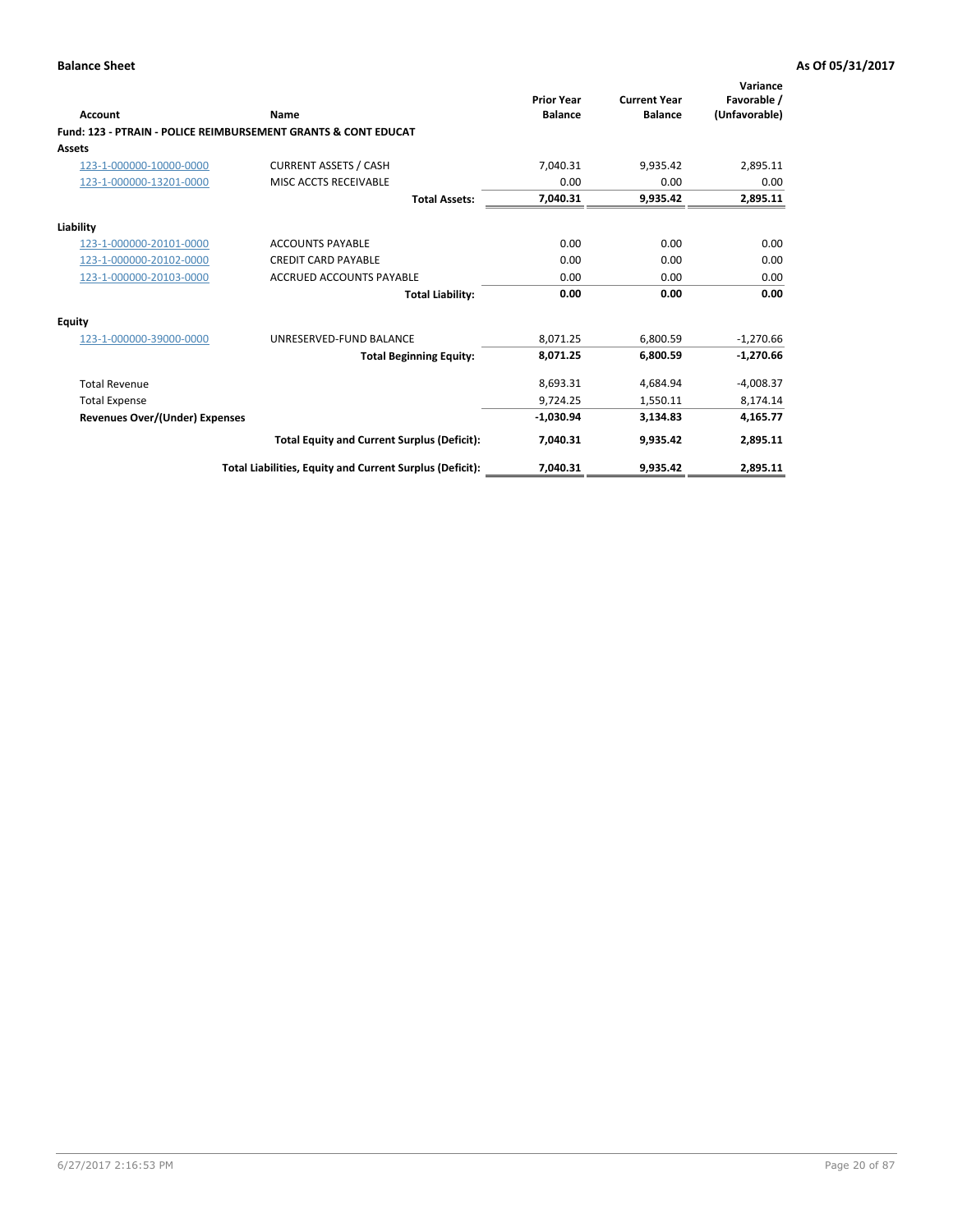|                                |                                                                           | <b>Prior Year</b> | <b>Current Year</b> | Variance<br>Favorable / |
|--------------------------------|---------------------------------------------------------------------------|-------------------|---------------------|-------------------------|
| Account                        | Name                                                                      | <b>Balance</b>    | <b>Balance</b>      | (Unfavorable)           |
|                                | <b>Fund: 123 - PTRAIN - POLICE REIMBURSEMENT GRANTS &amp; CONT EDUCAT</b> |                   |                     |                         |
| <b>Assets</b>                  |                                                                           |                   |                     |                         |
| 123-1-000000-10000-0000        | <b>CURRENT ASSETS / CASH</b>                                              | 7.040.31          | 9,935.42            | 2,895.11                |
| 123-1-000000-13201-0000        | MISC ACCTS RECEIVABLE                                                     | 0.00              | 0.00                | 0.00                    |
|                                | <b>Total Assets:</b>                                                      | 7,040.31          | 9,935.42            | 2,895.11                |
| Liability                      |                                                                           |                   |                     |                         |
| 123-1-000000-20101-0000        | <b>ACCOUNTS PAYABLE</b>                                                   | 0.00              | 0.00                | 0.00                    |
| 123-1-000000-20102-0000        | <b>CREDIT CARD PAYABLE</b>                                                | 0.00              | 0.00                | 0.00                    |
| 123-1-000000-20103-0000        | <b>ACCRUED ACCOUNTS PAYABLE</b>                                           | 0.00              | 0.00                | 0.00                    |
|                                | <b>Total Liability:</b>                                                   | 0.00              | 0.00                | 0.00                    |
| <b>Equity</b>                  |                                                                           |                   |                     |                         |
| 123-1-000000-39000-0000        | UNRESERVED-FUND BALANCE                                                   | 8,071.25          | 6,800.59            | $-1,270.66$             |
|                                | <b>Total Beginning Equity:</b>                                            | 8,071.25          | 6,800.59            | $-1,270.66$             |
| <b>Total Revenue</b>           |                                                                           | 8,693.31          | 4,684.94            | $-4,008.37$             |
| <b>Total Expense</b>           |                                                                           | 9,724.25          | 1,550.11            | 8,174.14                |
| Revenues Over/(Under) Expenses |                                                                           | $-1,030.94$       | 3,134.83            | 4,165.77                |
|                                | <b>Total Equity and Current Surplus (Deficit):</b>                        | 7.040.31          | 9,935.42            | 2,895.11                |
|                                | Total Liabilities, Equity and Current Surplus (Deficit):                  | 7.040.31          | 9,935.42            | 2,895.11                |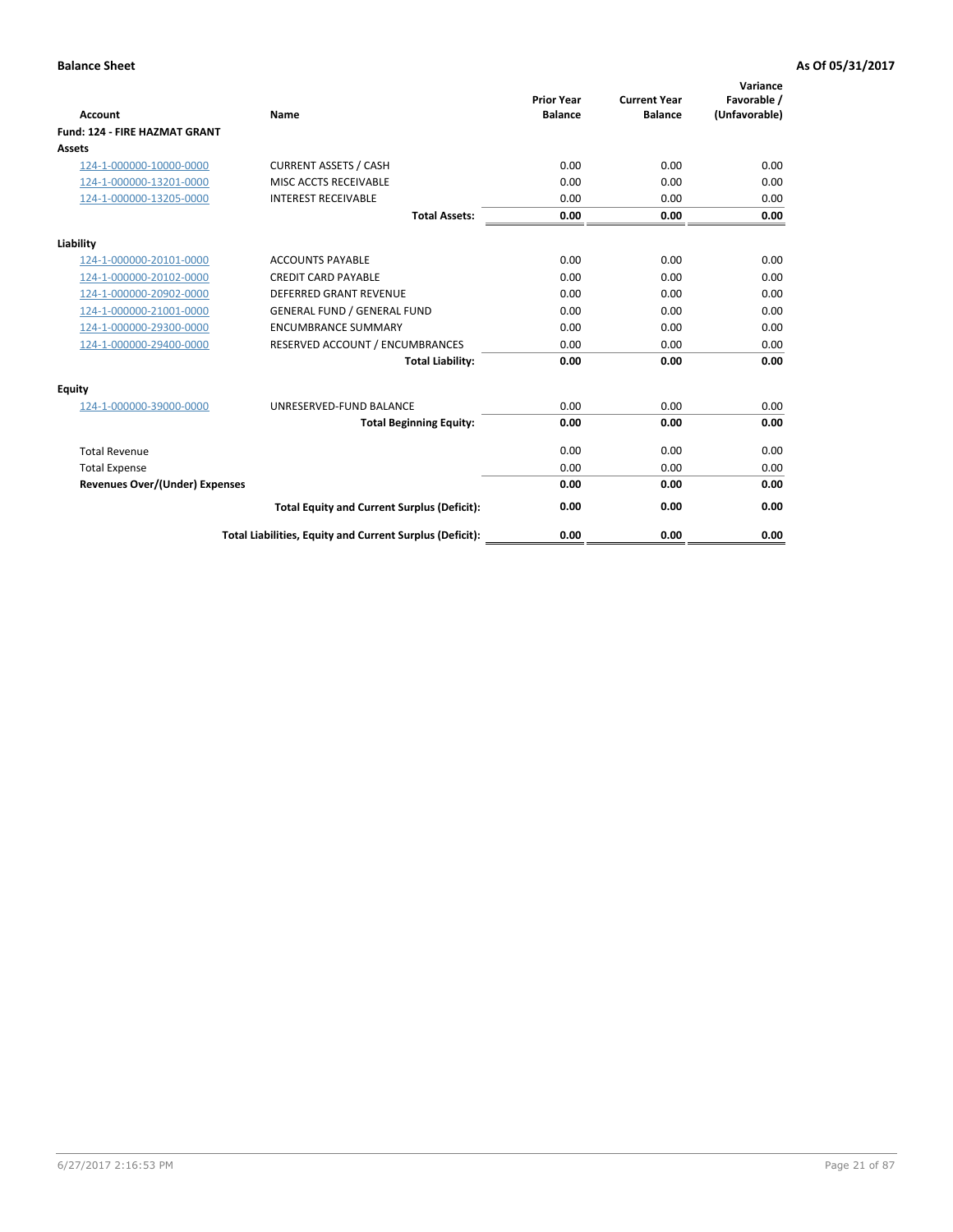| Account                               | Name                                                     | <b>Prior Year</b><br><b>Balance</b> | <b>Current Year</b><br><b>Balance</b> | Variance<br>Favorable /<br>(Unfavorable) |
|---------------------------------------|----------------------------------------------------------|-------------------------------------|---------------------------------------|------------------------------------------|
| Fund: 124 - FIRE HAZMAT GRANT         |                                                          |                                     |                                       |                                          |
| Assets                                |                                                          |                                     |                                       |                                          |
| 124-1-000000-10000-0000               | <b>CURRENT ASSETS / CASH</b>                             | 0.00                                | 0.00                                  | 0.00                                     |
| 124-1-000000-13201-0000               | MISC ACCTS RECEIVABLE                                    | 0.00                                | 0.00                                  | 0.00                                     |
| 124-1-000000-13205-0000               | <b>INTEREST RECEIVABLE</b>                               | 0.00                                | 0.00                                  | 0.00                                     |
|                                       | <b>Total Assets:</b>                                     | 0.00                                | 0.00                                  | 0.00                                     |
| Liability                             |                                                          |                                     |                                       |                                          |
| 124-1-000000-20101-0000               | <b>ACCOUNTS PAYABLE</b>                                  | 0.00                                | 0.00                                  | 0.00                                     |
| 124-1-000000-20102-0000               | <b>CREDIT CARD PAYABLE</b>                               | 0.00                                | 0.00                                  | 0.00                                     |
| 124-1-000000-20902-0000               | <b>DEFERRED GRANT REVENUE</b>                            | 0.00                                | 0.00                                  | 0.00                                     |
| 124-1-000000-21001-0000               | <b>GENERAL FUND / GENERAL FUND</b>                       | 0.00                                | 0.00                                  | 0.00                                     |
| 124-1-000000-29300-0000               | <b>ENCUMBRANCE SUMMARY</b>                               | 0.00                                | 0.00                                  | 0.00                                     |
| 124-1-000000-29400-0000               | RESERVED ACCOUNT / ENCUMBRANCES                          | 0.00                                | 0.00                                  | 0.00                                     |
|                                       | <b>Total Liability:</b>                                  | 0.00                                | 0.00                                  | 0.00                                     |
| Equity                                |                                                          |                                     |                                       |                                          |
| 124-1-000000-39000-0000               | UNRESERVED-FUND BALANCE                                  | 0.00                                | 0.00                                  | 0.00                                     |
|                                       | <b>Total Beginning Equity:</b>                           | 0.00                                | 0.00                                  | 0.00                                     |
| <b>Total Revenue</b>                  |                                                          | 0.00                                | 0.00                                  | 0.00                                     |
| <b>Total Expense</b>                  |                                                          | 0.00                                | 0.00                                  | 0.00                                     |
| <b>Revenues Over/(Under) Expenses</b> |                                                          | 0.00                                | 0.00                                  | 0.00                                     |
|                                       | <b>Total Equity and Current Surplus (Deficit):</b>       | 0.00                                | 0.00                                  | 0.00                                     |
|                                       | Total Liabilities, Equity and Current Surplus (Deficit): | 0.00                                | 0.00                                  | 0.00                                     |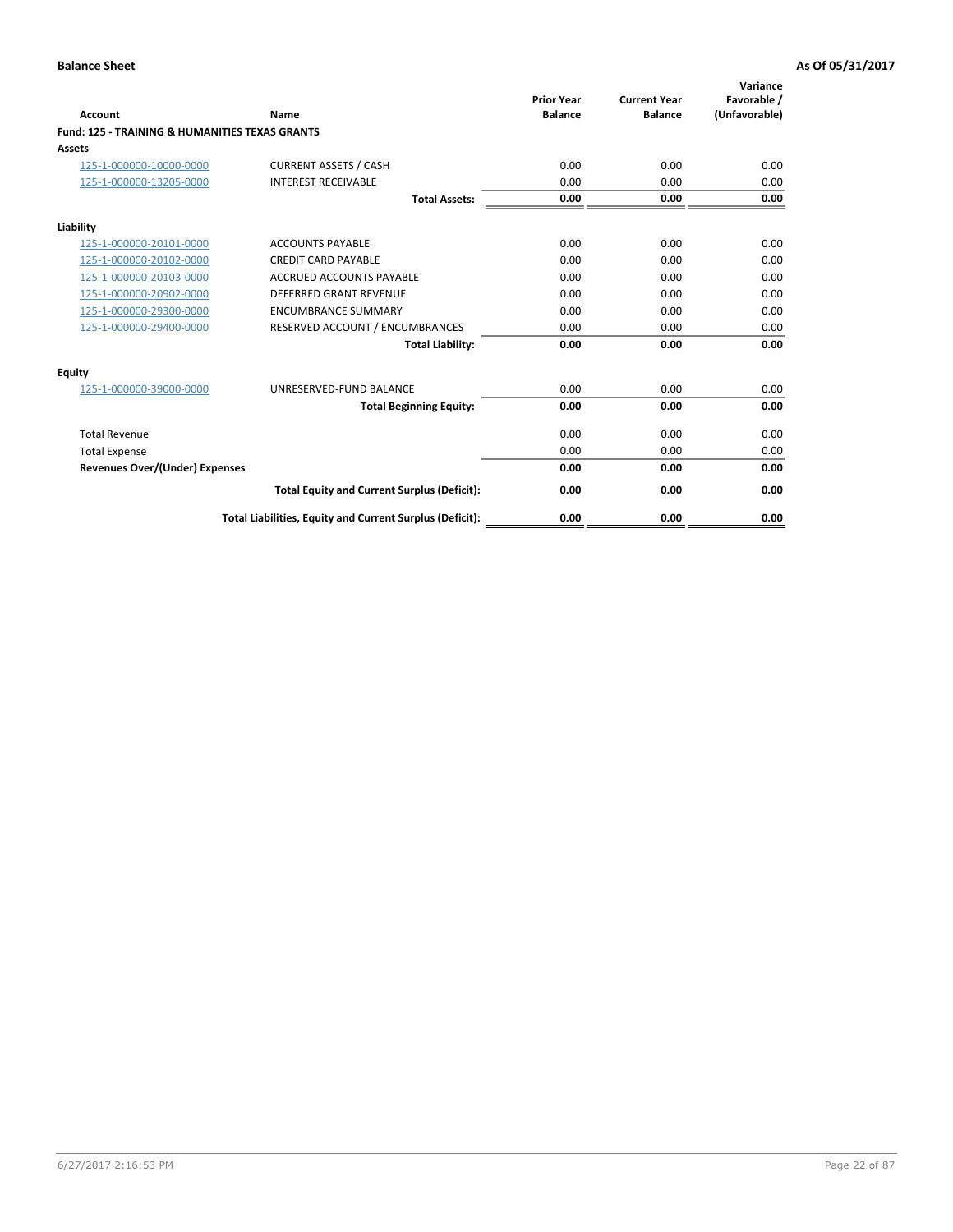| Account                                                   | Name                                                     | <b>Prior Year</b><br><b>Balance</b> | <b>Current Year</b><br><b>Balance</b> | Variance<br>Favorable /<br>(Unfavorable) |
|-----------------------------------------------------------|----------------------------------------------------------|-------------------------------------|---------------------------------------|------------------------------------------|
| <b>Fund: 125 - TRAINING &amp; HUMANITIES TEXAS GRANTS</b> |                                                          |                                     |                                       |                                          |
| <b>Assets</b>                                             |                                                          |                                     |                                       |                                          |
| 125-1-000000-10000-0000                                   | <b>CURRENT ASSETS / CASH</b>                             | 0.00                                | 0.00                                  | 0.00                                     |
| 125-1-000000-13205-0000                                   | <b>INTEREST RECEIVABLE</b>                               | 0.00                                | 0.00                                  | 0.00                                     |
|                                                           | <b>Total Assets:</b>                                     | 0.00                                | 0.00                                  | 0.00                                     |
| Liability                                                 |                                                          |                                     |                                       |                                          |
| 125-1-000000-20101-0000                                   | <b>ACCOUNTS PAYABLE</b>                                  | 0.00                                | 0.00                                  | 0.00                                     |
| 125-1-000000-20102-0000                                   | <b>CREDIT CARD PAYABLE</b>                               | 0.00                                | 0.00                                  | 0.00                                     |
| 125-1-000000-20103-0000                                   | <b>ACCRUED ACCOUNTS PAYABLE</b>                          | 0.00                                | 0.00                                  | 0.00                                     |
| 125-1-000000-20902-0000                                   | DEFERRED GRANT REVENUE                                   | 0.00                                | 0.00                                  | 0.00                                     |
| 125-1-000000-29300-0000                                   | <b>ENCUMBRANCE SUMMARY</b>                               | 0.00                                | 0.00                                  | 0.00                                     |
| 125-1-000000-29400-0000                                   | RESERVED ACCOUNT / ENCUMBRANCES                          | 0.00                                | 0.00                                  | 0.00                                     |
|                                                           | <b>Total Liability:</b>                                  | 0.00                                | 0.00                                  | 0.00                                     |
| <b>Equity</b>                                             |                                                          |                                     |                                       |                                          |
| 125-1-000000-39000-0000                                   | UNRESERVED-FUND BALANCE                                  | 0.00                                | 0.00                                  | 0.00                                     |
|                                                           | <b>Total Beginning Equity:</b>                           | 0.00                                | 0.00                                  | 0.00                                     |
| <b>Total Revenue</b>                                      |                                                          | 0.00                                | 0.00                                  | 0.00                                     |
| <b>Total Expense</b>                                      |                                                          | 0.00                                | 0.00                                  | 0.00                                     |
| <b>Revenues Over/(Under) Expenses</b>                     |                                                          | 0.00                                | 0.00                                  | 0.00                                     |
|                                                           | <b>Total Equity and Current Surplus (Deficit):</b>       | 0.00                                | 0.00                                  | 0.00                                     |
|                                                           | Total Liabilities, Equity and Current Surplus (Deficit): | 0.00                                | 0.00                                  | 0.00                                     |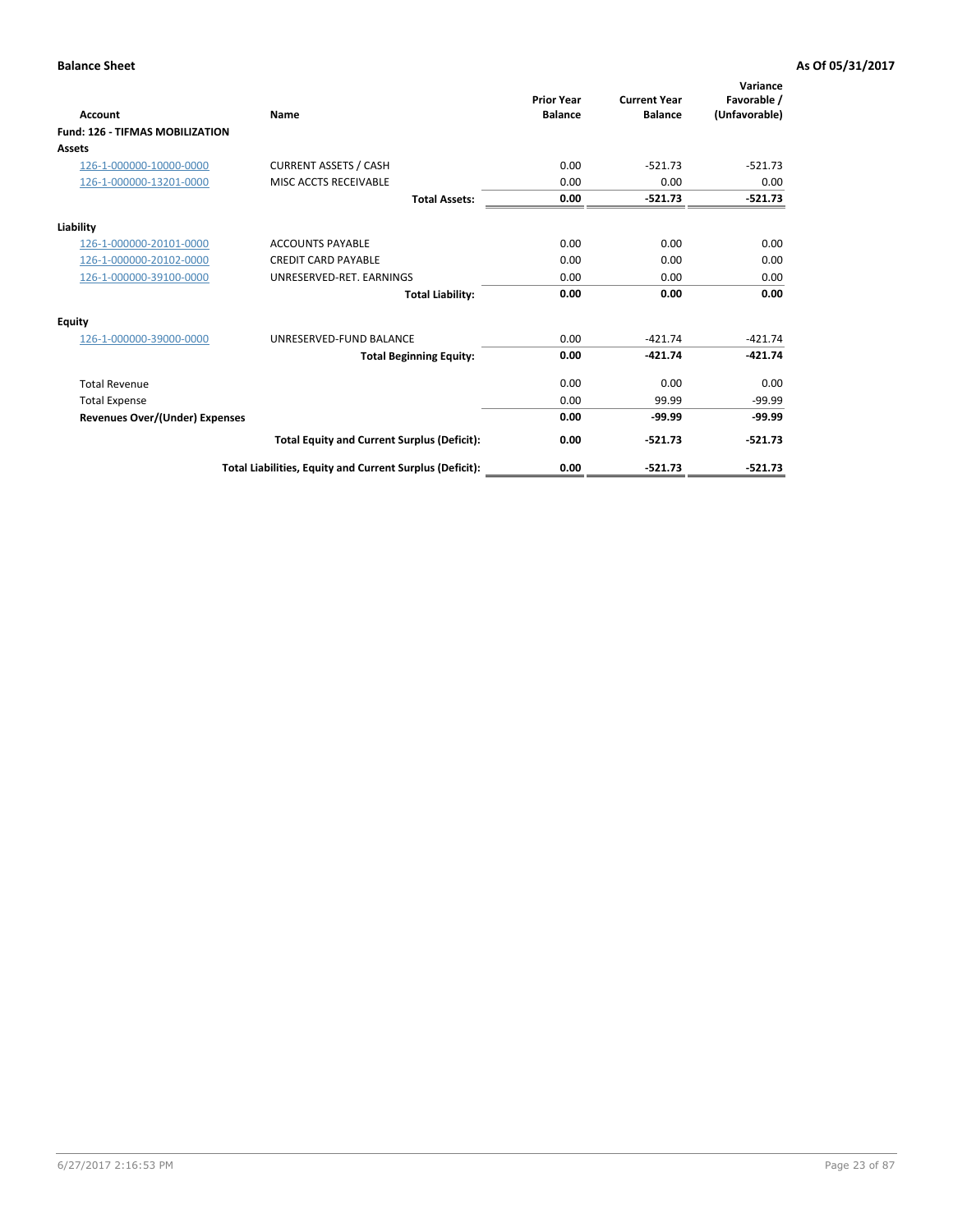| Account                                | Name                                                     | <b>Prior Year</b><br><b>Balance</b> | <b>Current Year</b><br><b>Balance</b> | Variance<br>Favorable /<br>(Unfavorable) |
|----------------------------------------|----------------------------------------------------------|-------------------------------------|---------------------------------------|------------------------------------------|
| <b>Fund: 126 - TIFMAS MOBILIZATION</b> |                                                          |                                     |                                       |                                          |
| Assets                                 |                                                          |                                     |                                       |                                          |
| 126-1-000000-10000-0000                | <b>CURRENT ASSETS / CASH</b>                             | 0.00                                | $-521.73$                             | $-521.73$                                |
| 126-1-000000-13201-0000                | MISC ACCTS RECEIVABLE                                    | 0.00                                | 0.00                                  | 0.00                                     |
|                                        | <b>Total Assets:</b>                                     | 0.00                                | $-521.73$                             | $-521.73$                                |
| Liability                              |                                                          |                                     |                                       |                                          |
| 126-1-000000-20101-0000                | <b>ACCOUNTS PAYABLE</b>                                  | 0.00                                | 0.00                                  | 0.00                                     |
| 126-1-000000-20102-0000                | <b>CREDIT CARD PAYABLE</b>                               | 0.00                                | 0.00                                  | 0.00                                     |
| 126-1-000000-39100-0000                | UNRESERVED-RET. EARNINGS                                 | 0.00                                | 0.00                                  | 0.00                                     |
|                                        | <b>Total Liability:</b>                                  | 0.00                                | 0.00                                  | 0.00                                     |
| Equity                                 |                                                          |                                     |                                       |                                          |
| 126-1-000000-39000-0000                | UNRESERVED-FUND BALANCE                                  | 0.00                                | $-421.74$                             | $-421.74$                                |
|                                        | <b>Total Beginning Equity:</b>                           | 0.00                                | $-421.74$                             | $-421.74$                                |
| <b>Total Revenue</b>                   |                                                          | 0.00                                | 0.00                                  | 0.00                                     |
| <b>Total Expense</b>                   |                                                          | 0.00                                | 99.99                                 | $-99.99$                                 |
| Revenues Over/(Under) Expenses         |                                                          | 0.00                                | $-99.99$                              | $-99.99$                                 |
|                                        | <b>Total Equity and Current Surplus (Deficit):</b>       | 0.00                                | $-521.73$                             | $-521.73$                                |
|                                        | Total Liabilities, Equity and Current Surplus (Deficit): | 0.00                                | $-521.73$                             | $-521.73$                                |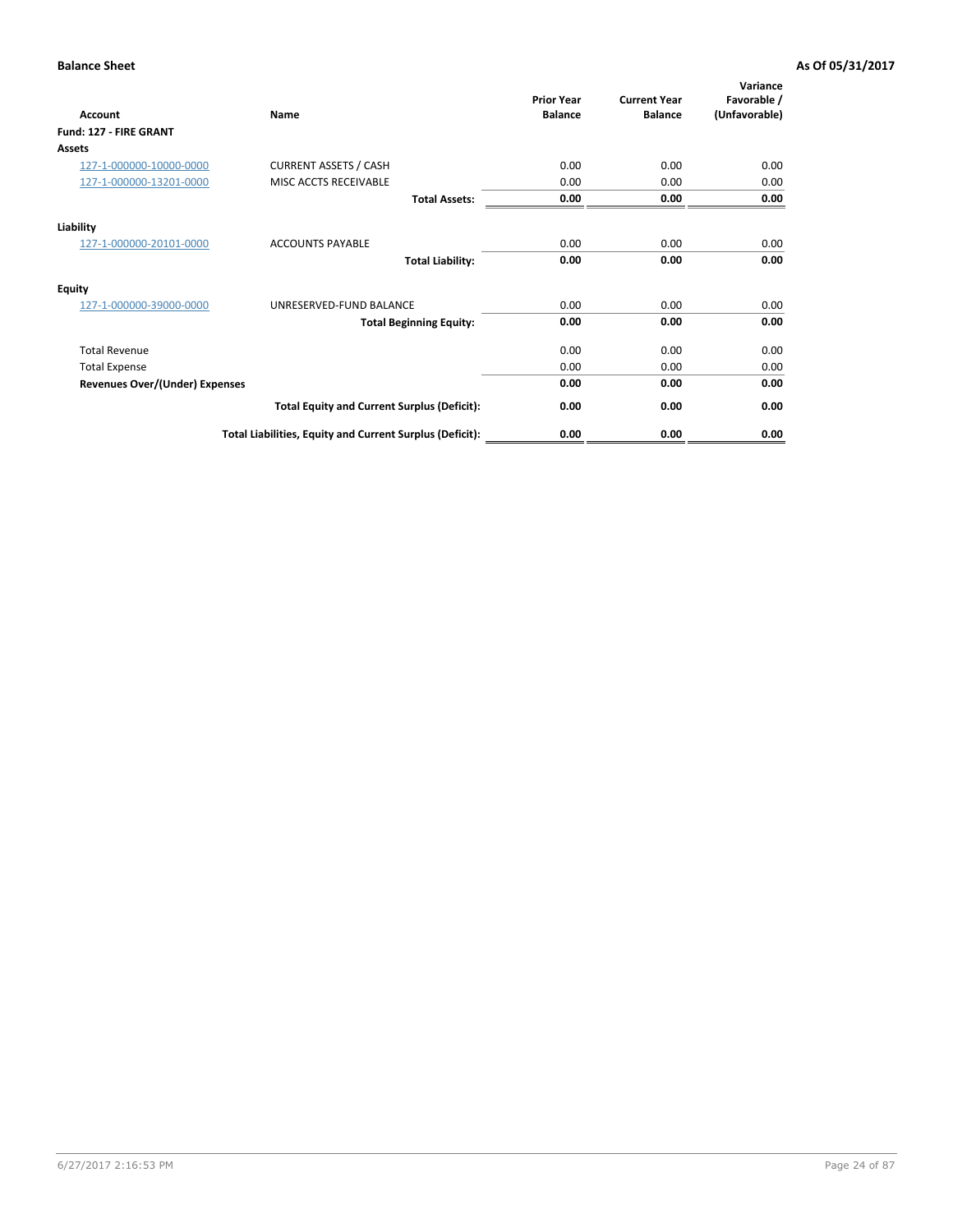| <b>Account</b>                        | Name                                                     | <b>Prior Year</b><br><b>Balance</b> | <b>Current Year</b><br><b>Balance</b> | Variance<br>Favorable /<br>(Unfavorable) |
|---------------------------------------|----------------------------------------------------------|-------------------------------------|---------------------------------------|------------------------------------------|
| Fund: 127 - FIRE GRANT                |                                                          |                                     |                                       |                                          |
| Assets                                |                                                          |                                     |                                       |                                          |
| 127-1-000000-10000-0000               | <b>CURRENT ASSETS / CASH</b>                             | 0.00                                | 0.00                                  | 0.00                                     |
| 127-1-000000-13201-0000               | MISC ACCTS RECEIVABLE                                    | 0.00                                | 0.00                                  | 0.00                                     |
|                                       | <b>Total Assets:</b>                                     | 0.00                                | 0.00                                  | 0.00                                     |
| Liability                             |                                                          |                                     |                                       |                                          |
| 127-1-000000-20101-0000               | <b>ACCOUNTS PAYABLE</b>                                  | 0.00                                | 0.00                                  | 0.00                                     |
|                                       | <b>Total Liability:</b>                                  | 0.00                                | 0.00                                  | 0.00                                     |
| <b>Equity</b>                         |                                                          |                                     |                                       |                                          |
| 127-1-000000-39000-0000               | UNRESERVED-FUND BALANCE                                  | 0.00                                | 0.00                                  | 0.00                                     |
|                                       | <b>Total Beginning Equity:</b>                           | 0.00                                | 0.00                                  | 0.00                                     |
| <b>Total Revenue</b>                  |                                                          | 0.00                                | 0.00                                  | 0.00                                     |
| <b>Total Expense</b>                  |                                                          | 0.00                                | 0.00                                  | 0.00                                     |
| <b>Revenues Over/(Under) Expenses</b> |                                                          | 0.00                                | 0.00                                  | 0.00                                     |
|                                       | <b>Total Equity and Current Surplus (Deficit):</b>       | 0.00                                | 0.00                                  | 0.00                                     |
|                                       | Total Liabilities, Equity and Current Surplus (Deficit): | 0.00                                | 0.00                                  | 0.00                                     |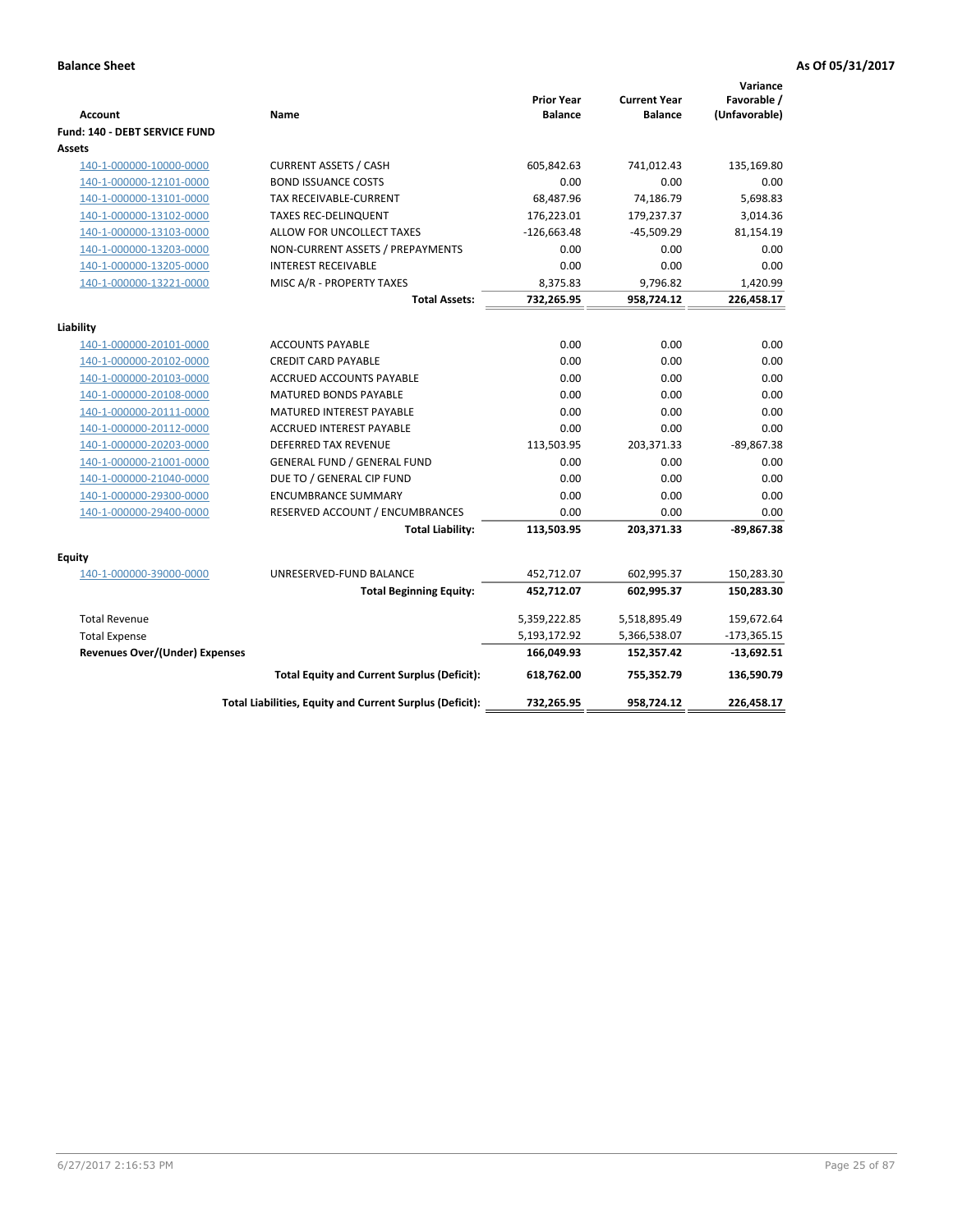| <b>Account</b>                        | Name                                                     | <b>Prior Year</b><br><b>Balance</b> | <b>Current Year</b><br><b>Balance</b> | Variance<br>Favorable /<br>(Unfavorable) |
|---------------------------------------|----------------------------------------------------------|-------------------------------------|---------------------------------------|------------------------------------------|
| Fund: 140 - DEBT SERVICE FUND         |                                                          |                                     |                                       |                                          |
| Assets                                |                                                          |                                     |                                       |                                          |
| 140-1-000000-10000-0000               | <b>CURRENT ASSETS / CASH</b>                             | 605,842.63                          | 741,012.43                            | 135,169.80                               |
| 140-1-000000-12101-0000               | <b>BOND ISSUANCE COSTS</b>                               | 0.00                                | 0.00                                  | 0.00                                     |
| 140-1-000000-13101-0000               | TAX RECEIVABLE-CURRENT                                   | 68,487.96                           | 74,186.79                             | 5,698.83                                 |
| 140-1-000000-13102-0000               | <b>TAXES REC-DELINQUENT</b>                              | 176,223.01                          | 179,237.37                            | 3,014.36                                 |
| 140-1-000000-13103-0000               | ALLOW FOR UNCOLLECT TAXES                                | $-126,663.48$                       | $-45,509.29$                          | 81,154.19                                |
| 140-1-000000-13203-0000               | NON-CURRENT ASSETS / PREPAYMENTS                         | 0.00                                | 0.00                                  | 0.00                                     |
| 140-1-000000-13205-0000               | <b>INTEREST RECEIVABLE</b>                               | 0.00                                | 0.00                                  | 0.00                                     |
| 140-1-000000-13221-0000               | MISC A/R - PROPERTY TAXES                                | 8,375.83                            | 9,796.82                              | 1,420.99                                 |
|                                       | <b>Total Assets:</b>                                     | 732,265.95                          | 958,724.12                            | 226,458.17                               |
| Liability                             |                                                          |                                     |                                       |                                          |
| 140-1-000000-20101-0000               | <b>ACCOUNTS PAYABLE</b>                                  | 0.00                                | 0.00                                  | 0.00                                     |
| 140-1-000000-20102-0000               | <b>CREDIT CARD PAYABLE</b>                               | 0.00                                | 0.00                                  | 0.00                                     |
| 140-1-000000-20103-0000               | ACCRUED ACCOUNTS PAYABLE                                 | 0.00                                | 0.00                                  | 0.00                                     |
| 140-1-000000-20108-0000               | <b>MATURED BONDS PAYABLE</b>                             | 0.00                                | 0.00                                  | 0.00                                     |
| 140-1-000000-20111-0000               | MATURED INTEREST PAYABLE                                 | 0.00                                | 0.00                                  | 0.00                                     |
| 140-1-000000-20112-0000               | <b>ACCRUED INTEREST PAYABLE</b>                          | 0.00                                | 0.00                                  | 0.00                                     |
| 140-1-000000-20203-0000               | <b>DEFERRED TAX REVENUE</b>                              | 113,503.95                          | 203,371.33                            | $-89,867.38$                             |
| 140-1-000000-21001-0000               | <b>GENERAL FUND / GENERAL FUND</b>                       | 0.00                                | 0.00                                  | 0.00                                     |
| 140-1-000000-21040-0000               | DUE TO / GENERAL CIP FUND                                | 0.00                                | 0.00                                  | 0.00                                     |
| 140-1-000000-29300-0000               | <b>ENCUMBRANCE SUMMARY</b>                               | 0.00                                | 0.00                                  | 0.00                                     |
| 140-1-000000-29400-0000               | RESERVED ACCOUNT / ENCUMBRANCES                          | 0.00                                | 0.00                                  | 0.00                                     |
|                                       | <b>Total Liability:</b>                                  | 113,503.95                          | 203,371.33                            | -89,867.38                               |
| Equity                                |                                                          |                                     |                                       |                                          |
| 140-1-000000-39000-0000               | UNRESERVED-FUND BALANCE                                  | 452,712.07                          | 602,995.37                            | 150,283.30                               |
|                                       | <b>Total Beginning Equity:</b>                           | 452,712.07                          | 602,995.37                            | 150,283.30                               |
| <b>Total Revenue</b>                  |                                                          | 5,359,222.85                        | 5,518,895.49                          | 159,672.64                               |
| <b>Total Expense</b>                  |                                                          | 5,193,172.92                        | 5,366,538.07                          | $-173,365.15$                            |
| <b>Revenues Over/(Under) Expenses</b> |                                                          | 166,049.93                          | 152,357.42                            | $-13,692.51$                             |
|                                       | <b>Total Equity and Current Surplus (Deficit):</b>       | 618.762.00                          | 755,352.79                            | 136,590.79                               |
|                                       | Total Liabilities, Equity and Current Surplus (Deficit): | 732,265.95                          | 958,724.12                            | 226.458.17                               |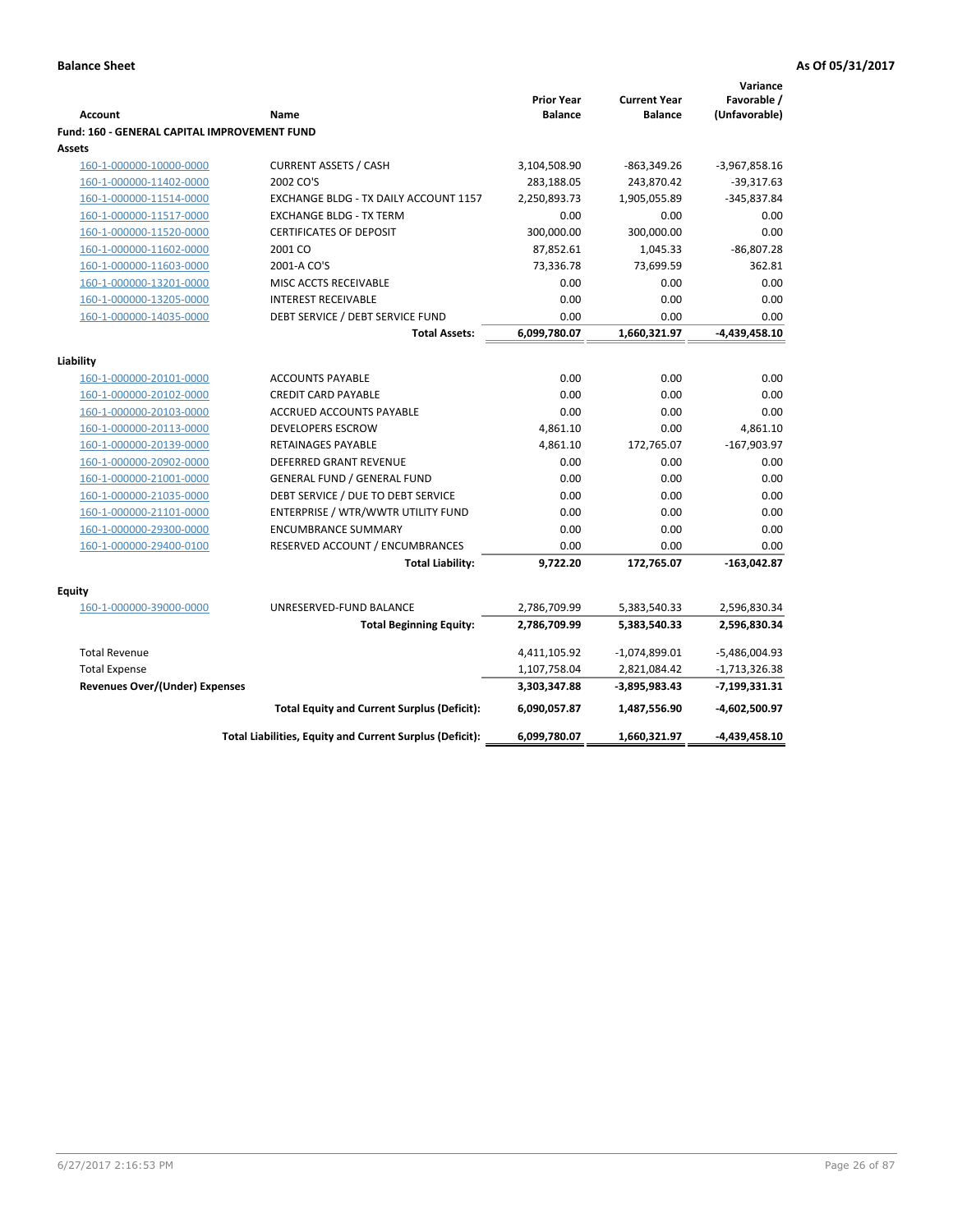| Favorable /<br><b>Prior Year</b><br><b>Current Year</b><br>(Unfavorable)<br><b>Account</b><br><b>Balance</b><br><b>Balance</b><br>Name<br><b>Fund: 160 - GENERAL CAPITAL IMPROVEMENT FUND</b><br>Assets<br><b>CURRENT ASSETS / CASH</b><br>3,104,508.90<br>$-3,967,858.16$<br>160-1-000000-10000-0000<br>-863,349.26<br>2002 CO'S<br>283,188.05<br>243,870.42<br>$-39,317.63$<br>160-1-000000-11402-0000<br>-345,837.84<br>160-1-000000-11514-0000<br>EXCHANGE BLDG - TX DAILY ACCOUNT 1157<br>2,250,893.73<br>1,905,055.89<br>0.00<br>160-1-000000-11517-0000<br><b>EXCHANGE BLDG - TX TERM</b><br>0.00<br>0.00<br>160-1-000000-11520-0000<br><b>CERTIFICATES OF DEPOSIT</b><br>300,000.00<br>300,000.00<br>0.00<br>$-86,807.28$<br>160-1-000000-11602-0000<br>2001 CO<br>87,852.61<br>1,045.33<br>160-1-000000-11603-0000<br>2001-A CO'S<br>73,336.78<br>73,699.59<br>362.81<br>160-1-000000-13201-0000<br>0.00<br>0.00<br>0.00<br>MISC ACCTS RECEIVABLE<br>160-1-000000-13205-0000<br><b>INTEREST RECEIVABLE</b><br>0.00<br>0.00<br>0.00<br>DEBT SERVICE / DEBT SERVICE FUND<br>0.00<br>0.00<br>0.00<br>160-1-000000-14035-0000<br>6,099,780.07<br>1,660,321.97<br>-4,439,458.10<br><b>Total Assets:</b><br>Liability<br><b>ACCOUNTS PAYABLE</b><br>0.00<br>0.00<br>0.00<br>160-1-000000-20101-0000<br><b>CREDIT CARD PAYABLE</b><br>0.00<br>0.00<br>0.00<br>160-1-000000-20102-0000<br>160-1-000000-20103-0000<br><b>ACCRUED ACCOUNTS PAYABLE</b><br>0.00<br>0.00<br>0.00<br><b>DEVELOPERS ESCROW</b><br>4,861.10<br>0.00<br>4,861.10<br>160-1-000000-20113-0000<br>4,861.10<br>$-167,903.97$<br>160-1-000000-20139-0000<br><b>RETAINAGES PAYABLE</b><br>172,765.07<br><b>DEFERRED GRANT REVENUE</b><br>0.00<br>0.00<br>0.00<br>160-1-000000-20902-0000<br>160-1-000000-21001-0000<br><b>GENERAL FUND / GENERAL FUND</b><br>0.00<br>0.00<br>0.00<br>DEBT SERVICE / DUE TO DEBT SERVICE<br>160-1-000000-21035-0000<br>0.00<br>0.00<br>0.00<br>ENTERPRISE / WTR/WWTR UTILITY FUND<br>0.00<br>0.00<br>160-1-000000-21101-0000<br>0.00<br><b>ENCUMBRANCE SUMMARY</b><br>0.00<br>0.00<br>0.00<br>160-1-000000-29300-0000<br>RESERVED ACCOUNT / ENCUMBRANCES<br>0.00<br>0.00<br>0.00<br>160-1-000000-29400-0100<br>9,722.20<br>172,765.07<br>$-163,042.87$<br><b>Total Liability:</b><br>Equity<br>160-1-000000-39000-0000<br>UNRESERVED-FUND BALANCE<br>2,596,830.34<br>2,786,709.99<br>5,383,540.33<br>2,786,709.99<br>5,383,540.33<br>2,596,830.34<br><b>Total Beginning Equity:</b><br>$-1,074,899.01$<br><b>Total Revenue</b><br>4,411,105.92<br>-5,486,004.93<br><b>Total Expense</b><br>1,107,758.04<br>2,821,084.42<br>$-1,713,326.38$<br>Revenues Over/(Under) Expenses<br>3,303,347.88<br>-3,895,983.43<br>-7,199,331.31<br><b>Total Equity and Current Surplus (Deficit):</b><br>6,090,057.87<br>1,487,556.90<br>-4,602,500.97<br>Total Liabilities, Equity and Current Surplus (Deficit):<br>6,099,780.07<br>1,660,321.97<br>-4,439,458.10 |  |  | Variance |
|------------------------------------------------------------------------------------------------------------------------------------------------------------------------------------------------------------------------------------------------------------------------------------------------------------------------------------------------------------------------------------------------------------------------------------------------------------------------------------------------------------------------------------------------------------------------------------------------------------------------------------------------------------------------------------------------------------------------------------------------------------------------------------------------------------------------------------------------------------------------------------------------------------------------------------------------------------------------------------------------------------------------------------------------------------------------------------------------------------------------------------------------------------------------------------------------------------------------------------------------------------------------------------------------------------------------------------------------------------------------------------------------------------------------------------------------------------------------------------------------------------------------------------------------------------------------------------------------------------------------------------------------------------------------------------------------------------------------------------------------------------------------------------------------------------------------------------------------------------------------------------------------------------------------------------------------------------------------------------------------------------------------------------------------------------------------------------------------------------------------------------------------------------------------------------------------------------------------------------------------------------------------------------------------------------------------------------------------------------------------------------------------------------------------------------------------------------------------------------------------------------------------------------------------------------------------------------------------------------------------------------------------------------------------------------------------------------------------------------------------------------------------------------------------------------------------------------------------------------------------------------------------------------------------------------------------------|--|--|----------|
|                                                                                                                                                                                                                                                                                                                                                                                                                                                                                                                                                                                                                                                                                                                                                                                                                                                                                                                                                                                                                                                                                                                                                                                                                                                                                                                                                                                                                                                                                                                                                                                                                                                                                                                                                                                                                                                                                                                                                                                                                                                                                                                                                                                                                                                                                                                                                                                                                                                                                                                                                                                                                                                                                                                                                                                                                                                                                                                                                      |  |  |          |
|                                                                                                                                                                                                                                                                                                                                                                                                                                                                                                                                                                                                                                                                                                                                                                                                                                                                                                                                                                                                                                                                                                                                                                                                                                                                                                                                                                                                                                                                                                                                                                                                                                                                                                                                                                                                                                                                                                                                                                                                                                                                                                                                                                                                                                                                                                                                                                                                                                                                                                                                                                                                                                                                                                                                                                                                                                                                                                                                                      |  |  |          |
|                                                                                                                                                                                                                                                                                                                                                                                                                                                                                                                                                                                                                                                                                                                                                                                                                                                                                                                                                                                                                                                                                                                                                                                                                                                                                                                                                                                                                                                                                                                                                                                                                                                                                                                                                                                                                                                                                                                                                                                                                                                                                                                                                                                                                                                                                                                                                                                                                                                                                                                                                                                                                                                                                                                                                                                                                                                                                                                                                      |  |  |          |
|                                                                                                                                                                                                                                                                                                                                                                                                                                                                                                                                                                                                                                                                                                                                                                                                                                                                                                                                                                                                                                                                                                                                                                                                                                                                                                                                                                                                                                                                                                                                                                                                                                                                                                                                                                                                                                                                                                                                                                                                                                                                                                                                                                                                                                                                                                                                                                                                                                                                                                                                                                                                                                                                                                                                                                                                                                                                                                                                                      |  |  |          |
|                                                                                                                                                                                                                                                                                                                                                                                                                                                                                                                                                                                                                                                                                                                                                                                                                                                                                                                                                                                                                                                                                                                                                                                                                                                                                                                                                                                                                                                                                                                                                                                                                                                                                                                                                                                                                                                                                                                                                                                                                                                                                                                                                                                                                                                                                                                                                                                                                                                                                                                                                                                                                                                                                                                                                                                                                                                                                                                                                      |  |  |          |
|                                                                                                                                                                                                                                                                                                                                                                                                                                                                                                                                                                                                                                                                                                                                                                                                                                                                                                                                                                                                                                                                                                                                                                                                                                                                                                                                                                                                                                                                                                                                                                                                                                                                                                                                                                                                                                                                                                                                                                                                                                                                                                                                                                                                                                                                                                                                                                                                                                                                                                                                                                                                                                                                                                                                                                                                                                                                                                                                                      |  |  |          |
|                                                                                                                                                                                                                                                                                                                                                                                                                                                                                                                                                                                                                                                                                                                                                                                                                                                                                                                                                                                                                                                                                                                                                                                                                                                                                                                                                                                                                                                                                                                                                                                                                                                                                                                                                                                                                                                                                                                                                                                                                                                                                                                                                                                                                                                                                                                                                                                                                                                                                                                                                                                                                                                                                                                                                                                                                                                                                                                                                      |  |  |          |
|                                                                                                                                                                                                                                                                                                                                                                                                                                                                                                                                                                                                                                                                                                                                                                                                                                                                                                                                                                                                                                                                                                                                                                                                                                                                                                                                                                                                                                                                                                                                                                                                                                                                                                                                                                                                                                                                                                                                                                                                                                                                                                                                                                                                                                                                                                                                                                                                                                                                                                                                                                                                                                                                                                                                                                                                                                                                                                                                                      |  |  |          |
|                                                                                                                                                                                                                                                                                                                                                                                                                                                                                                                                                                                                                                                                                                                                                                                                                                                                                                                                                                                                                                                                                                                                                                                                                                                                                                                                                                                                                                                                                                                                                                                                                                                                                                                                                                                                                                                                                                                                                                                                                                                                                                                                                                                                                                                                                                                                                                                                                                                                                                                                                                                                                                                                                                                                                                                                                                                                                                                                                      |  |  |          |
|                                                                                                                                                                                                                                                                                                                                                                                                                                                                                                                                                                                                                                                                                                                                                                                                                                                                                                                                                                                                                                                                                                                                                                                                                                                                                                                                                                                                                                                                                                                                                                                                                                                                                                                                                                                                                                                                                                                                                                                                                                                                                                                                                                                                                                                                                                                                                                                                                                                                                                                                                                                                                                                                                                                                                                                                                                                                                                                                                      |  |  |          |
|                                                                                                                                                                                                                                                                                                                                                                                                                                                                                                                                                                                                                                                                                                                                                                                                                                                                                                                                                                                                                                                                                                                                                                                                                                                                                                                                                                                                                                                                                                                                                                                                                                                                                                                                                                                                                                                                                                                                                                                                                                                                                                                                                                                                                                                                                                                                                                                                                                                                                                                                                                                                                                                                                                                                                                                                                                                                                                                                                      |  |  |          |
|                                                                                                                                                                                                                                                                                                                                                                                                                                                                                                                                                                                                                                                                                                                                                                                                                                                                                                                                                                                                                                                                                                                                                                                                                                                                                                                                                                                                                                                                                                                                                                                                                                                                                                                                                                                                                                                                                                                                                                                                                                                                                                                                                                                                                                                                                                                                                                                                                                                                                                                                                                                                                                                                                                                                                                                                                                                                                                                                                      |  |  |          |
|                                                                                                                                                                                                                                                                                                                                                                                                                                                                                                                                                                                                                                                                                                                                                                                                                                                                                                                                                                                                                                                                                                                                                                                                                                                                                                                                                                                                                                                                                                                                                                                                                                                                                                                                                                                                                                                                                                                                                                                                                                                                                                                                                                                                                                                                                                                                                                                                                                                                                                                                                                                                                                                                                                                                                                                                                                                                                                                                                      |  |  |          |
|                                                                                                                                                                                                                                                                                                                                                                                                                                                                                                                                                                                                                                                                                                                                                                                                                                                                                                                                                                                                                                                                                                                                                                                                                                                                                                                                                                                                                                                                                                                                                                                                                                                                                                                                                                                                                                                                                                                                                                                                                                                                                                                                                                                                                                                                                                                                                                                                                                                                                                                                                                                                                                                                                                                                                                                                                                                                                                                                                      |  |  |          |
|                                                                                                                                                                                                                                                                                                                                                                                                                                                                                                                                                                                                                                                                                                                                                                                                                                                                                                                                                                                                                                                                                                                                                                                                                                                                                                                                                                                                                                                                                                                                                                                                                                                                                                                                                                                                                                                                                                                                                                                                                                                                                                                                                                                                                                                                                                                                                                                                                                                                                                                                                                                                                                                                                                                                                                                                                                                                                                                                                      |  |  |          |
|                                                                                                                                                                                                                                                                                                                                                                                                                                                                                                                                                                                                                                                                                                                                                                                                                                                                                                                                                                                                                                                                                                                                                                                                                                                                                                                                                                                                                                                                                                                                                                                                                                                                                                                                                                                                                                                                                                                                                                                                                                                                                                                                                                                                                                                                                                                                                                                                                                                                                                                                                                                                                                                                                                                                                                                                                                                                                                                                                      |  |  |          |
|                                                                                                                                                                                                                                                                                                                                                                                                                                                                                                                                                                                                                                                                                                                                                                                                                                                                                                                                                                                                                                                                                                                                                                                                                                                                                                                                                                                                                                                                                                                                                                                                                                                                                                                                                                                                                                                                                                                                                                                                                                                                                                                                                                                                                                                                                                                                                                                                                                                                                                                                                                                                                                                                                                                                                                                                                                                                                                                                                      |  |  |          |
|                                                                                                                                                                                                                                                                                                                                                                                                                                                                                                                                                                                                                                                                                                                                                                                                                                                                                                                                                                                                                                                                                                                                                                                                                                                                                                                                                                                                                                                                                                                                                                                                                                                                                                                                                                                                                                                                                                                                                                                                                                                                                                                                                                                                                                                                                                                                                                                                                                                                                                                                                                                                                                                                                                                                                                                                                                                                                                                                                      |  |  |          |
|                                                                                                                                                                                                                                                                                                                                                                                                                                                                                                                                                                                                                                                                                                                                                                                                                                                                                                                                                                                                                                                                                                                                                                                                                                                                                                                                                                                                                                                                                                                                                                                                                                                                                                                                                                                                                                                                                                                                                                                                                                                                                                                                                                                                                                                                                                                                                                                                                                                                                                                                                                                                                                                                                                                                                                                                                                                                                                                                                      |  |  |          |
|                                                                                                                                                                                                                                                                                                                                                                                                                                                                                                                                                                                                                                                                                                                                                                                                                                                                                                                                                                                                                                                                                                                                                                                                                                                                                                                                                                                                                                                                                                                                                                                                                                                                                                                                                                                                                                                                                                                                                                                                                                                                                                                                                                                                                                                                                                                                                                                                                                                                                                                                                                                                                                                                                                                                                                                                                                                                                                                                                      |  |  |          |
|                                                                                                                                                                                                                                                                                                                                                                                                                                                                                                                                                                                                                                                                                                                                                                                                                                                                                                                                                                                                                                                                                                                                                                                                                                                                                                                                                                                                                                                                                                                                                                                                                                                                                                                                                                                                                                                                                                                                                                                                                                                                                                                                                                                                                                                                                                                                                                                                                                                                                                                                                                                                                                                                                                                                                                                                                                                                                                                                                      |  |  |          |
|                                                                                                                                                                                                                                                                                                                                                                                                                                                                                                                                                                                                                                                                                                                                                                                                                                                                                                                                                                                                                                                                                                                                                                                                                                                                                                                                                                                                                                                                                                                                                                                                                                                                                                                                                                                                                                                                                                                                                                                                                                                                                                                                                                                                                                                                                                                                                                                                                                                                                                                                                                                                                                                                                                                                                                                                                                                                                                                                                      |  |  |          |
|                                                                                                                                                                                                                                                                                                                                                                                                                                                                                                                                                                                                                                                                                                                                                                                                                                                                                                                                                                                                                                                                                                                                                                                                                                                                                                                                                                                                                                                                                                                                                                                                                                                                                                                                                                                                                                                                                                                                                                                                                                                                                                                                                                                                                                                                                                                                                                                                                                                                                                                                                                                                                                                                                                                                                                                                                                                                                                                                                      |  |  |          |
|                                                                                                                                                                                                                                                                                                                                                                                                                                                                                                                                                                                                                                                                                                                                                                                                                                                                                                                                                                                                                                                                                                                                                                                                                                                                                                                                                                                                                                                                                                                                                                                                                                                                                                                                                                                                                                                                                                                                                                                                                                                                                                                                                                                                                                                                                                                                                                                                                                                                                                                                                                                                                                                                                                                                                                                                                                                                                                                                                      |  |  |          |
|                                                                                                                                                                                                                                                                                                                                                                                                                                                                                                                                                                                                                                                                                                                                                                                                                                                                                                                                                                                                                                                                                                                                                                                                                                                                                                                                                                                                                                                                                                                                                                                                                                                                                                                                                                                                                                                                                                                                                                                                                                                                                                                                                                                                                                                                                                                                                                                                                                                                                                                                                                                                                                                                                                                                                                                                                                                                                                                                                      |  |  |          |
|                                                                                                                                                                                                                                                                                                                                                                                                                                                                                                                                                                                                                                                                                                                                                                                                                                                                                                                                                                                                                                                                                                                                                                                                                                                                                                                                                                                                                                                                                                                                                                                                                                                                                                                                                                                                                                                                                                                                                                                                                                                                                                                                                                                                                                                                                                                                                                                                                                                                                                                                                                                                                                                                                                                                                                                                                                                                                                                                                      |  |  |          |
|                                                                                                                                                                                                                                                                                                                                                                                                                                                                                                                                                                                                                                                                                                                                                                                                                                                                                                                                                                                                                                                                                                                                                                                                                                                                                                                                                                                                                                                                                                                                                                                                                                                                                                                                                                                                                                                                                                                                                                                                                                                                                                                                                                                                                                                                                                                                                                                                                                                                                                                                                                                                                                                                                                                                                                                                                                                                                                                                                      |  |  |          |
|                                                                                                                                                                                                                                                                                                                                                                                                                                                                                                                                                                                                                                                                                                                                                                                                                                                                                                                                                                                                                                                                                                                                                                                                                                                                                                                                                                                                                                                                                                                                                                                                                                                                                                                                                                                                                                                                                                                                                                                                                                                                                                                                                                                                                                                                                                                                                                                                                                                                                                                                                                                                                                                                                                                                                                                                                                                                                                                                                      |  |  |          |
|                                                                                                                                                                                                                                                                                                                                                                                                                                                                                                                                                                                                                                                                                                                                                                                                                                                                                                                                                                                                                                                                                                                                                                                                                                                                                                                                                                                                                                                                                                                                                                                                                                                                                                                                                                                                                                                                                                                                                                                                                                                                                                                                                                                                                                                                                                                                                                                                                                                                                                                                                                                                                                                                                                                                                                                                                                                                                                                                                      |  |  |          |
|                                                                                                                                                                                                                                                                                                                                                                                                                                                                                                                                                                                                                                                                                                                                                                                                                                                                                                                                                                                                                                                                                                                                                                                                                                                                                                                                                                                                                                                                                                                                                                                                                                                                                                                                                                                                                                                                                                                                                                                                                                                                                                                                                                                                                                                                                                                                                                                                                                                                                                                                                                                                                                                                                                                                                                                                                                                                                                                                                      |  |  |          |
|                                                                                                                                                                                                                                                                                                                                                                                                                                                                                                                                                                                                                                                                                                                                                                                                                                                                                                                                                                                                                                                                                                                                                                                                                                                                                                                                                                                                                                                                                                                                                                                                                                                                                                                                                                                                                                                                                                                                                                                                                                                                                                                                                                                                                                                                                                                                                                                                                                                                                                                                                                                                                                                                                                                                                                                                                                                                                                                                                      |  |  |          |
|                                                                                                                                                                                                                                                                                                                                                                                                                                                                                                                                                                                                                                                                                                                                                                                                                                                                                                                                                                                                                                                                                                                                                                                                                                                                                                                                                                                                                                                                                                                                                                                                                                                                                                                                                                                                                                                                                                                                                                                                                                                                                                                                                                                                                                                                                                                                                                                                                                                                                                                                                                                                                                                                                                                                                                                                                                                                                                                                                      |  |  |          |
|                                                                                                                                                                                                                                                                                                                                                                                                                                                                                                                                                                                                                                                                                                                                                                                                                                                                                                                                                                                                                                                                                                                                                                                                                                                                                                                                                                                                                                                                                                                                                                                                                                                                                                                                                                                                                                                                                                                                                                                                                                                                                                                                                                                                                                                                                                                                                                                                                                                                                                                                                                                                                                                                                                                                                                                                                                                                                                                                                      |  |  |          |
|                                                                                                                                                                                                                                                                                                                                                                                                                                                                                                                                                                                                                                                                                                                                                                                                                                                                                                                                                                                                                                                                                                                                                                                                                                                                                                                                                                                                                                                                                                                                                                                                                                                                                                                                                                                                                                                                                                                                                                                                                                                                                                                                                                                                                                                                                                                                                                                                                                                                                                                                                                                                                                                                                                                                                                                                                                                                                                                                                      |  |  |          |
|                                                                                                                                                                                                                                                                                                                                                                                                                                                                                                                                                                                                                                                                                                                                                                                                                                                                                                                                                                                                                                                                                                                                                                                                                                                                                                                                                                                                                                                                                                                                                                                                                                                                                                                                                                                                                                                                                                                                                                                                                                                                                                                                                                                                                                                                                                                                                                                                                                                                                                                                                                                                                                                                                                                                                                                                                                                                                                                                                      |  |  |          |
|                                                                                                                                                                                                                                                                                                                                                                                                                                                                                                                                                                                                                                                                                                                                                                                                                                                                                                                                                                                                                                                                                                                                                                                                                                                                                                                                                                                                                                                                                                                                                                                                                                                                                                                                                                                                                                                                                                                                                                                                                                                                                                                                                                                                                                                                                                                                                                                                                                                                                                                                                                                                                                                                                                                                                                                                                                                                                                                                                      |  |  |          |
|                                                                                                                                                                                                                                                                                                                                                                                                                                                                                                                                                                                                                                                                                                                                                                                                                                                                                                                                                                                                                                                                                                                                                                                                                                                                                                                                                                                                                                                                                                                                                                                                                                                                                                                                                                                                                                                                                                                                                                                                                                                                                                                                                                                                                                                                                                                                                                                                                                                                                                                                                                                                                                                                                                                                                                                                                                                                                                                                                      |  |  |          |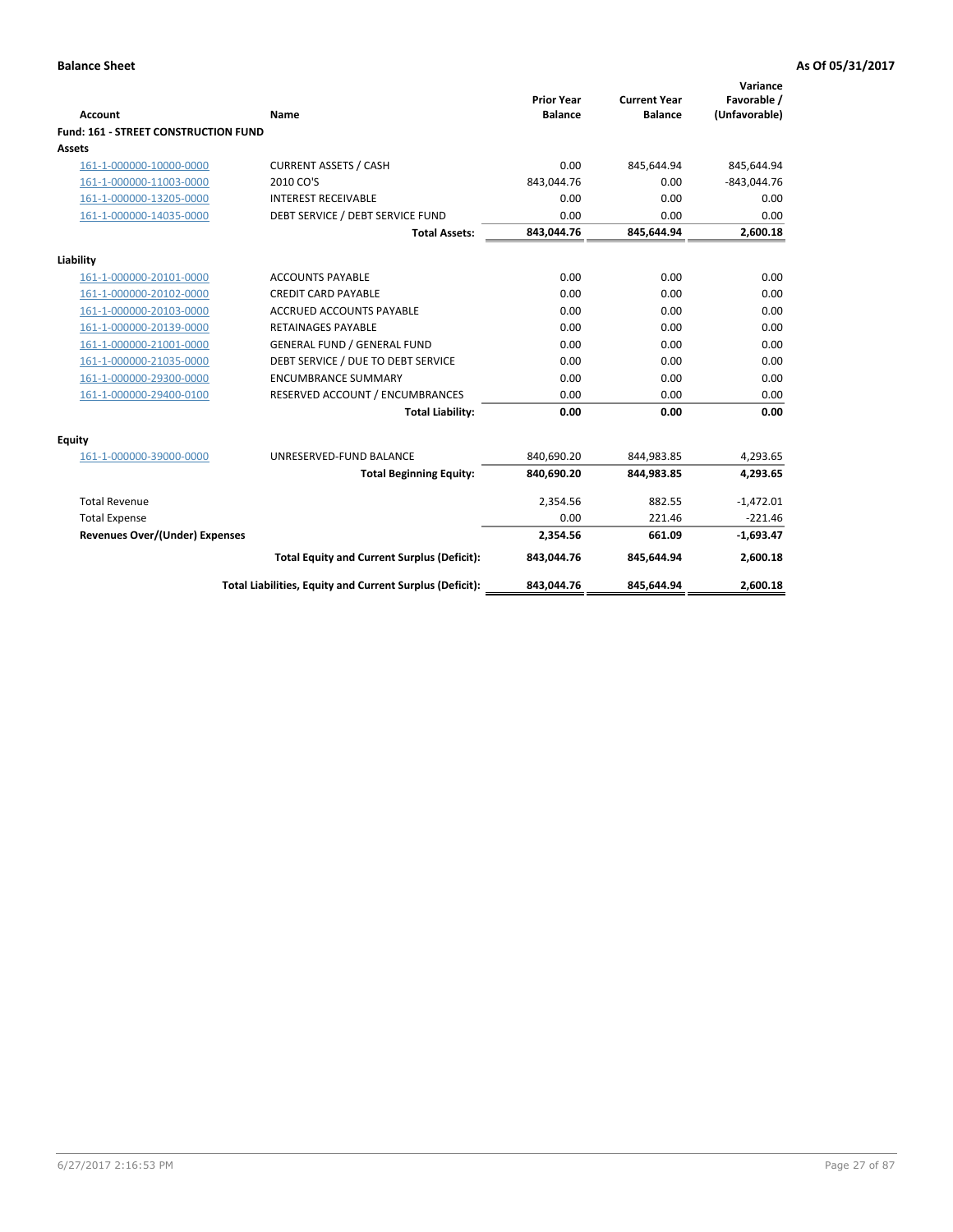| <b>Account</b>                       | <b>Name</b>                                              | <b>Prior Year</b><br><b>Balance</b> | <b>Current Year</b><br><b>Balance</b> | Variance<br>Favorable /<br>(Unfavorable) |
|--------------------------------------|----------------------------------------------------------|-------------------------------------|---------------------------------------|------------------------------------------|
| Fund: 161 - STREET CONSTRUCTION FUND |                                                          |                                     |                                       |                                          |
| <b>Assets</b>                        |                                                          |                                     |                                       |                                          |
| 161-1-000000-10000-0000              | <b>CURRENT ASSETS / CASH</b>                             | 0.00                                | 845,644.94                            | 845,644.94                               |
| 161-1-000000-11003-0000              | 2010 CO'S                                                | 843,044.76                          | 0.00                                  | $-843,044.76$                            |
| 161-1-000000-13205-0000              | <b>INTEREST RECEIVABLE</b>                               | 0.00                                | 0.00                                  | 0.00                                     |
| 161-1-000000-14035-0000              | DEBT SERVICE / DEBT SERVICE FUND                         | 0.00                                | 0.00                                  | 0.00                                     |
|                                      | <b>Total Assets:</b>                                     | 843,044.76                          | 845,644.94                            | 2,600.18                                 |
| Liability                            |                                                          |                                     |                                       |                                          |
| 161-1-000000-20101-0000              | <b>ACCOUNTS PAYABLE</b>                                  | 0.00                                | 0.00                                  | 0.00                                     |
| 161-1-000000-20102-0000              | <b>CREDIT CARD PAYABLE</b>                               | 0.00                                | 0.00                                  | 0.00                                     |
| 161-1-000000-20103-0000              | <b>ACCRUED ACCOUNTS PAYABLE</b>                          | 0.00                                | 0.00                                  | 0.00                                     |
| 161-1-000000-20139-0000              | <b>RETAINAGES PAYABLE</b>                                | 0.00                                | 0.00                                  | 0.00                                     |
| 161-1-000000-21001-0000              | <b>GENERAL FUND / GENERAL FUND</b>                       | 0.00                                | 0.00                                  | 0.00                                     |
| 161-1-000000-21035-0000              | DEBT SERVICE / DUE TO DEBT SERVICE                       | 0.00                                | 0.00                                  | 0.00                                     |
| 161-1-000000-29300-0000              | <b>ENCUMBRANCE SUMMARY</b>                               | 0.00                                | 0.00                                  | 0.00                                     |
| 161-1-000000-29400-0100              | RESERVED ACCOUNT / ENCUMBRANCES                          | 0.00                                | 0.00                                  | 0.00                                     |
|                                      | <b>Total Liability:</b>                                  | 0.00                                | 0.00                                  | 0.00                                     |
| <b>Equity</b>                        |                                                          |                                     |                                       |                                          |
| 161-1-000000-39000-0000              | UNRESERVED-FUND BALANCE                                  | 840,690.20                          | 844,983.85                            | 4,293.65                                 |
|                                      | <b>Total Beginning Equity:</b>                           | 840,690.20                          | 844,983.85                            | 4,293.65                                 |
| <b>Total Revenue</b>                 |                                                          | 2,354.56                            | 882.55                                | $-1,472.01$                              |
| <b>Total Expense</b>                 |                                                          | 0.00                                | 221.46                                | $-221.46$                                |
| Revenues Over/(Under) Expenses       |                                                          | 2,354.56                            | 661.09                                | $-1,693.47$                              |
|                                      | <b>Total Equity and Current Surplus (Deficit):</b>       | 843,044.76                          | 845,644.94                            | 2,600.18                                 |
|                                      | Total Liabilities, Equity and Current Surplus (Deficit): | 843,044.76                          | 845,644.94                            | 2,600.18                                 |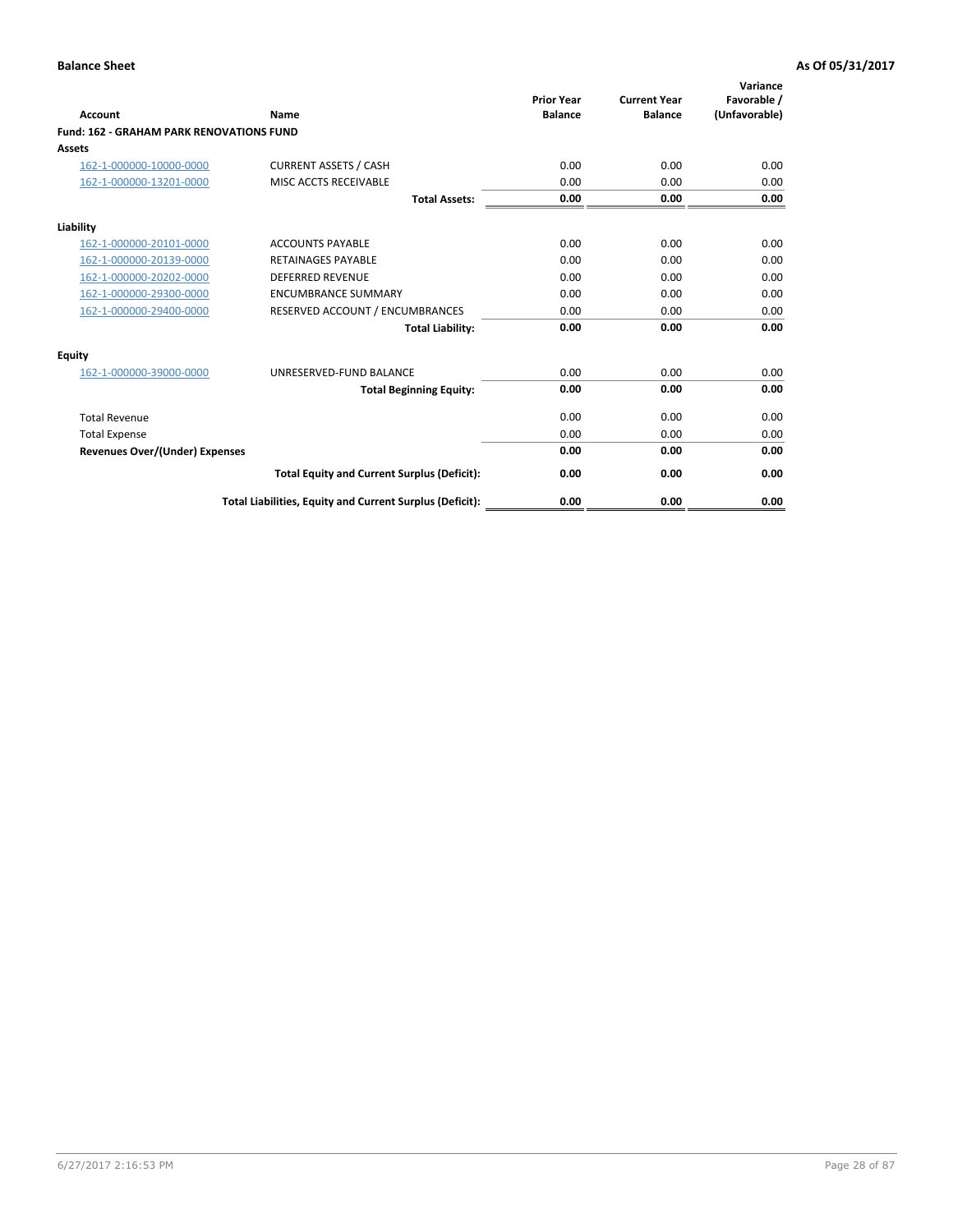| Account                                         | Name                                                     | <b>Prior Year</b><br><b>Balance</b> | <b>Current Year</b><br><b>Balance</b> | Variance<br>Favorable /<br>(Unfavorable) |
|-------------------------------------------------|----------------------------------------------------------|-------------------------------------|---------------------------------------|------------------------------------------|
| <b>Fund: 162 - GRAHAM PARK RENOVATIONS FUND</b> |                                                          |                                     |                                       |                                          |
| <b>Assets</b>                                   |                                                          |                                     |                                       |                                          |
| 162-1-000000-10000-0000                         | <b>CURRENT ASSETS / CASH</b>                             | 0.00                                | 0.00                                  | 0.00                                     |
| 162-1-000000-13201-0000                         | MISC ACCTS RECEIVABLE                                    | 0.00                                | 0.00                                  | 0.00                                     |
|                                                 | <b>Total Assets:</b>                                     | 0.00                                | 0.00                                  | 0.00                                     |
| Liability                                       |                                                          |                                     |                                       |                                          |
| 162-1-000000-20101-0000                         | <b>ACCOUNTS PAYABLE</b>                                  | 0.00                                | 0.00                                  | 0.00                                     |
| 162-1-000000-20139-0000                         | <b>RETAINAGES PAYABLE</b>                                | 0.00                                | 0.00                                  | 0.00                                     |
| 162-1-000000-20202-0000                         | <b>DEFERRED REVENUE</b>                                  | 0.00                                | 0.00                                  | 0.00                                     |
| 162-1-000000-29300-0000                         | <b>ENCUMBRANCE SUMMARY</b>                               | 0.00                                | 0.00                                  | 0.00                                     |
| 162-1-000000-29400-0000                         | RESERVED ACCOUNT / ENCUMBRANCES                          | 0.00                                | 0.00                                  | 0.00                                     |
|                                                 | <b>Total Liability:</b>                                  | 0.00                                | 0.00                                  | 0.00                                     |
| Equity                                          |                                                          |                                     |                                       |                                          |
| 162-1-000000-39000-0000                         | UNRESERVED-FUND BALANCE                                  | 0.00                                | 0.00                                  | 0.00                                     |
|                                                 | <b>Total Beginning Equity:</b>                           | 0.00                                | 0.00                                  | 0.00                                     |
| <b>Total Revenue</b>                            |                                                          | 0.00                                | 0.00                                  | 0.00                                     |
| <b>Total Expense</b>                            |                                                          | 0.00                                | 0.00                                  | 0.00                                     |
| <b>Revenues Over/(Under) Expenses</b>           |                                                          | 0.00                                | 0.00                                  | 0.00                                     |
|                                                 | <b>Total Equity and Current Surplus (Deficit):</b>       | 0.00                                | 0.00                                  | 0.00                                     |
|                                                 | Total Liabilities, Equity and Current Surplus (Deficit): | 0.00                                | 0.00                                  | 0.00                                     |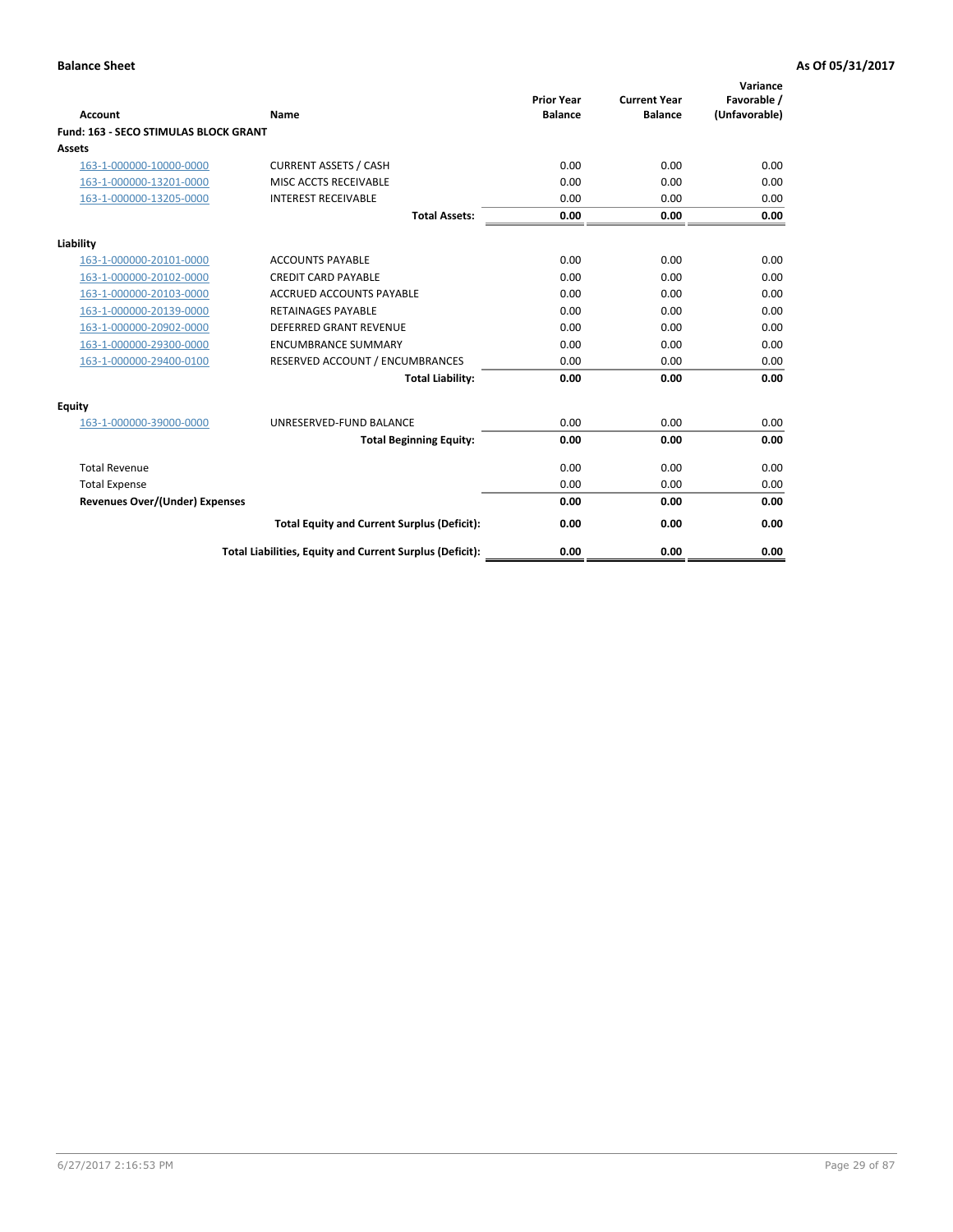| Account                               | Name                                                     | <b>Prior Year</b><br><b>Balance</b> | <b>Current Year</b><br><b>Balance</b> | Variance<br>Favorable /<br>(Unfavorable) |
|---------------------------------------|----------------------------------------------------------|-------------------------------------|---------------------------------------|------------------------------------------|
| Fund: 163 - SECO STIMULAS BLOCK GRANT |                                                          |                                     |                                       |                                          |
| <b>Assets</b>                         |                                                          |                                     |                                       |                                          |
| 163-1-000000-10000-0000               | <b>CURRENT ASSETS / CASH</b>                             | 0.00                                | 0.00                                  | 0.00                                     |
| 163-1-000000-13201-0000               | MISC ACCTS RECEIVABLE                                    | 0.00                                | 0.00                                  | 0.00                                     |
| 163-1-000000-13205-0000               | <b>INTEREST RECEIVABLE</b>                               | 0.00                                | 0.00                                  | 0.00                                     |
|                                       | <b>Total Assets:</b>                                     | 0.00                                | 0.00                                  | 0.00                                     |
| Liability                             |                                                          |                                     |                                       |                                          |
| 163-1-000000-20101-0000               | <b>ACCOUNTS PAYABLE</b>                                  | 0.00                                | 0.00                                  | 0.00                                     |
| 163-1-000000-20102-0000               | <b>CREDIT CARD PAYABLE</b>                               | 0.00                                | 0.00                                  | 0.00                                     |
| 163-1-000000-20103-0000               | <b>ACCRUED ACCOUNTS PAYABLE</b>                          | 0.00                                | 0.00                                  | 0.00                                     |
| 163-1-000000-20139-0000               | <b>RETAINAGES PAYABLE</b>                                | 0.00                                | 0.00                                  | 0.00                                     |
| 163-1-000000-20902-0000               | DEFERRED GRANT REVENUE                                   | 0.00                                | 0.00                                  | 0.00                                     |
| 163-1-000000-29300-0000               | <b>ENCUMBRANCE SUMMARY</b>                               | 0.00                                | 0.00                                  | 0.00                                     |
| 163-1-000000-29400-0100               | RESERVED ACCOUNT / ENCUMBRANCES                          | 0.00                                | 0.00                                  | 0.00                                     |
|                                       | <b>Total Liability:</b>                                  | 0.00                                | 0.00                                  | 0.00                                     |
| <b>Equity</b>                         |                                                          |                                     |                                       |                                          |
| 163-1-000000-39000-0000               | UNRESERVED-FUND BALANCE                                  | 0.00                                | 0.00                                  | 0.00                                     |
|                                       | <b>Total Beginning Equity:</b>                           | 0.00                                | 0.00                                  | 0.00                                     |
| <b>Total Revenue</b>                  |                                                          | 0.00                                | 0.00                                  | 0.00                                     |
| <b>Total Expense</b>                  |                                                          | 0.00                                | 0.00                                  | 0.00                                     |
| <b>Revenues Over/(Under) Expenses</b> |                                                          | 0.00                                | 0.00                                  | 0.00                                     |
|                                       | <b>Total Equity and Current Surplus (Deficit):</b>       | 0.00                                | 0.00                                  | 0.00                                     |
|                                       | Total Liabilities, Equity and Current Surplus (Deficit): | 0.00                                | 0.00                                  | 0.00                                     |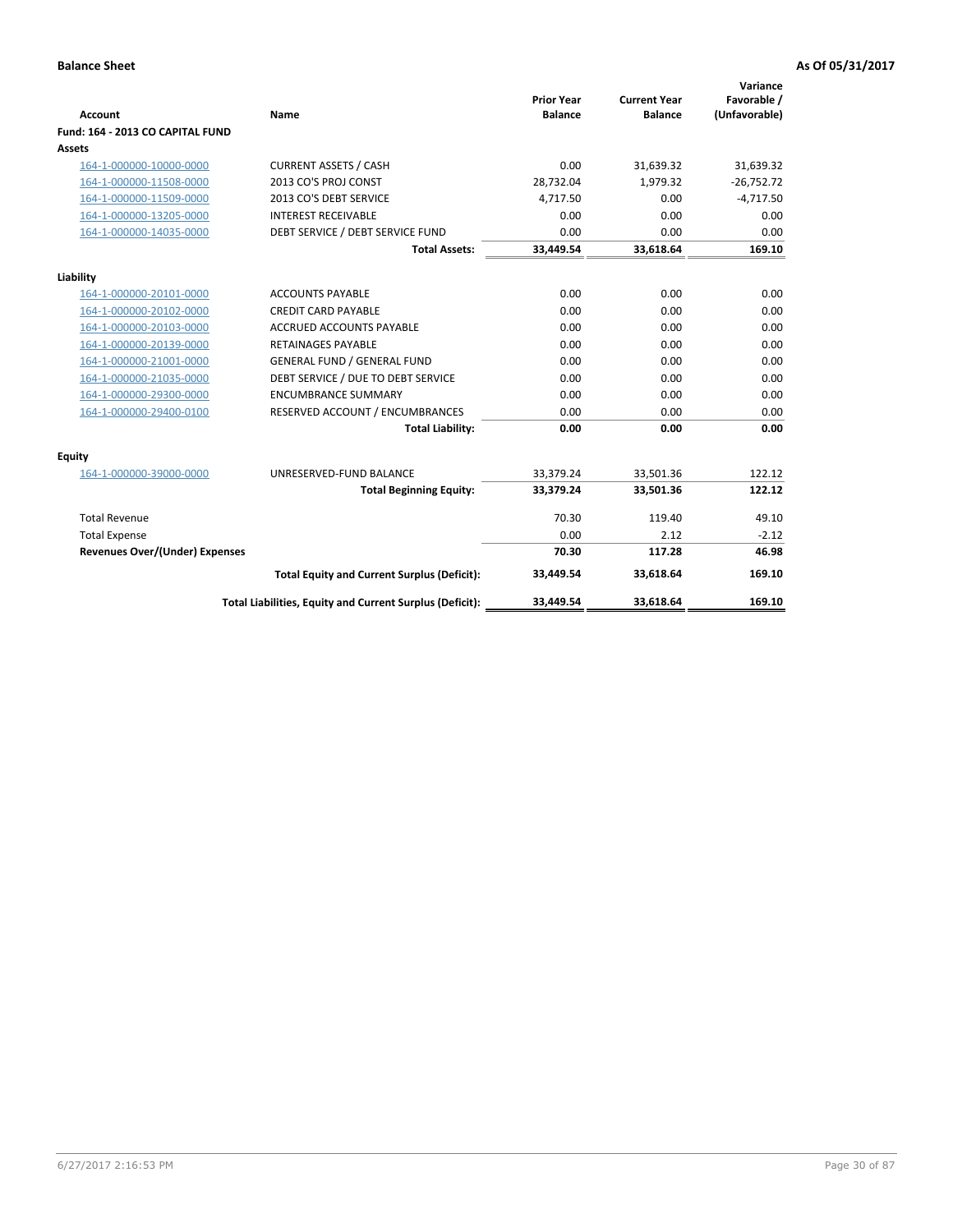|                                       |                                                          | <b>Prior Year</b> | <b>Current Year</b> | Variance<br>Favorable / |
|---------------------------------------|----------------------------------------------------------|-------------------|---------------------|-------------------------|
| <b>Account</b>                        | <b>Name</b>                                              | <b>Balance</b>    | <b>Balance</b>      | (Unfavorable)           |
| Fund: 164 - 2013 CO CAPITAL FUND      |                                                          |                   |                     |                         |
| Assets                                |                                                          |                   |                     |                         |
| 164-1-000000-10000-0000               | <b>CURRENT ASSETS / CASH</b>                             | 0.00              | 31,639.32           | 31,639.32               |
| 164-1-000000-11508-0000               | 2013 CO'S PROJ CONST                                     | 28,732.04         | 1,979.32            | $-26,752.72$            |
| 164-1-000000-11509-0000               | 2013 CO'S DEBT SERVICE                                   | 4.717.50          | 0.00                | $-4,717.50$             |
| 164-1-000000-13205-0000               | <b>INTEREST RECEIVABLE</b>                               | 0.00              | 0.00                | 0.00                    |
| 164-1-000000-14035-0000               | DEBT SERVICE / DEBT SERVICE FUND                         | 0.00              | 0.00                | 0.00                    |
|                                       | <b>Total Assets:</b>                                     | 33,449.54         | 33,618.64           | 169.10                  |
| Liability                             |                                                          |                   |                     |                         |
| 164-1-000000-20101-0000               | <b>ACCOUNTS PAYABLE</b>                                  | 0.00              | 0.00                | 0.00                    |
| 164-1-000000-20102-0000               | <b>CREDIT CARD PAYABLE</b>                               | 0.00              | 0.00                | 0.00                    |
| 164-1-000000-20103-0000               | <b>ACCRUED ACCOUNTS PAYABLE</b>                          | 0.00              | 0.00                | 0.00                    |
| 164-1-000000-20139-0000               | <b>RETAINAGES PAYABLE</b>                                | 0.00              | 0.00                | 0.00                    |
| 164-1-000000-21001-0000               | <b>GENERAL FUND / GENERAL FUND</b>                       | 0.00              | 0.00                | 0.00                    |
| 164-1-000000-21035-0000               | DEBT SERVICE / DUE TO DEBT SERVICE                       | 0.00              | 0.00                | 0.00                    |
| 164-1-000000-29300-0000               | <b>ENCUMBRANCE SUMMARY</b>                               | 0.00              | 0.00                | 0.00                    |
| 164-1-000000-29400-0100               | RESERVED ACCOUNT / ENCUMBRANCES                          | 0.00              | 0.00                | 0.00                    |
|                                       | <b>Total Liability:</b>                                  | 0.00              | 0.00                | 0.00                    |
| Equity                                |                                                          |                   |                     |                         |
| 164-1-000000-39000-0000               | UNRESERVED-FUND BALANCE                                  | 33,379.24         | 33,501.36           | 122.12                  |
|                                       | <b>Total Beginning Equity:</b>                           | 33,379.24         | 33,501.36           | 122.12                  |
| <b>Total Revenue</b>                  |                                                          | 70.30             | 119.40              | 49.10                   |
| <b>Total Expense</b>                  |                                                          | 0.00              | 2.12                | $-2.12$                 |
| <b>Revenues Over/(Under) Expenses</b> |                                                          | 70.30             | 117.28              | 46.98                   |
|                                       | <b>Total Equity and Current Surplus (Deficit):</b>       | 33,449.54         | 33,618.64           | 169.10                  |
|                                       | Total Liabilities, Equity and Current Surplus (Deficit): | 33,449.54         | 33.618.64           | 169.10                  |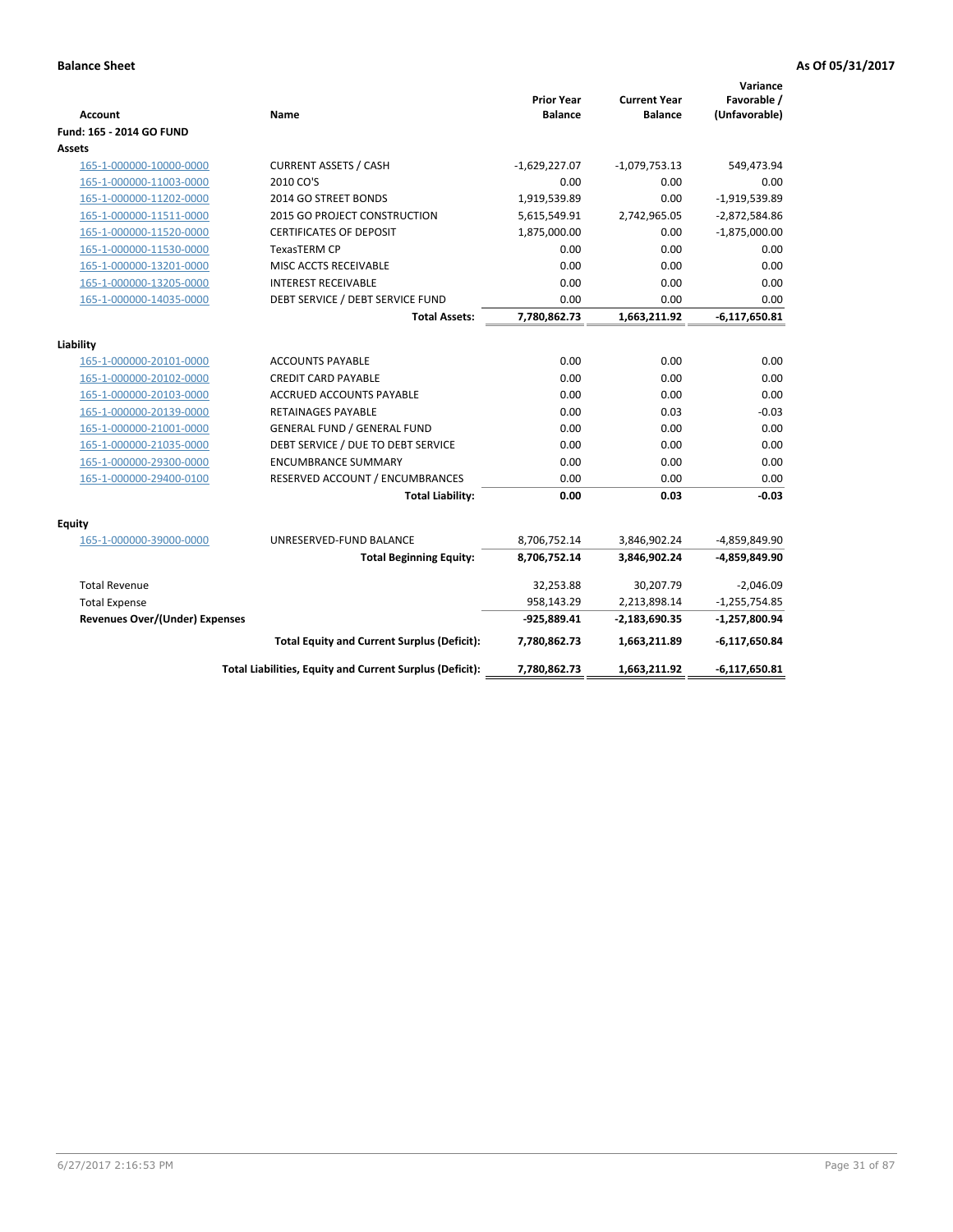| <b>Account</b>                        | Name                                                     | <b>Prior Year</b><br><b>Balance</b> | <b>Current Year</b><br><b>Balance</b> | Variance<br>Favorable /<br>(Unfavorable) |
|---------------------------------------|----------------------------------------------------------|-------------------------------------|---------------------------------------|------------------------------------------|
| Fund: 165 - 2014 GO FUND              |                                                          |                                     |                                       |                                          |
| Assets                                |                                                          |                                     |                                       |                                          |
| 165-1-000000-10000-0000               | <b>CURRENT ASSETS / CASH</b>                             | $-1,629,227.07$                     | $-1,079,753.13$                       | 549,473.94                               |
| 165-1-000000-11003-0000               | 2010 CO'S                                                | 0.00                                | 0.00                                  | 0.00                                     |
| 165-1-000000-11202-0000               | 2014 GO STREET BONDS                                     | 1,919,539.89                        | 0.00                                  | $-1,919,539.89$                          |
| 165-1-000000-11511-0000               | <b>2015 GO PROJECT CONSTRUCTION</b>                      | 5,615,549.91                        | 2,742,965.05                          | $-2,872,584.86$                          |
| 165-1-000000-11520-0000               | <b>CERTIFICATES OF DEPOSIT</b>                           | 1,875,000.00                        | 0.00                                  | $-1,875,000.00$                          |
| 165-1-000000-11530-0000               | <b>TexasTERM CP</b>                                      | 0.00                                | 0.00                                  | 0.00                                     |
| 165-1-000000-13201-0000               | MISC ACCTS RECEIVABLE                                    | 0.00                                | 0.00                                  | 0.00                                     |
| 165-1-000000-13205-0000               | <b>INTEREST RECEIVABLE</b>                               | 0.00                                | 0.00                                  | 0.00                                     |
| 165-1-000000-14035-0000               | DEBT SERVICE / DEBT SERVICE FUND                         | 0.00                                | 0.00                                  | 0.00                                     |
|                                       | <b>Total Assets:</b>                                     | 7,780,862.73                        | 1,663,211.92                          | $-6,117,650.81$                          |
| Liability                             |                                                          |                                     |                                       |                                          |
| 165-1-000000-20101-0000               | <b>ACCOUNTS PAYABLE</b>                                  | 0.00                                | 0.00                                  | 0.00                                     |
| 165-1-000000-20102-0000               | <b>CREDIT CARD PAYABLE</b>                               | 0.00                                | 0.00                                  | 0.00                                     |
| 165-1-000000-20103-0000               | ACCRUED ACCOUNTS PAYABLE                                 | 0.00                                | 0.00                                  | 0.00                                     |
| 165-1-000000-20139-0000               | <b>RETAINAGES PAYABLE</b>                                | 0.00                                | 0.03                                  | $-0.03$                                  |
| 165-1-000000-21001-0000               | <b>GENERAL FUND / GENERAL FUND</b>                       | 0.00                                | 0.00                                  | 0.00                                     |
| 165-1-000000-21035-0000               | DEBT SERVICE / DUE TO DEBT SERVICE                       | 0.00                                | 0.00                                  | 0.00                                     |
| 165-1-000000-29300-0000               | <b>ENCUMBRANCE SUMMARY</b>                               | 0.00                                | 0.00                                  | 0.00                                     |
| 165-1-000000-29400-0100               | RESERVED ACCOUNT / ENCUMBRANCES                          | 0.00                                | 0.00                                  | 0.00                                     |
|                                       | <b>Total Liability:</b>                                  | 0.00                                | 0.03                                  | $-0.03$                                  |
| Equity                                |                                                          |                                     |                                       |                                          |
| 165-1-000000-39000-0000               | UNRESERVED-FUND BALANCE                                  | 8,706,752.14                        | 3,846,902.24                          | -4,859,849.90                            |
|                                       | <b>Total Beginning Equity:</b>                           | 8,706,752.14                        | 3,846,902.24                          | -4,859,849.90                            |
| <b>Total Revenue</b>                  |                                                          | 32,253.88                           | 30,207.79                             | $-2,046.09$                              |
| <b>Total Expense</b>                  |                                                          | 958,143.29                          | 2,213,898.14                          | $-1,255,754.85$                          |
| <b>Revenues Over/(Under) Expenses</b> |                                                          | $-925,889.41$                       | -2,183,690.35                         | $-1,257,800.94$                          |
|                                       | <b>Total Equity and Current Surplus (Deficit):</b>       | 7,780,862.73                        | 1,663,211.89                          | $-6,117,650.84$                          |
|                                       | Total Liabilities, Equity and Current Surplus (Deficit): | 7,780,862.73                        | 1,663,211.92                          | $-6,117,650.81$                          |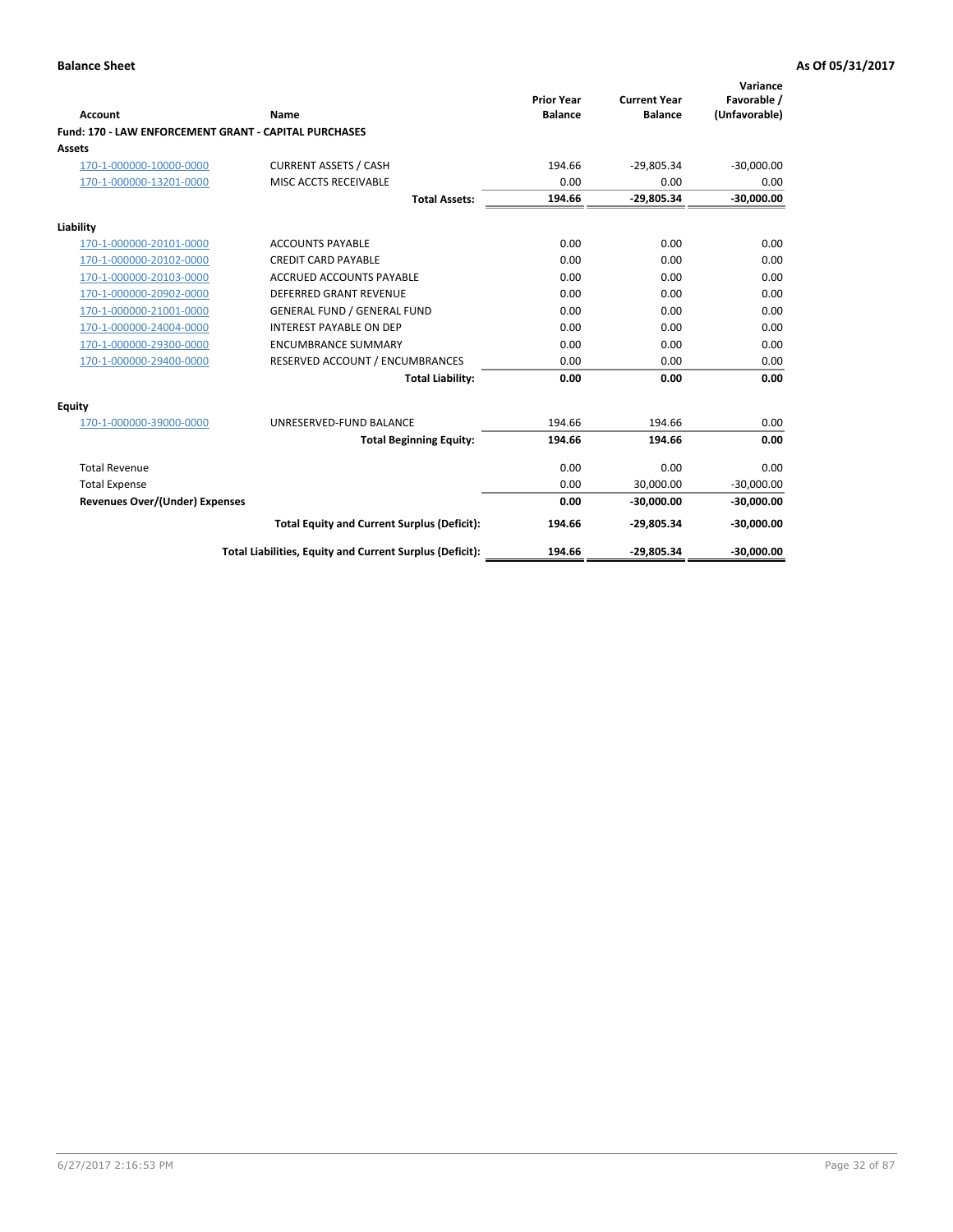|                                                              |                                                          |                                     |                                       | Variance                     |
|--------------------------------------------------------------|----------------------------------------------------------|-------------------------------------|---------------------------------------|------------------------------|
| Account                                                      | Name                                                     | <b>Prior Year</b><br><b>Balance</b> | <b>Current Year</b><br><b>Balance</b> | Favorable /<br>(Unfavorable) |
| <b>Fund: 170 - LAW ENFORCEMENT GRANT - CAPITAL PURCHASES</b> |                                                          |                                     |                                       |                              |
| Assets                                                       |                                                          |                                     |                                       |                              |
| 170-1-000000-10000-0000                                      | <b>CURRENT ASSETS / CASH</b>                             | 194.66                              | $-29,805.34$                          | $-30,000.00$                 |
| 170-1-000000-13201-0000                                      | MISC ACCTS RECEIVABLE                                    | 0.00                                | 0.00                                  | 0.00                         |
|                                                              | <b>Total Assets:</b>                                     | 194.66                              | $-29,805.34$                          | $-30,000.00$                 |
| Liability                                                    |                                                          |                                     |                                       |                              |
| 170-1-000000-20101-0000                                      | <b>ACCOUNTS PAYABLE</b>                                  | 0.00                                | 0.00                                  | 0.00                         |
| 170-1-000000-20102-0000                                      | <b>CREDIT CARD PAYABLE</b>                               | 0.00                                | 0.00                                  | 0.00                         |
| 170-1-000000-20103-0000                                      | <b>ACCRUED ACCOUNTS PAYABLE</b>                          | 0.00                                | 0.00                                  | 0.00                         |
| 170-1-000000-20902-0000                                      | <b>DEFERRED GRANT REVENUE</b>                            | 0.00                                | 0.00                                  | 0.00                         |
| 170-1-000000-21001-0000                                      | <b>GENERAL FUND / GENERAL FUND</b>                       | 0.00                                | 0.00                                  | 0.00                         |
| 170-1-000000-24004-0000                                      | <b>INTEREST PAYABLE ON DEP</b>                           | 0.00                                | 0.00                                  | 0.00                         |
| 170-1-000000-29300-0000                                      | <b>ENCUMBRANCE SUMMARY</b>                               | 0.00                                | 0.00                                  | 0.00                         |
| 170-1-000000-29400-0000                                      | RESERVED ACCOUNT / ENCUMBRANCES                          | 0.00                                | 0.00                                  | 0.00                         |
|                                                              | <b>Total Liability:</b>                                  | 0.00                                | 0.00                                  | 0.00                         |
| <b>Equity</b>                                                |                                                          |                                     |                                       |                              |
| 170-1-000000-39000-0000                                      | UNRESERVED-FUND BALANCE                                  | 194.66                              | 194.66                                | 0.00                         |
|                                                              | <b>Total Beginning Equity:</b>                           | 194.66                              | 194.66                                | 0.00                         |
| <b>Total Revenue</b>                                         |                                                          | 0.00                                | 0.00                                  | 0.00                         |
| <b>Total Expense</b>                                         |                                                          | 0.00                                | 30,000.00                             | $-30,000.00$                 |
| <b>Revenues Over/(Under) Expenses</b>                        |                                                          | 0.00                                | $-30.000.00$                          | $-30,000.00$                 |
|                                                              | <b>Total Equity and Current Surplus (Deficit):</b>       | 194.66                              | $-29,805.34$                          | $-30,000.00$                 |
|                                                              | Total Liabilities, Equity and Current Surplus (Deficit): | 194.66                              | -29,805.34                            | $-30,000.00$                 |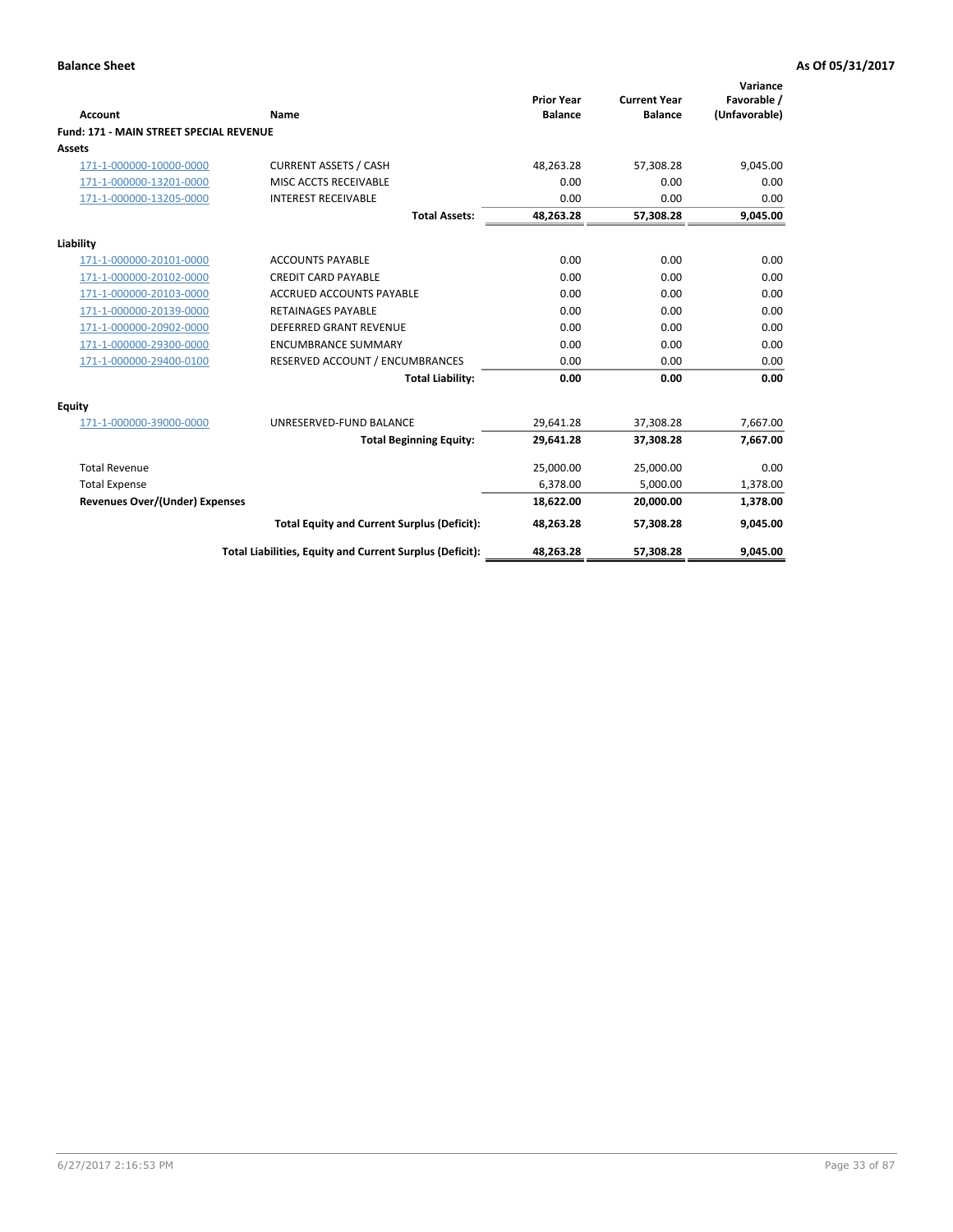|                                                |                                                          | <b>Prior Year</b> | <b>Current Year</b> | Variance<br>Favorable / |
|------------------------------------------------|----------------------------------------------------------|-------------------|---------------------|-------------------------|
| <b>Account</b>                                 | Name                                                     | <b>Balance</b>    | <b>Balance</b>      | (Unfavorable)           |
| <b>Fund: 171 - MAIN STREET SPECIAL REVENUE</b> |                                                          |                   |                     |                         |
| <b>Assets</b>                                  |                                                          |                   |                     |                         |
| 171-1-000000-10000-0000                        | <b>CURRENT ASSETS / CASH</b>                             | 48,263.28         | 57,308.28           | 9,045.00                |
| 171-1-000000-13201-0000                        | MISC ACCTS RECEIVABLE                                    | 0.00              | 0.00                | 0.00                    |
| 171-1-000000-13205-0000                        | <b>INTEREST RECEIVABLE</b>                               | 0.00              | 0.00                | 0.00                    |
|                                                | <b>Total Assets:</b>                                     | 48.263.28         | 57.308.28           | 9,045.00                |
| Liability                                      |                                                          |                   |                     |                         |
| 171-1-000000-20101-0000                        | <b>ACCOUNTS PAYABLE</b>                                  | 0.00              | 0.00                | 0.00                    |
| 171-1-000000-20102-0000                        | <b>CREDIT CARD PAYABLE</b>                               | 0.00              | 0.00                | 0.00                    |
| 171-1-000000-20103-0000                        | <b>ACCRUED ACCOUNTS PAYABLE</b>                          | 0.00              | 0.00                | 0.00                    |
| 171-1-000000-20139-0000                        | <b>RETAINAGES PAYABLE</b>                                | 0.00              | 0.00                | 0.00                    |
| 171-1-000000-20902-0000                        | DEFERRED GRANT REVENUE                                   | 0.00              | 0.00                | 0.00                    |
| 171-1-000000-29300-0000                        | <b>ENCUMBRANCE SUMMARY</b>                               | 0.00              | 0.00                | 0.00                    |
| 171-1-000000-29400-0100                        | RESERVED ACCOUNT / ENCUMBRANCES                          | 0.00              | 0.00                | 0.00                    |
|                                                | <b>Total Liability:</b>                                  | 0.00              | 0.00                | 0.00                    |
| <b>Equity</b>                                  |                                                          |                   |                     |                         |
| 171-1-000000-39000-0000                        | UNRESERVED-FUND BALANCE                                  | 29,641.28         | 37,308.28           | 7,667.00                |
|                                                | <b>Total Beginning Equity:</b>                           | 29.641.28         | 37,308.28           | 7,667.00                |
| <b>Total Revenue</b>                           |                                                          | 25,000.00         | 25,000.00           | 0.00                    |
| <b>Total Expense</b>                           |                                                          | 6,378.00          | 5,000.00            | 1,378.00                |
| <b>Revenues Over/(Under) Expenses</b>          |                                                          | 18,622.00         | 20,000.00           | 1,378.00                |
|                                                | <b>Total Equity and Current Surplus (Deficit):</b>       | 48,263.28         | 57,308.28           | 9,045.00                |
|                                                | Total Liabilities, Equity and Current Surplus (Deficit): | 48,263.28         | 57,308.28           | 9,045.00                |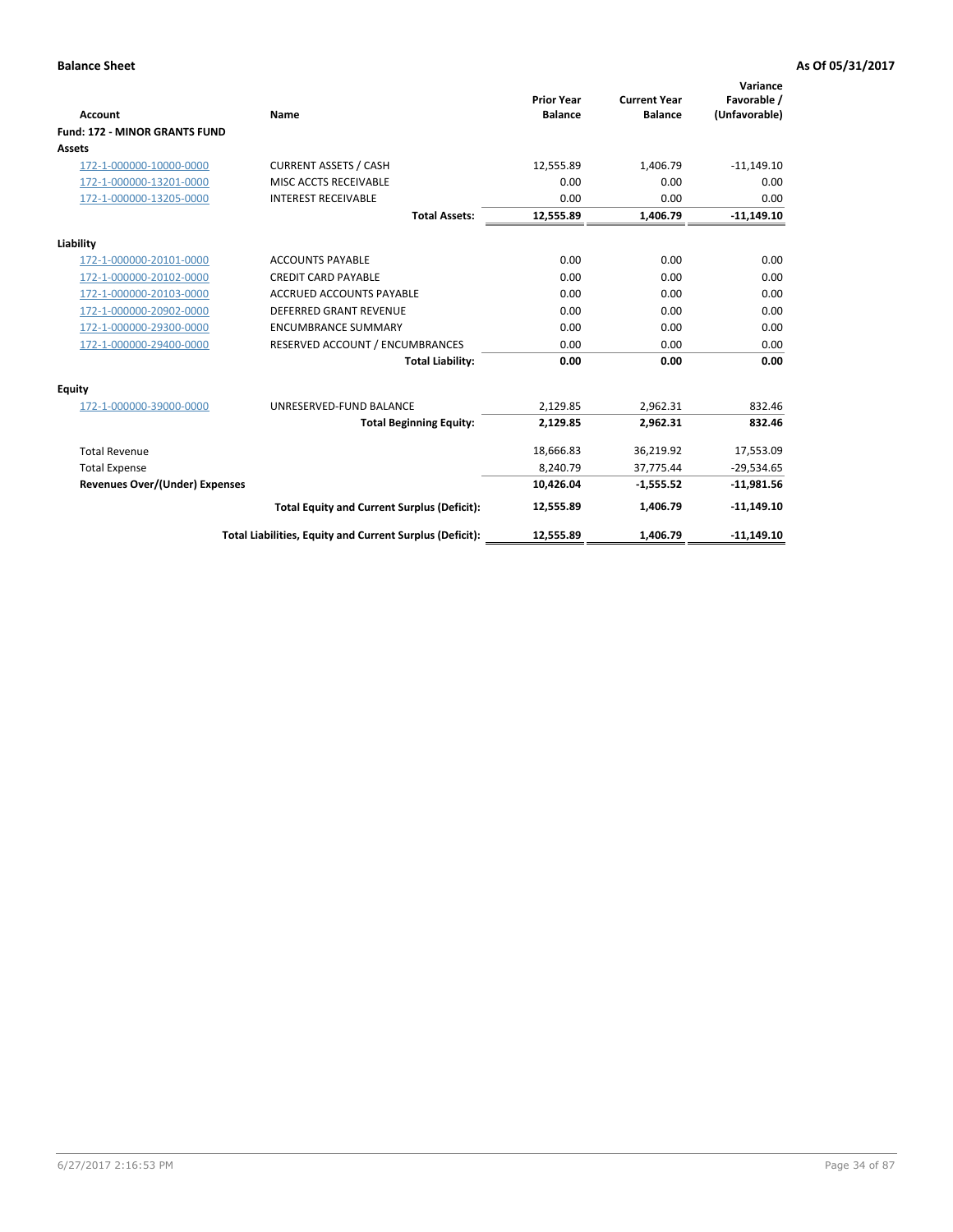|                                       |                                                          |                                     |                                       | Variance                     |
|---------------------------------------|----------------------------------------------------------|-------------------------------------|---------------------------------------|------------------------------|
| <b>Account</b>                        | <b>Name</b>                                              | <b>Prior Year</b><br><b>Balance</b> | <b>Current Year</b><br><b>Balance</b> | Favorable /<br>(Unfavorable) |
| <b>Fund: 172 - MINOR GRANTS FUND</b>  |                                                          |                                     |                                       |                              |
| <b>Assets</b>                         |                                                          |                                     |                                       |                              |
| 172-1-000000-10000-0000               | <b>CURRENT ASSETS / CASH</b>                             | 12,555.89                           | 1,406.79                              | $-11,149.10$                 |
| 172-1-000000-13201-0000               | MISC ACCTS RECEIVABLE                                    | 0.00                                | 0.00                                  | 0.00                         |
| 172-1-000000-13205-0000               | <b>INTEREST RECEIVABLE</b>                               | 0.00                                | 0.00                                  | 0.00                         |
|                                       | <b>Total Assets:</b>                                     | 12,555.89                           | 1,406.79                              | $-11,149.10$                 |
| Liability                             |                                                          |                                     |                                       |                              |
| 172-1-000000-20101-0000               | <b>ACCOUNTS PAYABLE</b>                                  | 0.00                                | 0.00                                  | 0.00                         |
| 172-1-000000-20102-0000               | <b>CREDIT CARD PAYABLE</b>                               | 0.00                                | 0.00                                  | 0.00                         |
| 172-1-000000-20103-0000               | <b>ACCRUED ACCOUNTS PAYABLE</b>                          | 0.00                                | 0.00                                  | 0.00                         |
| 172-1-000000-20902-0000               | <b>DEFERRED GRANT REVENUE</b>                            | 0.00                                | 0.00                                  | 0.00                         |
| 172-1-000000-29300-0000               | <b>ENCUMBRANCE SUMMARY</b>                               | 0.00                                | 0.00                                  | 0.00                         |
| 172-1-000000-29400-0000               | RESERVED ACCOUNT / ENCUMBRANCES                          | 0.00                                | 0.00                                  | 0.00                         |
|                                       | <b>Total Liability:</b>                                  | 0.00                                | 0.00                                  | 0.00                         |
| Equity                                |                                                          |                                     |                                       |                              |
| 172-1-000000-39000-0000               | UNRESERVED-FUND BALANCE                                  | 2,129.85                            | 2,962.31                              | 832.46                       |
|                                       | <b>Total Beginning Equity:</b>                           | 2,129.85                            | 2,962.31                              | 832.46                       |
| <b>Total Revenue</b>                  |                                                          | 18,666.83                           | 36,219.92                             | 17,553.09                    |
| <b>Total Expense</b>                  |                                                          | 8.240.79                            | 37.775.44                             | $-29,534.65$                 |
| <b>Revenues Over/(Under) Expenses</b> |                                                          | 10,426.04                           | $-1,555.52$                           | $-11,981.56$                 |
|                                       | <b>Total Equity and Current Surplus (Deficit):</b>       | 12,555.89                           | 1.406.79                              | $-11,149.10$                 |
|                                       | Total Liabilities, Equity and Current Surplus (Deficit): | 12,555.89                           | 1,406.79                              | $-11,149.10$                 |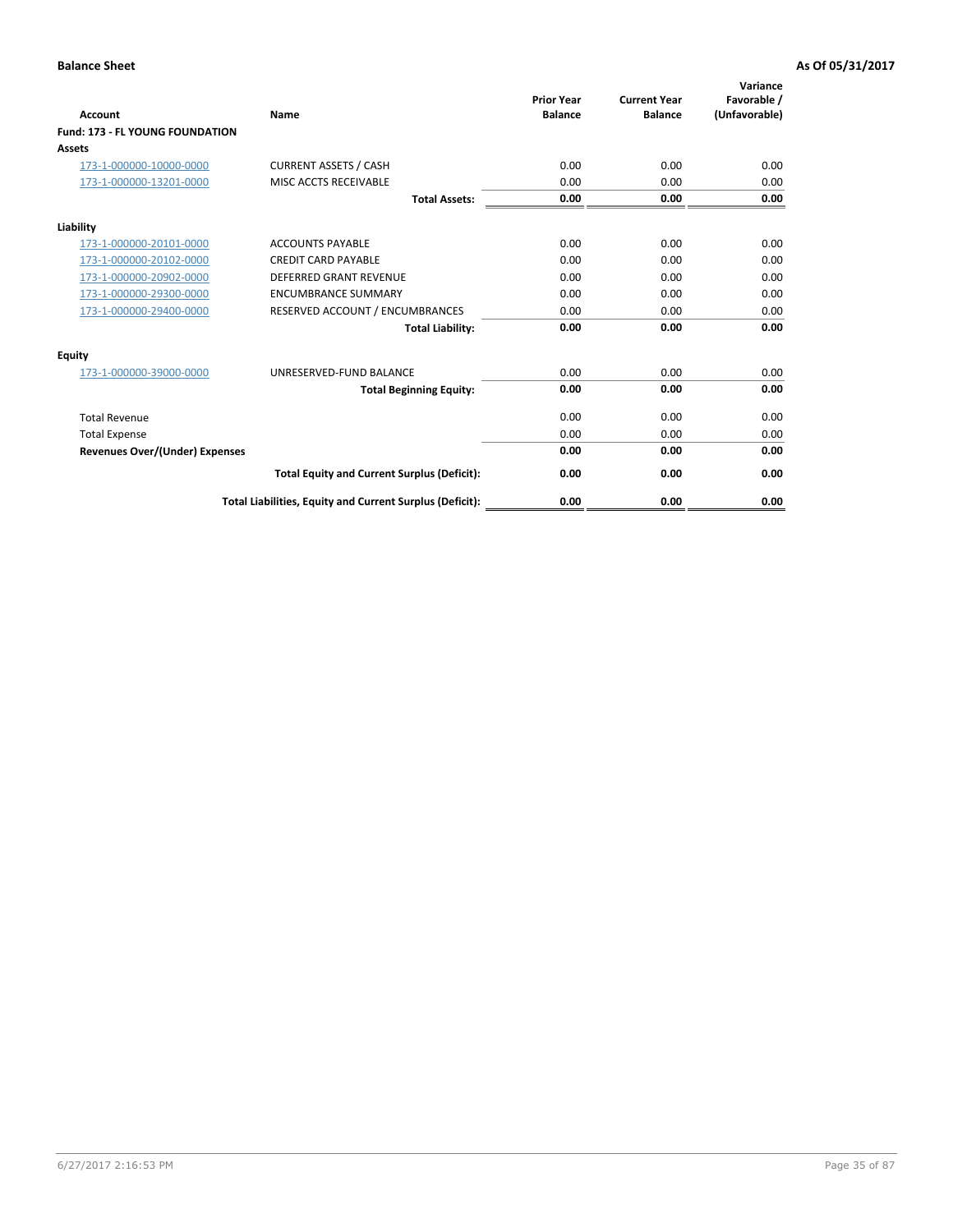| <b>Account</b>                         | <b>Name</b>                                              | <b>Prior Year</b><br><b>Balance</b> | <b>Current Year</b><br><b>Balance</b> | Variance<br>Favorable /<br>(Unfavorable) |
|----------------------------------------|----------------------------------------------------------|-------------------------------------|---------------------------------------|------------------------------------------|
| <b>Fund: 173 - FL YOUNG FOUNDATION</b> |                                                          |                                     |                                       |                                          |
| Assets                                 |                                                          |                                     |                                       |                                          |
| 173-1-000000-10000-0000                | <b>CURRENT ASSETS / CASH</b>                             | 0.00                                | 0.00                                  | 0.00                                     |
| 173-1-000000-13201-0000                | MISC ACCTS RECEIVABLE                                    | 0.00                                | 0.00                                  | 0.00                                     |
|                                        | <b>Total Assets:</b>                                     | 0.00                                | 0.00                                  | 0.00                                     |
| Liability                              |                                                          |                                     |                                       |                                          |
| 173-1-000000-20101-0000                | <b>ACCOUNTS PAYABLE</b>                                  | 0.00                                | 0.00                                  | 0.00                                     |
| 173-1-000000-20102-0000                | <b>CREDIT CARD PAYABLE</b>                               | 0.00                                | 0.00                                  | 0.00                                     |
| 173-1-000000-20902-0000                | <b>DEFERRED GRANT REVENUE</b>                            | 0.00                                | 0.00                                  | 0.00                                     |
| 173-1-000000-29300-0000                | <b>ENCUMBRANCE SUMMARY</b>                               | 0.00                                | 0.00                                  | 0.00                                     |
| 173-1-000000-29400-0000                | RESERVED ACCOUNT / ENCUMBRANCES                          | 0.00                                | 0.00                                  | 0.00                                     |
|                                        | <b>Total Liability:</b>                                  | 0.00                                | 0.00                                  | 0.00                                     |
| Equity                                 |                                                          |                                     |                                       |                                          |
| 173-1-000000-39000-0000                | UNRESERVED-FUND BALANCE                                  | 0.00                                | 0.00                                  | 0.00                                     |
|                                        | <b>Total Beginning Equity:</b>                           | 0.00                                | 0.00                                  | 0.00                                     |
| <b>Total Revenue</b>                   |                                                          | 0.00                                | 0.00                                  | 0.00                                     |
| <b>Total Expense</b>                   |                                                          | 0.00                                | 0.00                                  | 0.00                                     |
| <b>Revenues Over/(Under) Expenses</b>  |                                                          | 0.00                                | 0.00                                  | 0.00                                     |
|                                        | <b>Total Equity and Current Surplus (Deficit):</b>       | 0.00                                | 0.00                                  | 0.00                                     |
|                                        | Total Liabilities, Equity and Current Surplus (Deficit): | 0.00                                | 0.00                                  | 0.00                                     |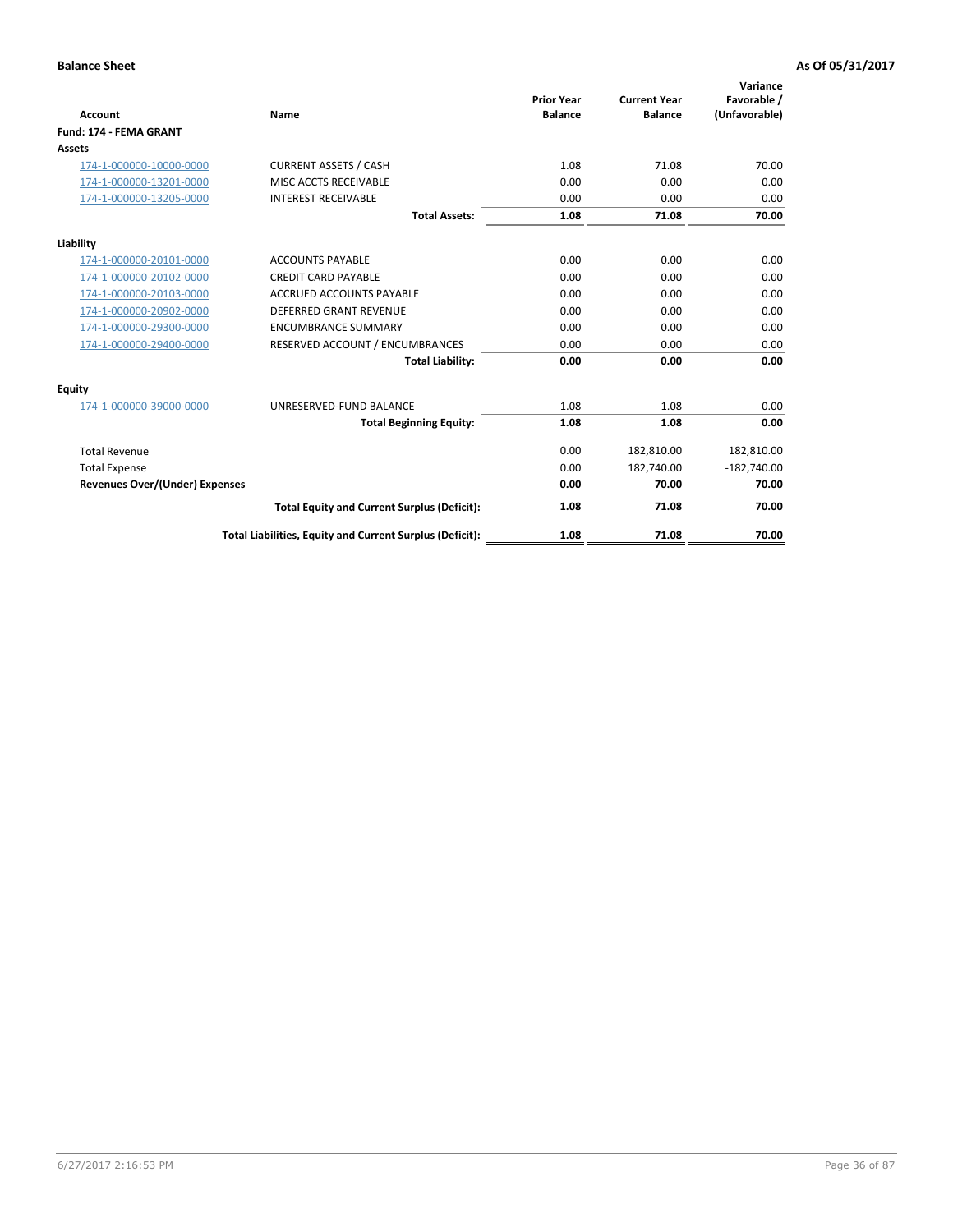|                                       |                                                          | <b>Prior Year</b> | <b>Current Year</b> | Variance<br>Favorable / |
|---------------------------------------|----------------------------------------------------------|-------------------|---------------------|-------------------------|
| <b>Account</b>                        | Name                                                     | <b>Balance</b>    | <b>Balance</b>      | (Unfavorable)           |
| Fund: 174 - FEMA GRANT                |                                                          |                   |                     |                         |
| <b>Assets</b>                         |                                                          |                   |                     |                         |
| 174-1-000000-10000-0000               | <b>CURRENT ASSETS / CASH</b>                             | 1.08              | 71.08               | 70.00                   |
| 174-1-000000-13201-0000               | MISC ACCTS RECEIVABLE                                    | 0.00              | 0.00                | 0.00                    |
| 174-1-000000-13205-0000               | <b>INTEREST RECEIVABLE</b>                               | 0.00              | 0.00                | 0.00                    |
|                                       | <b>Total Assets:</b>                                     | 1.08              | 71.08               | 70.00                   |
| Liability                             |                                                          |                   |                     |                         |
| 174-1-000000-20101-0000               | <b>ACCOUNTS PAYABLE</b>                                  | 0.00              | 0.00                | 0.00                    |
| 174-1-000000-20102-0000               | <b>CREDIT CARD PAYABLE</b>                               | 0.00              | 0.00                | 0.00                    |
| 174-1-000000-20103-0000               | <b>ACCRUED ACCOUNTS PAYABLE</b>                          | 0.00              | 0.00                | 0.00                    |
| 174-1-000000-20902-0000               | DEFERRED GRANT REVENUE                                   | 0.00              | 0.00                | 0.00                    |
| 174-1-000000-29300-0000               | <b>ENCUMBRANCE SUMMARY</b>                               | 0.00              | 0.00                | 0.00                    |
| 174-1-000000-29400-0000               | RESERVED ACCOUNT / ENCUMBRANCES                          | 0.00              | 0.00                | 0.00                    |
|                                       | <b>Total Liability:</b>                                  | 0.00              | 0.00                | 0.00                    |
| Equity                                |                                                          |                   |                     |                         |
| 174-1-000000-39000-0000               | UNRESERVED-FUND BALANCE                                  | 1.08              | 1.08                | 0.00                    |
|                                       | <b>Total Beginning Equity:</b>                           | 1.08              | 1.08                | 0.00                    |
| <b>Total Revenue</b>                  |                                                          | 0.00              | 182,810.00          | 182,810.00              |
| <b>Total Expense</b>                  |                                                          | 0.00              | 182,740.00          | $-182,740.00$           |
| <b>Revenues Over/(Under) Expenses</b> |                                                          | 0.00              | 70.00               | 70.00                   |
|                                       | <b>Total Equity and Current Surplus (Deficit):</b>       | 1.08              | 71.08               | 70.00                   |
|                                       | Total Liabilities, Equity and Current Surplus (Deficit): | 1.08              | 71.08               | 70.00                   |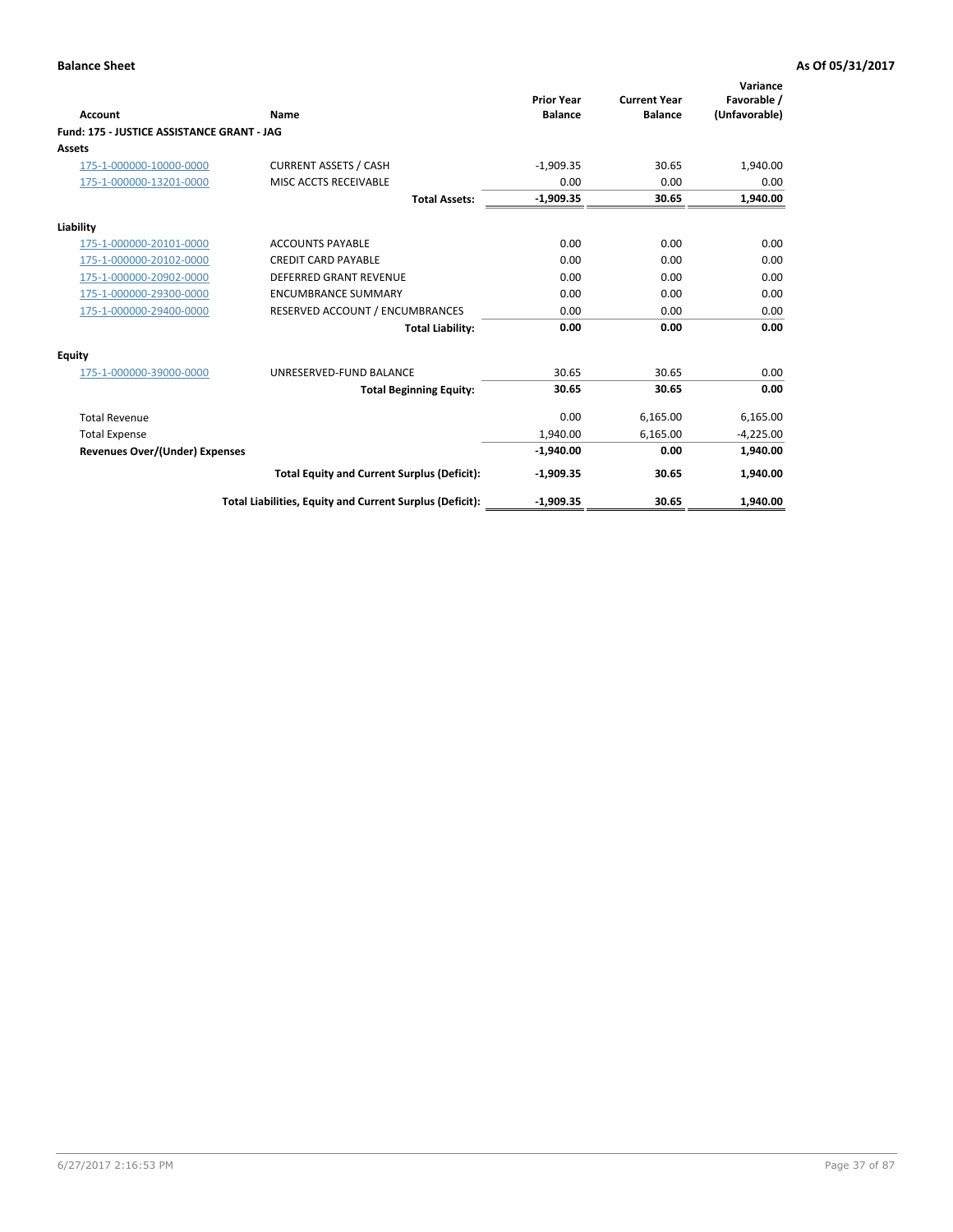| <b>Account</b>                             | Name                                                     | <b>Prior Year</b><br><b>Balance</b> | <b>Current Year</b><br><b>Balance</b> | Variance<br>Favorable /<br>(Unfavorable) |
|--------------------------------------------|----------------------------------------------------------|-------------------------------------|---------------------------------------|------------------------------------------|
| Fund: 175 - JUSTICE ASSISTANCE GRANT - JAG |                                                          |                                     |                                       |                                          |
| <b>Assets</b>                              |                                                          |                                     |                                       |                                          |
| 175-1-000000-10000-0000                    | <b>CURRENT ASSETS / CASH</b>                             | $-1,909.35$                         | 30.65                                 | 1,940.00                                 |
| 175-1-000000-13201-0000                    | MISC ACCTS RECEIVABLE                                    | 0.00                                | 0.00                                  | 0.00                                     |
|                                            | <b>Total Assets:</b>                                     | $-1,909.35$                         | 30.65                                 | 1,940.00                                 |
| Liability                                  |                                                          |                                     |                                       |                                          |
| 175-1-000000-20101-0000                    | <b>ACCOUNTS PAYABLE</b>                                  | 0.00                                | 0.00                                  | 0.00                                     |
| 175-1-000000-20102-0000                    | <b>CREDIT CARD PAYABLE</b>                               | 0.00                                | 0.00                                  | 0.00                                     |
| 175-1-000000-20902-0000                    | DEFERRED GRANT REVENUE                                   | 0.00                                | 0.00                                  | 0.00                                     |
| 175-1-000000-29300-0000                    | <b>ENCUMBRANCE SUMMARY</b>                               | 0.00                                | 0.00                                  | 0.00                                     |
| 175-1-000000-29400-0000                    | RESERVED ACCOUNT / ENCUMBRANCES                          | 0.00                                | 0.00                                  | 0.00                                     |
|                                            | <b>Total Liability:</b>                                  | 0.00                                | 0.00                                  | 0.00                                     |
| <b>Equity</b>                              |                                                          |                                     |                                       |                                          |
| 175-1-000000-39000-0000                    | UNRESERVED-FUND BALANCE                                  | 30.65                               | 30.65                                 | 0.00                                     |
|                                            | <b>Total Beginning Equity:</b>                           | 30.65                               | 30.65                                 | 0.00                                     |
| <b>Total Revenue</b>                       |                                                          | 0.00                                | 6,165.00                              | 6,165.00                                 |
| <b>Total Expense</b>                       |                                                          | 1,940.00                            | 6,165.00                              | $-4,225.00$                              |
| <b>Revenues Over/(Under) Expenses</b>      |                                                          | $-1,940.00$                         | 0.00                                  | 1,940.00                                 |
|                                            | <b>Total Equity and Current Surplus (Deficit):</b>       | $-1,909.35$                         | 30.65                                 | 1,940.00                                 |
|                                            | Total Liabilities, Equity and Current Surplus (Deficit): | $-1.909.35$                         | 30.65                                 | 1,940.00                                 |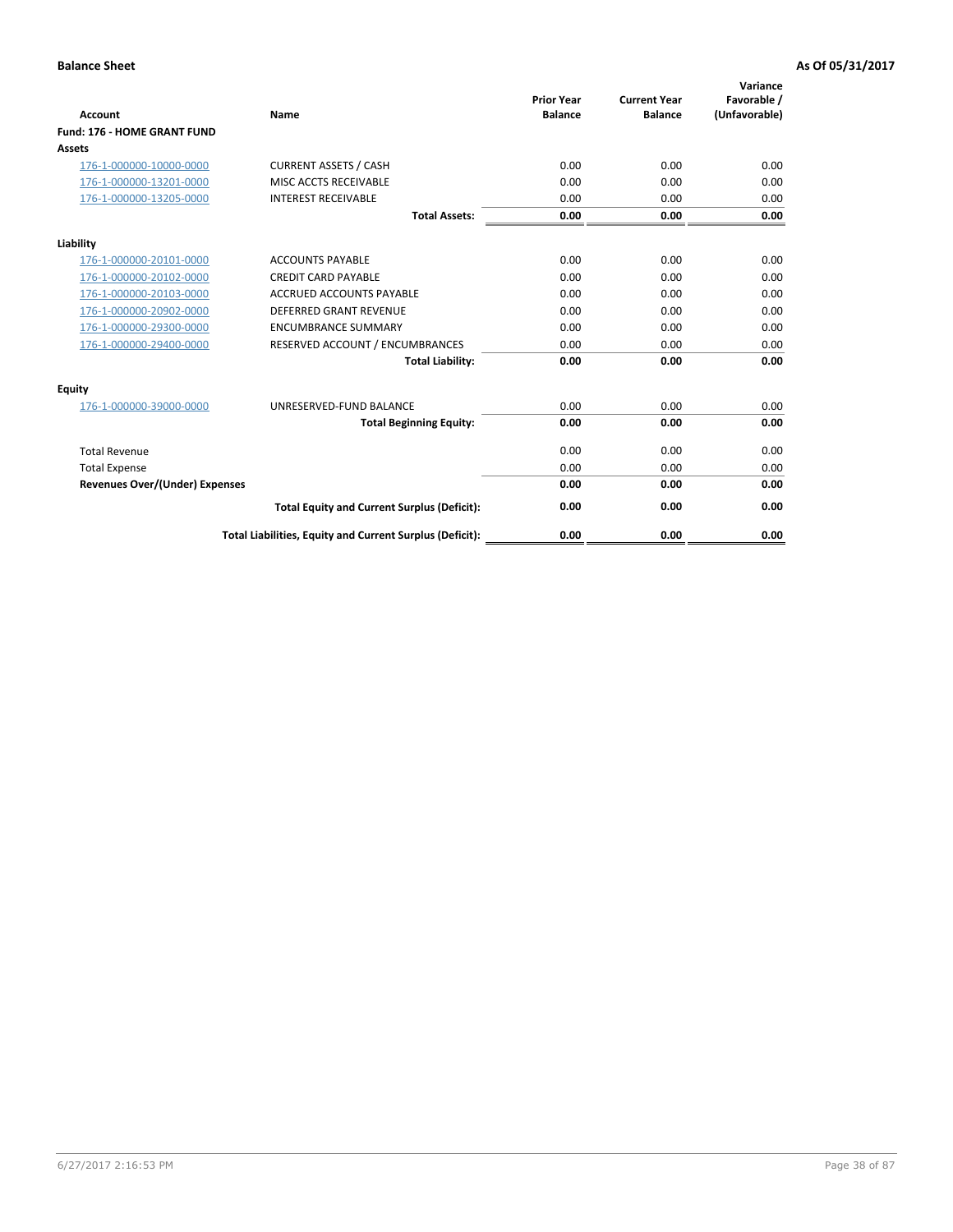| Account                               | Name                                                     | <b>Prior Year</b><br><b>Balance</b> | <b>Current Year</b><br><b>Balance</b> | Variance<br>Favorable /<br>(Unfavorable) |
|---------------------------------------|----------------------------------------------------------|-------------------------------------|---------------------------------------|------------------------------------------|
| Fund: 176 - HOME GRANT FUND           |                                                          |                                     |                                       |                                          |
| Assets                                |                                                          |                                     |                                       |                                          |
| 176-1-000000-10000-0000               | <b>CURRENT ASSETS / CASH</b>                             | 0.00                                | 0.00                                  | 0.00                                     |
| 176-1-000000-13201-0000               | MISC ACCTS RECEIVABLE                                    | 0.00                                | 0.00                                  | 0.00                                     |
| 176-1-000000-13205-0000               | <b>INTEREST RECEIVABLE</b>                               | 0.00                                | 0.00                                  | 0.00                                     |
|                                       | <b>Total Assets:</b>                                     | 0.00                                | 0.00                                  | 0.00                                     |
| Liability                             |                                                          |                                     |                                       |                                          |
| 176-1-000000-20101-0000               | <b>ACCOUNTS PAYABLE</b>                                  | 0.00                                | 0.00                                  | 0.00                                     |
| 176-1-000000-20102-0000               | <b>CREDIT CARD PAYABLE</b>                               | 0.00                                | 0.00                                  | 0.00                                     |
| 176-1-000000-20103-0000               | <b>ACCRUED ACCOUNTS PAYABLE</b>                          | 0.00                                | 0.00                                  | 0.00                                     |
| 176-1-000000-20902-0000               | <b>DEFERRED GRANT REVENUE</b>                            | 0.00                                | 0.00                                  | 0.00                                     |
| 176-1-000000-29300-0000               | <b>ENCUMBRANCE SUMMARY</b>                               | 0.00                                | 0.00                                  | 0.00                                     |
| 176-1-000000-29400-0000               | RESERVED ACCOUNT / ENCUMBRANCES                          | 0.00                                | 0.00                                  | 0.00                                     |
|                                       | <b>Total Liability:</b>                                  | 0.00                                | 0.00                                  | 0.00                                     |
| Equity                                |                                                          |                                     |                                       |                                          |
| 176-1-000000-39000-0000               | UNRESERVED-FUND BALANCE                                  | 0.00                                | 0.00                                  | 0.00                                     |
|                                       | <b>Total Beginning Equity:</b>                           | 0.00                                | 0.00                                  | 0.00                                     |
| <b>Total Revenue</b>                  |                                                          | 0.00                                | 0.00                                  | 0.00                                     |
| <b>Total Expense</b>                  |                                                          | 0.00                                | 0.00                                  | 0.00                                     |
| <b>Revenues Over/(Under) Expenses</b> |                                                          | 0.00                                | 0.00                                  | 0.00                                     |
|                                       | <b>Total Equity and Current Surplus (Deficit):</b>       | 0.00                                | 0.00                                  | 0.00                                     |
|                                       | Total Liabilities, Equity and Current Surplus (Deficit): | 0.00                                | 0.00                                  | 0.00                                     |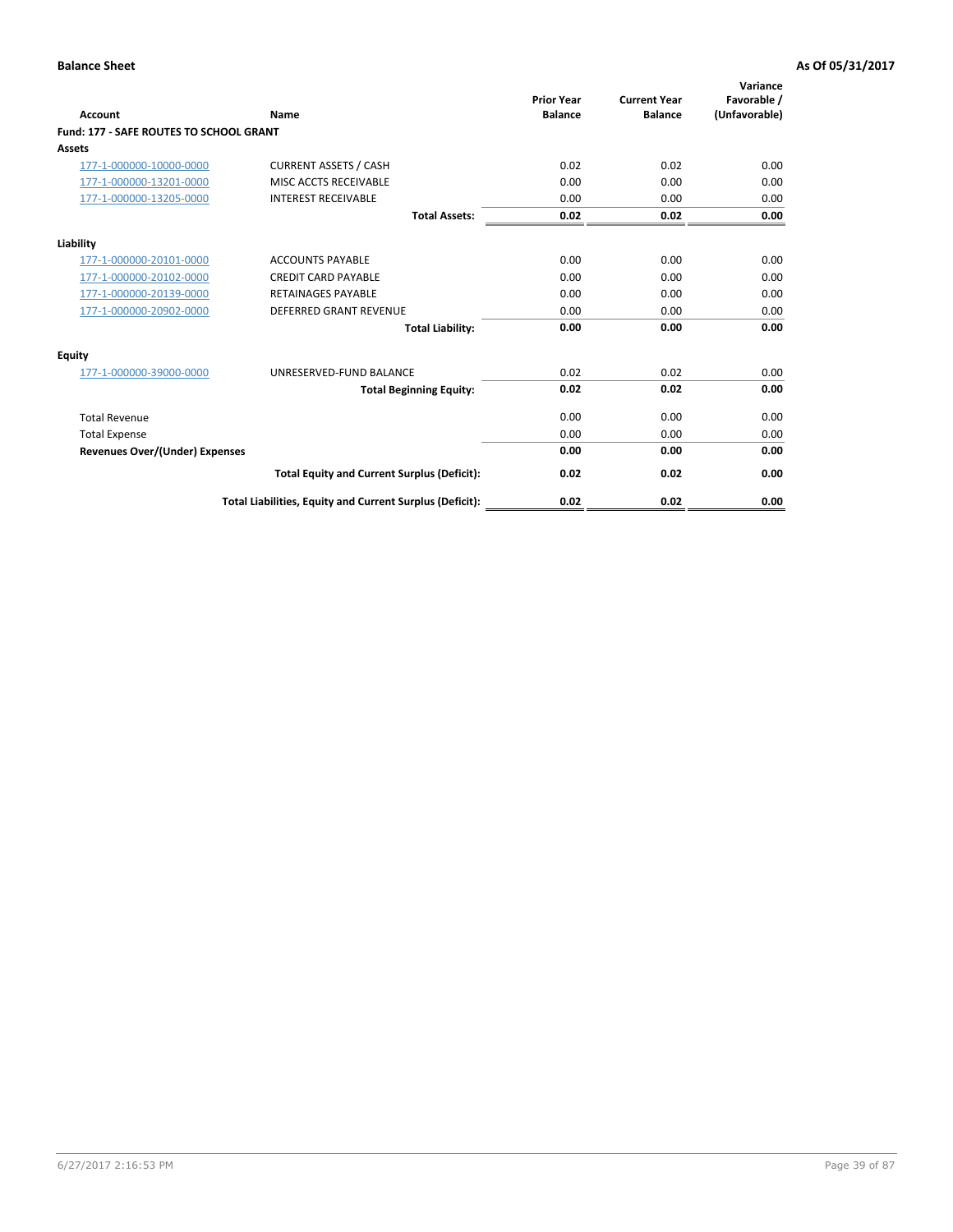| <b>Account</b>                          | Name                                                     | <b>Prior Year</b><br><b>Balance</b> | <b>Current Year</b><br><b>Balance</b> | Variance<br>Favorable /<br>(Unfavorable) |
|-----------------------------------------|----------------------------------------------------------|-------------------------------------|---------------------------------------|------------------------------------------|
| Fund: 177 - SAFE ROUTES TO SCHOOL GRANT |                                                          |                                     |                                       |                                          |
| <b>Assets</b>                           |                                                          |                                     |                                       |                                          |
| 177-1-000000-10000-0000                 | <b>CURRENT ASSETS / CASH</b>                             | 0.02                                | 0.02                                  | 0.00                                     |
| 177-1-000000-13201-0000                 | MISC ACCTS RECEIVABLE                                    | 0.00                                | 0.00                                  | 0.00                                     |
| 177-1-000000-13205-0000                 | <b>INTEREST RECEIVABLE</b>                               | 0.00                                | 0.00                                  | 0.00                                     |
|                                         | <b>Total Assets:</b>                                     | 0.02                                | 0.02                                  | 0.00                                     |
| Liability                               |                                                          |                                     |                                       |                                          |
| 177-1-000000-20101-0000                 | <b>ACCOUNTS PAYABLE</b>                                  | 0.00                                | 0.00                                  | 0.00                                     |
| 177-1-000000-20102-0000                 | <b>CREDIT CARD PAYABLE</b>                               | 0.00                                | 0.00                                  | 0.00                                     |
| 177-1-000000-20139-0000                 | <b>RETAINAGES PAYABLE</b>                                | 0.00                                | 0.00                                  | 0.00                                     |
| 177-1-000000-20902-0000                 | <b>DEFERRED GRANT REVENUE</b>                            | 0.00                                | 0.00                                  | 0.00                                     |
|                                         | <b>Total Liability:</b>                                  | 0.00                                | 0.00                                  | 0.00                                     |
| <b>Equity</b>                           |                                                          |                                     |                                       |                                          |
| 177-1-000000-39000-0000                 | UNRESERVED-FUND BALANCE                                  | 0.02                                | 0.02                                  | 0.00                                     |
|                                         | <b>Total Beginning Equity:</b>                           | 0.02                                | 0.02                                  | 0.00                                     |
| <b>Total Revenue</b>                    |                                                          | 0.00                                | 0.00                                  | 0.00                                     |
| <b>Total Expense</b>                    |                                                          | 0.00                                | 0.00                                  | 0.00                                     |
| <b>Revenues Over/(Under) Expenses</b>   |                                                          | 0.00                                | 0.00                                  | 0.00                                     |
|                                         | <b>Total Equity and Current Surplus (Deficit):</b>       | 0.02                                | 0.02                                  | 0.00                                     |
|                                         | Total Liabilities, Equity and Current Surplus (Deficit): | 0.02                                | 0.02                                  | 0.00                                     |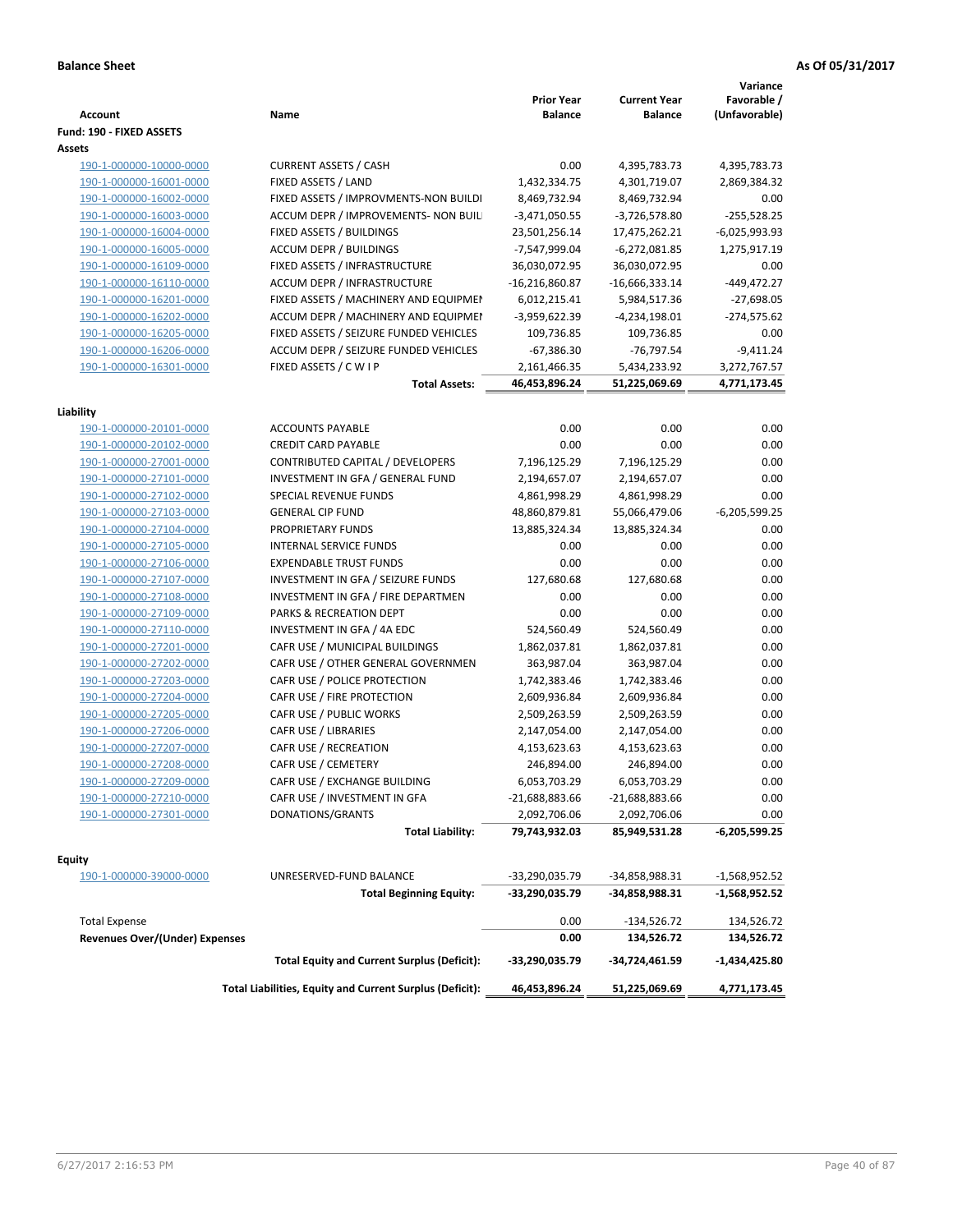| <b>Account</b>                                         | Name                                                     | <b>Prior Year</b><br><b>Balance</b> | <b>Current Year</b><br><b>Balance</b> | Variance<br>Favorable /<br>(Unfavorable) |
|--------------------------------------------------------|----------------------------------------------------------|-------------------------------------|---------------------------------------|------------------------------------------|
| Fund: 190 - FIXED ASSETS                               |                                                          |                                     |                                       |                                          |
| Assets                                                 |                                                          |                                     |                                       |                                          |
| 190-1-000000-10000-0000                                | <b>CURRENT ASSETS / CASH</b>                             | 0.00                                | 4,395,783.73                          | 4,395,783.73                             |
| 190-1-000000-16001-0000                                | FIXED ASSETS / LAND                                      | 1,432,334.75                        | 4,301,719.07                          | 2,869,384.32                             |
| 190-1-000000-16002-0000                                | FIXED ASSETS / IMPROVMENTS-NON BUILDI                    | 8,469,732.94                        | 8,469,732.94                          | 0.00                                     |
| 190-1-000000-16003-0000                                | ACCUM DEPR / IMPROVEMENTS- NON BUIL                      | $-3,471,050.55$                     | $-3,726,578.80$                       | $-255,528.25$                            |
| 190-1-000000-16004-0000                                | FIXED ASSETS / BUILDINGS                                 | 23,501,256.14                       | 17,475,262.21                         | -6,025,993.93                            |
| 190-1-000000-16005-0000                                | <b>ACCUM DEPR / BUILDINGS</b>                            | -7,547,999.04                       | $-6,272,081.85$                       | 1,275,917.19                             |
| 190-1-000000-16109-0000                                | FIXED ASSETS / INFRASTRUCTURE                            | 36,030,072.95                       | 36,030,072.95                         | 0.00                                     |
| 190-1-000000-16110-0000                                | ACCUM DEPR / INFRASTRUCTURE                              | $-16,216,860.87$                    | $-16,666,333.14$                      | $-449,472.27$                            |
| 190-1-000000-16201-0000                                | FIXED ASSETS / MACHINERY AND EQUIPMEN                    | 6,012,215.41                        | 5,984,517.36                          | $-27,698.05$                             |
| 190-1-000000-16202-0000                                | ACCUM DEPR / MACHINERY AND EQUIPMEI                      | -3,959,622.39                       | -4,234,198.01                         | $-274,575.62$                            |
| 190-1-000000-16205-0000                                | FIXED ASSETS / SEIZURE FUNDED VEHICLES                   | 109,736.85                          | 109,736.85                            | 0.00                                     |
| 190-1-000000-16206-0000                                | ACCUM DEPR / SEIZURE FUNDED VEHICLES                     | $-67,386.30$                        | -76,797.54                            | $-9,411.24$                              |
| 190-1-000000-16301-0000                                | FIXED ASSETS / C W I P                                   | 2,161,466.35                        | 5,434,233.92                          | 3,272,767.57                             |
|                                                        | <b>Total Assets:</b>                                     | 46,453,896.24                       | 51,225,069.69                         | 4,771,173.45                             |
|                                                        |                                                          |                                     |                                       |                                          |
| Liability                                              |                                                          |                                     |                                       |                                          |
| 190-1-000000-20101-0000                                | <b>ACCOUNTS PAYABLE</b>                                  | 0.00                                | 0.00                                  | 0.00                                     |
| 190-1-000000-20102-0000                                | <b>CREDIT CARD PAYABLE</b>                               | 0.00                                | 0.00                                  | 0.00                                     |
| 190-1-000000-27001-0000                                | <b>CONTRIBUTED CAPITAL / DEVELOPERS</b>                  | 7,196,125.29                        | 7,196,125.29                          | 0.00                                     |
| 190-1-000000-27101-0000                                | INVESTMENT IN GFA / GENERAL FUND                         | 2,194,657.07                        | 2,194,657.07                          | 0.00                                     |
| 190-1-000000-27102-0000                                | SPECIAL REVENUE FUNDS                                    | 4,861,998.29                        | 4,861,998.29                          | 0.00                                     |
| 190-1-000000-27103-0000                                | <b>GENERAL CIP FUND</b>                                  | 48,860,879.81                       | 55,066,479.06                         | $-6,205,599.25$                          |
| 190-1-000000-27104-0000                                | PROPRIETARY FUNDS                                        | 13,885,324.34                       | 13,885,324.34                         | 0.00                                     |
| 190-1-000000-27105-0000                                | <b>INTERNAL SERVICE FUNDS</b>                            | 0.00                                | 0.00                                  | 0.00                                     |
| 190-1-000000-27106-0000                                | <b>EXPENDABLE TRUST FUNDS</b>                            | 0.00                                | 0.00                                  | 0.00                                     |
| 190-1-000000-27107-0000                                | INVESTMENT IN GFA / SEIZURE FUNDS                        | 127,680.68                          | 127,680.68                            | 0.00                                     |
| 190-1-000000-27108-0000                                | INVESTMENT IN GFA / FIRE DEPARTMEN                       | 0.00                                | 0.00                                  | 0.00                                     |
| 190-1-000000-27109-0000                                | PARKS & RECREATION DEPT                                  | 0.00                                | 0.00                                  | 0.00                                     |
| 190-1-000000-27110-0000                                | INVESTMENT IN GFA / 4A EDC                               | 524,560.49                          | 524,560.49                            | 0.00                                     |
| 190-1-000000-27201-0000                                | CAFR USE / MUNICIPAL BUILDINGS                           | 1,862,037.81                        | 1,862,037.81                          | 0.00                                     |
| 190-1-000000-27202-0000                                | CAFR USE / OTHER GENERAL GOVERNMEN                       | 363,987.04                          | 363,987.04                            | 0.00                                     |
| 190-1-000000-27203-0000                                | CAFR USE / POLICE PROTECTION                             | 1,742,383.46                        | 1,742,383.46                          | 0.00                                     |
| 190-1-000000-27204-0000                                | CAFR USE / FIRE PROTECTION                               | 2,609,936.84                        | 2,609,936.84                          | 0.00                                     |
| 190-1-000000-27205-0000                                | CAFR USE / PUBLIC WORKS                                  | 2,509,263.59                        | 2,509,263.59                          | 0.00                                     |
| 190-1-000000-27206-0000                                | CAFR USE / LIBRARIES                                     | 2,147,054.00                        | 2,147,054.00                          | 0.00                                     |
| 190-1-000000-27207-0000                                | CAFR USE / RECREATION                                    | 4,153,623.63                        | 4,153,623.63                          | 0.00                                     |
| 190-1-000000-27208-0000                                | CAFR USE / CEMETERY                                      | 246,894.00                          | 246,894.00                            | 0.00                                     |
| 190-1-000000-27209-0000                                | CAFR USE / EXCHANGE BUILDING                             | 6,053,703.29                        | 6,053,703.29                          | 0.00                                     |
| 190-1-000000-27210-0000                                | CAFR USE / INVESTMENT IN GFA                             | $-21,688,883.66$                    | $-21,688,883.66$                      | 0.00                                     |
| 190-1-000000-27301-0000                                | DONATIONS/GRANTS                                         | 2,092,706.06                        | 2,092,706.06                          | 0.00                                     |
|                                                        | <b>Total Liability:</b>                                  | 79,743,932.03                       | 85,949,531.28                         | -6,205,599.25                            |
| <b>Equity</b>                                          |                                                          |                                     |                                       |                                          |
| 190-1-000000-39000-0000                                | UNRESERVED-FUND BALANCE                                  | -33,290,035.79                      | -34,858,988.31                        | -1,568,952.52                            |
|                                                        | <b>Total Beginning Equity:</b>                           | -33,290,035.79                      | -34,858,988.31                        | -1,568,952.52                            |
|                                                        |                                                          |                                     |                                       |                                          |
| <b>Total Expense</b><br>Revenues Over/(Under) Expenses |                                                          | 0.00<br>0.00                        | $-134,526.72$<br>134,526.72           | 134,526.72<br>134,526.72                 |
|                                                        | <b>Total Equity and Current Surplus (Deficit):</b>       | -33,290,035.79                      | -34,724,461.59                        | -1,434,425.80                            |
|                                                        | Total Liabilities, Equity and Current Surplus (Deficit): | 46,453,896.24                       | 51,225,069.69                         | 4,771,173.45                             |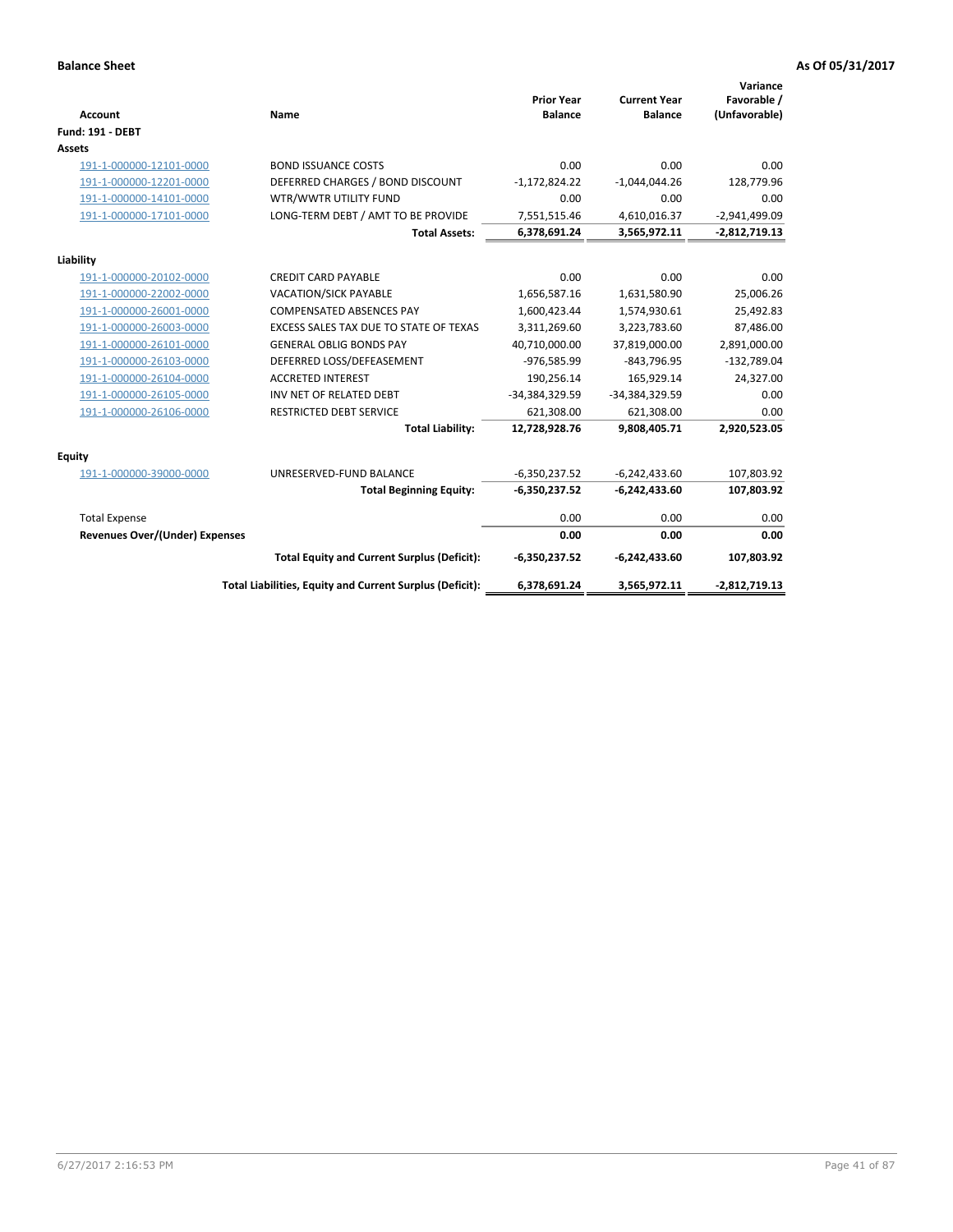| <b>Account</b>                        | Name                                                     | <b>Prior Year</b><br><b>Balance</b> | <b>Current Year</b><br><b>Balance</b> | Variance<br>Favorable /<br>(Unfavorable) |
|---------------------------------------|----------------------------------------------------------|-------------------------------------|---------------------------------------|------------------------------------------|
| <b>Fund: 191 - DEBT</b>               |                                                          |                                     |                                       |                                          |
| Assets                                |                                                          |                                     |                                       |                                          |
| 191-1-000000-12101-0000               | <b>BOND ISSUANCE COSTS</b>                               | 0.00                                | 0.00                                  | 0.00                                     |
| 191-1-000000-12201-0000               | DEFERRED CHARGES / BOND DISCOUNT                         | $-1,172,824.22$                     | $-1,044,044.26$                       | 128,779.96                               |
| 191-1-000000-14101-0000               | WTR/WWTR UTILITY FUND                                    | 0.00                                | 0.00                                  | 0.00                                     |
| 191-1-000000-17101-0000               | LONG-TERM DEBT / AMT TO BE PROVIDE                       | 7,551,515.46                        | 4,610,016.37                          | $-2,941,499.09$                          |
|                                       | <b>Total Assets:</b>                                     | 6,378,691.24                        | 3,565,972.11                          | $-2,812,719.13$                          |
| Liability                             |                                                          |                                     |                                       |                                          |
| 191-1-000000-20102-0000               | <b>CREDIT CARD PAYABLE</b>                               | 0.00                                | 0.00                                  | 0.00                                     |
| 191-1-000000-22002-0000               | VACATION/SICK PAYABLE                                    | 1,656,587.16                        | 1,631,580.90                          | 25,006.26                                |
| 191-1-000000-26001-0000               | <b>COMPENSATED ABSENCES PAY</b>                          | 1,600,423.44                        | 1,574,930.61                          | 25,492.83                                |
| 191-1-000000-26003-0000               | EXCESS SALES TAX DUE TO STATE OF TEXAS                   | 3,311,269.60                        | 3,223,783.60                          | 87,486.00                                |
| 191-1-000000-26101-0000               | <b>GENERAL OBLIG BONDS PAY</b>                           | 40,710,000.00                       | 37,819,000.00                         | 2,891,000.00                             |
| 191-1-000000-26103-0000               | DEFERRED LOSS/DEFEASEMENT                                | -976,585.99                         | $-843,796.95$                         | $-132,789.04$                            |
| 191-1-000000-26104-0000               | <b>ACCRETED INTEREST</b>                                 | 190,256.14                          | 165,929.14                            | 24,327.00                                |
| 191-1-000000-26105-0000               | INV NET OF RELATED DEBT                                  | -34,384,329.59                      | -34,384,329.59                        | 0.00                                     |
| 191-1-000000-26106-0000               | <b>RESTRICTED DEBT SERVICE</b>                           | 621,308.00                          | 621,308.00                            | 0.00                                     |
|                                       | <b>Total Liability:</b>                                  | 12,728,928.76                       | 9,808,405.71                          | 2,920,523.05                             |
| Equity                                |                                                          |                                     |                                       |                                          |
| 191-1-000000-39000-0000               | UNRESERVED-FUND BALANCE                                  | $-6,350,237.52$                     | $-6,242,433.60$                       | 107,803.92                               |
|                                       | <b>Total Beginning Equity:</b>                           | $-6,350,237.52$                     | $-6,242,433.60$                       | 107,803.92                               |
| <b>Total Expense</b>                  |                                                          | 0.00                                | 0.00                                  | 0.00                                     |
| <b>Revenues Over/(Under) Expenses</b> |                                                          | 0.00                                | 0.00                                  | 0.00                                     |
|                                       |                                                          |                                     |                                       |                                          |
|                                       | <b>Total Equity and Current Surplus (Deficit):</b>       | $-6,350,237.52$                     | $-6,242,433.60$                       | 107,803.92                               |
|                                       | Total Liabilities, Equity and Current Surplus (Deficit): | 6,378,691.24                        | 3,565,972.11                          | $-2,812,719.13$                          |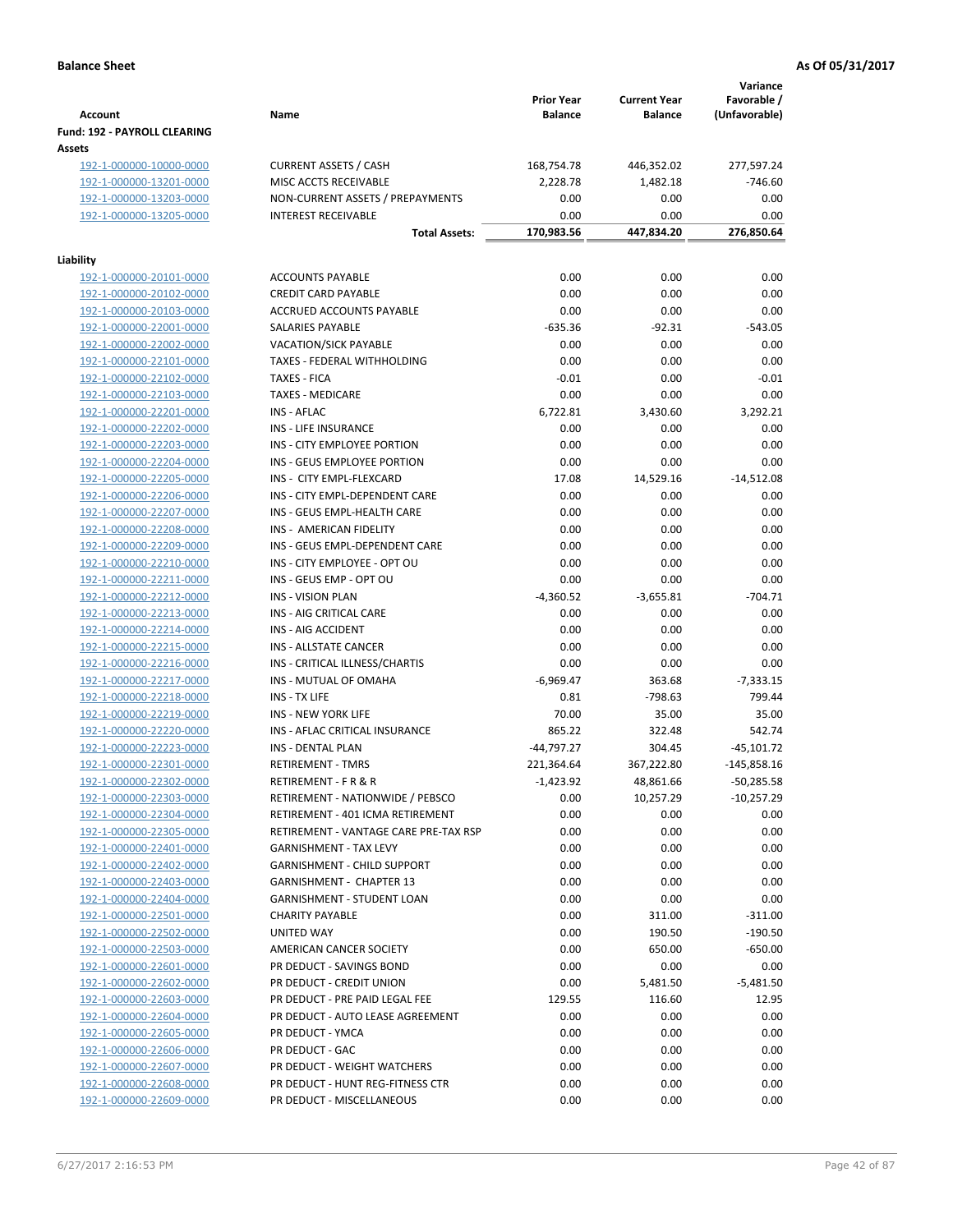|                                                    |                                                         | <b>Prior Year</b>   | <b>Current Year</b> | Variance<br>Favorable / |
|----------------------------------------------------|---------------------------------------------------------|---------------------|---------------------|-------------------------|
| <b>Account</b>                                     | Name                                                    | <b>Balance</b>      | <b>Balance</b>      | (Unfavorable)           |
| Fund: 192 - PAYROLL CLEARING<br>Assets             |                                                         |                     |                     |                         |
| 192-1-000000-10000-0000                            | <b>CURRENT ASSETS / CASH</b>                            | 168,754.78          | 446,352.02          | 277,597.24              |
| 192-1-000000-13201-0000                            | MISC ACCTS RECEIVABLE                                   | 2,228.78            | 1,482.18            | $-746.60$               |
| 192-1-000000-13203-0000                            | NON-CURRENT ASSETS / PREPAYMENTS                        | 0.00                | 0.00                | 0.00                    |
| 192-1-000000-13205-0000                            | <b>INTEREST RECEIVABLE</b>                              | 0.00                | 0.00                | 0.00                    |
|                                                    | <b>Total Assets:</b>                                    | 170,983.56          | 447,834.20          | 276,850.64              |
| Liability                                          |                                                         |                     |                     |                         |
| 192-1-000000-20101-0000                            | <b>ACCOUNTS PAYABLE</b>                                 | 0.00                | 0.00                | 0.00                    |
| 192-1-000000-20102-0000                            | <b>CREDIT CARD PAYABLE</b>                              | 0.00                | 0.00                | 0.00                    |
| 192-1-000000-20103-0000                            | ACCRUED ACCOUNTS PAYABLE                                | 0.00                | 0.00                | 0.00                    |
| 192-1-000000-22001-0000                            | SALARIES PAYABLE                                        | $-635.36$           | $-92.31$            | $-543.05$               |
| 192-1-000000-22002-0000                            | <b>VACATION/SICK PAYABLE</b>                            | 0.00                | 0.00                | 0.00                    |
| 192-1-000000-22101-0000                            | TAXES - FEDERAL WITHHOLDING                             | 0.00                | 0.00                | 0.00                    |
| 192-1-000000-22102-0000                            | <b>TAXES - FICA</b>                                     | $-0.01$             | 0.00                | $-0.01$                 |
| 192-1-000000-22103-0000                            | <b>TAXES - MEDICARE</b>                                 | 0.00                | 0.00                | 0.00                    |
| 192-1-000000-22201-0000                            | <b>INS - AFLAC</b>                                      | 6,722.81            | 3,430.60            | 3,292.21                |
| 192-1-000000-22202-0000                            | <b>INS - LIFE INSURANCE</b>                             | 0.00                | 0.00                | 0.00                    |
| 192-1-000000-22203-0000                            | INS - CITY EMPLOYEE PORTION                             | 0.00                | 0.00                | 0.00                    |
| 192-1-000000-22204-0000                            | INS - GEUS EMPLOYEE PORTION                             | 0.00                | 0.00                | 0.00                    |
| 192-1-000000-22205-0000                            | INS - CITY EMPL-FLEXCARD                                | 17.08               | 14,529.16           | $-14,512.08$            |
| 192-1-000000-22206-0000                            | INS - CITY EMPL-DEPENDENT CARE                          | 0.00                | 0.00                | 0.00                    |
| 192-1-000000-22207-0000                            | INS - GEUS EMPL-HEALTH CARE                             | 0.00                | 0.00                | 0.00                    |
| 192-1-000000-22208-0000                            | INS - AMERICAN FIDELITY                                 | 0.00                | 0.00                | 0.00                    |
| 192-1-000000-22209-0000                            | INS - GEUS EMPL-DEPENDENT CARE                          | 0.00                | 0.00                | 0.00                    |
| 192-1-000000-22210-0000                            | INS - CITY EMPLOYEE - OPT OU                            | 0.00                | 0.00                | 0.00                    |
| 192-1-000000-22211-0000                            | INS - GEUS EMP - OPT OU                                 | 0.00                | 0.00                | 0.00                    |
| 192-1-000000-22212-0000                            | <b>INS - VISION PLAN</b>                                | $-4,360.52$         | $-3,655.81$         | $-704.71$               |
| 192-1-000000-22213-0000                            | INS - AIG CRITICAL CARE                                 | 0.00                | 0.00                | 0.00                    |
| 192-1-000000-22214-0000                            | INS - AIG ACCIDENT                                      | 0.00                | 0.00                | 0.00                    |
| 192-1-000000-22215-0000                            | INS - ALLSTATE CANCER                                   | 0.00                | 0.00                | 0.00                    |
| 192-1-000000-22216-0000                            | INS - CRITICAL ILLNESS/CHARTIS<br>INS - MUTUAL OF OMAHA | 0.00                | 0.00                | 0.00                    |
| 192-1-000000-22217-0000                            | INS - TX LIFE                                           | $-6,969.47$<br>0.81 | 363.68<br>$-798.63$ | $-7,333.15$<br>799.44   |
| 192-1-000000-22218-0000<br>192-1-000000-22219-0000 | <b>INS - NEW YORK LIFE</b>                              | 70.00               | 35.00               | 35.00                   |
| 192-1-000000-22220-0000                            | INS - AFLAC CRITICAL INSURANCE                          | 865.22              | 322.48              | 542.74                  |
| 192-1-000000-22223-0000                            | <b>INS - DENTAL PLAN</b>                                | $-44,797.27$        | 304.45              | $-45,101.72$            |
| 192-1-000000-22301-0000                            | <b>RETIREMENT - TMRS</b>                                | 221,364.64          | 367,222.80          | $-145,858.16$           |
| 192-1-000000-22302-0000                            | RETIREMENT - F R & R                                    | $-1,423.92$         | 48,861.66           | -50,285.58              |
| 192-1-000000-22303-0000                            | RETIREMENT - NATIONWIDE / PEBSCO                        | 0.00                | 10,257.29           | $-10,257.29$            |
| 192-1-000000-22304-0000                            | RETIREMENT - 401 ICMA RETIREMENT                        | 0.00                | 0.00                | 0.00                    |
| 192-1-000000-22305-0000                            | RETIREMENT - VANTAGE CARE PRE-TAX RSP                   | 0.00                | 0.00                | 0.00                    |
| 192-1-000000-22401-0000                            | <b>GARNISHMENT - TAX LEVY</b>                           | 0.00                | 0.00                | 0.00                    |
| 192-1-000000-22402-0000                            | <b>GARNISHMENT - CHILD SUPPORT</b>                      | 0.00                | 0.00                | 0.00                    |
| 192-1-000000-22403-0000                            | <b>GARNISHMENT - CHAPTER 13</b>                         | 0.00                | 0.00                | 0.00                    |
| 192-1-000000-22404-0000                            | <b>GARNISHMENT - STUDENT LOAN</b>                       | 0.00                | 0.00                | 0.00                    |
| 192-1-000000-22501-0000                            | <b>CHARITY PAYABLE</b>                                  | 0.00                | 311.00              | $-311.00$               |
| 192-1-000000-22502-0000                            | UNITED WAY                                              | 0.00                | 190.50              | $-190.50$               |
| 192-1-000000-22503-0000                            | AMERICAN CANCER SOCIETY                                 | 0.00                | 650.00              | $-650.00$               |
| 192-1-000000-22601-0000                            | PR DEDUCT - SAVINGS BOND                                | 0.00                | 0.00                | 0.00                    |
| 192-1-000000-22602-0000                            | PR DEDUCT - CREDIT UNION                                | 0.00                | 5,481.50            | $-5,481.50$             |
| 192-1-000000-22603-0000                            | PR DEDUCT - PRE PAID LEGAL FEE                          | 129.55              | 116.60              | 12.95                   |
| 192-1-000000-22604-0000                            | PR DEDUCT - AUTO LEASE AGREEMENT                        | 0.00                | 0.00                | 0.00                    |
| 192-1-000000-22605-0000                            | PR DEDUCT - YMCA                                        | 0.00                | 0.00                | 0.00                    |
| 192-1-000000-22606-0000                            | PR DEDUCT - GAC                                         | 0.00                | 0.00                | 0.00                    |
| 192-1-000000-22607-0000                            | PR DEDUCT - WEIGHT WATCHERS                             | 0.00                | 0.00                | 0.00                    |
| 192-1-000000-22608-0000                            | PR DEDUCT - HUNT REG-FITNESS CTR                        | 0.00                | 0.00                | 0.00                    |
| 192-1-000000-22609-0000                            | PR DEDUCT - MISCELLANEOUS                               | 0.00                | 0.00                | 0.00                    |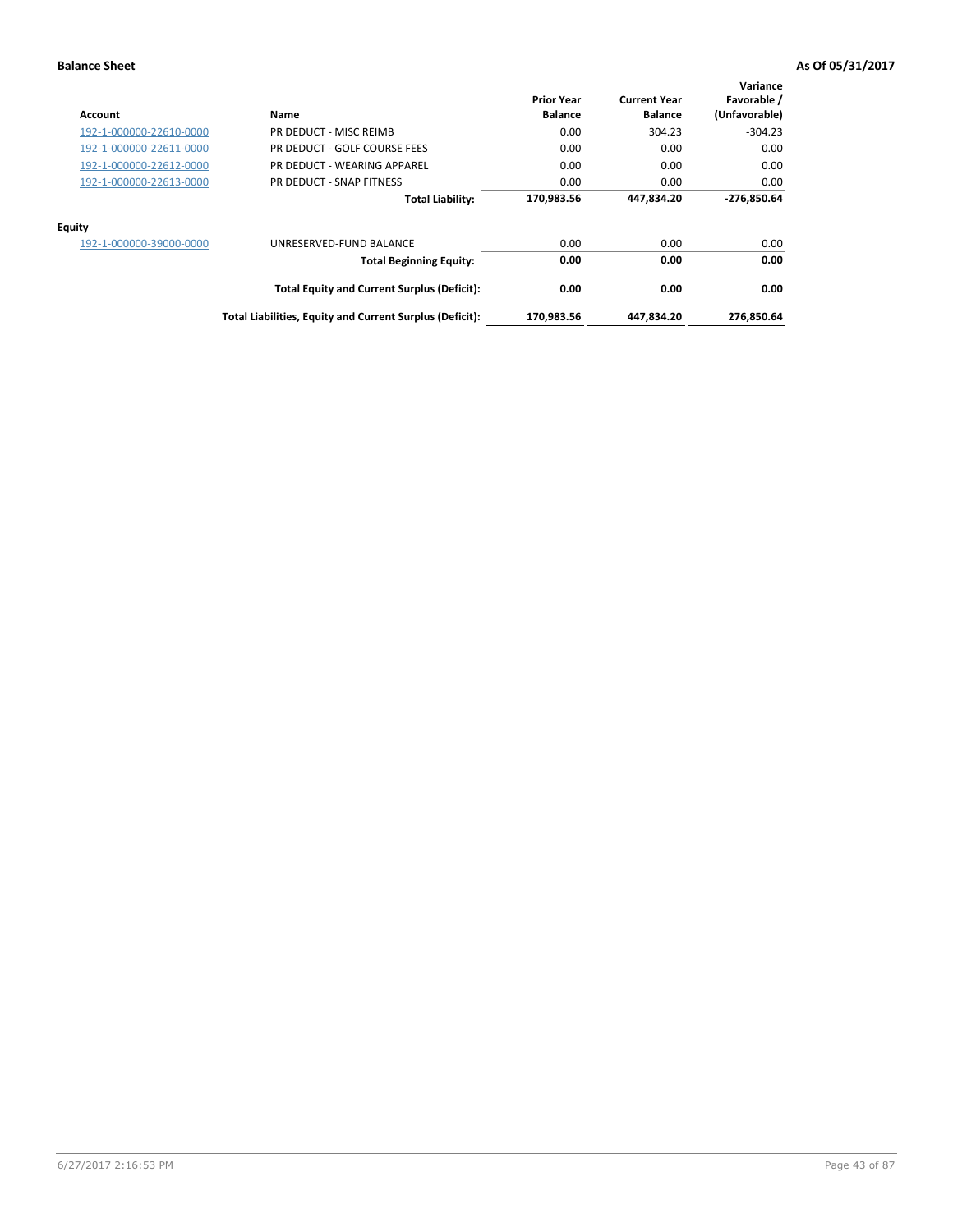| Account                 | Name                                                     | <b>Prior Year</b><br><b>Balance</b> | <b>Current Year</b><br><b>Balance</b> | Variance<br>Favorable /<br>(Unfavorable) |
|-------------------------|----------------------------------------------------------|-------------------------------------|---------------------------------------|------------------------------------------|
| 192-1-000000-22610-0000 | PR DEDUCT - MISC REIMB                                   | 0.00                                | 304.23                                | $-304.23$                                |
| 192-1-000000-22611-0000 | PR DEDUCT - GOLF COURSE FEES                             | 0.00                                | 0.00                                  | 0.00                                     |
| 192-1-000000-22612-0000 | PR DEDUCT - WEARING APPAREL                              | 0.00                                | 0.00                                  | 0.00                                     |
| 192-1-000000-22613-0000 | PR DEDUCT - SNAP FITNESS                                 | 0.00                                | 0.00                                  | 0.00                                     |
|                         | <b>Total Liability:</b>                                  | 170,983.56                          | 447,834.20                            | $-276.850.64$                            |
| Equity                  |                                                          |                                     |                                       |                                          |
| 192-1-000000-39000-0000 | UNRESERVED-FUND BALANCE                                  | 0.00                                | 0.00                                  | 0.00                                     |
|                         | <b>Total Beginning Equity:</b>                           | 0.00                                | 0.00                                  | 0.00                                     |
|                         | <b>Total Equity and Current Surplus (Deficit):</b>       | 0.00                                | 0.00                                  | 0.00                                     |
|                         | Total Liabilities, Equity and Current Surplus (Deficit): | 170,983.56                          | 447,834.20                            | 276,850.64                               |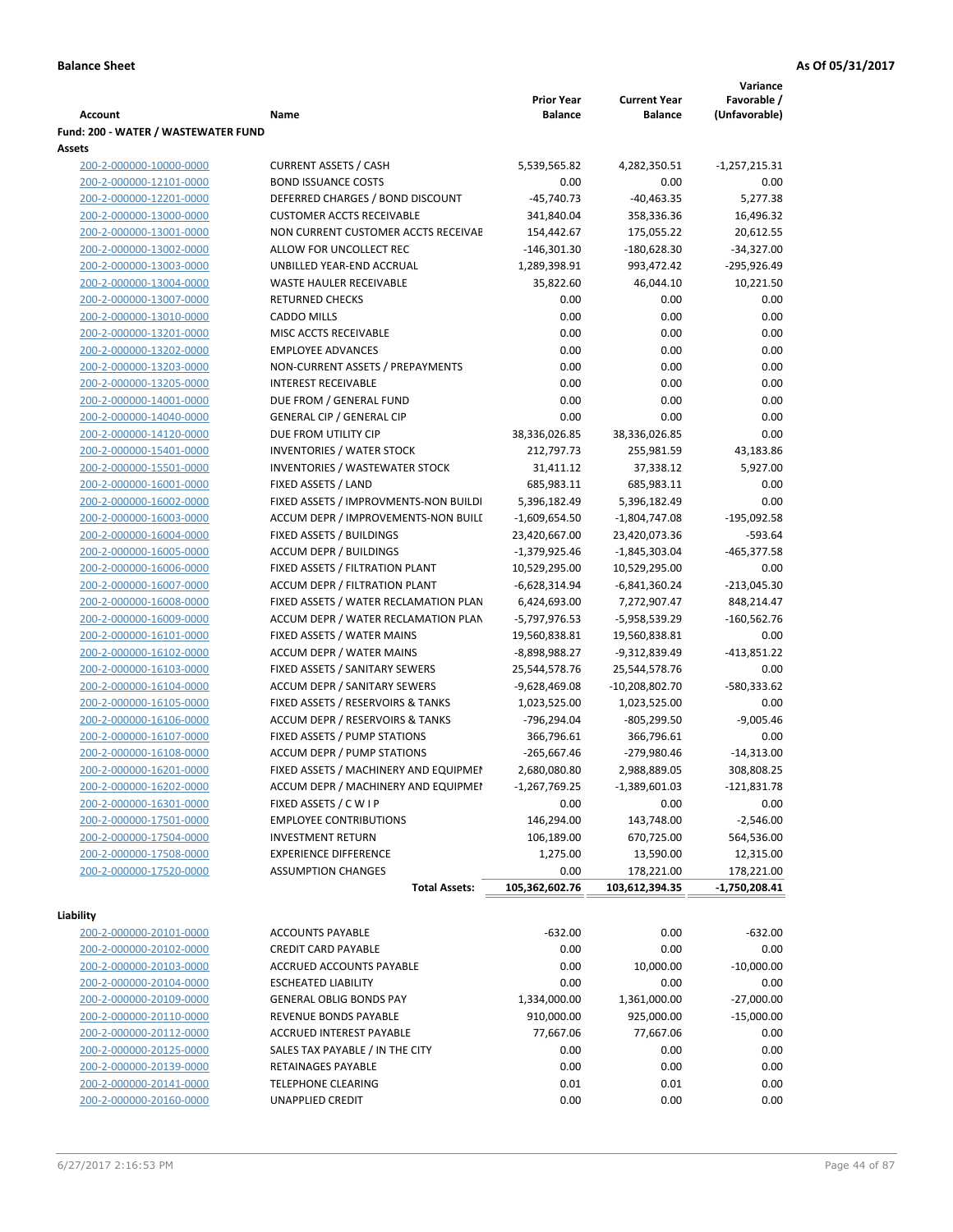|                                                    |                                                                 |                                     |                                       | Variance                     |
|----------------------------------------------------|-----------------------------------------------------------------|-------------------------------------|---------------------------------------|------------------------------|
| Account                                            | Name                                                            | <b>Prior Year</b><br><b>Balance</b> | <b>Current Year</b><br><b>Balance</b> | Favorable /<br>(Unfavorable) |
| Fund: 200 - WATER / WASTEWATER FUND                |                                                                 |                                     |                                       |                              |
| Assets                                             |                                                                 |                                     |                                       |                              |
| 200-2-000000-10000-0000                            | <b>CURRENT ASSETS / CASH</b>                                    | 5,539,565.82                        | 4,282,350.51                          | $-1,257,215.31$              |
| 200-2-000000-12101-0000                            | <b>BOND ISSUANCE COSTS</b>                                      | 0.00                                | 0.00                                  | 0.00                         |
| 200-2-000000-12201-0000                            | DEFERRED CHARGES / BOND DISCOUNT                                | $-45,740.73$                        | $-40,463.35$                          | 5,277.38                     |
| 200-2-000000-13000-0000                            | <b>CUSTOMER ACCTS RECEIVABLE</b>                                | 341,840.04                          | 358,336.36                            | 16,496.32                    |
| 200-2-000000-13001-0000                            | NON CURRENT CUSTOMER ACCTS RECEIVAE                             | 154,442.67                          | 175,055.22                            | 20,612.55                    |
| 200-2-000000-13002-0000                            | ALLOW FOR UNCOLLECT REC                                         | $-146,301.30$                       | $-180,628.30$                         | $-34,327.00$                 |
| 200-2-000000-13003-0000                            | UNBILLED YEAR-END ACCRUAL                                       | 1,289,398.91                        | 993,472.42                            | -295,926.49                  |
| 200-2-000000-13004-0000                            | <b>WASTE HAULER RECEIVABLE</b>                                  | 35,822.60                           | 46,044.10                             | 10,221.50                    |
| 200-2-000000-13007-0000                            | <b>RETURNED CHECKS</b>                                          | 0.00                                | 0.00                                  | 0.00                         |
| 200-2-000000-13010-0000                            | <b>CADDO MILLS</b>                                              | 0.00                                | 0.00                                  | 0.00                         |
| 200-2-000000-13201-0000                            | MISC ACCTS RECEIVABLE                                           | 0.00                                | 0.00                                  | 0.00                         |
| 200-2-000000-13202-0000                            | <b>EMPLOYEE ADVANCES</b>                                        | 0.00                                | 0.00                                  | 0.00                         |
| 200-2-000000-13203-0000                            | NON-CURRENT ASSETS / PREPAYMENTS                                | 0.00                                | 0.00                                  | 0.00                         |
| 200-2-000000-13205-0000                            | <b>INTEREST RECEIVABLE</b>                                      | 0.00                                | 0.00                                  | 0.00                         |
| 200-2-000000-14001-0000                            | DUE FROM / GENERAL FUND                                         | 0.00                                | 0.00                                  | 0.00                         |
| 200-2-000000-14040-0000                            | <b>GENERAL CIP / GENERAL CIP</b>                                | 0.00                                | 0.00                                  | 0.00                         |
| 200-2-000000-14120-0000                            | DUE FROM UTILITY CIP                                            | 38,336,026.85                       | 38,336,026.85                         | 0.00                         |
| 200-2-000000-15401-0000                            | <b>INVENTORIES / WATER STOCK</b>                                | 212,797.73                          | 255,981.59                            | 43,183.86                    |
| 200-2-000000-15501-0000                            | <b>INVENTORIES / WASTEWATER STOCK</b>                           | 31,411.12                           | 37,338.12                             | 5,927.00                     |
| 200-2-000000-16001-0000                            | FIXED ASSETS / LAND                                             | 685,983.11                          | 685,983.11                            | 0.00                         |
| 200-2-000000-16002-0000                            | FIXED ASSETS / IMPROVMENTS-NON BUILDI                           | 5,396,182.49                        | 5,396,182.49                          | 0.00                         |
| 200-2-000000-16003-0000<br>200-2-000000-16004-0000 | ACCUM DEPR / IMPROVEMENTS-NON BUILI<br>FIXED ASSETS / BUILDINGS | $-1,609,654.50$<br>23,420,667.00    | $-1,804,747.08$<br>23,420,073.36      | -195,092.58<br>$-593.64$     |
| 200-2-000000-16005-0000                            | <b>ACCUM DEPR / BUILDINGS</b>                                   | $-1,379,925.46$                     | $-1,845,303.04$                       | $-465,377.58$                |
| 200-2-000000-16006-0000                            | FIXED ASSETS / FILTRATION PLANT                                 | 10,529,295.00                       | 10,529,295.00                         | 0.00                         |
| 200-2-000000-16007-0000                            | ACCUM DEPR / FILTRATION PLANT                                   | $-6,628,314.94$                     | $-6,841,360.24$                       | $-213,045.30$                |
| 200-2-000000-16008-0000                            | FIXED ASSETS / WATER RECLAMATION PLAN                           | 6,424,693.00                        | 7,272,907.47                          | 848,214.47                   |
| 200-2-000000-16009-0000                            | ACCUM DEPR / WATER RECLAMATION PLAN                             | -5,797,976.53                       | -5,958,539.29                         | $-160,562.76$                |
| 200-2-000000-16101-0000                            | FIXED ASSETS / WATER MAINS                                      | 19,560,838.81                       | 19,560,838.81                         | 0.00                         |
| 200-2-000000-16102-0000                            | <b>ACCUM DEPR / WATER MAINS</b>                                 | -8,898,988.27                       | -9,312,839.49                         | $-413,851.22$                |
| 200-2-000000-16103-0000                            | FIXED ASSETS / SANITARY SEWERS                                  | 25,544,578.76                       | 25,544,578.76                         | 0.00                         |
| 200-2-000000-16104-0000                            | <b>ACCUM DEPR / SANITARY SEWERS</b>                             | -9,628,469.08                       | $-10,208,802.70$                      | -580,333.62                  |
| 200-2-000000-16105-0000                            | FIXED ASSETS / RESERVOIRS & TANKS                               | 1,023,525.00                        | 1,023,525.00                          | 0.00                         |
| 200-2-000000-16106-0000                            | <b>ACCUM DEPR / RESERVOIRS &amp; TANKS</b>                      | -796,294.04                         | $-805,299.50$                         | $-9,005.46$                  |
| 200-2-000000-16107-0000                            | FIXED ASSETS / PUMP STATIONS                                    | 366,796.61                          | 366,796.61                            | 0.00                         |
| 200-2-000000-16108-0000                            | <b>ACCUM DEPR / PUMP STATIONS</b>                               | $-265,667.46$                       | -279,980.46                           | $-14,313.00$                 |
| 200-2-000000-16201-0000                            | FIXED ASSETS / MACHINERY AND EQUIPMEN                           | 2,680,080.80                        | 2,988,889.05                          | 308,808.25                   |
| 200-2-000000-16202-0000                            | ACCUM DEPR / MACHINERY AND EQUIPMEI                             | $-1,267,769.25$                     | $-1,389,601.03$                       | $-121,831.78$                |
| 200-2-000000-16301-0000                            | FIXED ASSETS / C W I P                                          | 0.00                                | 0.00                                  | 0.00                         |
| 200-2-000000-17501-0000                            | <b>EMPLOYEE CONTRIBUTIONS</b>                                   | 146,294.00                          | 143,748.00                            | $-2,546.00$                  |
| 200-2-000000-17504-0000                            | <b>INVESTMENT RETURN</b>                                        | 106,189.00                          | 670,725.00                            | 564,536.00                   |
| 200-2-000000-17508-0000                            | <b>EXPERIENCE DIFFERENCE</b>                                    | 1,275.00                            | 13,590.00                             | 12,315.00                    |
| 200-2-000000-17520-0000                            | <b>ASSUMPTION CHANGES</b>                                       | 0.00                                | 178,221.00                            | 178,221.00                   |
|                                                    | <b>Total Assets:</b>                                            | 105,362,602.76                      | 103,612,394.35                        | $-1,750,208.41$              |
| Liability                                          |                                                                 |                                     |                                       |                              |
| 200-2-000000-20101-0000                            | <b>ACCOUNTS PAYABLE</b>                                         | $-632.00$                           | 0.00                                  | $-632.00$                    |
| 200-2-000000-20102-0000                            | <b>CREDIT CARD PAYABLE</b>                                      | 0.00                                | 0.00                                  | 0.00                         |
| 200-2-000000-20103-0000                            | ACCRUED ACCOUNTS PAYABLE                                        | 0.00                                | 10,000.00                             | $-10,000.00$                 |
| 200-2-000000-20104-0000                            | <b>ESCHEATED LIABILITY</b>                                      | 0.00                                | 0.00                                  | 0.00                         |
| 200-2-000000-20109-0000                            | <b>GENERAL OBLIG BONDS PAY</b>                                  | 1,334,000.00                        | 1,361,000.00                          | $-27,000.00$                 |
| 200-2-000000-20110-0000                            | REVENUE BONDS PAYABLE                                           | 910,000.00                          | 925,000.00                            | $-15,000.00$                 |
| 200-2-000000-20112-0000                            | ACCRUED INTEREST PAYABLE                                        | 77,667.06                           | 77,667.06                             | 0.00                         |
| 200-2-000000-20125-0000                            | SALES TAX PAYABLE / IN THE CITY                                 | 0.00                                | 0.00                                  | 0.00                         |
| 200-2-000000-20139-0000                            | RETAINAGES PAYABLE                                              | 0.00                                | 0.00                                  | 0.00                         |
| 200-2-000000-20141-0000                            | <b>TELEPHONE CLEARING</b>                                       | 0.01                                | 0.01                                  | 0.00                         |
| 200-2-000000-20160-0000                            | <b>UNAPPLIED CREDIT</b>                                         | 0.00                                | 0.00                                  | 0.00                         |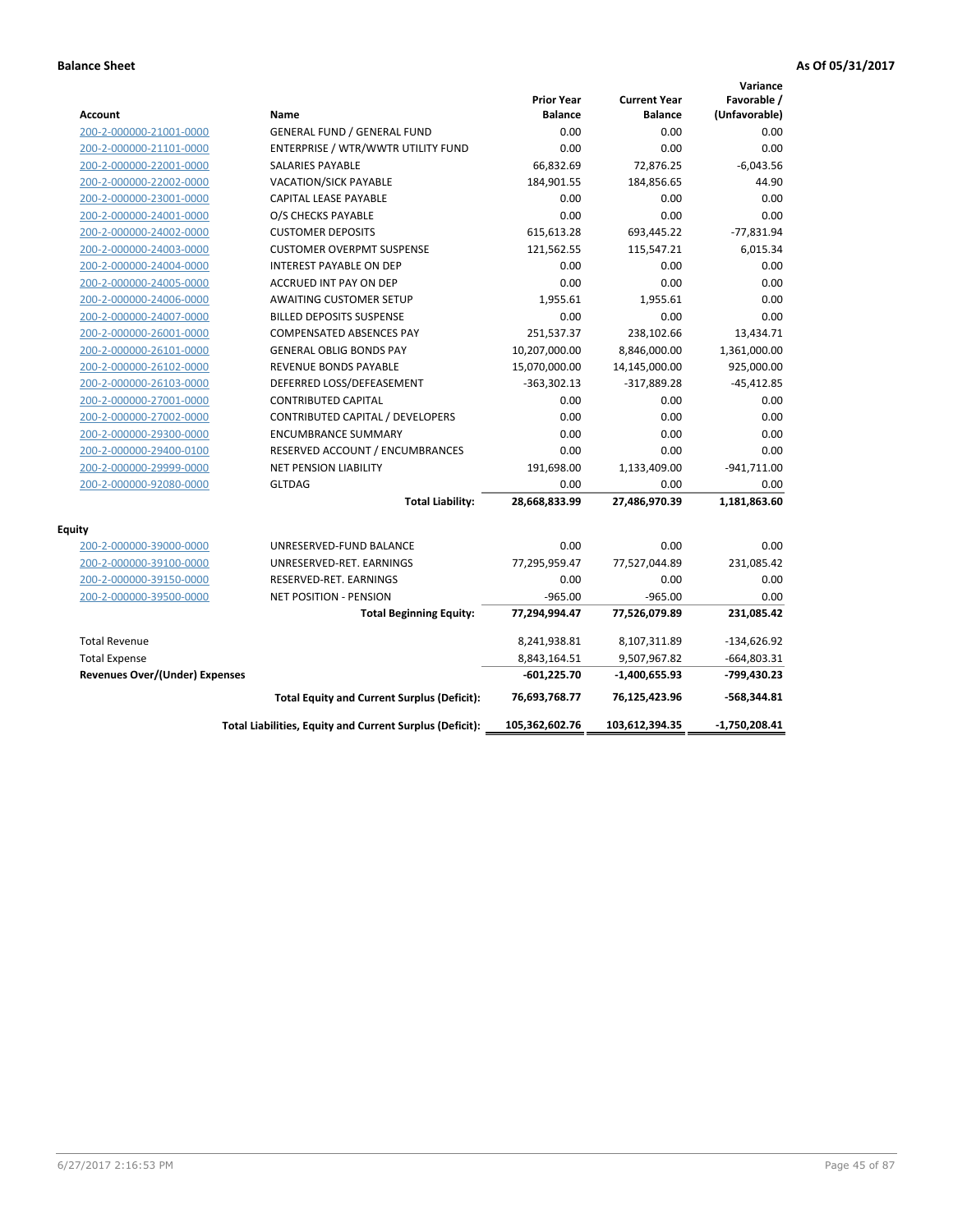|                                |                                                          |                                     |                                       | Variance                     |
|--------------------------------|----------------------------------------------------------|-------------------------------------|---------------------------------------|------------------------------|
| <b>Account</b>                 | Name                                                     | <b>Prior Year</b><br><b>Balance</b> | <b>Current Year</b><br><b>Balance</b> | Favorable /<br>(Unfavorable) |
| 200-2-000000-21001-0000        | <b>GENERAL FUND / GENERAL FUND</b>                       | 0.00                                | 0.00                                  | 0.00                         |
| 200-2-000000-21101-0000        | ENTERPRISE / WTR/WWTR UTILITY FUND                       | 0.00                                | 0.00                                  | 0.00                         |
| 200-2-000000-22001-0000        | <b>SALARIES PAYABLE</b>                                  | 66,832.69                           | 72,876.25                             | $-6,043.56$                  |
| 200-2-000000-22002-0000        | <b>VACATION/SICK PAYABLE</b>                             | 184,901.55                          | 184,856.65                            | 44.90                        |
| 200-2-000000-23001-0000        | CAPITAL LEASE PAYABLE                                    | 0.00                                | 0.00                                  | 0.00                         |
| 200-2-000000-24001-0000        | O/S CHECKS PAYABLE                                       | 0.00                                | 0.00                                  | 0.00                         |
| 200-2-000000-24002-0000        | <b>CUSTOMER DEPOSITS</b>                                 | 615,613.28                          | 693,445.22                            | $-77,831.94$                 |
| 200-2-000000-24003-0000        | <b>CUSTOMER OVERPMT SUSPENSE</b>                         | 121,562.55                          | 115,547.21                            | 6,015.34                     |
| 200-2-000000-24004-0000        | <b>INTEREST PAYABLE ON DEP</b>                           | 0.00                                | 0.00                                  | 0.00                         |
| 200-2-000000-24005-0000        | <b>ACCRUED INT PAY ON DEP</b>                            | 0.00                                | 0.00                                  | 0.00                         |
| 200-2-000000-24006-0000        | AWAITING CUSTOMER SETUP                                  | 1,955.61                            | 1,955.61                              | 0.00                         |
| 200-2-000000-24007-0000        | <b>BILLED DEPOSITS SUSPENSE</b>                          | 0.00                                | 0.00                                  | 0.00                         |
| 200-2-000000-26001-0000        | <b>COMPENSATED ABSENCES PAY</b>                          | 251,537.37                          | 238,102.66                            | 13,434.71                    |
| 200-2-000000-26101-0000        | <b>GENERAL OBLIG BONDS PAY</b>                           | 10,207,000.00                       | 8,846,000.00                          | 1,361,000.00                 |
| 200-2-000000-26102-0000        | <b>REVENUE BONDS PAYABLE</b>                             | 15,070,000.00                       | 14,145,000.00                         | 925,000.00                   |
| 200-2-000000-26103-0000        | DEFERRED LOSS/DEFEASEMENT                                | $-363,302.13$                       | $-317,889.28$                         | $-45,412.85$                 |
| 200-2-000000-27001-0000        | <b>CONTRIBUTED CAPITAL</b>                               | 0.00                                | 0.00                                  | 0.00                         |
| 200-2-000000-27002-0000        | CONTRIBUTED CAPITAL / DEVELOPERS                         | 0.00                                | 0.00                                  | 0.00                         |
| 200-2-000000-29300-0000        | <b>ENCUMBRANCE SUMMARY</b>                               | 0.00                                | 0.00                                  | 0.00                         |
| 200-2-000000-29400-0100        | RESERVED ACCOUNT / ENCUMBRANCES                          | 0.00                                | 0.00                                  | 0.00                         |
| 200-2-000000-29999-0000        | <b>NET PENSION LIABILITY</b>                             | 191,698.00                          | 1,133,409.00                          | $-941,711.00$                |
| 200-2-000000-92080-0000        | <b>GLTDAG</b>                                            | 0.00                                | 0.00                                  | 0.00                         |
|                                | <b>Total Liability:</b>                                  | 28,668,833.99                       | 27,486,970.39                         | 1,181,863.60                 |
| Equity                         |                                                          |                                     |                                       |                              |
| 200-2-000000-39000-0000        | UNRESERVED-FUND BALANCE                                  | 0.00                                | 0.00                                  | 0.00                         |
| 200-2-000000-39100-0000        | UNRESERVED-RET. EARNINGS                                 | 77,295,959.47                       | 77,527,044.89                         | 231,085.42                   |
| 200-2-000000-39150-0000        | RESERVED-RET. EARNINGS                                   | 0.00                                | 0.00                                  | 0.00                         |
| 200-2-000000-39500-0000        | <b>NET POSITION - PENSION</b>                            | $-965.00$                           | $-965.00$                             | 0.00                         |
|                                | <b>Total Beginning Equity:</b>                           | 77,294,994.47                       | 77,526,079.89                         | 231,085.42                   |
| <b>Total Revenue</b>           |                                                          | 8,241,938.81                        | 8,107,311.89                          | $-134,626.92$                |
| <b>Total Expense</b>           |                                                          | 8,843,164.51                        | 9,507,967.82                          | $-664,803.31$                |
| Revenues Over/(Under) Expenses |                                                          | $-601,225.70$                       | -1,400,655.93                         | -799,430.23                  |
|                                | <b>Total Equity and Current Surplus (Deficit):</b>       | 76,693,768.77                       | 76,125,423.96                         | $-568,344.81$                |
|                                | Total Liabilities, Equity and Current Surplus (Deficit): | 105,362,602.76                      | 103,612,394.35                        | $-1,750,208.41$              |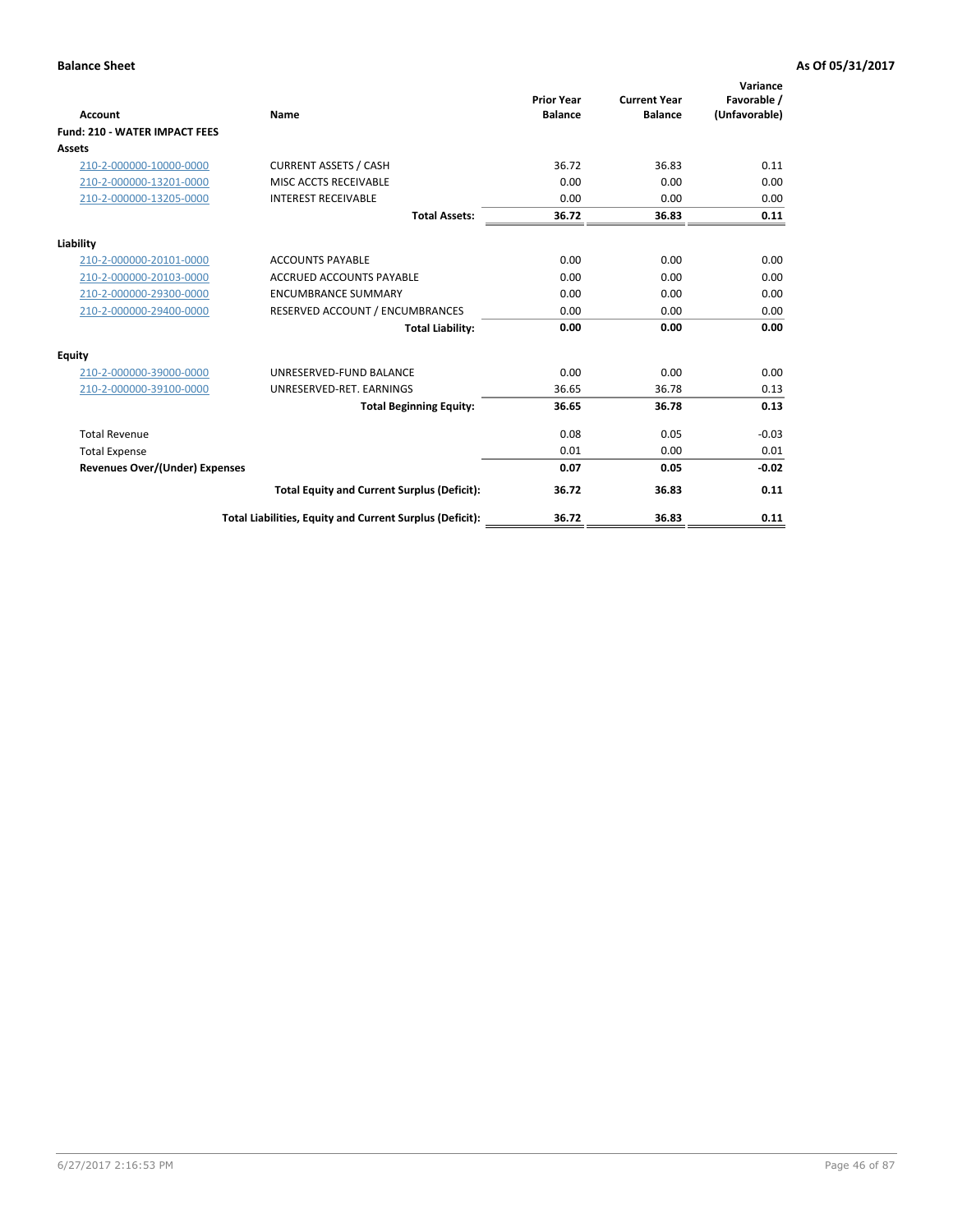| <b>Account</b>                        | Name                                                     | <b>Prior Year</b><br><b>Balance</b> | <b>Current Year</b><br><b>Balance</b> | Variance<br>Favorable /<br>(Unfavorable) |
|---------------------------------------|----------------------------------------------------------|-------------------------------------|---------------------------------------|------------------------------------------|
| <b>Fund: 210 - WATER IMPACT FEES</b>  |                                                          |                                     |                                       |                                          |
| <b>Assets</b>                         |                                                          |                                     |                                       |                                          |
| 210-2-000000-10000-0000               | <b>CURRENT ASSETS / CASH</b>                             | 36.72                               | 36.83                                 | 0.11                                     |
| 210-2-000000-13201-0000               | MISC ACCTS RECEIVABLE                                    | 0.00                                | 0.00                                  | 0.00                                     |
| 210-2-000000-13205-0000               | <b>INTEREST RECEIVABLE</b>                               | 0.00                                | 0.00                                  | 0.00                                     |
|                                       | <b>Total Assets:</b>                                     | 36.72                               | 36.83                                 | 0.11                                     |
|                                       |                                                          |                                     |                                       |                                          |
| Liability                             |                                                          |                                     |                                       |                                          |
| 210-2-000000-20101-0000               | <b>ACCOUNTS PAYABLE</b>                                  | 0.00                                | 0.00                                  | 0.00                                     |
| 210-2-000000-20103-0000               | <b>ACCRUED ACCOUNTS PAYABLE</b>                          | 0.00                                | 0.00                                  | 0.00                                     |
| 210-2-000000-29300-0000               | <b>ENCUMBRANCE SUMMARY</b>                               | 0.00                                | 0.00                                  | 0.00                                     |
| 210-2-000000-29400-0000               | RESERVED ACCOUNT / ENCUMBRANCES                          | 0.00                                | 0.00                                  | 0.00                                     |
|                                       | <b>Total Liability:</b>                                  | 0.00                                | 0.00                                  | 0.00                                     |
| <b>Equity</b>                         |                                                          |                                     |                                       |                                          |
| 210-2-000000-39000-0000               | UNRESERVED-FUND BALANCE                                  | 0.00                                | 0.00                                  | 0.00                                     |
| 210-2-000000-39100-0000               | UNRESERVED-RET. EARNINGS                                 | 36.65                               | 36.78                                 | 0.13                                     |
|                                       | <b>Total Beginning Equity:</b>                           | 36.65                               | 36.78                                 | 0.13                                     |
| <b>Total Revenue</b>                  |                                                          | 0.08                                | 0.05                                  | $-0.03$                                  |
| <b>Total Expense</b>                  |                                                          | 0.01                                | 0.00                                  | 0.01                                     |
| <b>Revenues Over/(Under) Expenses</b> |                                                          | 0.07                                | 0.05                                  | $-0.02$                                  |
|                                       | <b>Total Equity and Current Surplus (Deficit):</b>       | 36.72                               | 36.83                                 | 0.11                                     |
|                                       | Total Liabilities, Equity and Current Surplus (Deficit): | 36.72                               | 36.83                                 | 0.11                                     |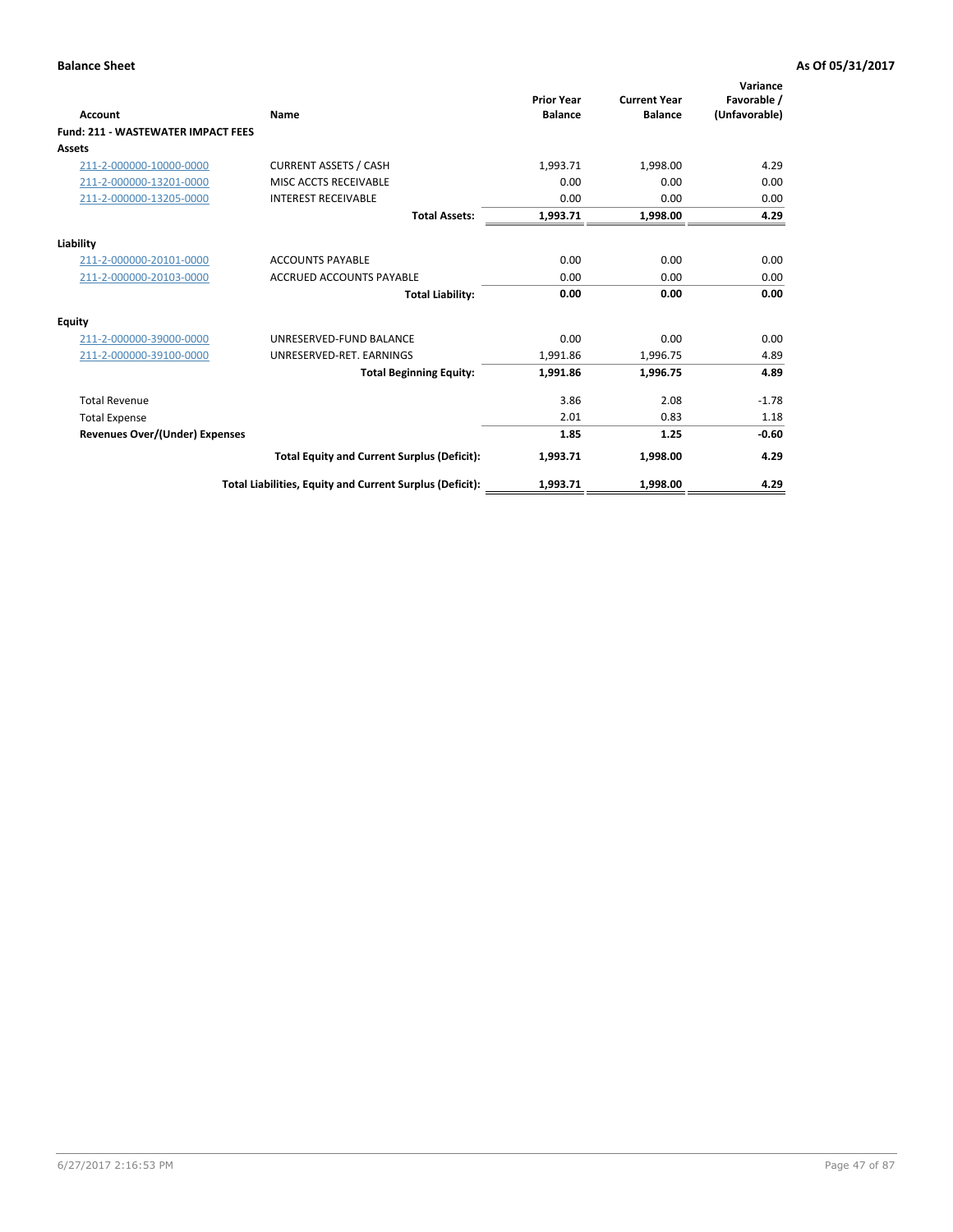| <b>Account</b>                            | Name                                                     | <b>Prior Year</b><br><b>Balance</b> | <b>Current Year</b><br><b>Balance</b> | Variance<br>Favorable /<br>(Unfavorable) |
|-------------------------------------------|----------------------------------------------------------|-------------------------------------|---------------------------------------|------------------------------------------|
| <b>Fund: 211 - WASTEWATER IMPACT FEES</b> |                                                          |                                     |                                       |                                          |
| Assets                                    |                                                          |                                     |                                       |                                          |
| 211-2-000000-10000-0000                   | <b>CURRENT ASSETS / CASH</b>                             | 1,993.71                            | 1,998.00                              | 4.29                                     |
| 211-2-000000-13201-0000                   | MISC ACCTS RECEIVABLE                                    | 0.00                                | 0.00                                  | 0.00                                     |
| 211-2-000000-13205-0000                   | <b>INTEREST RECEIVABLE</b>                               | 0.00                                | 0.00                                  | 0.00                                     |
|                                           | <b>Total Assets:</b>                                     | 1,993.71                            | 1,998.00                              | 4.29                                     |
| Liability                                 |                                                          |                                     |                                       |                                          |
| 211-2-000000-20101-0000                   | <b>ACCOUNTS PAYABLE</b>                                  | 0.00                                | 0.00                                  | 0.00                                     |
| 211-2-000000-20103-0000                   | <b>ACCRUED ACCOUNTS PAYABLE</b>                          | 0.00                                | 0.00                                  | 0.00                                     |
|                                           | <b>Total Liability:</b>                                  | 0.00                                | 0.00                                  | 0.00                                     |
| <b>Equity</b>                             |                                                          |                                     |                                       |                                          |
| 211-2-000000-39000-0000                   | UNRESERVED-FUND BALANCE                                  | 0.00                                | 0.00                                  | 0.00                                     |
| 211-2-000000-39100-0000                   | UNRESERVED-RET. EARNINGS                                 | 1,991.86                            | 1,996.75                              | 4.89                                     |
|                                           | <b>Total Beginning Equity:</b>                           | 1,991.86                            | 1,996.75                              | 4.89                                     |
| <b>Total Revenue</b>                      |                                                          | 3.86                                | 2.08                                  | $-1.78$                                  |
| <b>Total Expense</b>                      |                                                          | 2.01                                | 0.83                                  | 1.18                                     |
| <b>Revenues Over/(Under) Expenses</b>     |                                                          | 1.85                                | 1.25                                  | $-0.60$                                  |
|                                           | <b>Total Equity and Current Surplus (Deficit):</b>       | 1,993.71                            | 1,998.00                              | 4.29                                     |
|                                           | Total Liabilities, Equity and Current Surplus (Deficit): | 1,993.71                            | 1,998.00                              | 4.29                                     |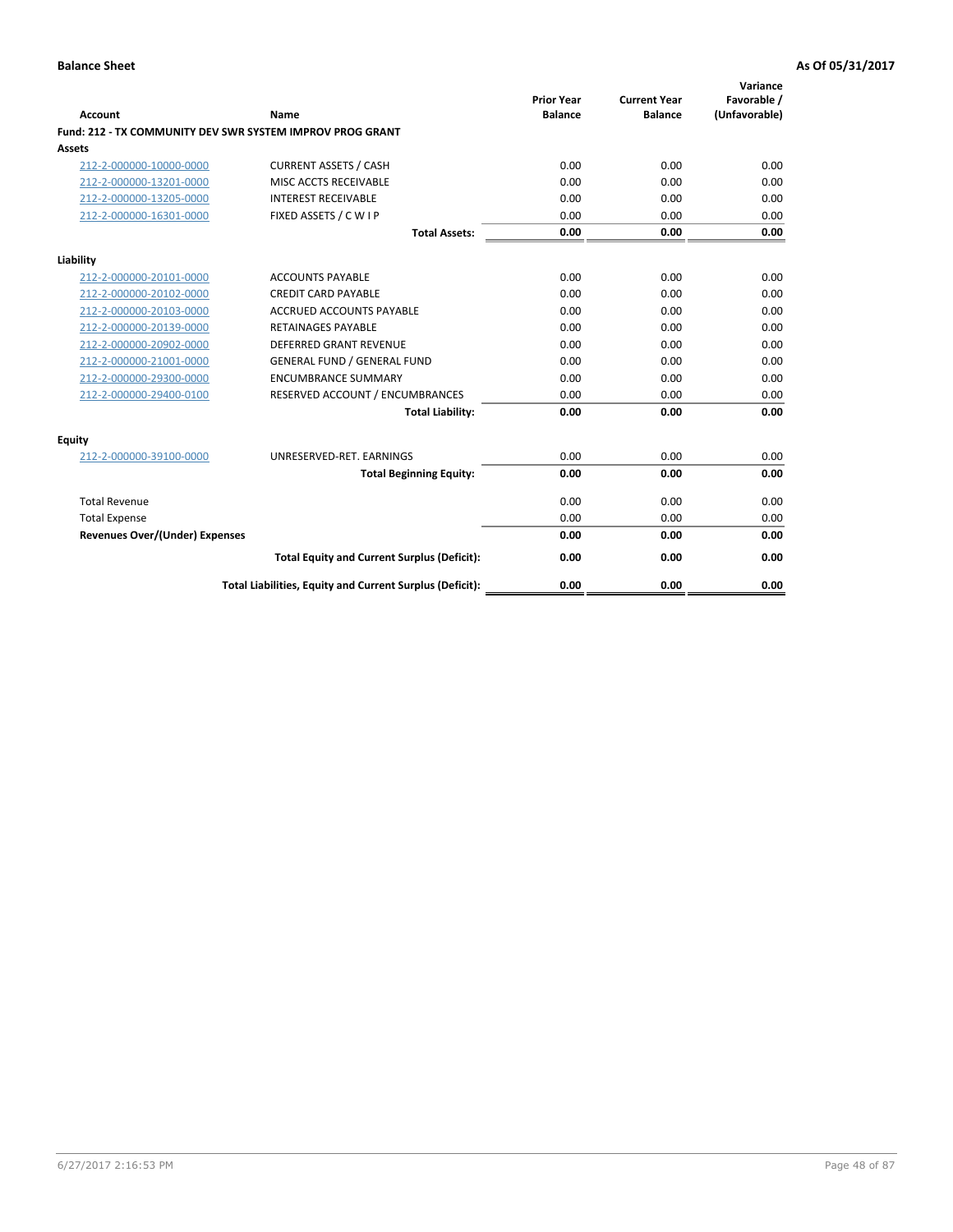| <b>Account</b>                        | <b>Name</b>                                               | <b>Prior Year</b><br><b>Balance</b> | <b>Current Year</b><br><b>Balance</b> | Variance<br>Favorable /<br>(Unfavorable) |
|---------------------------------------|-----------------------------------------------------------|-------------------------------------|---------------------------------------|------------------------------------------|
|                                       | Fund: 212 - TX COMMUNITY DEV SWR SYSTEM IMPROV PROG GRANT |                                     |                                       |                                          |
| Assets                                |                                                           |                                     |                                       |                                          |
| 212-2-000000-10000-0000               | <b>CURRENT ASSETS / CASH</b>                              | 0.00                                | 0.00                                  | 0.00                                     |
| 212-2-000000-13201-0000               | MISC ACCTS RECEIVABLE                                     | 0.00                                | 0.00                                  | 0.00                                     |
| 212-2-000000-13205-0000               | <b>INTEREST RECEIVABLE</b>                                | 0.00                                | 0.00                                  | 0.00                                     |
| 212-2-000000-16301-0000               | FIXED ASSETS / C W I P                                    | 0.00                                | 0.00                                  | 0.00                                     |
|                                       | <b>Total Assets:</b>                                      | 0.00                                | 0.00                                  | 0.00                                     |
| Liability                             |                                                           |                                     |                                       |                                          |
| 212-2-000000-20101-0000               | <b>ACCOUNTS PAYABLE</b>                                   | 0.00                                | 0.00                                  | 0.00                                     |
| 212-2-000000-20102-0000               | <b>CREDIT CARD PAYABLE</b>                                | 0.00                                | 0.00                                  | 0.00                                     |
| 212-2-000000-20103-0000               | <b>ACCRUED ACCOUNTS PAYABLE</b>                           | 0.00                                | 0.00                                  | 0.00                                     |
| 212-2-000000-20139-0000               | <b>RETAINAGES PAYABLE</b>                                 | 0.00                                | 0.00                                  | 0.00                                     |
| 212-2-000000-20902-0000               | DEFERRED GRANT REVENUE                                    | 0.00                                | 0.00                                  | 0.00                                     |
| 212-2-000000-21001-0000               | <b>GENERAL FUND / GENERAL FUND</b>                        | 0.00                                | 0.00                                  | 0.00                                     |
| 212-2-000000-29300-0000               | <b>ENCUMBRANCE SUMMARY</b>                                | 0.00                                | 0.00                                  | 0.00                                     |
| 212-2-000000-29400-0100               | RESERVED ACCOUNT / ENCUMBRANCES                           | 0.00                                | 0.00                                  | 0.00                                     |
|                                       | <b>Total Liability:</b>                                   | 0.00                                | 0.00                                  | 0.00                                     |
| <b>Equity</b>                         |                                                           |                                     |                                       |                                          |
| 212-2-000000-39100-0000               | UNRESERVED-RET. EARNINGS                                  | 0.00                                | 0.00                                  | 0.00                                     |
|                                       | <b>Total Beginning Equity:</b>                            | 0.00                                | 0.00                                  | 0.00                                     |
| <b>Total Revenue</b>                  |                                                           | 0.00                                | 0.00                                  | 0.00                                     |
| <b>Total Expense</b>                  |                                                           | 0.00                                | 0.00                                  | 0.00                                     |
| <b>Revenues Over/(Under) Expenses</b> |                                                           | 0.00                                | 0.00                                  | 0.00                                     |
|                                       | <b>Total Equity and Current Surplus (Deficit):</b>        | 0.00                                | 0.00                                  | 0.00                                     |
|                                       | Total Liabilities, Equity and Current Surplus (Deficit):  | 0.00                                | 0.00                                  | 0.00                                     |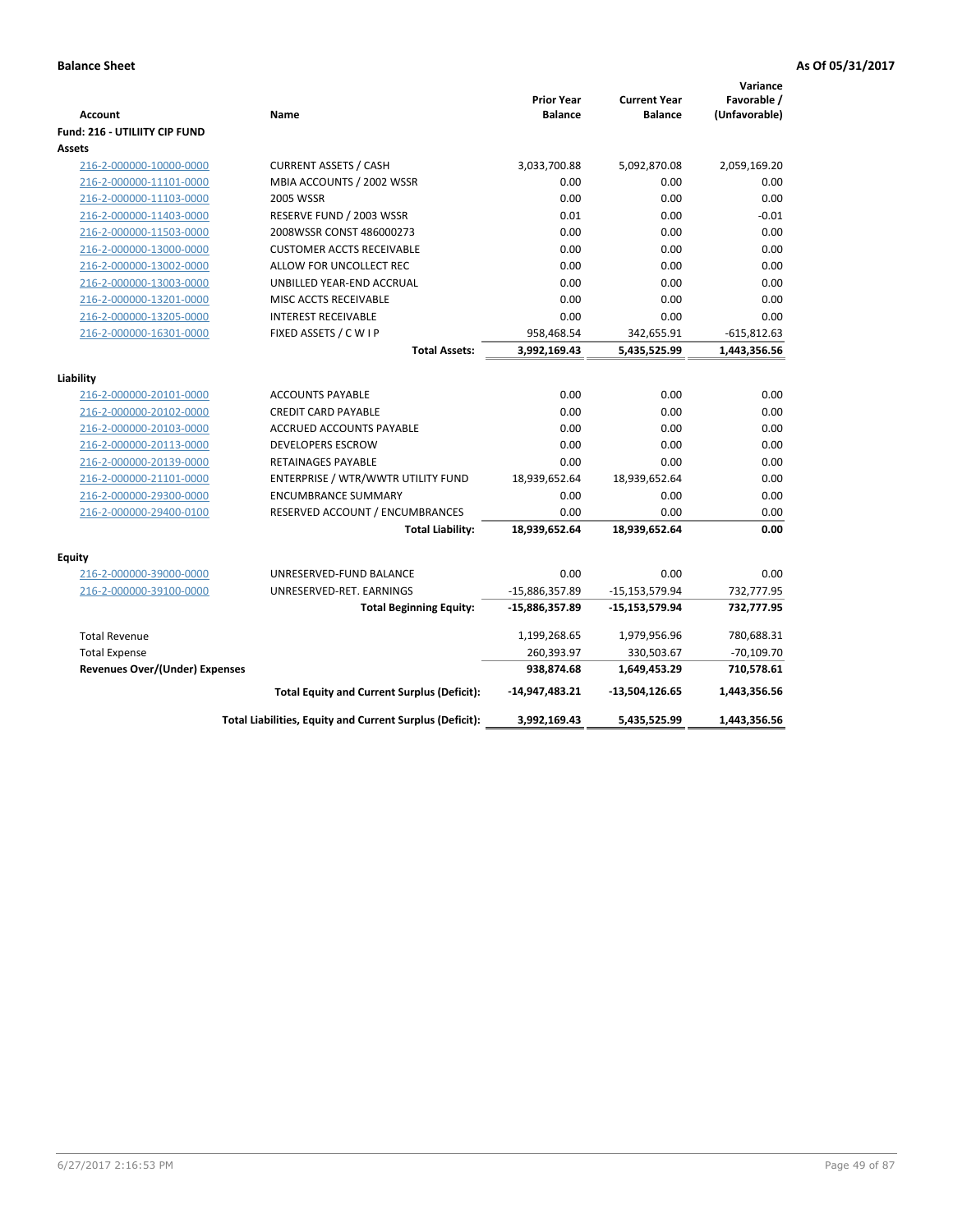|                                       |                                                          |                                     |                                       | Variance                     |
|---------------------------------------|----------------------------------------------------------|-------------------------------------|---------------------------------------|------------------------------|
| <b>Account</b>                        | Name                                                     | <b>Prior Year</b><br><b>Balance</b> | <b>Current Year</b><br><b>Balance</b> | Favorable /<br>(Unfavorable) |
| <b>Fund: 216 - UTILIITY CIP FUND</b>  |                                                          |                                     |                                       |                              |
| Assets                                |                                                          |                                     |                                       |                              |
| 216-2-000000-10000-0000               | <b>CURRENT ASSETS / CASH</b>                             | 3,033,700.88                        | 5,092,870.08                          | 2,059,169.20                 |
| 216-2-000000-11101-0000               | MBIA ACCOUNTS / 2002 WSSR                                | 0.00                                | 0.00                                  | 0.00                         |
| 216-2-000000-11103-0000               | <b>2005 WSSR</b>                                         | 0.00                                | 0.00                                  | 0.00                         |
| 216-2-000000-11403-0000               | RESERVE FUND / 2003 WSSR                                 | 0.01                                | 0.00                                  | $-0.01$                      |
| 216-2-000000-11503-0000               | 2008WSSR CONST 486000273                                 | 0.00                                | 0.00                                  | 0.00                         |
| 216-2-000000-13000-0000               | <b>CUSTOMER ACCTS RECEIVABLE</b>                         | 0.00                                | 0.00                                  | 0.00                         |
| 216-2-000000-13002-0000               | ALLOW FOR UNCOLLECT REC                                  | 0.00                                | 0.00                                  | 0.00                         |
| 216-2-000000-13003-0000               | UNBILLED YEAR-END ACCRUAL                                | 0.00                                | 0.00                                  | 0.00                         |
| 216-2-000000-13201-0000               | MISC ACCTS RECEIVABLE                                    | 0.00                                | 0.00                                  | 0.00                         |
| 216-2-000000-13205-0000               | <b>INTEREST RECEIVABLE</b>                               | 0.00                                | 0.00                                  | 0.00                         |
| 216-2-000000-16301-0000               | FIXED ASSETS / C W I P                                   | 958,468.54                          | 342,655.91                            | $-615,812.63$                |
|                                       | <b>Total Assets:</b>                                     | 3,992,169.43                        | 5,435,525.99                          | 1,443,356.56                 |
|                                       |                                                          |                                     |                                       |                              |
| Liability                             |                                                          |                                     |                                       |                              |
| 216-2-000000-20101-0000               | <b>ACCOUNTS PAYABLE</b>                                  | 0.00                                | 0.00                                  | 0.00                         |
| 216-2-000000-20102-0000               | <b>CREDIT CARD PAYABLE</b>                               | 0.00                                | 0.00                                  | 0.00                         |
| 216-2-000000-20103-0000               | ACCRUED ACCOUNTS PAYABLE                                 | 0.00                                | 0.00                                  | 0.00                         |
| 216-2-000000-20113-0000               | <b>DEVELOPERS ESCROW</b>                                 | 0.00                                | 0.00                                  | 0.00                         |
| 216-2-000000-20139-0000               | <b>RETAINAGES PAYABLE</b>                                | 0.00                                | 0.00                                  | 0.00                         |
| 216-2-000000-21101-0000               | ENTERPRISE / WTR/WWTR UTILITY FUND                       | 18,939,652.64                       | 18,939,652.64                         | 0.00                         |
| 216-2-000000-29300-0000               | <b>ENCUMBRANCE SUMMARY</b>                               | 0.00                                | 0.00                                  | 0.00                         |
| 216-2-000000-29400-0100               | RESERVED ACCOUNT / ENCUMBRANCES                          | 0.00                                | 0.00                                  | 0.00                         |
|                                       | <b>Total Liability:</b>                                  | 18,939,652.64                       | 18,939,652.64                         | 0.00                         |
| <b>Equity</b>                         |                                                          |                                     |                                       |                              |
| 216-2-000000-39000-0000               | UNRESERVED-FUND BALANCE                                  | 0.00                                | 0.00                                  | 0.00                         |
| 216-2-000000-39100-0000               | UNRESERVED-RET. EARNINGS                                 | -15,886,357.89                      | $-15, 153, 579.94$                    | 732,777.95                   |
|                                       | <b>Total Beginning Equity:</b>                           | -15,886,357.89                      | -15,153,579.94                        | 732,777.95                   |
| <b>Total Revenue</b>                  |                                                          | 1,199,268.65                        | 1,979,956.96                          | 780,688.31                   |
| <b>Total Expense</b>                  |                                                          | 260,393.97                          | 330,503.67                            | $-70,109.70$                 |
| <b>Revenues Over/(Under) Expenses</b> |                                                          | 938,874.68                          | 1,649,453.29                          | 710,578.61                   |
|                                       | <b>Total Equity and Current Surplus (Deficit):</b>       | $-14,947,483.21$                    | -13,504,126.65                        | 1,443,356.56                 |
|                                       | Total Liabilities, Equity and Current Surplus (Deficit): | 3,992,169.43                        | 5,435,525.99                          | 1,443,356.56                 |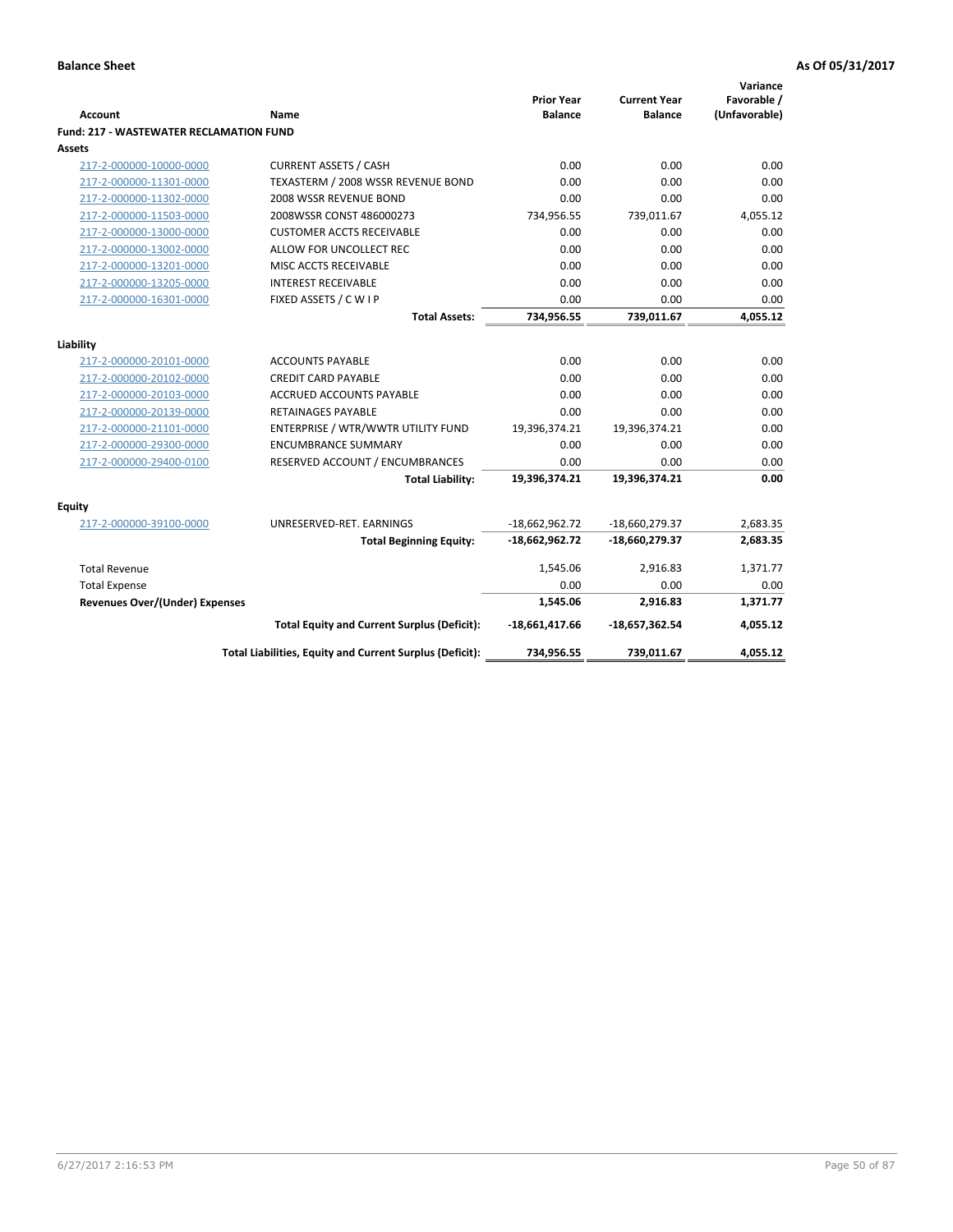| Account                                        | Name                                                     | <b>Prior Year</b><br><b>Balance</b>  | <b>Current Year</b><br><b>Balance</b> | Variance<br>Favorable /<br>(Unfavorable) |
|------------------------------------------------|----------------------------------------------------------|--------------------------------------|---------------------------------------|------------------------------------------|
| <b>Fund: 217 - WASTEWATER RECLAMATION FUND</b> |                                                          |                                      |                                       |                                          |
| <b>Assets</b>                                  |                                                          |                                      |                                       |                                          |
| 217-2-000000-10000-0000                        | <b>CURRENT ASSETS / CASH</b>                             | 0.00                                 | 0.00                                  | 0.00                                     |
| 217-2-000000-11301-0000                        | TEXASTERM / 2008 WSSR REVENUE BOND                       | 0.00                                 | 0.00                                  | 0.00                                     |
| 217-2-000000-11302-0000                        | 2008 WSSR REVENUE BOND                                   | 0.00                                 | 0.00                                  | 0.00                                     |
| 217-2-000000-11503-0000                        | 2008WSSR CONST 486000273                                 | 734,956.55                           | 739,011.67                            | 4,055.12                                 |
| 217-2-000000-13000-0000                        | <b>CUSTOMER ACCTS RECEIVABLE</b>                         | 0.00                                 | 0.00                                  | 0.00                                     |
| 217-2-000000-13002-0000                        | ALLOW FOR UNCOLLECT REC                                  | 0.00                                 | 0.00                                  | 0.00                                     |
| 217-2-000000-13201-0000                        | MISC ACCTS RECEIVABLE                                    | 0.00                                 | 0.00                                  | 0.00                                     |
| 217-2-000000-13205-0000                        | <b>INTEREST RECEIVABLE</b>                               | 0.00                                 | 0.00                                  | 0.00                                     |
| 217-2-000000-16301-0000                        | FIXED ASSETS / C W I P                                   | 0.00                                 | 0.00                                  | 0.00                                     |
|                                                | <b>Total Assets:</b>                                     | 734,956.55                           | 739,011.67                            | 4,055.12                                 |
| Liability                                      |                                                          |                                      |                                       |                                          |
| 217-2-000000-20101-0000                        | <b>ACCOUNTS PAYABLE</b>                                  | 0.00                                 | 0.00                                  | 0.00                                     |
| 217-2-000000-20102-0000                        | <b>CREDIT CARD PAYABLE</b>                               | 0.00                                 | 0.00                                  | 0.00                                     |
| 217-2-000000-20103-0000                        | <b>ACCRUED ACCOUNTS PAYABLE</b>                          | 0.00                                 | 0.00                                  | 0.00                                     |
| 217-2-000000-20139-0000                        | <b>RETAINAGES PAYABLE</b>                                | 0.00                                 | 0.00                                  | 0.00                                     |
| 217-2-000000-21101-0000                        | ENTERPRISE / WTR/WWTR UTILITY FUND                       | 19,396,374.21                        | 19,396,374.21                         | 0.00                                     |
| 217-2-000000-29300-0000                        | <b>ENCUMBRANCE SUMMARY</b>                               | 0.00                                 | 0.00                                  | 0.00                                     |
| 217-2-000000-29400-0100                        | RESERVED ACCOUNT / ENCUMBRANCES                          | 0.00                                 | 0.00                                  | 0.00                                     |
|                                                | <b>Total Liability:</b>                                  | 19,396,374.21                        | 19,396,374.21                         | 0.00                                     |
|                                                |                                                          |                                      |                                       |                                          |
| <b>Equity</b>                                  |                                                          |                                      |                                       |                                          |
| 217-2-000000-39100-0000                        | UNRESERVED-RET. EARNINGS                                 | $-18,662,962.72$<br>$-18,662,962.72$ | -18,660,279.37                        | 2,683.35<br>2,683.35                     |
|                                                | <b>Total Beginning Equity:</b>                           |                                      | -18,660,279.37                        |                                          |
| <b>Total Revenue</b>                           |                                                          | 1,545.06                             | 2,916.83                              | 1,371.77                                 |
| <b>Total Expense</b>                           |                                                          | 0.00                                 | 0.00                                  | 0.00                                     |
| Revenues Over/(Under) Expenses                 |                                                          | 1,545.06                             | 2,916.83                              | 1,371.77                                 |
|                                                | <b>Total Equity and Current Surplus (Deficit):</b>       | $-18,661,417.66$                     | $-18,657,362.54$                      | 4,055.12                                 |
|                                                | Total Liabilities, Equity and Current Surplus (Deficit): | 734,956.55                           | 739,011.67                            | 4,055.12                                 |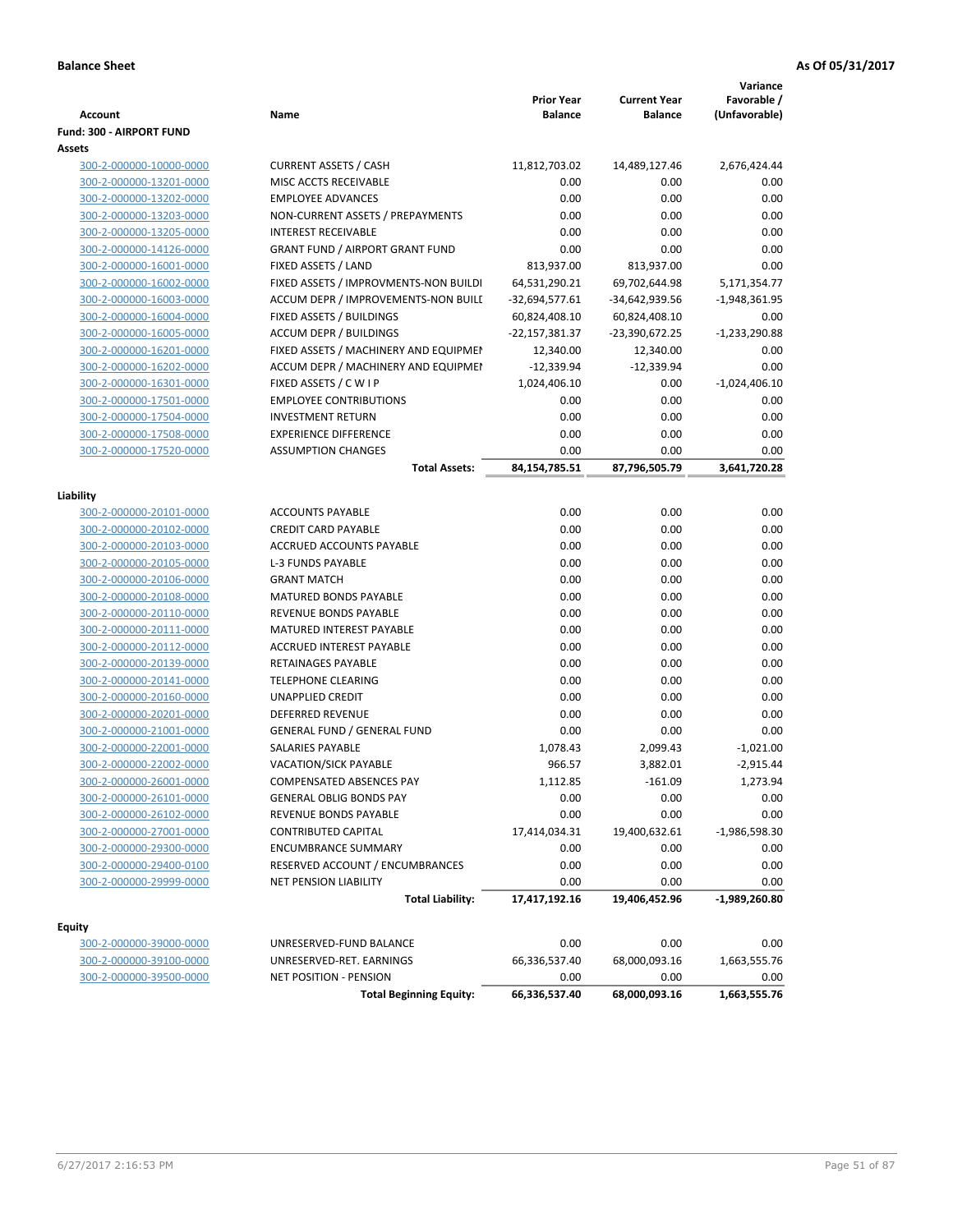| <b>Account</b>                                     | Name                                                     | <b>Prior Year</b><br><b>Balance</b> | <b>Current Year</b><br><b>Balance</b> | Variance<br>Favorable /<br>(Unfavorable) |
|----------------------------------------------------|----------------------------------------------------------|-------------------------------------|---------------------------------------|------------------------------------------|
| <b>Fund: 300 - AIRPORT FUND</b>                    |                                                          |                                     |                                       |                                          |
| Assets                                             |                                                          |                                     |                                       |                                          |
| 300-2-000000-10000-0000                            | <b>CURRENT ASSETS / CASH</b>                             | 11,812,703.02                       | 14,489,127.46                         | 2,676,424.44                             |
| 300-2-000000-13201-0000                            | MISC ACCTS RECEIVABLE                                    | 0.00                                | 0.00                                  | 0.00                                     |
| 300-2-000000-13202-0000                            | <b>EMPLOYEE ADVANCES</b>                                 | 0.00                                | 0.00                                  | 0.00                                     |
| 300-2-000000-13203-0000                            | NON-CURRENT ASSETS / PREPAYMENTS                         | 0.00                                | 0.00                                  | 0.00                                     |
| 300-2-000000-13205-0000                            | <b>INTEREST RECEIVABLE</b>                               | 0.00                                | 0.00                                  | 0.00                                     |
| 300-2-000000-14126-0000                            | <b>GRANT FUND / AIRPORT GRANT FUND</b>                   | 0.00                                | 0.00                                  | 0.00                                     |
| 300-2-000000-16001-0000                            | FIXED ASSETS / LAND                                      | 813,937.00                          | 813,937.00                            | 0.00                                     |
| 300-2-000000-16002-0000                            | FIXED ASSETS / IMPROVMENTS-NON BUILDI                    | 64,531,290.21                       | 69,702,644.98                         | 5,171,354.77                             |
| 300-2-000000-16003-0000                            | ACCUM DEPR / IMPROVEMENTS-NON BUILI                      | -32,694,577.61                      | -34,642,939.56                        | $-1,948,361.95$                          |
| 300-2-000000-16004-0000                            | FIXED ASSETS / BUILDINGS                                 | 60,824,408.10                       | 60,824,408.10                         | 0.00                                     |
| 300-2-000000-16005-0000                            | <b>ACCUM DEPR / BUILDINGS</b>                            | -22,157,381.37                      | -23,390,672.25                        | $-1,233,290.88$                          |
| 300-2-000000-16201-0000                            | FIXED ASSETS / MACHINERY AND EQUIPMEN                    | 12,340.00                           | 12,340.00                             | 0.00                                     |
| 300-2-000000-16202-0000                            | ACCUM DEPR / MACHINERY AND EQUIPMEI                      | $-12,339.94$                        | $-12,339.94$                          | 0.00                                     |
| 300-2-000000-16301-0000                            | FIXED ASSETS / C W I P<br><b>EMPLOYEE CONTRIBUTIONS</b>  | 1,024,406.10                        | 0.00                                  | $-1,024,406.10$                          |
| 300-2-000000-17501-0000                            |                                                          | 0.00                                | 0.00                                  | 0.00                                     |
| 300-2-000000-17504-0000                            | <b>INVESTMENT RETURN</b><br><b>EXPERIENCE DIFFERENCE</b> | 0.00                                | 0.00                                  | 0.00                                     |
| 300-2-000000-17508-0000<br>300-2-000000-17520-0000 | <b>ASSUMPTION CHANGES</b>                                | 0.00<br>0.00                        | 0.00<br>0.00                          | 0.00<br>0.00                             |
|                                                    | <b>Total Assets:</b>                                     | 84,154,785.51                       | 87,796,505.79                         | 3,641,720.28                             |
|                                                    |                                                          |                                     |                                       |                                          |
| Liability                                          |                                                          |                                     |                                       |                                          |
| 300-2-000000-20101-0000                            | <b>ACCOUNTS PAYABLE</b>                                  | 0.00                                | 0.00                                  | 0.00                                     |
| 300-2-000000-20102-0000                            | <b>CREDIT CARD PAYABLE</b>                               | 0.00                                | 0.00                                  | 0.00                                     |
| 300-2-000000-20103-0000                            | ACCRUED ACCOUNTS PAYABLE                                 | 0.00                                | 0.00                                  | 0.00                                     |
| 300-2-000000-20105-0000                            | <b>L-3 FUNDS PAYABLE</b>                                 | 0.00                                | 0.00                                  | 0.00                                     |
| 300-2-000000-20106-0000                            | <b>GRANT MATCH</b>                                       | 0.00                                | 0.00                                  | 0.00                                     |
| 300-2-000000-20108-0000                            | <b>MATURED BONDS PAYABLE</b>                             | 0.00                                | 0.00                                  | 0.00                                     |
| 300-2-000000-20110-0000                            | REVENUE BONDS PAYABLE                                    | 0.00                                | 0.00                                  | 0.00                                     |
| 300-2-000000-20111-0000                            | MATURED INTEREST PAYABLE                                 | 0.00                                | 0.00                                  | 0.00                                     |
| 300-2-000000-20112-0000                            | <b>ACCRUED INTEREST PAYABLE</b>                          | 0.00                                | 0.00                                  | 0.00                                     |
| 300-2-000000-20139-0000                            | RETAINAGES PAYABLE                                       | 0.00                                | 0.00                                  | 0.00                                     |
| 300-2-000000-20141-0000                            | <b>TELEPHONE CLEARING</b>                                | 0.00                                | 0.00                                  | 0.00                                     |
| 300-2-000000-20160-0000                            | <b>UNAPPLIED CREDIT</b>                                  | 0.00                                | 0.00                                  | 0.00                                     |
| 300-2-000000-20201-0000                            | <b>DEFERRED REVENUE</b>                                  | 0.00                                | 0.00                                  | 0.00                                     |
| 300-2-000000-21001-0000                            | <b>GENERAL FUND / GENERAL FUND</b>                       | 0.00                                | 0.00                                  | 0.00                                     |
| 300-2-000000-22001-0000                            | SALARIES PAYABLE                                         | 1,078.43                            | 2,099.43                              | $-1,021.00$                              |
| 300-2-000000-22002-0000                            | <b>VACATION/SICK PAYABLE</b>                             | 966.57                              | 3,882.01                              | $-2,915.44$                              |
| 300-2-000000-26001-0000                            | COMPENSATED ABSENCES PAY                                 | 1,112.85                            | $-161.09$                             | 1,273.94                                 |
| 300-2-000000-26101-0000                            | <b>GENERAL OBLIG BONDS PAY</b>                           | 0.00                                | 0.00                                  | 0.00                                     |
| 300-2-000000-26102-0000                            | REVENUE BONDS PAYABLE                                    | 0.00                                | 0.00                                  | 0.00                                     |
| 300-2-000000-27001-0000<br>300-2-000000-29300-0000 | CONTRIBUTED CAPITAL<br><b>ENCUMBRANCE SUMMARY</b>        | 17,414,034.31<br>0.00               | 19,400,632.61<br>0.00                 | $-1,986,598.30$<br>0.00                  |
| 300-2-000000-29400-0100                            | RESERVED ACCOUNT / ENCUMBRANCES                          | 0.00                                | 0.00                                  | 0.00                                     |
| 300-2-000000-29999-0000                            | <b>NET PENSION LIABILITY</b>                             | 0.00                                | 0.00                                  | 0.00                                     |
|                                                    | <b>Total Liability:</b>                                  | 17,417,192.16                       | 19,406,452.96                         | $-1,989,260.80$                          |
|                                                    |                                                          |                                     |                                       |                                          |
| <b>Equity</b>                                      |                                                          |                                     |                                       |                                          |
| 300-2-000000-39000-0000                            | UNRESERVED-FUND BALANCE                                  | 0.00                                | 0.00                                  | 0.00                                     |
| 300-2-000000-39100-0000                            | UNRESERVED-RET. EARNINGS                                 | 66,336,537.40                       | 68,000,093.16                         | 1,663,555.76                             |
| 300-2-000000-39500-0000                            | <b>NET POSITION - PENSION</b>                            | 0.00                                | 0.00                                  | 0.00                                     |
|                                                    | <b>Total Beginning Equity:</b>                           | 66,336,537.40                       | 68,000,093.16                         | 1,663,555.76                             |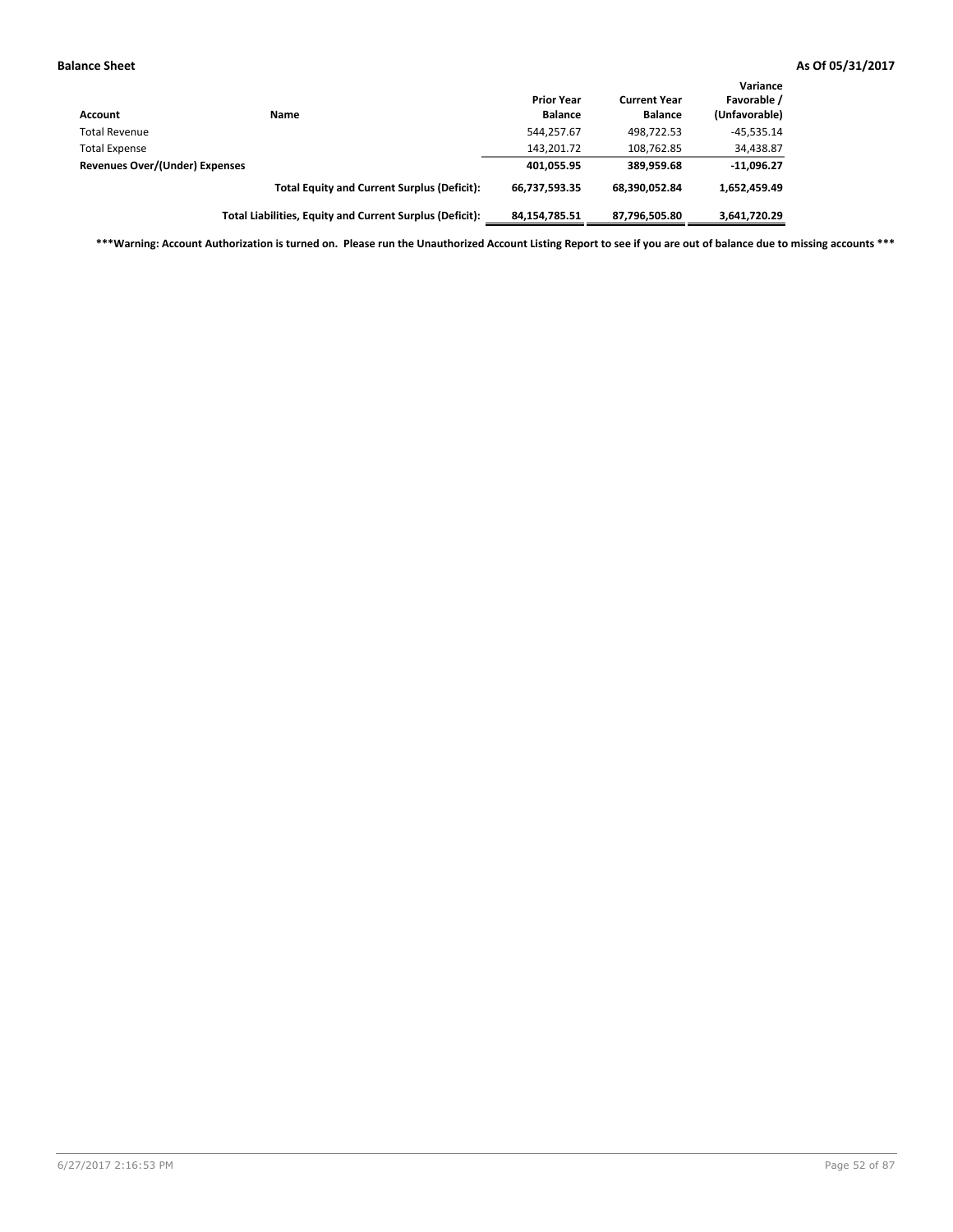| <b>Account</b>                 | Name                                                     | <b>Prior Year</b><br><b>Balance</b> | <b>Current Year</b><br><b>Balance</b> | Variance<br>Favorable /<br>(Unfavorable) |
|--------------------------------|----------------------------------------------------------|-------------------------------------|---------------------------------------|------------------------------------------|
| <b>Total Revenue</b>           |                                                          | 544,257.67                          | 498,722.53                            | $-45,535.14$                             |
| <b>Total Expense</b>           |                                                          | 143,201.72                          | 108,762.85                            | 34,438.87                                |
| Revenues Over/(Under) Expenses |                                                          | 401,055.95                          | 389.959.68                            | $-11,096.27$                             |
|                                | <b>Total Equity and Current Surplus (Deficit):</b>       | 66,737,593.35                       | 68.390.052.84                         | 1,652,459.49                             |
|                                | Total Liabilities, Equity and Current Surplus (Deficit): | 84,154,785.51                       | 87.796.505.80                         | 3,641,720.29                             |

**\*\*\*Warning: Account Authorization is turned on. Please run the Unauthorized Account Listing Report to see if you are out of balance due to missing accounts \*\*\***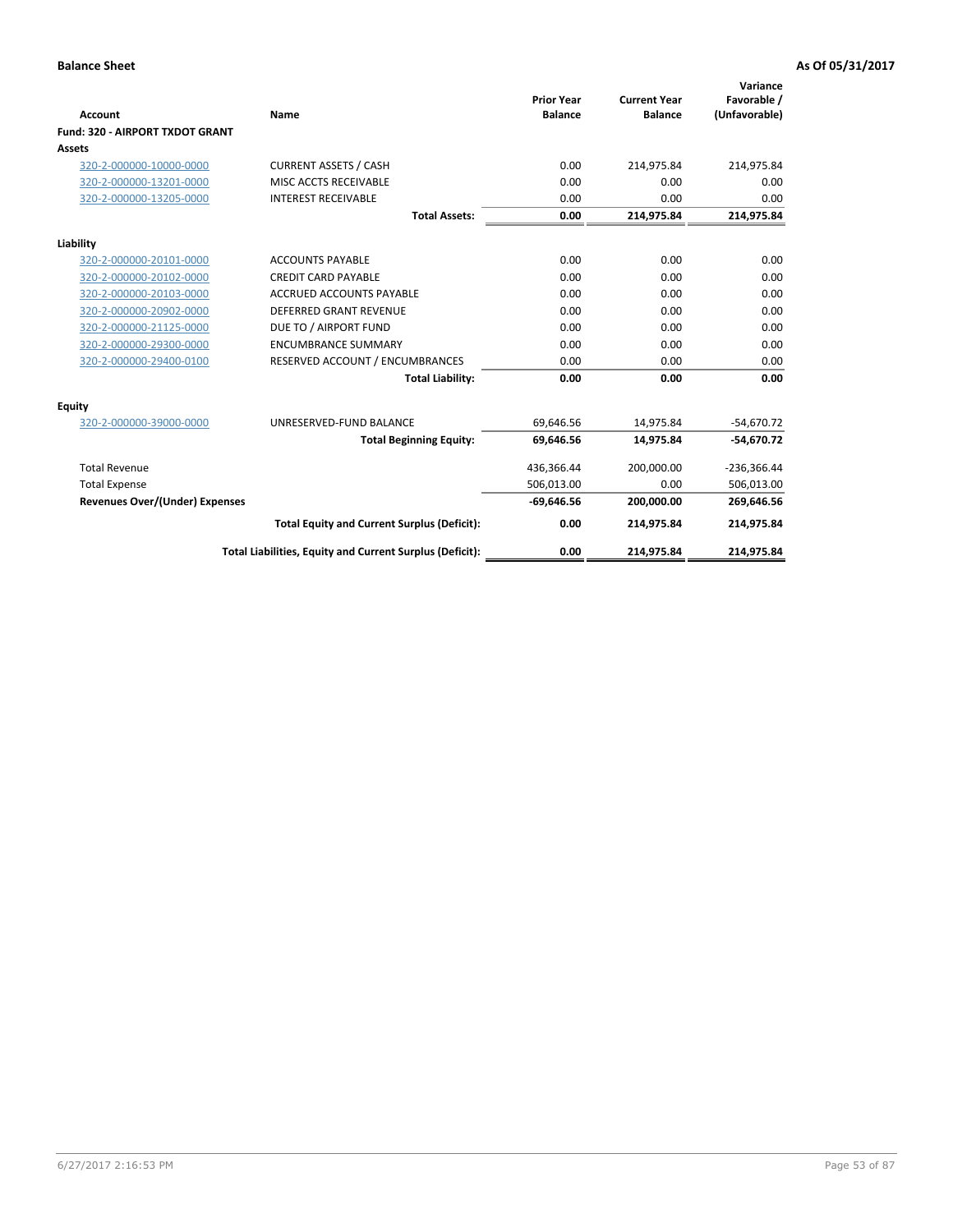|                                       |                                                          |                                     |                                       | Variance                     |
|---------------------------------------|----------------------------------------------------------|-------------------------------------|---------------------------------------|------------------------------|
| <b>Account</b>                        | Name                                                     | <b>Prior Year</b><br><b>Balance</b> | <b>Current Year</b><br><b>Balance</b> | Favorable /<br>(Unfavorable) |
| Fund: 320 - AIRPORT TXDOT GRANT       |                                                          |                                     |                                       |                              |
| Assets                                |                                                          |                                     |                                       |                              |
| 320-2-000000-10000-0000               | <b>CURRENT ASSETS / CASH</b>                             | 0.00                                | 214,975.84                            | 214,975.84                   |
| 320-2-000000-13201-0000               | MISC ACCTS RECEIVABLE                                    | 0.00                                | 0.00                                  | 0.00                         |
| 320-2-000000-13205-0000               | <b>INTEREST RECEIVABLE</b>                               | 0.00                                | 0.00                                  | 0.00                         |
|                                       | <b>Total Assets:</b>                                     | 0.00                                | 214,975.84                            | 214,975.84                   |
| Liability                             |                                                          |                                     |                                       |                              |
| 320-2-000000-20101-0000               | <b>ACCOUNTS PAYABLE</b>                                  | 0.00                                | 0.00                                  | 0.00                         |
| 320-2-000000-20102-0000               | <b>CREDIT CARD PAYABLE</b>                               | 0.00                                | 0.00                                  | 0.00                         |
| 320-2-000000-20103-0000               | <b>ACCRUED ACCOUNTS PAYABLE</b>                          | 0.00                                | 0.00                                  | 0.00                         |
| 320-2-000000-20902-0000               | <b>DEFERRED GRANT REVENUE</b>                            | 0.00                                | 0.00                                  | 0.00                         |
| 320-2-000000-21125-0000               | DUE TO / AIRPORT FUND                                    | 0.00                                | 0.00                                  | 0.00                         |
| 320-2-000000-29300-0000               | <b>ENCUMBRANCE SUMMARY</b>                               | 0.00                                | 0.00                                  | 0.00                         |
| 320-2-000000-29400-0100               | RESERVED ACCOUNT / ENCUMBRANCES                          | 0.00                                | 0.00                                  | 0.00                         |
|                                       | <b>Total Liability:</b>                                  | 0.00                                | 0.00                                  | 0.00                         |
| <b>Equity</b>                         |                                                          |                                     |                                       |                              |
| 320-2-000000-39000-0000               | UNRESERVED-FUND BALANCE                                  | 69,646.56                           | 14,975.84                             | $-54,670.72$                 |
|                                       | <b>Total Beginning Equity:</b>                           | 69,646.56                           | 14,975.84                             | $-54,670.72$                 |
| <b>Total Revenue</b>                  |                                                          | 436,366.44                          | 200,000.00                            | $-236,366.44$                |
| <b>Total Expense</b>                  |                                                          | 506,013.00                          | 0.00                                  | 506,013.00                   |
| <b>Revenues Over/(Under) Expenses</b> |                                                          | $-69,646.56$                        | 200,000.00                            | 269,646.56                   |
|                                       | <b>Total Equity and Current Surplus (Deficit):</b>       | 0.00                                | 214,975.84                            | 214,975.84                   |
|                                       | Total Liabilities, Equity and Current Surplus (Deficit): | 0.00                                | 214,975.84                            | 214,975.84                   |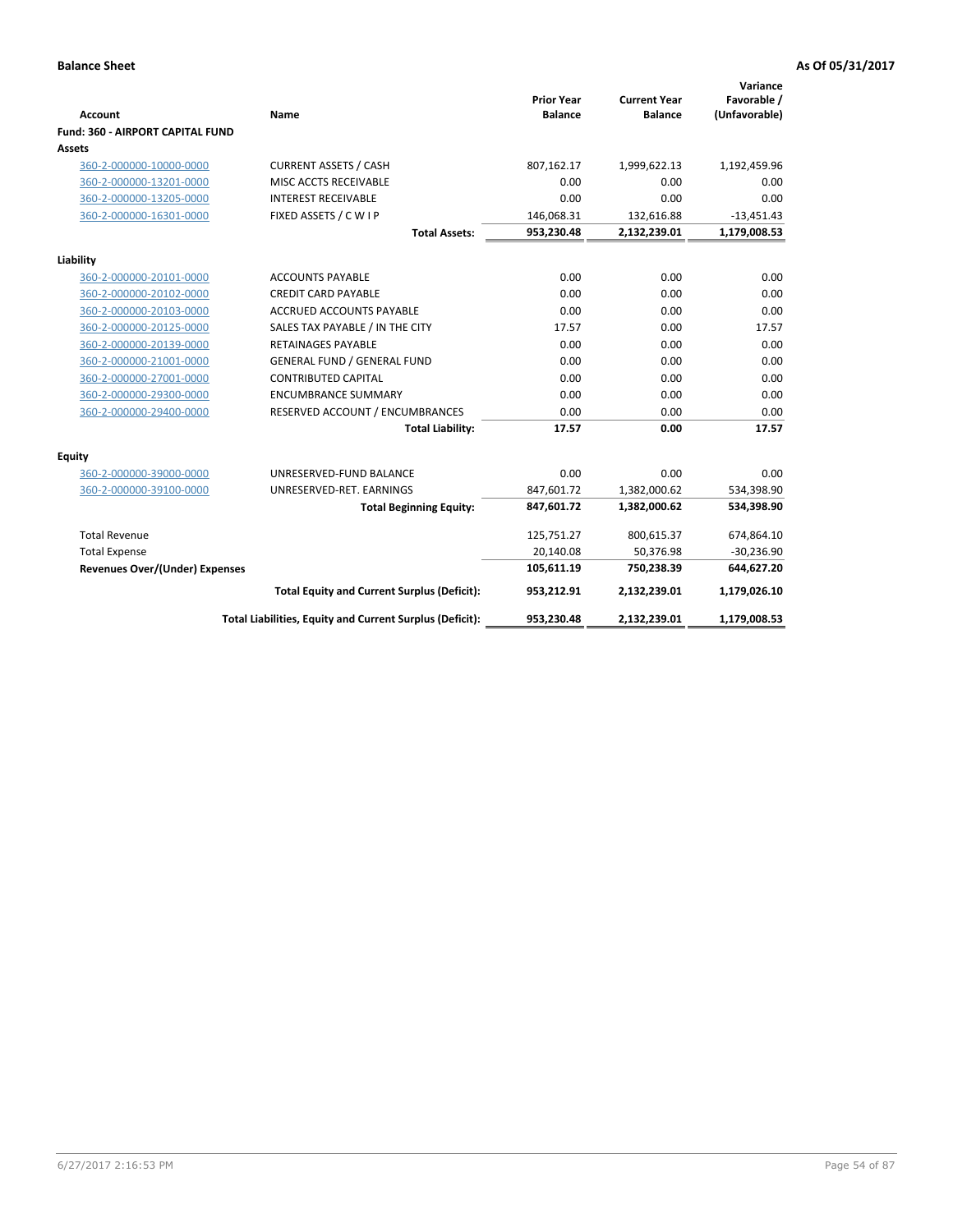| <b>Account</b>                        | Name                                                     | <b>Prior Year</b><br><b>Balance</b> | <b>Current Year</b><br><b>Balance</b> | Variance<br>Favorable /<br>(Unfavorable) |
|---------------------------------------|----------------------------------------------------------|-------------------------------------|---------------------------------------|------------------------------------------|
| Fund: 360 - AIRPORT CAPITAL FUND      |                                                          |                                     |                                       |                                          |
| Assets                                |                                                          |                                     |                                       |                                          |
| 360-2-000000-10000-0000               | <b>CURRENT ASSETS / CASH</b>                             | 807,162.17                          | 1,999,622.13                          | 1,192,459.96                             |
| 360-2-000000-13201-0000               | MISC ACCTS RECEIVABLE                                    | 0.00                                | 0.00                                  | 0.00                                     |
| 360-2-000000-13205-0000               | <b>INTEREST RECEIVABLE</b>                               | 0.00                                | 0.00                                  | 0.00                                     |
| 360-2-000000-16301-0000               | FIXED ASSETS / C W I P                                   | 146,068.31                          | 132,616.88                            | $-13,451.43$                             |
|                                       | <b>Total Assets:</b>                                     | 953,230.48                          | 2,132,239.01                          | 1,179,008.53                             |
| Liability                             |                                                          |                                     |                                       |                                          |
| 360-2-000000-20101-0000               | <b>ACCOUNTS PAYABLE</b>                                  | 0.00                                | 0.00                                  | 0.00                                     |
| 360-2-000000-20102-0000               | <b>CREDIT CARD PAYABLE</b>                               | 0.00                                | 0.00                                  | 0.00                                     |
| 360-2-000000-20103-0000               | <b>ACCRUED ACCOUNTS PAYABLE</b>                          | 0.00                                | 0.00                                  | 0.00                                     |
| 360-2-000000-20125-0000               | SALES TAX PAYABLE / IN THE CITY                          | 17.57                               | 0.00                                  | 17.57                                    |
| 360-2-000000-20139-0000               | <b>RETAINAGES PAYABLE</b>                                | 0.00                                | 0.00                                  | 0.00                                     |
| 360-2-000000-21001-0000               | <b>GENERAL FUND / GENERAL FUND</b>                       | 0.00                                | 0.00                                  | 0.00                                     |
| 360-2-000000-27001-0000               | <b>CONTRIBUTED CAPITAL</b>                               | 0.00                                | 0.00                                  | 0.00                                     |
| 360-2-000000-29300-0000               | <b>ENCUMBRANCE SUMMARY</b>                               | 0.00                                | 0.00                                  | 0.00                                     |
| 360-2-000000-29400-0000               | RESERVED ACCOUNT / ENCUMBRANCES                          | 0.00                                | 0.00                                  | 0.00                                     |
|                                       | <b>Total Liability:</b>                                  | 17.57                               | 0.00                                  | 17.57                                    |
| <b>Equity</b>                         |                                                          |                                     |                                       |                                          |
| 360-2-000000-39000-0000               | UNRESERVED-FUND BALANCE                                  | 0.00                                | 0.00                                  | 0.00                                     |
| 360-2-000000-39100-0000               | UNRESERVED-RET. EARNINGS                                 | 847,601.72                          | 1,382,000.62                          | 534,398.90                               |
|                                       | <b>Total Beginning Equity:</b>                           | 847,601.72                          | 1,382,000.62                          | 534,398.90                               |
| <b>Total Revenue</b>                  |                                                          | 125,751.27                          | 800,615.37                            | 674,864.10                               |
| <b>Total Expense</b>                  |                                                          | 20,140.08                           | 50,376.98                             | $-30,236.90$                             |
| <b>Revenues Over/(Under) Expenses</b> |                                                          | 105,611.19                          | 750,238.39                            | 644,627.20                               |
|                                       | <b>Total Equity and Current Surplus (Deficit):</b>       | 953,212.91                          | 2,132,239.01                          | 1,179,026.10                             |
|                                       | Total Liabilities, Equity and Current Surplus (Deficit): | 953,230.48                          | 2,132,239.01                          | 1,179,008.53                             |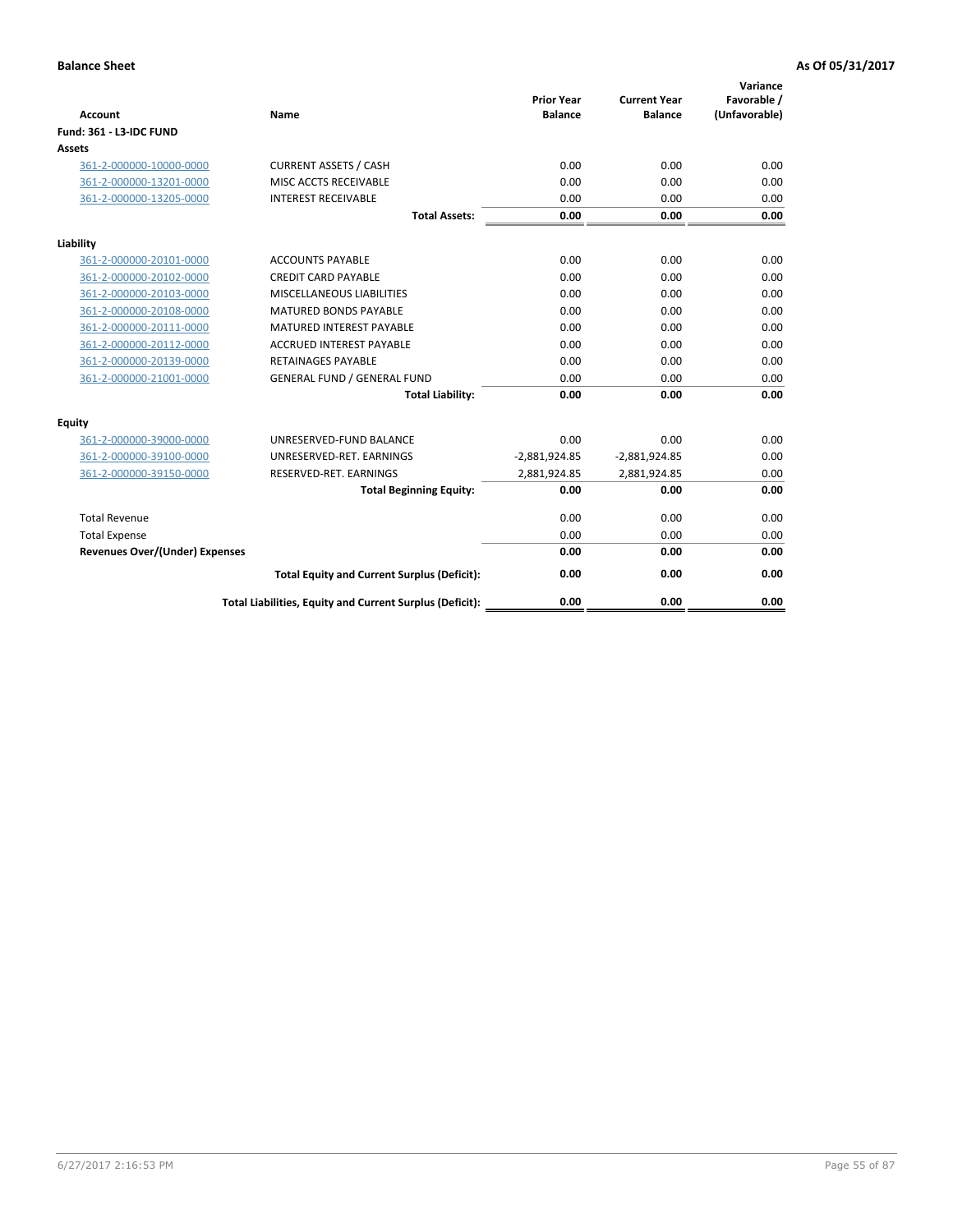|                                       |                                                          | <b>Prior Year</b> | <b>Current Year</b> | Variance<br>Favorable / |
|---------------------------------------|----------------------------------------------------------|-------------------|---------------------|-------------------------|
| <b>Account</b>                        | Name                                                     | <b>Balance</b>    | <b>Balance</b>      | (Unfavorable)           |
| <b>Fund: 361 - L3-IDC FUND</b>        |                                                          |                   |                     |                         |
| Assets                                |                                                          |                   |                     |                         |
| 361-2-000000-10000-0000               | <b>CURRENT ASSETS / CASH</b>                             | 0.00              | 0.00                | 0.00                    |
| 361-2-000000-13201-0000               | MISC ACCTS RECEIVABLE                                    | 0.00              | 0.00                | 0.00                    |
| 361-2-000000-13205-0000               | <b>INTEREST RECEIVABLE</b>                               | 0.00              | 0.00                | 0.00                    |
|                                       | <b>Total Assets:</b>                                     | 0.00              | 0.00                | 0.00                    |
| Liability                             |                                                          |                   |                     |                         |
| 361-2-000000-20101-0000               | <b>ACCOUNTS PAYABLE</b>                                  | 0.00              | 0.00                | 0.00                    |
| 361-2-000000-20102-0000               | <b>CREDIT CARD PAYABLE</b>                               | 0.00              | 0.00                | 0.00                    |
| 361-2-000000-20103-0000               | <b>MISCELLANEOUS LIABILITIES</b>                         | 0.00              | 0.00                | 0.00                    |
| 361-2-000000-20108-0000               | <b>MATURED BONDS PAYABLE</b>                             | 0.00              | 0.00                | 0.00                    |
| 361-2-000000-20111-0000               | <b>MATURED INTEREST PAYABLE</b>                          | 0.00              | 0.00                | 0.00                    |
| 361-2-000000-20112-0000               | <b>ACCRUED INTEREST PAYABLE</b>                          | 0.00              | 0.00                | 0.00                    |
| 361-2-000000-20139-0000               | <b>RETAINAGES PAYABLE</b>                                | 0.00              | 0.00                | 0.00                    |
| 361-2-000000-21001-0000               | <b>GENERAL FUND / GENERAL FUND</b>                       | 0.00              | 0.00                | 0.00                    |
|                                       | <b>Total Liability:</b>                                  | 0.00              | 0.00                | 0.00                    |
| Equity                                |                                                          |                   |                     |                         |
| 361-2-000000-39000-0000               | UNRESERVED-FUND BALANCE                                  | 0.00              | 0.00                | 0.00                    |
| 361-2-000000-39100-0000               | UNRESERVED-RET, EARNINGS                                 | $-2,881,924.85$   | $-2,881,924.85$     | 0.00                    |
| 361-2-000000-39150-0000               | RESERVED-RET. EARNINGS                                   | 2,881,924.85      | 2,881,924.85        | 0.00                    |
|                                       | <b>Total Beginning Equity:</b>                           | 0.00              | 0.00                | 0.00                    |
| <b>Total Revenue</b>                  |                                                          | 0.00              | 0.00                | 0.00                    |
| <b>Total Expense</b>                  |                                                          | 0.00              | 0.00                | 0.00                    |
| <b>Revenues Over/(Under) Expenses</b> |                                                          | 0.00              | 0.00                | 0.00                    |
|                                       | <b>Total Equity and Current Surplus (Deficit):</b>       | 0.00              | 0.00                | 0.00                    |
|                                       | Total Liabilities, Equity and Current Surplus (Deficit): | 0.00              | 0.00                | 0.00                    |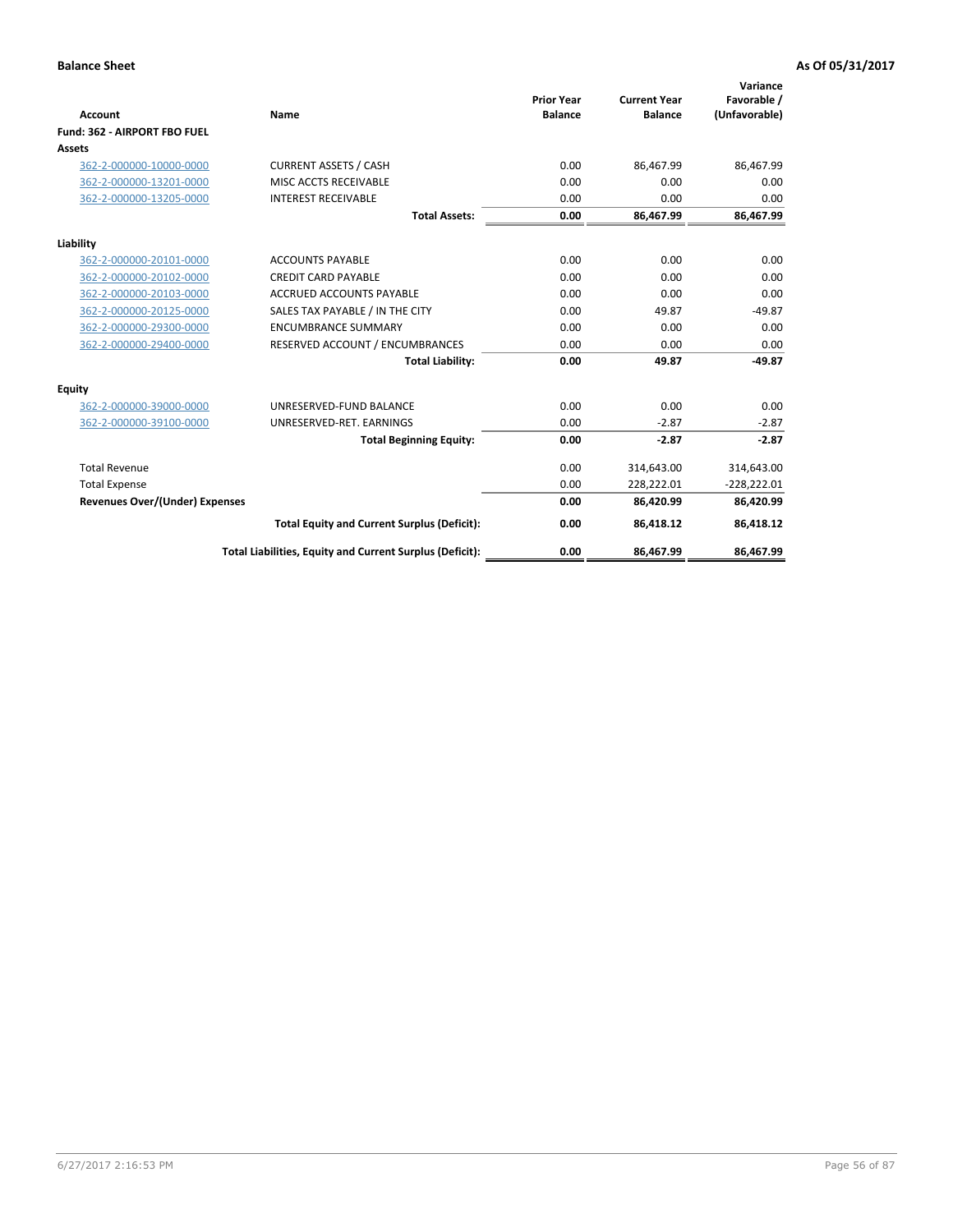|                                       |                                                          |                                     |                                       | Variance                     |
|---------------------------------------|----------------------------------------------------------|-------------------------------------|---------------------------------------|------------------------------|
| <b>Account</b>                        | <b>Name</b>                                              | <b>Prior Year</b><br><b>Balance</b> | <b>Current Year</b><br><b>Balance</b> | Favorable /<br>(Unfavorable) |
| Fund: 362 - AIRPORT FBO FUEL          |                                                          |                                     |                                       |                              |
| <b>Assets</b>                         |                                                          |                                     |                                       |                              |
| 362-2-000000-10000-0000               | <b>CURRENT ASSETS / CASH</b>                             | 0.00                                | 86,467.99                             | 86,467.99                    |
| 362-2-000000-13201-0000               | MISC ACCTS RECEIVABLE                                    | 0.00                                | 0.00                                  | 0.00                         |
| 362-2-000000-13205-0000               | <b>INTEREST RECEIVABLE</b>                               | 0.00                                | 0.00                                  | 0.00                         |
|                                       | <b>Total Assets:</b>                                     | 0.00                                | 86,467.99                             | 86,467.99                    |
| Liability                             |                                                          |                                     |                                       |                              |
| 362-2-000000-20101-0000               | <b>ACCOUNTS PAYABLE</b>                                  | 0.00                                | 0.00                                  | 0.00                         |
| 362-2-000000-20102-0000               | <b>CREDIT CARD PAYABLE</b>                               | 0.00                                | 0.00                                  | 0.00                         |
| 362-2-000000-20103-0000               | <b>ACCRUED ACCOUNTS PAYABLE</b>                          | 0.00                                | 0.00                                  | 0.00                         |
| 362-2-000000-20125-0000               | SALES TAX PAYABLE / IN THE CITY                          | 0.00                                | 49.87                                 | $-49.87$                     |
| 362-2-000000-29300-0000               | <b>ENCUMBRANCE SUMMARY</b>                               | 0.00                                | 0.00                                  | 0.00                         |
| 362-2-000000-29400-0000               | RESERVED ACCOUNT / ENCUMBRANCES                          | 0.00                                | 0.00                                  | 0.00                         |
|                                       | <b>Total Liability:</b>                                  | 0.00                                | 49.87                                 | $-49.87$                     |
| Equity                                |                                                          |                                     |                                       |                              |
| 362-2-000000-39000-0000               | UNRESERVED-FUND BALANCE                                  | 0.00                                | 0.00                                  | 0.00                         |
| 362-2-000000-39100-0000               | UNRESERVED-RET, EARNINGS                                 | 0.00                                | $-2.87$                               | $-2.87$                      |
|                                       | <b>Total Beginning Equity:</b>                           | 0.00                                | $-2.87$                               | $-2.87$                      |
| <b>Total Revenue</b>                  |                                                          | 0.00                                | 314,643.00                            | 314,643.00                   |
| <b>Total Expense</b>                  |                                                          | 0.00                                | 228,222.01                            | $-228,222.01$                |
| <b>Revenues Over/(Under) Expenses</b> |                                                          | 0.00                                | 86,420.99                             | 86,420.99                    |
|                                       | <b>Total Equity and Current Surplus (Deficit):</b>       | 0.00                                | 86,418.12                             | 86,418.12                    |
|                                       | Total Liabilities, Equity and Current Surplus (Deficit): | 0.00                                | 86,467.99                             | 86,467.99                    |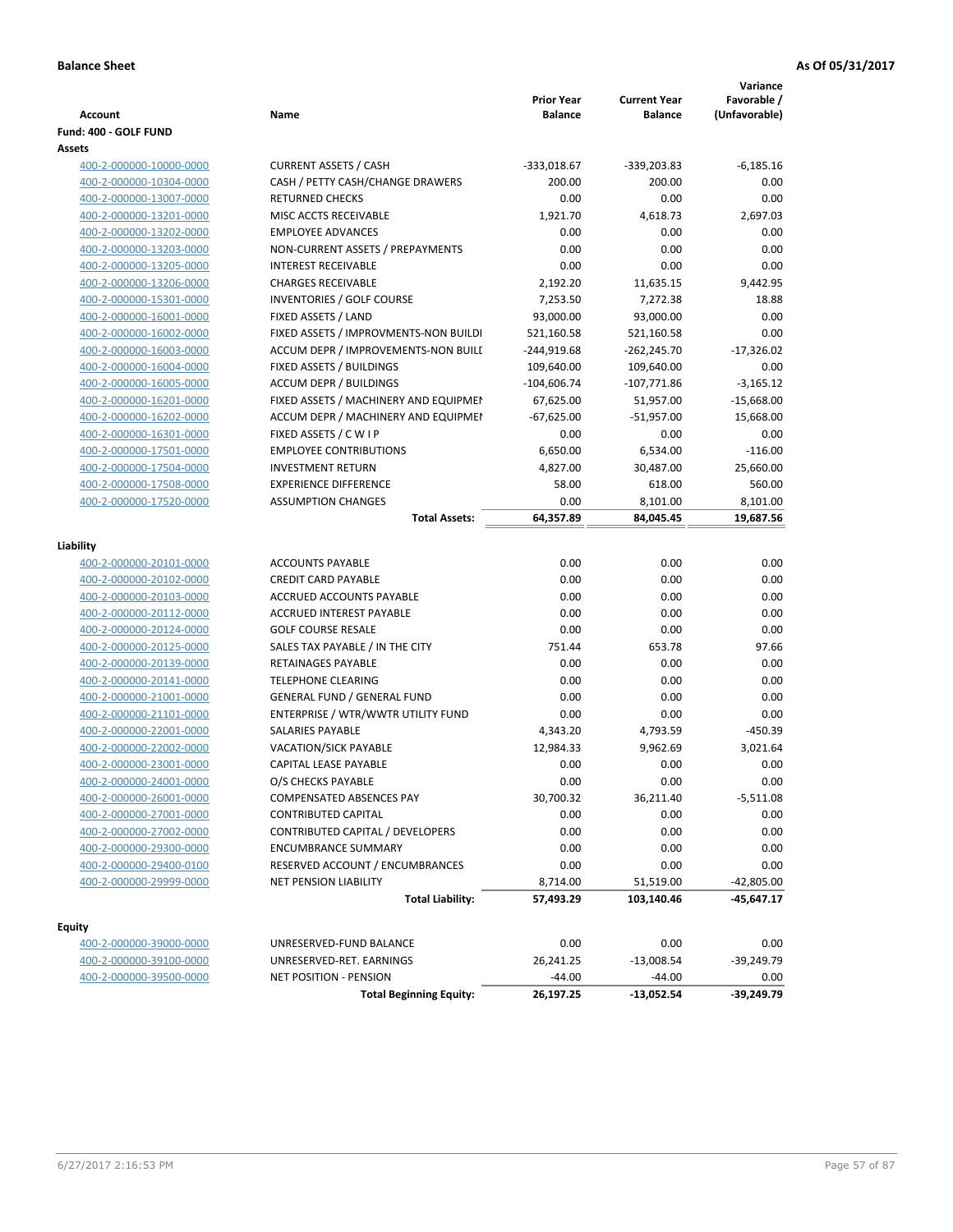|                         |                                       | <b>Prior Year</b> | <b>Current Year</b> | Variance<br>Favorable / |
|-------------------------|---------------------------------------|-------------------|---------------------|-------------------------|
| <b>Account</b>          | Name                                  | <b>Balance</b>    | <b>Balance</b>      | (Unfavorable)           |
| Fund: 400 - GOLF FUND   |                                       |                   |                     |                         |
| Assets                  |                                       |                   |                     |                         |
| 400-2-000000-10000-0000 | <b>CURRENT ASSETS / CASH</b>          | $-333,018.67$     | $-339,203.83$       | $-6,185.16$             |
| 400-2-000000-10304-0000 | CASH / PETTY CASH/CHANGE DRAWERS      | 200.00            | 200.00              | 0.00                    |
| 400-2-000000-13007-0000 | <b>RETURNED CHECKS</b>                | 0.00              | 0.00                | 0.00                    |
| 400-2-000000-13201-0000 | MISC ACCTS RECEIVABLE                 | 1,921.70          | 4,618.73            | 2,697.03                |
| 400-2-000000-13202-0000 | <b>EMPLOYEE ADVANCES</b>              | 0.00              | 0.00                | 0.00                    |
| 400-2-000000-13203-0000 | NON-CURRENT ASSETS / PREPAYMENTS      | 0.00              | 0.00                | 0.00                    |
| 400-2-000000-13205-0000 | <b>INTEREST RECEIVABLE</b>            | 0.00              | 0.00                | 0.00                    |
| 400-2-000000-13206-0000 | <b>CHARGES RECEIVABLE</b>             | 2,192.20          | 11,635.15           | 9,442.95                |
| 400-2-000000-15301-0000 | <b>INVENTORIES / GOLF COURSE</b>      | 7,253.50          | 7,272.38            | 18.88                   |
| 400-2-000000-16001-0000 | FIXED ASSETS / LAND                   | 93,000.00         | 93,000.00           | 0.00                    |
| 400-2-000000-16002-0000 | FIXED ASSETS / IMPROVMENTS-NON BUILDI | 521,160.58        | 521,160.58          | 0.00                    |
| 400-2-000000-16003-0000 | ACCUM DEPR / IMPROVEMENTS-NON BUILI   | $-244,919.68$     | $-262,245.70$       | $-17,326.02$            |
| 400-2-000000-16004-0000 | FIXED ASSETS / BUILDINGS              | 109,640.00        | 109,640.00          | 0.00                    |
| 400-2-000000-16005-0000 | <b>ACCUM DEPR / BUILDINGS</b>         | $-104,606.74$     | $-107,771.86$       | $-3,165.12$             |
| 400-2-000000-16201-0000 | FIXED ASSETS / MACHINERY AND EQUIPMEN | 67,625.00         | 51,957.00           | $-15,668.00$            |
| 400-2-000000-16202-0000 | ACCUM DEPR / MACHINERY AND EQUIPMEI   | $-67,625.00$      | $-51,957.00$        | 15,668.00               |
| 400-2-000000-16301-0000 | FIXED ASSETS / C W I P                | 0.00              | 0.00                | 0.00                    |
| 400-2-000000-17501-0000 | <b>EMPLOYEE CONTRIBUTIONS</b>         | 6,650.00          | 6,534.00            | $-116.00$               |
| 400-2-000000-17504-0000 | <b>INVESTMENT RETURN</b>              | 4,827.00          | 30,487.00           | 25,660.00               |
| 400-2-000000-17508-0000 | <b>EXPERIENCE DIFFERENCE</b>          | 58.00             | 618.00              | 560.00                  |
| 400-2-000000-17520-0000 | <b>ASSUMPTION CHANGES</b>             | 0.00              | 8,101.00            | 8,101.00                |
|                         | <b>Total Assets:</b>                  | 64,357.89         | 84,045.45           | 19,687.56               |
|                         |                                       |                   |                     |                         |
| Liability               |                                       |                   |                     |                         |
| 400-2-000000-20101-0000 | <b>ACCOUNTS PAYABLE</b>               | 0.00              | 0.00                | 0.00                    |
| 400-2-000000-20102-0000 | <b>CREDIT CARD PAYABLE</b>            | 0.00              | 0.00                | 0.00                    |
| 400-2-000000-20103-0000 | ACCRUED ACCOUNTS PAYABLE              | 0.00              | 0.00                | 0.00                    |
| 400-2-000000-20112-0000 | <b>ACCRUED INTEREST PAYABLE</b>       | 0.00              | 0.00                | 0.00                    |
| 400-2-000000-20124-0000 | <b>GOLF COURSE RESALE</b>             | 0.00              | 0.00                | 0.00                    |
| 400-2-000000-20125-0000 | SALES TAX PAYABLE / IN THE CITY       | 751.44            | 653.78              | 97.66                   |
| 400-2-000000-20139-0000 | RETAINAGES PAYABLE                    | 0.00              | 0.00                | 0.00                    |
| 400-2-000000-20141-0000 | <b>TELEPHONE CLEARING</b>             | 0.00              | 0.00                | 0.00                    |
| 400-2-000000-21001-0000 | <b>GENERAL FUND / GENERAL FUND</b>    | 0.00              | 0.00                | 0.00                    |
| 400-2-000000-21101-0000 | ENTERPRISE / WTR/WWTR UTILITY FUND    | 0.00              | 0.00                | 0.00                    |
| 400-2-000000-22001-0000 | SALARIES PAYABLE                      | 4,343.20          | 4,793.59            | $-450.39$               |
| 400-2-000000-22002-0000 | <b>VACATION/SICK PAYABLE</b>          | 12,984.33         | 9,962.69            | 3,021.64                |
| 400-2-000000-23001-0000 | CAPITAL LEASE PAYABLE                 | 0.00              | 0.00                | 0.00                    |
| 400-2-000000-24001-0000 | O/S CHECKS PAYABLE                    | 0.00              | 0.00                | 0.00                    |
| 400-2-000000-26001-0000 | COMPENSATED ABSENCES PAY              | 30,700.32         | 36,211.40           | -5,511.08               |
| 400-2-000000-27001-0000 | <b>CONTRIBUTED CAPITAL</b>            | 0.00              | 0.00                | 0.00                    |
| 400-2-000000-27002-0000 | CONTRIBUTED CAPITAL / DEVELOPERS      | 0.00              | 0.00                | 0.00                    |
| 400-2-000000-29300-0000 | <b>ENCUMBRANCE SUMMARY</b>            | 0.00              | 0.00                | 0.00                    |
| 400-2-000000-29400-0100 | RESERVED ACCOUNT / ENCUMBRANCES       | 0.00              | 0.00                | 0.00                    |
| 400-2-000000-29999-0000 | <b>NET PENSION LIABILITY</b>          | 8,714.00          | 51,519.00           | $-42,805.00$            |
|                         | <b>Total Liability:</b>               | 57,493.29         | 103,140.46          | -45,647.17              |
| <b>Equity</b>           |                                       |                   |                     |                         |
| 400-2-000000-39000-0000 | UNRESERVED-FUND BALANCE               | 0.00              | 0.00                | 0.00                    |
| 400-2-000000-39100-0000 | UNRESERVED-RET. EARNINGS              | 26,241.25         | $-13,008.54$        | -39,249.79              |
| 400-2-000000-39500-0000 | <b>NET POSITION - PENSION</b>         | $-44.00$          | $-44.00$            | 0.00                    |

**Total Beginning Equity: 26,197.25 -13,052.54 -39,249.79**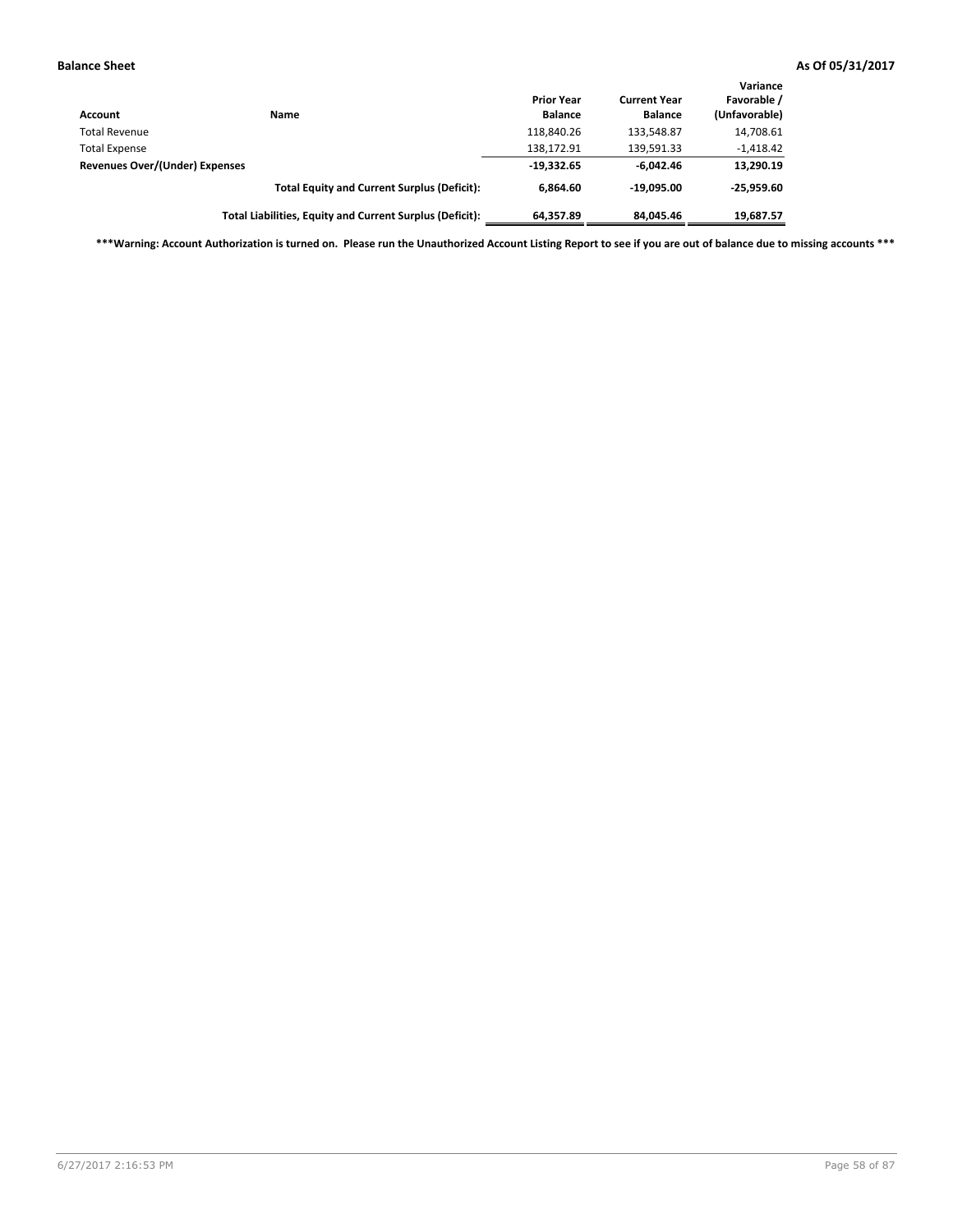| Account                        | <b>Name</b>                                              | <b>Prior Year</b><br><b>Balance</b> | <b>Current Year</b><br><b>Balance</b> | Variance<br>Favorable /<br>(Unfavorable) |
|--------------------------------|----------------------------------------------------------|-------------------------------------|---------------------------------------|------------------------------------------|
| <b>Total Revenue</b>           |                                                          | 118,840.26                          | 133,548.87                            | 14,708.61                                |
| <b>Total Expense</b>           |                                                          | 138,172.91                          | 139,591.33                            | $-1,418.42$                              |
| Revenues Over/(Under) Expenses |                                                          | $-19,332.65$                        | $-6.042.46$                           | 13,290.19                                |
|                                | <b>Total Equity and Current Surplus (Deficit):</b>       | 6.864.60                            | $-19.095.00$                          | $-25,959.60$                             |
|                                | Total Liabilities, Equity and Current Surplus (Deficit): | 64,357.89                           | 84.045.46                             | 19,687.57                                |

**\*\*\*Warning: Account Authorization is turned on. Please run the Unauthorized Account Listing Report to see if you are out of balance due to missing accounts \*\*\***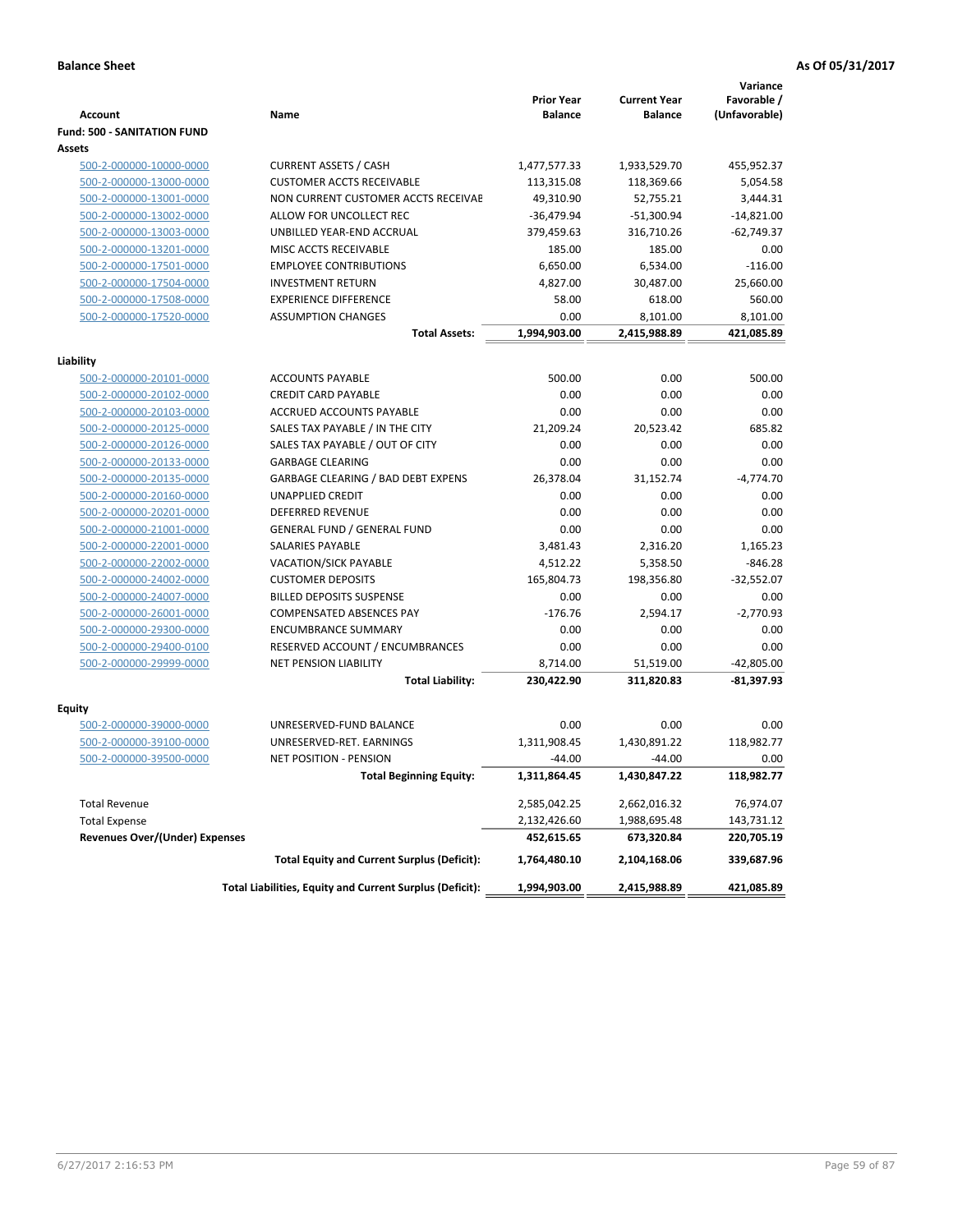|                                          |                                                          | <b>Prior Year</b> | <b>Current Year</b> | Variance<br>Favorable / |
|------------------------------------------|----------------------------------------------------------|-------------------|---------------------|-------------------------|
| <b>Account</b>                           | Name                                                     | <b>Balance</b>    | <b>Balance</b>      | (Unfavorable)           |
| <b>Fund: 500 - SANITATION FUND</b>       |                                                          |                   |                     |                         |
| Assets                                   |                                                          |                   |                     |                         |
| 500-2-000000-10000-0000                  | <b>CURRENT ASSETS / CASH</b>                             | 1,477,577.33      | 1,933,529.70        | 455,952.37              |
| 500-2-000000-13000-0000                  | <b>CUSTOMER ACCTS RECEIVABLE</b>                         | 113,315.08        | 118,369.66          | 5,054.58                |
| 500-2-000000-13001-0000                  | NON CURRENT CUSTOMER ACCTS RECEIVAE                      | 49,310.90         | 52,755.21           | 3,444.31                |
| 500-2-000000-13002-0000                  | ALLOW FOR UNCOLLECT REC                                  | $-36,479.94$      | $-51,300.94$        | $-14,821.00$            |
| 500-2-000000-13003-0000                  | UNBILLED YEAR-END ACCRUAL                                | 379,459.63        | 316,710.26          | $-62,749.37$            |
| 500-2-000000-13201-0000                  | MISC ACCTS RECEIVABLE                                    | 185.00            | 185.00              | 0.00                    |
| 500-2-000000-17501-0000                  | <b>EMPLOYEE CONTRIBUTIONS</b>                            | 6,650.00          | 6,534.00            | $-116.00$               |
| 500-2-000000-17504-0000                  | <b>INVESTMENT RETURN</b>                                 | 4,827.00          | 30,487.00           | 25,660.00               |
| 500-2-000000-17508-0000                  | <b>EXPERIENCE DIFFERENCE</b>                             | 58.00             | 618.00              | 560.00                  |
| 500-2-000000-17520-0000                  | <b>ASSUMPTION CHANGES</b>                                | 0.00              | 8,101.00            | 8,101.00                |
|                                          | <b>Total Assets:</b>                                     | 1,994,903.00      | 2,415,988.89        | 421,085.89              |
| Liability                                |                                                          |                   |                     |                         |
| 500-2-000000-20101-0000                  | <b>ACCOUNTS PAYABLE</b>                                  | 500.00            | 0.00                | 500.00                  |
| 500-2-000000-20102-0000                  | <b>CREDIT CARD PAYABLE</b>                               | 0.00              | 0.00                | 0.00                    |
| 500-2-000000-20103-0000                  | ACCRUED ACCOUNTS PAYABLE                                 | 0.00              | 0.00                | 0.00                    |
| 500-2-000000-20125-0000                  | SALES TAX PAYABLE / IN THE CITY                          | 21,209.24         | 20,523.42           | 685.82                  |
| 500-2-000000-20126-0000                  | SALES TAX PAYABLE / OUT OF CITY                          | 0.00              | 0.00                | 0.00                    |
| 500-2-000000-20133-0000                  | <b>GARBAGE CLEARING</b>                                  | 0.00              | 0.00                | 0.00                    |
| 500-2-000000-20135-0000                  | GARBAGE CLEARING / BAD DEBT EXPENS                       | 26,378.04         | 31,152.74           | $-4,774.70$             |
| 500-2-000000-20160-0000                  | UNAPPLIED CREDIT                                         | 0.00              | 0.00                | 0.00                    |
| 500-2-000000-20201-0000                  | DEFERRED REVENUE                                         | 0.00              | 0.00                | 0.00                    |
| 500-2-000000-21001-0000                  | <b>GENERAL FUND / GENERAL FUND</b>                       | 0.00              | 0.00                | 0.00                    |
| 500-2-000000-22001-0000                  | <b>SALARIES PAYABLE</b>                                  | 3,481.43          | 2,316.20            | 1,165.23                |
| 500-2-000000-22002-0000                  | <b>VACATION/SICK PAYABLE</b>                             | 4,512.22          | 5,358.50            | $-846.28$               |
| 500-2-000000-24002-0000                  | <b>CUSTOMER DEPOSITS</b>                                 | 165,804.73        | 198,356.80          | $-32,552.07$            |
| 500-2-000000-24007-0000                  | <b>BILLED DEPOSITS SUSPENSE</b>                          | 0.00              | 0.00                | 0.00                    |
| 500-2-000000-26001-0000                  | COMPENSATED ABSENCES PAY                                 | $-176.76$         | 2,594.17            | $-2,770.93$             |
| 500-2-000000-29300-0000                  | <b>ENCUMBRANCE SUMMARY</b>                               | 0.00              | 0.00                | 0.00                    |
| 500-2-000000-29400-0100                  | RESERVED ACCOUNT / ENCUMBRANCES                          | 0.00              | 0.00                | 0.00                    |
| 500-2-000000-29999-0000                  | <b>NET PENSION LIABILITY</b>                             | 8,714.00          | 51,519.00           | $-42,805.00$            |
|                                          | <b>Total Liability:</b>                                  | 230,422.90        | 311,820.83          | $-81,397.93$            |
|                                          |                                                          |                   |                     |                         |
| <b>Equity</b><br>500-2-000000-39000-0000 | UNRESERVED-FUND BALANCE                                  | 0.00              | 0.00                | 0.00                    |
| 500-2-000000-39100-0000                  | UNRESERVED-RET. EARNINGS                                 | 1,311,908.45      | 1.430.891.22        | 118,982.77              |
|                                          | <b>NET POSITION - PENSION</b>                            | $-44.00$          | $-44.00$            | 0.00                    |
| 500-2-000000-39500-0000                  |                                                          |                   |                     |                         |
|                                          | Total Beginning Equity:                                  | 1,311,864.45      | 1,430,847.22        | 118,982.77              |
| <b>Total Revenue</b>                     |                                                          | 2,585,042.25      | 2,662,016.32        | 76,974.07               |
| <b>Total Expense</b>                     |                                                          | 2,132,426.60      | 1,988,695.48        | 143,731.12              |
| <b>Revenues Over/(Under) Expenses</b>    |                                                          | 452,615.65        | 673,320.84          | 220,705.19              |
|                                          | <b>Total Equity and Current Surplus (Deficit):</b>       | 1,764,480.10      | 2,104,168.06        | 339,687.96              |
|                                          | Total Liabilities, Equity and Current Surplus (Deficit): | 1,994,903.00      | 2,415,988.89        | 421,085.89              |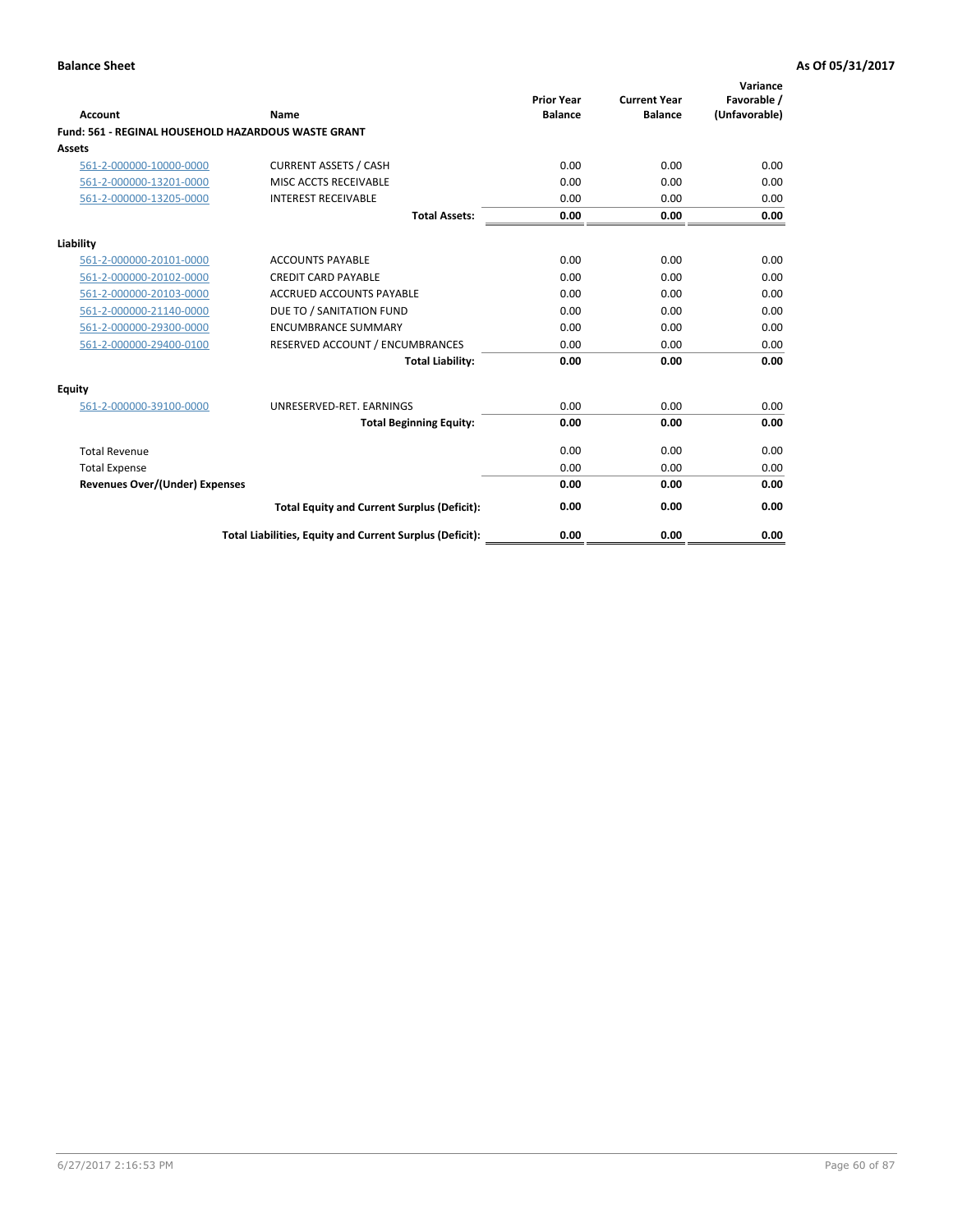| Account                               | Name                                                     | <b>Prior Year</b><br><b>Balance</b> | <b>Current Year</b><br><b>Balance</b> | Variance<br>Favorable /<br>(Unfavorable) |
|---------------------------------------|----------------------------------------------------------|-------------------------------------|---------------------------------------|------------------------------------------|
|                                       | Fund: 561 - REGINAL HOUSEHOLD HAZARDOUS WASTE GRANT      |                                     |                                       |                                          |
| Assets                                |                                                          |                                     |                                       |                                          |
| 561-2-000000-10000-0000               | <b>CURRENT ASSETS / CASH</b>                             | 0.00                                | 0.00                                  | 0.00                                     |
| 561-2-000000-13201-0000               | MISC ACCTS RECEIVABLE                                    | 0.00                                | 0.00                                  | 0.00                                     |
| 561-2-000000-13205-0000               | <b>INTEREST RECEIVABLE</b>                               | 0.00                                | 0.00                                  | 0.00                                     |
|                                       | <b>Total Assets:</b>                                     | 0.00                                | 0.00                                  | 0.00                                     |
| Liability                             |                                                          |                                     |                                       |                                          |
| 561-2-000000-20101-0000               | <b>ACCOUNTS PAYABLE</b>                                  | 0.00                                | 0.00                                  | 0.00                                     |
| 561-2-000000-20102-0000               | <b>CREDIT CARD PAYABLE</b>                               | 0.00                                | 0.00                                  | 0.00                                     |
| 561-2-000000-20103-0000               | <b>ACCRUED ACCOUNTS PAYABLE</b>                          | 0.00                                | 0.00                                  | 0.00                                     |
| 561-2-000000-21140-0000               | DUE TO / SANITATION FUND                                 | 0.00                                | 0.00                                  | 0.00                                     |
| 561-2-000000-29300-0000               | <b>ENCUMBRANCE SUMMARY</b>                               | 0.00                                | 0.00                                  | 0.00                                     |
| 561-2-000000-29400-0100               | RESERVED ACCOUNT / ENCUMBRANCES                          | 0.00                                | 0.00                                  | 0.00                                     |
|                                       | <b>Total Liability:</b>                                  | 0.00                                | 0.00                                  | 0.00                                     |
| Equity                                |                                                          |                                     |                                       |                                          |
| 561-2-000000-39100-0000               | UNRESERVED-RET. EARNINGS                                 | 0.00                                | 0.00                                  | 0.00                                     |
|                                       | <b>Total Beginning Equity:</b>                           | 0.00                                | 0.00                                  | 0.00                                     |
| <b>Total Revenue</b>                  |                                                          | 0.00                                | 0.00                                  | 0.00                                     |
| <b>Total Expense</b>                  |                                                          | 0.00                                | 0.00                                  | 0.00                                     |
| <b>Revenues Over/(Under) Expenses</b> |                                                          | 0.00                                | 0.00                                  | 0.00                                     |
|                                       | <b>Total Equity and Current Surplus (Deficit):</b>       | 0.00                                | 0.00                                  | 0.00                                     |
|                                       | Total Liabilities, Equity and Current Surplus (Deficit): | 0.00                                | 0.00                                  | 0.00                                     |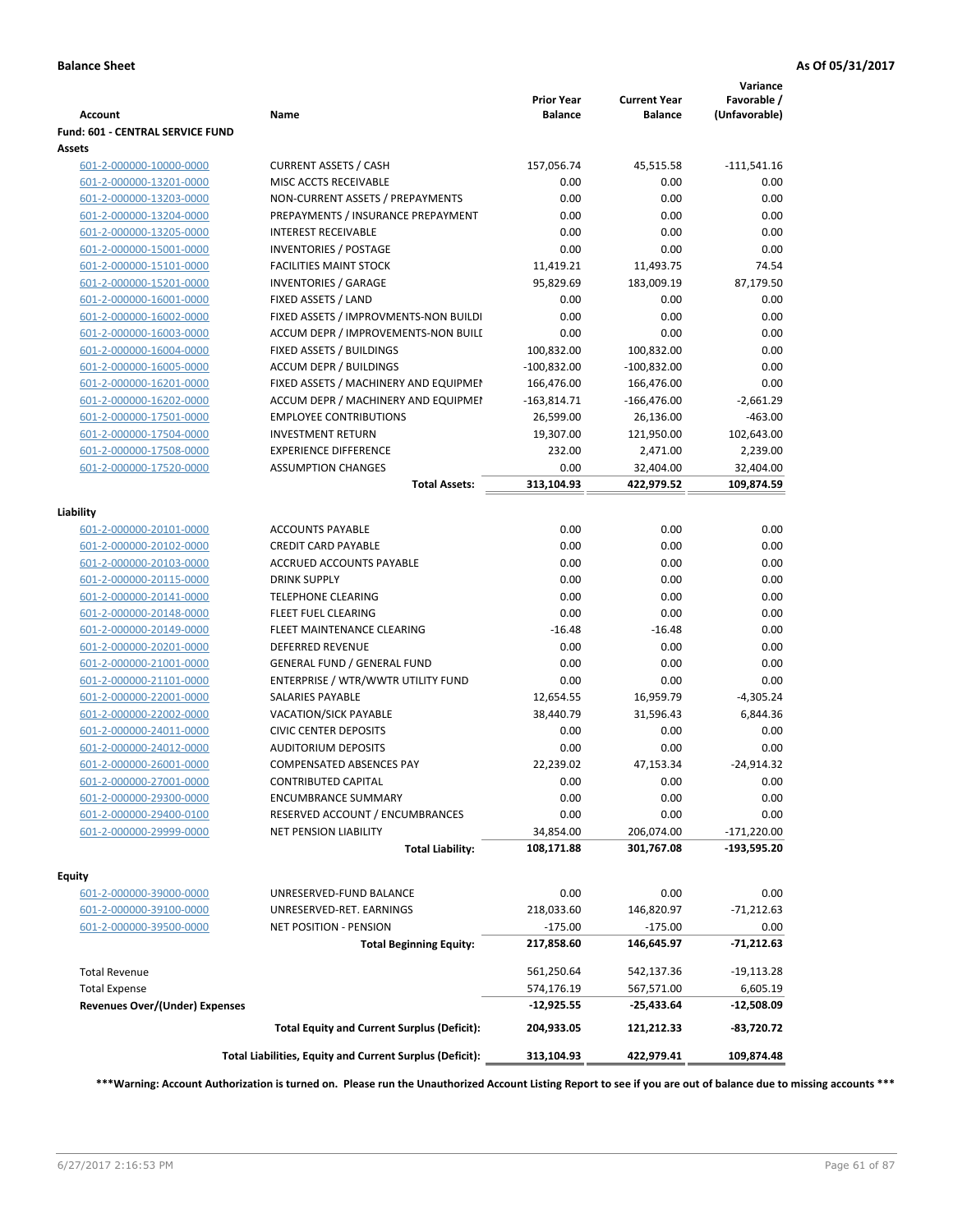| <b>Account</b>                        | Name                                                     | <b>Prior Year</b><br><b>Balance</b> | <b>Current Year</b><br><b>Balance</b> | Variance<br>Favorable /<br>(Unfavorable) |
|---------------------------------------|----------------------------------------------------------|-------------------------------------|---------------------------------------|------------------------------------------|
| Fund: 601 - CENTRAL SERVICE FUND      |                                                          |                                     |                                       |                                          |
| Assets                                |                                                          |                                     |                                       |                                          |
| 601-2-000000-10000-0000               | <b>CURRENT ASSETS / CASH</b>                             | 157,056.74                          | 45,515.58                             | $-111,541.16$                            |
| 601-2-000000-13201-0000               | MISC ACCTS RECEIVABLE                                    | 0.00                                | 0.00                                  | 0.00                                     |
| 601-2-000000-13203-0000               | NON-CURRENT ASSETS / PREPAYMENTS                         | 0.00                                | 0.00                                  | 0.00                                     |
| 601-2-000000-13204-0000               | PREPAYMENTS / INSURANCE PREPAYMENT                       | 0.00                                | 0.00                                  | 0.00                                     |
| 601-2-000000-13205-0000               | <b>INTEREST RECEIVABLE</b>                               | 0.00                                | 0.00                                  | 0.00                                     |
| 601-2-000000-15001-0000               | <b>INVENTORIES / POSTAGE</b>                             | 0.00                                | 0.00                                  | 0.00                                     |
| 601-2-000000-15101-0000               | <b>FACILITIES MAINT STOCK</b>                            | 11,419.21                           | 11,493.75                             | 74.54                                    |
| 601-2-000000-15201-0000               | <b>INVENTORIES / GARAGE</b>                              | 95,829.69                           | 183,009.19                            | 87,179.50                                |
| 601-2-000000-16001-0000               | FIXED ASSETS / LAND                                      | 0.00                                | 0.00                                  | 0.00                                     |
| 601-2-000000-16002-0000               | FIXED ASSETS / IMPROVMENTS-NON BUILDI                    | 0.00                                | 0.00                                  | 0.00                                     |
| 601-2-000000-16003-0000               | ACCUM DEPR / IMPROVEMENTS-NON BUILI                      | 0.00                                | 0.00                                  | 0.00                                     |
| 601-2-000000-16004-0000               | FIXED ASSETS / BUILDINGS                                 | 100,832.00                          | 100,832.00                            | 0.00                                     |
| 601-2-000000-16005-0000               | <b>ACCUM DEPR / BUILDINGS</b>                            | $-100,832.00$                       | $-100,832.00$                         | 0.00                                     |
| 601-2-000000-16201-0000               | FIXED ASSETS / MACHINERY AND EQUIPMEN                    | 166,476.00                          | 166,476.00                            | 0.00                                     |
| 601-2-000000-16202-0000               | ACCUM DEPR / MACHINERY AND EQUIPMEI                      | -163,814.71                         | -166,476.00                           | $-2,661.29$                              |
| 601-2-000000-17501-0000               | <b>EMPLOYEE CONTRIBUTIONS</b>                            | 26,599.00                           | 26,136.00                             | $-463.00$                                |
| 601-2-000000-17504-0000               | <b>INVESTMENT RETURN</b>                                 | 19,307.00                           | 121,950.00                            | 102,643.00                               |
| 601-2-000000-17508-0000               | <b>EXPERIENCE DIFFERENCE</b>                             | 232.00                              | 2,471.00                              | 2,239.00                                 |
| 601-2-000000-17520-0000               | <b>ASSUMPTION CHANGES</b>                                | 0.00                                | 32,404.00                             | 32,404.00                                |
|                                       | <b>Total Assets:</b>                                     | 313,104.93                          | 422,979.52                            | 109,874.59                               |
| Liability                             |                                                          |                                     |                                       |                                          |
| 601-2-000000-20101-0000               | <b>ACCOUNTS PAYABLE</b>                                  | 0.00                                | 0.00                                  | 0.00                                     |
| 601-2-000000-20102-0000               | <b>CREDIT CARD PAYABLE</b>                               | 0.00                                | 0.00                                  | 0.00                                     |
| 601-2-000000-20103-0000               | ACCRUED ACCOUNTS PAYABLE                                 | 0.00                                | 0.00                                  | 0.00                                     |
| 601-2-000000-20115-0000               | <b>DRINK SUPPLY</b>                                      | 0.00                                | 0.00                                  | 0.00                                     |
| 601-2-000000-20141-0000               | <b>TELEPHONE CLEARING</b>                                | 0.00                                | 0.00                                  | 0.00                                     |
| 601-2-000000-20148-0000               | <b>FLEET FUEL CLEARING</b>                               | 0.00                                | 0.00                                  | 0.00                                     |
| 601-2-000000-20149-0000               | FLEET MAINTENANCE CLEARING                               | $-16.48$                            | $-16.48$                              | 0.00                                     |
| 601-2-000000-20201-0000               | <b>DEFERRED REVENUE</b>                                  | 0.00                                | 0.00                                  | 0.00                                     |
| 601-2-000000-21001-0000               | <b>GENERAL FUND / GENERAL FUND</b>                       | 0.00                                | 0.00                                  | 0.00                                     |
| 601-2-000000-21101-0000               | ENTERPRISE / WTR/WWTR UTILITY FUND                       | 0.00                                | 0.00                                  | 0.00                                     |
| 601-2-000000-22001-0000               | <b>SALARIES PAYABLE</b>                                  | 12,654.55                           | 16,959.79                             | $-4,305.24$                              |
| 601-2-000000-22002-0000               | <b>VACATION/SICK PAYABLE</b>                             | 38,440.79                           | 31,596.43                             | 6,844.36                                 |
| 601-2-000000-24011-0000               | <b>CIVIC CENTER DEPOSITS</b>                             | 0.00                                | 0.00                                  | 0.00                                     |
| 601-2-000000-24012-0000               | <b>AUDITORIUM DEPOSITS</b>                               | 0.00                                | 0.00                                  | 0.00                                     |
| 601-2-000000-26001-0000               | <b>COMPENSATED ABSENCES PAY</b>                          | 22,239.02                           | 47,153.34                             | $-24,914.32$                             |
| 601-2-000000-27001-0000               | <b>CONTRIBUTED CAPITAL</b>                               | 0.00                                | 0.00                                  | 0.00                                     |
| 601-2-000000-29300-0000               | <b>ENCUMBRANCE SUMMARY</b>                               | 0.00                                | 0.00                                  | 0.00                                     |
| 601-2-000000-29400-0100               | RESERVED ACCOUNT / ENCUMBRANCES                          | 0.00                                | 0.00                                  | 0.00                                     |
| 601-2-000000-29999-0000               | <b>NET PENSION LIABILITY</b>                             | 34,854.00                           | 206,074.00                            | $-171,220.00$                            |
|                                       | <b>Total Liability:</b>                                  | 108,171.88                          | 301,767.08                            | -193,595.20                              |
|                                       |                                                          |                                     |                                       |                                          |
| Equity                                |                                                          |                                     |                                       |                                          |
| 601-2-000000-39000-0000               | UNRESERVED-FUND BALANCE                                  | 0.00                                | 0.00                                  | 0.00                                     |
| 601-2-000000-39100-0000               | UNRESERVED-RET. EARNINGS                                 | 218,033.60                          | 146,820.97                            | $-71,212.63$                             |
| 601-2-000000-39500-0000               | <b>NET POSITION - PENSION</b>                            | $-175.00$                           | $-175.00$                             | 0.00                                     |
|                                       | <b>Total Beginning Equity:</b>                           | 217,858.60                          | 146,645.97                            | -71,212.63                               |
| <b>Total Revenue</b>                  |                                                          | 561,250.64                          | 542,137.36                            | $-19,113.28$                             |
| <b>Total Expense</b>                  |                                                          | 574,176.19                          | 567,571.00                            | 6,605.19                                 |
| <b>Revenues Over/(Under) Expenses</b> |                                                          | $-12,925.55$                        | $-25,433.64$                          | $-12,508.09$                             |
|                                       | <b>Total Equity and Current Surplus (Deficit):</b>       | 204,933.05                          | 121,212.33                            | -83,720.72                               |
|                                       | Total Liabilities, Equity and Current Surplus (Deficit): | 313,104.93                          | 422,979.41                            | 109,874.48                               |

**\*\*\*Warning: Account Authorization is turned on. Please run the Unauthorized Account Listing Report to see if you are out of balance due to missing accounts \*\*\***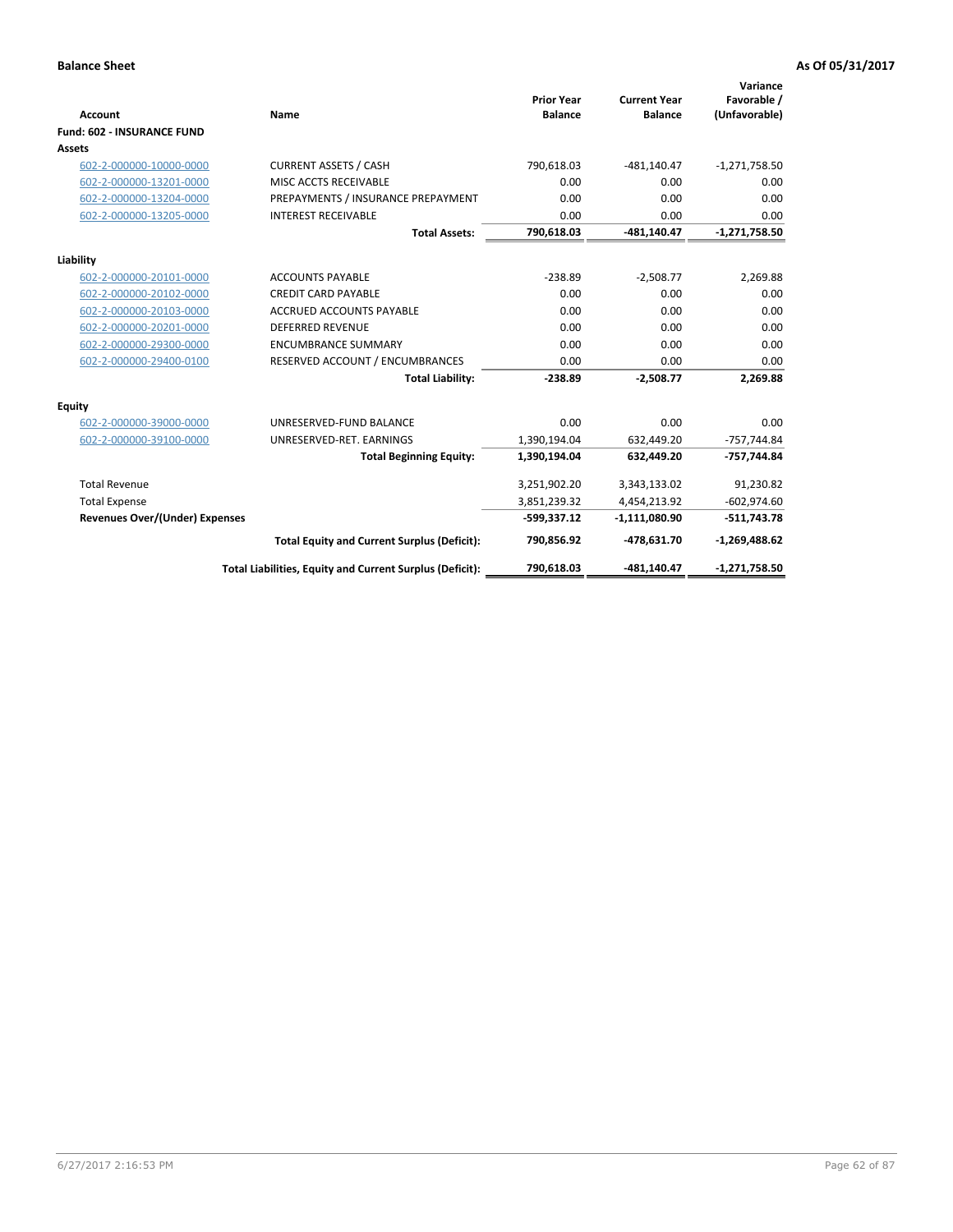| <b>Account</b>                        | Name                                                     | <b>Prior Year</b><br><b>Balance</b> | <b>Current Year</b><br><b>Balance</b> | Variance<br>Favorable /<br>(Unfavorable) |
|---------------------------------------|----------------------------------------------------------|-------------------------------------|---------------------------------------|------------------------------------------|
| <b>Fund: 602 - INSURANCE FUND</b>     |                                                          |                                     |                                       |                                          |
| <b>Assets</b>                         |                                                          |                                     |                                       |                                          |
| 602-2-000000-10000-0000               | <b>CURRENT ASSETS / CASH</b>                             | 790,618.03                          | $-481,140.47$                         | $-1,271,758.50$                          |
| 602-2-000000-13201-0000               | MISC ACCTS RECEIVABLE                                    | 0.00                                | 0.00                                  | 0.00                                     |
| 602-2-000000-13204-0000               | PREPAYMENTS / INSURANCE PREPAYMENT                       | 0.00                                | 0.00                                  | 0.00                                     |
| 602-2-000000-13205-0000               | <b>INTEREST RECEIVABLE</b>                               | 0.00                                | 0.00                                  | 0.00                                     |
|                                       | <b>Total Assets:</b>                                     | 790,618.03                          | $-481,140.47$                         | $-1,271,758.50$                          |
| Liability                             |                                                          |                                     |                                       |                                          |
| 602-2-000000-20101-0000               | <b>ACCOUNTS PAYABLE</b>                                  | $-238.89$                           | $-2,508.77$                           | 2,269.88                                 |
| 602-2-000000-20102-0000               | <b>CREDIT CARD PAYABLE</b>                               | 0.00                                | 0.00                                  | 0.00                                     |
| 602-2-000000-20103-0000               | <b>ACCRUED ACCOUNTS PAYABLE</b>                          | 0.00                                | 0.00                                  | 0.00                                     |
| 602-2-000000-20201-0000               | <b>DEFERRED REVENUE</b>                                  | 0.00                                | 0.00                                  | 0.00                                     |
| 602-2-000000-29300-0000               | <b>ENCUMBRANCE SUMMARY</b>                               | 0.00                                | 0.00                                  | 0.00                                     |
| 602-2-000000-29400-0100               | RESERVED ACCOUNT / ENCUMBRANCES                          | 0.00                                | 0.00                                  | 0.00                                     |
|                                       | <b>Total Liability:</b>                                  | $-238.89$                           | $-2,508.77$                           | 2,269.88                                 |
| <b>Equity</b>                         |                                                          |                                     |                                       |                                          |
| 602-2-000000-39000-0000               | UNRESERVED-FUND BALANCE                                  | 0.00                                | 0.00                                  | 0.00                                     |
| 602-2-000000-39100-0000               | UNRESERVED-RET. EARNINGS                                 | 1,390,194.04                        | 632,449.20                            | $-757,744.84$                            |
|                                       | <b>Total Beginning Equity:</b>                           | 1,390,194.04                        | 632,449.20                            | -757,744.84                              |
| <b>Total Revenue</b>                  |                                                          | 3,251,902.20                        | 3,343,133.02                          | 91,230.82                                |
| <b>Total Expense</b>                  |                                                          | 3,851,239.32                        | 4,454,213.92                          | $-602,974.60$                            |
| <b>Revenues Over/(Under) Expenses</b> |                                                          | $-599,337.12$                       | $-1,111,080.90$                       | $-511,743.78$                            |
|                                       | <b>Total Equity and Current Surplus (Deficit):</b>       | 790,856.92                          | -478,631.70                           | $-1,269,488.62$                          |
|                                       | Total Liabilities, Equity and Current Surplus (Deficit): | 790,618.03                          | $-481,140.47$                         | $-1,271,758.50$                          |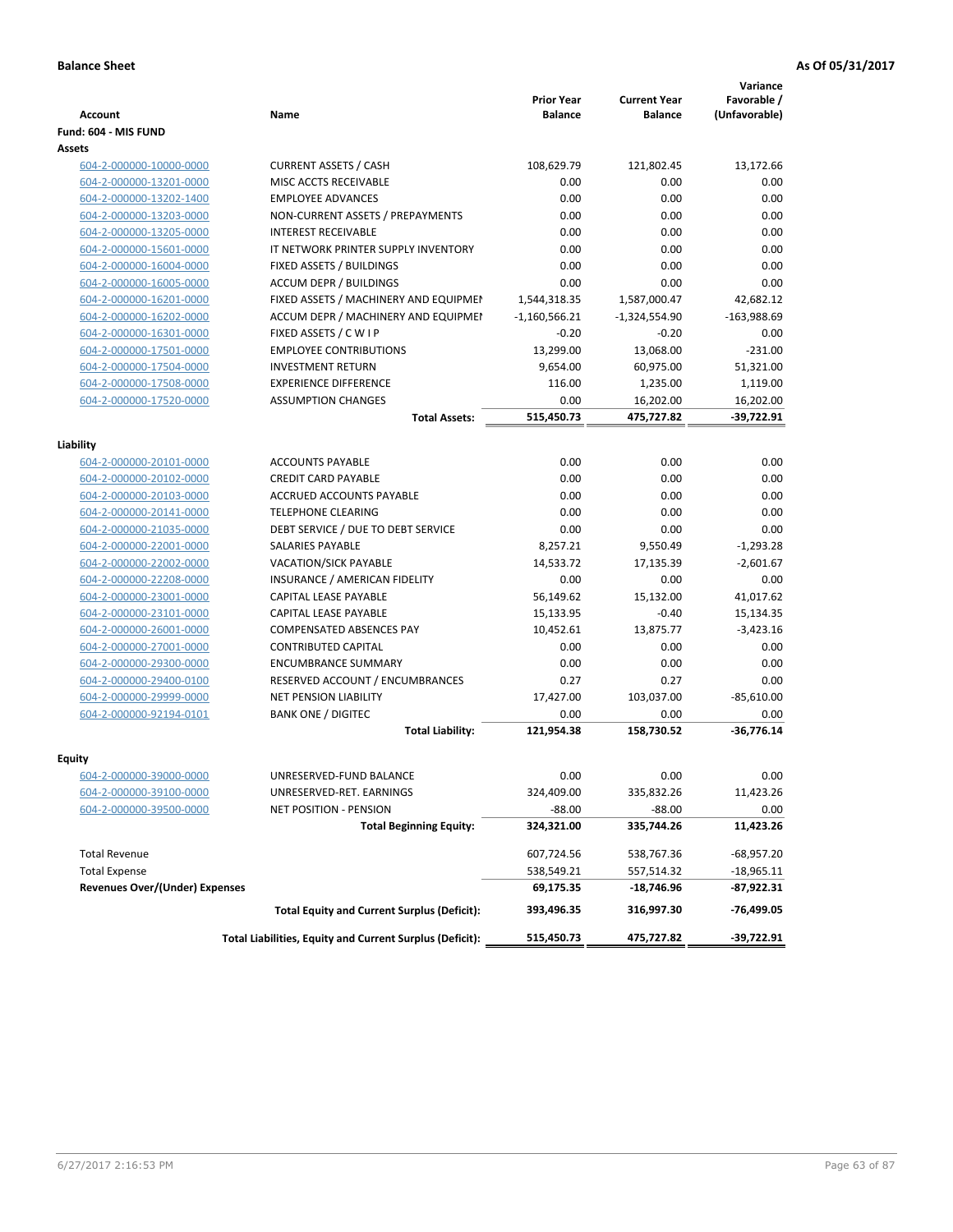| Fund: 604 - MIS FUND<br>604-2-000000-10000-0000<br><b>CURRENT ASSETS / CASH</b><br>108,629.79<br>121,802.45<br>13,172.66<br>604-2-000000-13201-0000<br>MISC ACCTS RECEIVABLE<br>0.00<br>0.00<br>0.00<br>0.00<br><b>EMPLOYEE ADVANCES</b><br>0.00<br>0.00<br>604-2-000000-13202-1400<br>0.00<br>604-2-000000-13203-0000<br>NON-CURRENT ASSETS / PREPAYMENTS<br>0.00<br>0.00<br>0.00<br><b>INTEREST RECEIVABLE</b><br>0.00<br>0.00<br>604-2-000000-13205-0000<br>0.00<br>604-2-000000-15601-0000<br>IT NETWORK PRINTER SUPPLY INVENTORY<br>0.00<br>0.00<br>0.00<br>0.00<br>604-2-000000-16004-0000<br>FIXED ASSETS / BUILDINGS<br>0.00<br><b>ACCUM DEPR / BUILDINGS</b><br>0.00<br>0.00<br>604-2-000000-16005-0000<br>0.00<br>604-2-000000-16201-0000<br>FIXED ASSETS / MACHINERY AND EQUIPMEN<br>1,544,318.35<br>1,587,000.47<br>42,682.12<br>ACCUM DEPR / MACHINERY AND EQUIPMEI<br>$-1,160,566.21$<br>$-1,324,554.90$<br>$-163,988.69$<br>604-2-000000-16202-0000<br>604-2-000000-16301-0000<br>FIXED ASSETS / C W I P<br>$-0.20$<br>$-0.20$<br>0.00<br>13,299.00<br>604-2-000000-17501-0000<br><b>EMPLOYEE CONTRIBUTIONS</b><br>13,068.00<br>$-231.00$<br>51,321.00<br><b>INVESTMENT RETURN</b><br>9,654.00<br>60,975.00<br>604-2-000000-17504-0000<br>604-2-000000-17508-0000<br><b>EXPERIENCE DIFFERENCE</b><br>116.00<br>1,119.00<br>1,235.00<br><b>ASSUMPTION CHANGES</b><br>0.00<br>16,202.00<br>604-2-000000-17520-0000<br>16,202.00<br><b>Total Assets:</b><br>515,450.73<br>475,727.82<br>$-39,722.91$<br>Liability<br><b>ACCOUNTS PAYABLE</b><br>0.00<br>0.00<br>0.00<br>604-2-000000-20101-0000<br>0.00<br>0.00<br><b>CREDIT CARD PAYABLE</b><br>0.00<br>604-2-000000-20102-0000<br>0.00<br><b>ACCRUED ACCOUNTS PAYABLE</b><br>0.00<br>0.00<br>604-2-000000-20103-0000<br>0.00<br><b>TELEPHONE CLEARING</b><br>0.00<br>0.00<br>604-2-000000-20141-0000<br>0.00<br>0.00<br>604-2-000000-21035-0000<br>DEBT SERVICE / DUE TO DEBT SERVICE<br>0.00<br>604-2-000000-22001-0000<br><b>SALARIES PAYABLE</b><br>8,257.21<br>9,550.49<br>$-1,293.28$<br>14,533.72<br>604-2-000000-22002-0000<br><b>VACATION/SICK PAYABLE</b><br>17,135.39<br>$-2,601.67$<br>604-2-000000-22208-0000<br>INSURANCE / AMERICAN FIDELITY<br>0.00<br>0.00<br>0.00<br>CAPITAL LEASE PAYABLE<br>56,149.62<br>15,132.00<br>41,017.62<br>604-2-000000-23001-0000<br>604-2-000000-23101-0000<br>CAPITAL LEASE PAYABLE<br>15,133.95<br>$-0.40$<br>15,134.35<br>$-3,423.16$<br>604-2-000000-26001-0000<br><b>COMPENSATED ABSENCES PAY</b><br>10,452.61<br>13,875.77<br><b>CONTRIBUTED CAPITAL</b><br>0.00<br>0.00<br>0.00<br>604-2-000000-27001-0000<br>0.00<br><b>ENCUMBRANCE SUMMARY</b><br>0.00<br>0.00<br>604-2-000000-29300-0000<br>RESERVED ACCOUNT / ENCUMBRANCES<br>0.27<br>0.27<br>0.00<br>604-2-000000-29400-0100<br>604-2-000000-29999-0000<br><b>NET PENSION LIABILITY</b><br>17,427.00<br>103,037.00<br>$-85,610.00$<br>0.00<br>604-2-000000-92194-0101<br><b>BANK ONE / DIGITEC</b><br>0.00<br>0.00<br><b>Total Liability:</b><br>121,954.38<br>158,730.52<br>$-36,776.14$<br>Equity<br><u>604-2-000000-39000-0000</u><br>UNRESERVED-FUND BALANCE<br>0.00<br>0.00<br>0.00<br>324,409.00<br>335,832.26<br>11,423.26<br>604-2-000000-39100-0000<br>UNRESERVED-RET. EARNINGS<br>604-2-000000-39500-0000<br><b>NET POSITION - PENSION</b><br>$-88.00$<br>$-88.00$<br>0.00<br><b>Total Beginning Equity:</b><br>324,321.00<br>335,744.26<br>11,423.26<br><b>Total Revenue</b><br>607,724.56<br>538,767.36<br>$-68,957.20$<br><b>Total Expense</b><br>538,549.21<br>557,514.32<br>$-18,965.11$<br><b>Revenues Over/(Under) Expenses</b><br>69,175.35<br>-87,922.31<br>-18,746.96<br>$-76,499.05$<br><b>Total Equity and Current Surplus (Deficit):</b><br>393,496.35<br>316,997.30<br>Total Liabilities, Equity and Current Surplus (Deficit):<br>515,450.73<br>475,727.82<br>-39,722.91 | <b>Account</b> | Name | <b>Prior Year</b><br><b>Balance</b> | <b>Current Year</b><br><b>Balance</b> | Variance<br>Favorable /<br>(Unfavorable) |
|--------------------------------------------------------------------------------------------------------------------------------------------------------------------------------------------------------------------------------------------------------------------------------------------------------------------------------------------------------------------------------------------------------------------------------------------------------------------------------------------------------------------------------------------------------------------------------------------------------------------------------------------------------------------------------------------------------------------------------------------------------------------------------------------------------------------------------------------------------------------------------------------------------------------------------------------------------------------------------------------------------------------------------------------------------------------------------------------------------------------------------------------------------------------------------------------------------------------------------------------------------------------------------------------------------------------------------------------------------------------------------------------------------------------------------------------------------------------------------------------------------------------------------------------------------------------------------------------------------------------------------------------------------------------------------------------------------------------------------------------------------------------------------------------------------------------------------------------------------------------------------------------------------------------------------------------------------------------------------------------------------------------------------------------------------------------------------------------------------------------------------------------------------------------------------------------------------------------------------------------------------------------------------------------------------------------------------------------------------------------------------------------------------------------------------------------------------------------------------------------------------------------------------------------------------------------------------------------------------------------------------------------------------------------------------------------------------------------------------------------------------------------------------------------------------------------------------------------------------------------------------------------------------------------------------------------------------------------------------------------------------------------------------------------------------------------------------------------------------------------------------------------------------------------------------------------------------------------------------------------------------------------------------------------------------------------------------------------------------------------------------------------------------------------------------------------------------------------------------------------------------------------------------------------------------------------------------------------------------------------------------------------------------------------------------------------------------------------------------------------------------------------------------------------------------------------------------------------------------------------------|----------------|------|-------------------------------------|---------------------------------------|------------------------------------------|
|                                                                                                                                                                                                                                                                                                                                                                                                                                                                                                                                                                                                                                                                                                                                                                                                                                                                                                                                                                                                                                                                                                                                                                                                                                                                                                                                                                                                                                                                                                                                                                                                                                                                                                                                                                                                                                                                                                                                                                                                                                                                                                                                                                                                                                                                                                                                                                                                                                                                                                                                                                                                                                                                                                                                                                                                                                                                                                                                                                                                                                                                                                                                                                                                                                                                                                                                                                                                                                                                                                                                                                                                                                                                                                                                                                                                                                                                          |                |      |                                     |                                       |                                          |
|                                                                                                                                                                                                                                                                                                                                                                                                                                                                                                                                                                                                                                                                                                                                                                                                                                                                                                                                                                                                                                                                                                                                                                                                                                                                                                                                                                                                                                                                                                                                                                                                                                                                                                                                                                                                                                                                                                                                                                                                                                                                                                                                                                                                                                                                                                                                                                                                                                                                                                                                                                                                                                                                                                                                                                                                                                                                                                                                                                                                                                                                                                                                                                                                                                                                                                                                                                                                                                                                                                                                                                                                                                                                                                                                                                                                                                                                          | <b>Assets</b>  |      |                                     |                                       |                                          |
|                                                                                                                                                                                                                                                                                                                                                                                                                                                                                                                                                                                                                                                                                                                                                                                                                                                                                                                                                                                                                                                                                                                                                                                                                                                                                                                                                                                                                                                                                                                                                                                                                                                                                                                                                                                                                                                                                                                                                                                                                                                                                                                                                                                                                                                                                                                                                                                                                                                                                                                                                                                                                                                                                                                                                                                                                                                                                                                                                                                                                                                                                                                                                                                                                                                                                                                                                                                                                                                                                                                                                                                                                                                                                                                                                                                                                                                                          |                |      |                                     |                                       |                                          |
|                                                                                                                                                                                                                                                                                                                                                                                                                                                                                                                                                                                                                                                                                                                                                                                                                                                                                                                                                                                                                                                                                                                                                                                                                                                                                                                                                                                                                                                                                                                                                                                                                                                                                                                                                                                                                                                                                                                                                                                                                                                                                                                                                                                                                                                                                                                                                                                                                                                                                                                                                                                                                                                                                                                                                                                                                                                                                                                                                                                                                                                                                                                                                                                                                                                                                                                                                                                                                                                                                                                                                                                                                                                                                                                                                                                                                                                                          |                |      |                                     |                                       |                                          |
|                                                                                                                                                                                                                                                                                                                                                                                                                                                                                                                                                                                                                                                                                                                                                                                                                                                                                                                                                                                                                                                                                                                                                                                                                                                                                                                                                                                                                                                                                                                                                                                                                                                                                                                                                                                                                                                                                                                                                                                                                                                                                                                                                                                                                                                                                                                                                                                                                                                                                                                                                                                                                                                                                                                                                                                                                                                                                                                                                                                                                                                                                                                                                                                                                                                                                                                                                                                                                                                                                                                                                                                                                                                                                                                                                                                                                                                                          |                |      |                                     |                                       |                                          |
|                                                                                                                                                                                                                                                                                                                                                                                                                                                                                                                                                                                                                                                                                                                                                                                                                                                                                                                                                                                                                                                                                                                                                                                                                                                                                                                                                                                                                                                                                                                                                                                                                                                                                                                                                                                                                                                                                                                                                                                                                                                                                                                                                                                                                                                                                                                                                                                                                                                                                                                                                                                                                                                                                                                                                                                                                                                                                                                                                                                                                                                                                                                                                                                                                                                                                                                                                                                                                                                                                                                                                                                                                                                                                                                                                                                                                                                                          |                |      |                                     |                                       |                                          |
|                                                                                                                                                                                                                                                                                                                                                                                                                                                                                                                                                                                                                                                                                                                                                                                                                                                                                                                                                                                                                                                                                                                                                                                                                                                                                                                                                                                                                                                                                                                                                                                                                                                                                                                                                                                                                                                                                                                                                                                                                                                                                                                                                                                                                                                                                                                                                                                                                                                                                                                                                                                                                                                                                                                                                                                                                                                                                                                                                                                                                                                                                                                                                                                                                                                                                                                                                                                                                                                                                                                                                                                                                                                                                                                                                                                                                                                                          |                |      |                                     |                                       |                                          |
|                                                                                                                                                                                                                                                                                                                                                                                                                                                                                                                                                                                                                                                                                                                                                                                                                                                                                                                                                                                                                                                                                                                                                                                                                                                                                                                                                                                                                                                                                                                                                                                                                                                                                                                                                                                                                                                                                                                                                                                                                                                                                                                                                                                                                                                                                                                                                                                                                                                                                                                                                                                                                                                                                                                                                                                                                                                                                                                                                                                                                                                                                                                                                                                                                                                                                                                                                                                                                                                                                                                                                                                                                                                                                                                                                                                                                                                                          |                |      |                                     |                                       |                                          |
|                                                                                                                                                                                                                                                                                                                                                                                                                                                                                                                                                                                                                                                                                                                                                                                                                                                                                                                                                                                                                                                                                                                                                                                                                                                                                                                                                                                                                                                                                                                                                                                                                                                                                                                                                                                                                                                                                                                                                                                                                                                                                                                                                                                                                                                                                                                                                                                                                                                                                                                                                                                                                                                                                                                                                                                                                                                                                                                                                                                                                                                                                                                                                                                                                                                                                                                                                                                                                                                                                                                                                                                                                                                                                                                                                                                                                                                                          |                |      |                                     |                                       |                                          |
|                                                                                                                                                                                                                                                                                                                                                                                                                                                                                                                                                                                                                                                                                                                                                                                                                                                                                                                                                                                                                                                                                                                                                                                                                                                                                                                                                                                                                                                                                                                                                                                                                                                                                                                                                                                                                                                                                                                                                                                                                                                                                                                                                                                                                                                                                                                                                                                                                                                                                                                                                                                                                                                                                                                                                                                                                                                                                                                                                                                                                                                                                                                                                                                                                                                                                                                                                                                                                                                                                                                                                                                                                                                                                                                                                                                                                                                                          |                |      |                                     |                                       |                                          |
|                                                                                                                                                                                                                                                                                                                                                                                                                                                                                                                                                                                                                                                                                                                                                                                                                                                                                                                                                                                                                                                                                                                                                                                                                                                                                                                                                                                                                                                                                                                                                                                                                                                                                                                                                                                                                                                                                                                                                                                                                                                                                                                                                                                                                                                                                                                                                                                                                                                                                                                                                                                                                                                                                                                                                                                                                                                                                                                                                                                                                                                                                                                                                                                                                                                                                                                                                                                                                                                                                                                                                                                                                                                                                                                                                                                                                                                                          |                |      |                                     |                                       |                                          |
|                                                                                                                                                                                                                                                                                                                                                                                                                                                                                                                                                                                                                                                                                                                                                                                                                                                                                                                                                                                                                                                                                                                                                                                                                                                                                                                                                                                                                                                                                                                                                                                                                                                                                                                                                                                                                                                                                                                                                                                                                                                                                                                                                                                                                                                                                                                                                                                                                                                                                                                                                                                                                                                                                                                                                                                                                                                                                                                                                                                                                                                                                                                                                                                                                                                                                                                                                                                                                                                                                                                                                                                                                                                                                                                                                                                                                                                                          |                |      |                                     |                                       |                                          |
|                                                                                                                                                                                                                                                                                                                                                                                                                                                                                                                                                                                                                                                                                                                                                                                                                                                                                                                                                                                                                                                                                                                                                                                                                                                                                                                                                                                                                                                                                                                                                                                                                                                                                                                                                                                                                                                                                                                                                                                                                                                                                                                                                                                                                                                                                                                                                                                                                                                                                                                                                                                                                                                                                                                                                                                                                                                                                                                                                                                                                                                                                                                                                                                                                                                                                                                                                                                                                                                                                                                                                                                                                                                                                                                                                                                                                                                                          |                |      |                                     |                                       |                                          |
|                                                                                                                                                                                                                                                                                                                                                                                                                                                                                                                                                                                                                                                                                                                                                                                                                                                                                                                                                                                                                                                                                                                                                                                                                                                                                                                                                                                                                                                                                                                                                                                                                                                                                                                                                                                                                                                                                                                                                                                                                                                                                                                                                                                                                                                                                                                                                                                                                                                                                                                                                                                                                                                                                                                                                                                                                                                                                                                                                                                                                                                                                                                                                                                                                                                                                                                                                                                                                                                                                                                                                                                                                                                                                                                                                                                                                                                                          |                |      |                                     |                                       |                                          |
|                                                                                                                                                                                                                                                                                                                                                                                                                                                                                                                                                                                                                                                                                                                                                                                                                                                                                                                                                                                                                                                                                                                                                                                                                                                                                                                                                                                                                                                                                                                                                                                                                                                                                                                                                                                                                                                                                                                                                                                                                                                                                                                                                                                                                                                                                                                                                                                                                                                                                                                                                                                                                                                                                                                                                                                                                                                                                                                                                                                                                                                                                                                                                                                                                                                                                                                                                                                                                                                                                                                                                                                                                                                                                                                                                                                                                                                                          |                |      |                                     |                                       |                                          |
|                                                                                                                                                                                                                                                                                                                                                                                                                                                                                                                                                                                                                                                                                                                                                                                                                                                                                                                                                                                                                                                                                                                                                                                                                                                                                                                                                                                                                                                                                                                                                                                                                                                                                                                                                                                                                                                                                                                                                                                                                                                                                                                                                                                                                                                                                                                                                                                                                                                                                                                                                                                                                                                                                                                                                                                                                                                                                                                                                                                                                                                                                                                                                                                                                                                                                                                                                                                                                                                                                                                                                                                                                                                                                                                                                                                                                                                                          |                |      |                                     |                                       |                                          |
|                                                                                                                                                                                                                                                                                                                                                                                                                                                                                                                                                                                                                                                                                                                                                                                                                                                                                                                                                                                                                                                                                                                                                                                                                                                                                                                                                                                                                                                                                                                                                                                                                                                                                                                                                                                                                                                                                                                                                                                                                                                                                                                                                                                                                                                                                                                                                                                                                                                                                                                                                                                                                                                                                                                                                                                                                                                                                                                                                                                                                                                                                                                                                                                                                                                                                                                                                                                                                                                                                                                                                                                                                                                                                                                                                                                                                                                                          |                |      |                                     |                                       |                                          |
|                                                                                                                                                                                                                                                                                                                                                                                                                                                                                                                                                                                                                                                                                                                                                                                                                                                                                                                                                                                                                                                                                                                                                                                                                                                                                                                                                                                                                                                                                                                                                                                                                                                                                                                                                                                                                                                                                                                                                                                                                                                                                                                                                                                                                                                                                                                                                                                                                                                                                                                                                                                                                                                                                                                                                                                                                                                                                                                                                                                                                                                                                                                                                                                                                                                                                                                                                                                                                                                                                                                                                                                                                                                                                                                                                                                                                                                                          |                |      |                                     |                                       |                                          |
|                                                                                                                                                                                                                                                                                                                                                                                                                                                                                                                                                                                                                                                                                                                                                                                                                                                                                                                                                                                                                                                                                                                                                                                                                                                                                                                                                                                                                                                                                                                                                                                                                                                                                                                                                                                                                                                                                                                                                                                                                                                                                                                                                                                                                                                                                                                                                                                                                                                                                                                                                                                                                                                                                                                                                                                                                                                                                                                                                                                                                                                                                                                                                                                                                                                                                                                                                                                                                                                                                                                                                                                                                                                                                                                                                                                                                                                                          |                |      |                                     |                                       |                                          |
|                                                                                                                                                                                                                                                                                                                                                                                                                                                                                                                                                                                                                                                                                                                                                                                                                                                                                                                                                                                                                                                                                                                                                                                                                                                                                                                                                                                                                                                                                                                                                                                                                                                                                                                                                                                                                                                                                                                                                                                                                                                                                                                                                                                                                                                                                                                                                                                                                                                                                                                                                                                                                                                                                                                                                                                                                                                                                                                                                                                                                                                                                                                                                                                                                                                                                                                                                                                                                                                                                                                                                                                                                                                                                                                                                                                                                                                                          |                |      |                                     |                                       |                                          |
|                                                                                                                                                                                                                                                                                                                                                                                                                                                                                                                                                                                                                                                                                                                                                                                                                                                                                                                                                                                                                                                                                                                                                                                                                                                                                                                                                                                                                                                                                                                                                                                                                                                                                                                                                                                                                                                                                                                                                                                                                                                                                                                                                                                                                                                                                                                                                                                                                                                                                                                                                                                                                                                                                                                                                                                                                                                                                                                                                                                                                                                                                                                                                                                                                                                                                                                                                                                                                                                                                                                                                                                                                                                                                                                                                                                                                                                                          |                |      |                                     |                                       |                                          |
|                                                                                                                                                                                                                                                                                                                                                                                                                                                                                                                                                                                                                                                                                                                                                                                                                                                                                                                                                                                                                                                                                                                                                                                                                                                                                                                                                                                                                                                                                                                                                                                                                                                                                                                                                                                                                                                                                                                                                                                                                                                                                                                                                                                                                                                                                                                                                                                                                                                                                                                                                                                                                                                                                                                                                                                                                                                                                                                                                                                                                                                                                                                                                                                                                                                                                                                                                                                                                                                                                                                                                                                                                                                                                                                                                                                                                                                                          |                |      |                                     |                                       |                                          |
|                                                                                                                                                                                                                                                                                                                                                                                                                                                                                                                                                                                                                                                                                                                                                                                                                                                                                                                                                                                                                                                                                                                                                                                                                                                                                                                                                                                                                                                                                                                                                                                                                                                                                                                                                                                                                                                                                                                                                                                                                                                                                                                                                                                                                                                                                                                                                                                                                                                                                                                                                                                                                                                                                                                                                                                                                                                                                                                                                                                                                                                                                                                                                                                                                                                                                                                                                                                                                                                                                                                                                                                                                                                                                                                                                                                                                                                                          |                |      |                                     |                                       |                                          |
|                                                                                                                                                                                                                                                                                                                                                                                                                                                                                                                                                                                                                                                                                                                                                                                                                                                                                                                                                                                                                                                                                                                                                                                                                                                                                                                                                                                                                                                                                                                                                                                                                                                                                                                                                                                                                                                                                                                                                                                                                                                                                                                                                                                                                                                                                                                                                                                                                                                                                                                                                                                                                                                                                                                                                                                                                                                                                                                                                                                                                                                                                                                                                                                                                                                                                                                                                                                                                                                                                                                                                                                                                                                                                                                                                                                                                                                                          |                |      |                                     |                                       |                                          |
|                                                                                                                                                                                                                                                                                                                                                                                                                                                                                                                                                                                                                                                                                                                                                                                                                                                                                                                                                                                                                                                                                                                                                                                                                                                                                                                                                                                                                                                                                                                                                                                                                                                                                                                                                                                                                                                                                                                                                                                                                                                                                                                                                                                                                                                                                                                                                                                                                                                                                                                                                                                                                                                                                                                                                                                                                                                                                                                                                                                                                                                                                                                                                                                                                                                                                                                                                                                                                                                                                                                                                                                                                                                                                                                                                                                                                                                                          |                |      |                                     |                                       |                                          |
|                                                                                                                                                                                                                                                                                                                                                                                                                                                                                                                                                                                                                                                                                                                                                                                                                                                                                                                                                                                                                                                                                                                                                                                                                                                                                                                                                                                                                                                                                                                                                                                                                                                                                                                                                                                                                                                                                                                                                                                                                                                                                                                                                                                                                                                                                                                                                                                                                                                                                                                                                                                                                                                                                                                                                                                                                                                                                                                                                                                                                                                                                                                                                                                                                                                                                                                                                                                                                                                                                                                                                                                                                                                                                                                                                                                                                                                                          |                |      |                                     |                                       |                                          |
|                                                                                                                                                                                                                                                                                                                                                                                                                                                                                                                                                                                                                                                                                                                                                                                                                                                                                                                                                                                                                                                                                                                                                                                                                                                                                                                                                                                                                                                                                                                                                                                                                                                                                                                                                                                                                                                                                                                                                                                                                                                                                                                                                                                                                                                                                                                                                                                                                                                                                                                                                                                                                                                                                                                                                                                                                                                                                                                                                                                                                                                                                                                                                                                                                                                                                                                                                                                                                                                                                                                                                                                                                                                                                                                                                                                                                                                                          |                |      |                                     |                                       |                                          |
|                                                                                                                                                                                                                                                                                                                                                                                                                                                                                                                                                                                                                                                                                                                                                                                                                                                                                                                                                                                                                                                                                                                                                                                                                                                                                                                                                                                                                                                                                                                                                                                                                                                                                                                                                                                                                                                                                                                                                                                                                                                                                                                                                                                                                                                                                                                                                                                                                                                                                                                                                                                                                                                                                                                                                                                                                                                                                                                                                                                                                                                                                                                                                                                                                                                                                                                                                                                                                                                                                                                                                                                                                                                                                                                                                                                                                                                                          |                |      |                                     |                                       |                                          |
|                                                                                                                                                                                                                                                                                                                                                                                                                                                                                                                                                                                                                                                                                                                                                                                                                                                                                                                                                                                                                                                                                                                                                                                                                                                                                                                                                                                                                                                                                                                                                                                                                                                                                                                                                                                                                                                                                                                                                                                                                                                                                                                                                                                                                                                                                                                                                                                                                                                                                                                                                                                                                                                                                                                                                                                                                                                                                                                                                                                                                                                                                                                                                                                                                                                                                                                                                                                                                                                                                                                                                                                                                                                                                                                                                                                                                                                                          |                |      |                                     |                                       |                                          |
|                                                                                                                                                                                                                                                                                                                                                                                                                                                                                                                                                                                                                                                                                                                                                                                                                                                                                                                                                                                                                                                                                                                                                                                                                                                                                                                                                                                                                                                                                                                                                                                                                                                                                                                                                                                                                                                                                                                                                                                                                                                                                                                                                                                                                                                                                                                                                                                                                                                                                                                                                                                                                                                                                                                                                                                                                                                                                                                                                                                                                                                                                                                                                                                                                                                                                                                                                                                                                                                                                                                                                                                                                                                                                                                                                                                                                                                                          |                |      |                                     |                                       |                                          |
|                                                                                                                                                                                                                                                                                                                                                                                                                                                                                                                                                                                                                                                                                                                                                                                                                                                                                                                                                                                                                                                                                                                                                                                                                                                                                                                                                                                                                                                                                                                                                                                                                                                                                                                                                                                                                                                                                                                                                                                                                                                                                                                                                                                                                                                                                                                                                                                                                                                                                                                                                                                                                                                                                                                                                                                                                                                                                                                                                                                                                                                                                                                                                                                                                                                                                                                                                                                                                                                                                                                                                                                                                                                                                                                                                                                                                                                                          |                |      |                                     |                                       |                                          |
|                                                                                                                                                                                                                                                                                                                                                                                                                                                                                                                                                                                                                                                                                                                                                                                                                                                                                                                                                                                                                                                                                                                                                                                                                                                                                                                                                                                                                                                                                                                                                                                                                                                                                                                                                                                                                                                                                                                                                                                                                                                                                                                                                                                                                                                                                                                                                                                                                                                                                                                                                                                                                                                                                                                                                                                                                                                                                                                                                                                                                                                                                                                                                                                                                                                                                                                                                                                                                                                                                                                                                                                                                                                                                                                                                                                                                                                                          |                |      |                                     |                                       |                                          |
|                                                                                                                                                                                                                                                                                                                                                                                                                                                                                                                                                                                                                                                                                                                                                                                                                                                                                                                                                                                                                                                                                                                                                                                                                                                                                                                                                                                                                                                                                                                                                                                                                                                                                                                                                                                                                                                                                                                                                                                                                                                                                                                                                                                                                                                                                                                                                                                                                                                                                                                                                                                                                                                                                                                                                                                                                                                                                                                                                                                                                                                                                                                                                                                                                                                                                                                                                                                                                                                                                                                                                                                                                                                                                                                                                                                                                                                                          |                |      |                                     |                                       |                                          |
|                                                                                                                                                                                                                                                                                                                                                                                                                                                                                                                                                                                                                                                                                                                                                                                                                                                                                                                                                                                                                                                                                                                                                                                                                                                                                                                                                                                                                                                                                                                                                                                                                                                                                                                                                                                                                                                                                                                                                                                                                                                                                                                                                                                                                                                                                                                                                                                                                                                                                                                                                                                                                                                                                                                                                                                                                                                                                                                                                                                                                                                                                                                                                                                                                                                                                                                                                                                                                                                                                                                                                                                                                                                                                                                                                                                                                                                                          |                |      |                                     |                                       |                                          |
|                                                                                                                                                                                                                                                                                                                                                                                                                                                                                                                                                                                                                                                                                                                                                                                                                                                                                                                                                                                                                                                                                                                                                                                                                                                                                                                                                                                                                                                                                                                                                                                                                                                                                                                                                                                                                                                                                                                                                                                                                                                                                                                                                                                                                                                                                                                                                                                                                                                                                                                                                                                                                                                                                                                                                                                                                                                                                                                                                                                                                                                                                                                                                                                                                                                                                                                                                                                                                                                                                                                                                                                                                                                                                                                                                                                                                                                                          |                |      |                                     |                                       |                                          |
|                                                                                                                                                                                                                                                                                                                                                                                                                                                                                                                                                                                                                                                                                                                                                                                                                                                                                                                                                                                                                                                                                                                                                                                                                                                                                                                                                                                                                                                                                                                                                                                                                                                                                                                                                                                                                                                                                                                                                                                                                                                                                                                                                                                                                                                                                                                                                                                                                                                                                                                                                                                                                                                                                                                                                                                                                                                                                                                                                                                                                                                                                                                                                                                                                                                                                                                                                                                                                                                                                                                                                                                                                                                                                                                                                                                                                                                                          |                |      |                                     |                                       |                                          |
|                                                                                                                                                                                                                                                                                                                                                                                                                                                                                                                                                                                                                                                                                                                                                                                                                                                                                                                                                                                                                                                                                                                                                                                                                                                                                                                                                                                                                                                                                                                                                                                                                                                                                                                                                                                                                                                                                                                                                                                                                                                                                                                                                                                                                                                                                                                                                                                                                                                                                                                                                                                                                                                                                                                                                                                                                                                                                                                                                                                                                                                                                                                                                                                                                                                                                                                                                                                                                                                                                                                                                                                                                                                                                                                                                                                                                                                                          |                |      |                                     |                                       |                                          |
|                                                                                                                                                                                                                                                                                                                                                                                                                                                                                                                                                                                                                                                                                                                                                                                                                                                                                                                                                                                                                                                                                                                                                                                                                                                                                                                                                                                                                                                                                                                                                                                                                                                                                                                                                                                                                                                                                                                                                                                                                                                                                                                                                                                                                                                                                                                                                                                                                                                                                                                                                                                                                                                                                                                                                                                                                                                                                                                                                                                                                                                                                                                                                                                                                                                                                                                                                                                                                                                                                                                                                                                                                                                                                                                                                                                                                                                                          |                |      |                                     |                                       |                                          |
|                                                                                                                                                                                                                                                                                                                                                                                                                                                                                                                                                                                                                                                                                                                                                                                                                                                                                                                                                                                                                                                                                                                                                                                                                                                                                                                                                                                                                                                                                                                                                                                                                                                                                                                                                                                                                                                                                                                                                                                                                                                                                                                                                                                                                                                                                                                                                                                                                                                                                                                                                                                                                                                                                                                                                                                                                                                                                                                                                                                                                                                                                                                                                                                                                                                                                                                                                                                                                                                                                                                                                                                                                                                                                                                                                                                                                                                                          |                |      |                                     |                                       |                                          |
|                                                                                                                                                                                                                                                                                                                                                                                                                                                                                                                                                                                                                                                                                                                                                                                                                                                                                                                                                                                                                                                                                                                                                                                                                                                                                                                                                                                                                                                                                                                                                                                                                                                                                                                                                                                                                                                                                                                                                                                                                                                                                                                                                                                                                                                                                                                                                                                                                                                                                                                                                                                                                                                                                                                                                                                                                                                                                                                                                                                                                                                                                                                                                                                                                                                                                                                                                                                                                                                                                                                                                                                                                                                                                                                                                                                                                                                                          |                |      |                                     |                                       |                                          |
|                                                                                                                                                                                                                                                                                                                                                                                                                                                                                                                                                                                                                                                                                                                                                                                                                                                                                                                                                                                                                                                                                                                                                                                                                                                                                                                                                                                                                                                                                                                                                                                                                                                                                                                                                                                                                                                                                                                                                                                                                                                                                                                                                                                                                                                                                                                                                                                                                                                                                                                                                                                                                                                                                                                                                                                                                                                                                                                                                                                                                                                                                                                                                                                                                                                                                                                                                                                                                                                                                                                                                                                                                                                                                                                                                                                                                                                                          |                |      |                                     |                                       |                                          |
|                                                                                                                                                                                                                                                                                                                                                                                                                                                                                                                                                                                                                                                                                                                                                                                                                                                                                                                                                                                                                                                                                                                                                                                                                                                                                                                                                                                                                                                                                                                                                                                                                                                                                                                                                                                                                                                                                                                                                                                                                                                                                                                                                                                                                                                                                                                                                                                                                                                                                                                                                                                                                                                                                                                                                                                                                                                                                                                                                                                                                                                                                                                                                                                                                                                                                                                                                                                                                                                                                                                                                                                                                                                                                                                                                                                                                                                                          |                |      |                                     |                                       |                                          |
|                                                                                                                                                                                                                                                                                                                                                                                                                                                                                                                                                                                                                                                                                                                                                                                                                                                                                                                                                                                                                                                                                                                                                                                                                                                                                                                                                                                                                                                                                                                                                                                                                                                                                                                                                                                                                                                                                                                                                                                                                                                                                                                                                                                                                                                                                                                                                                                                                                                                                                                                                                                                                                                                                                                                                                                                                                                                                                                                                                                                                                                                                                                                                                                                                                                                                                                                                                                                                                                                                                                                                                                                                                                                                                                                                                                                                                                                          |                |      |                                     |                                       |                                          |
|                                                                                                                                                                                                                                                                                                                                                                                                                                                                                                                                                                                                                                                                                                                                                                                                                                                                                                                                                                                                                                                                                                                                                                                                                                                                                                                                                                                                                                                                                                                                                                                                                                                                                                                                                                                                                                                                                                                                                                                                                                                                                                                                                                                                                                                                                                                                                                                                                                                                                                                                                                                                                                                                                                                                                                                                                                                                                                                                                                                                                                                                                                                                                                                                                                                                                                                                                                                                                                                                                                                                                                                                                                                                                                                                                                                                                                                                          |                |      |                                     |                                       |                                          |
|                                                                                                                                                                                                                                                                                                                                                                                                                                                                                                                                                                                                                                                                                                                                                                                                                                                                                                                                                                                                                                                                                                                                                                                                                                                                                                                                                                                                                                                                                                                                                                                                                                                                                                                                                                                                                                                                                                                                                                                                                                                                                                                                                                                                                                                                                                                                                                                                                                                                                                                                                                                                                                                                                                                                                                                                                                                                                                                                                                                                                                                                                                                                                                                                                                                                                                                                                                                                                                                                                                                                                                                                                                                                                                                                                                                                                                                                          |                |      |                                     |                                       |                                          |
|                                                                                                                                                                                                                                                                                                                                                                                                                                                                                                                                                                                                                                                                                                                                                                                                                                                                                                                                                                                                                                                                                                                                                                                                                                                                                                                                                                                                                                                                                                                                                                                                                                                                                                                                                                                                                                                                                                                                                                                                                                                                                                                                                                                                                                                                                                                                                                                                                                                                                                                                                                                                                                                                                                                                                                                                                                                                                                                                                                                                                                                                                                                                                                                                                                                                                                                                                                                                                                                                                                                                                                                                                                                                                                                                                                                                                                                                          |                |      |                                     |                                       |                                          |
|                                                                                                                                                                                                                                                                                                                                                                                                                                                                                                                                                                                                                                                                                                                                                                                                                                                                                                                                                                                                                                                                                                                                                                                                                                                                                                                                                                                                                                                                                                                                                                                                                                                                                                                                                                                                                                                                                                                                                                                                                                                                                                                                                                                                                                                                                                                                                                                                                                                                                                                                                                                                                                                                                                                                                                                                                                                                                                                                                                                                                                                                                                                                                                                                                                                                                                                                                                                                                                                                                                                                                                                                                                                                                                                                                                                                                                                                          |                |      |                                     |                                       |                                          |
|                                                                                                                                                                                                                                                                                                                                                                                                                                                                                                                                                                                                                                                                                                                                                                                                                                                                                                                                                                                                                                                                                                                                                                                                                                                                                                                                                                                                                                                                                                                                                                                                                                                                                                                                                                                                                                                                                                                                                                                                                                                                                                                                                                                                                                                                                                                                                                                                                                                                                                                                                                                                                                                                                                                                                                                                                                                                                                                                                                                                                                                                                                                                                                                                                                                                                                                                                                                                                                                                                                                                                                                                                                                                                                                                                                                                                                                                          |                |      |                                     |                                       |                                          |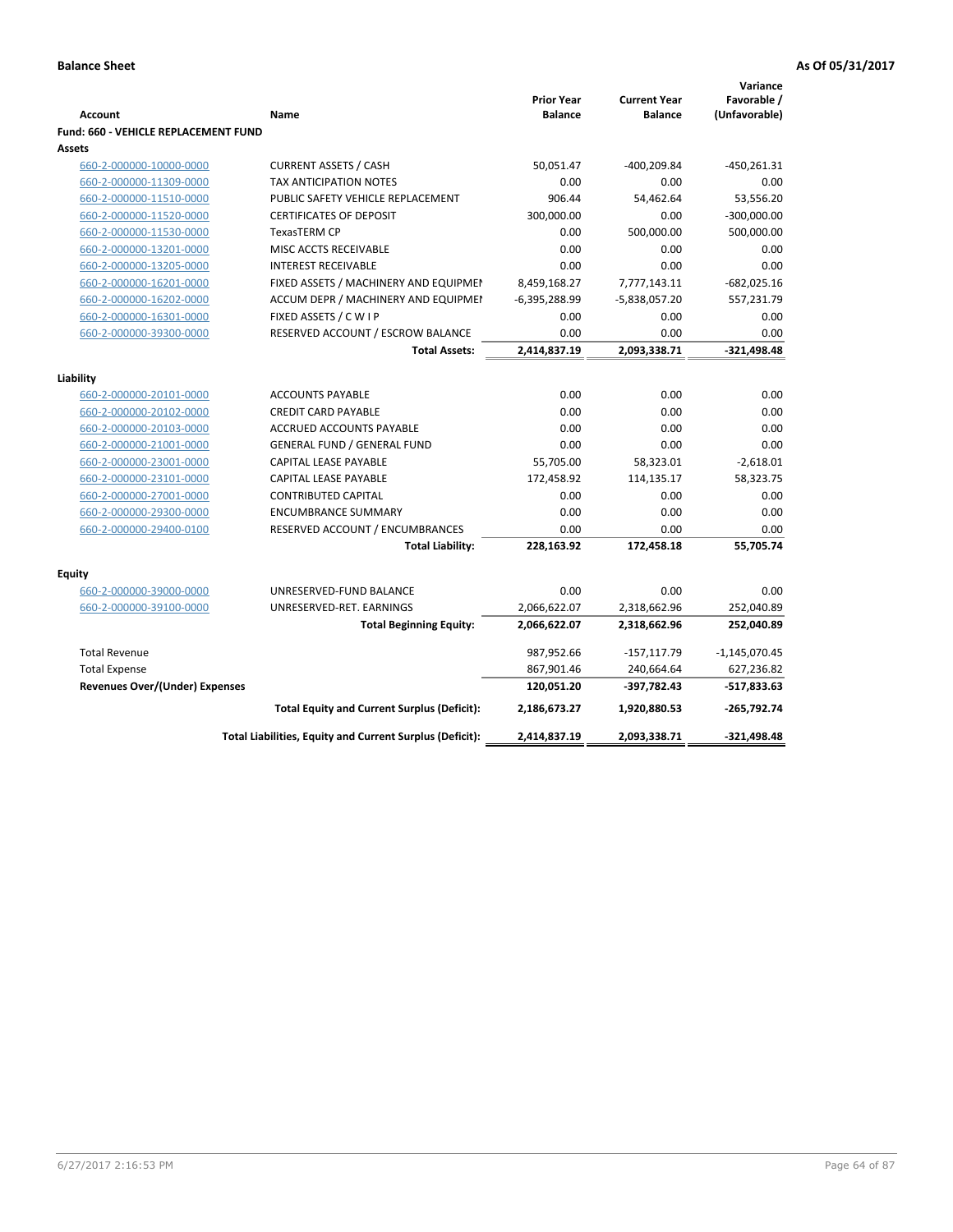|                                             |                                                          | <b>Prior Year</b> | <b>Current Year</b> | Variance<br>Favorable / |
|---------------------------------------------|----------------------------------------------------------|-------------------|---------------------|-------------------------|
| <b>Account</b>                              | Name                                                     | <b>Balance</b>    | <b>Balance</b>      | (Unfavorable)           |
| <b>Fund: 660 - VEHICLE REPLACEMENT FUND</b> |                                                          |                   |                     |                         |
| Assets                                      |                                                          |                   |                     |                         |
| 660-2-000000-10000-0000                     | <b>CURRENT ASSETS / CASH</b>                             | 50,051.47         | $-400,209.84$       | $-450,261.31$           |
| 660-2-000000-11309-0000                     | <b>TAX ANTICIPATION NOTES</b>                            | 0.00              | 0.00                | 0.00                    |
| 660-2-000000-11510-0000                     | PUBLIC SAFETY VEHICLE REPLACEMENT                        | 906.44            | 54,462.64           | 53,556.20               |
| 660-2-000000-11520-0000                     | <b>CERTIFICATES OF DEPOSIT</b>                           | 300,000.00        | 0.00                | $-300,000.00$           |
| 660-2-000000-11530-0000                     | <b>TexasTERM CP</b>                                      | 0.00              | 500,000.00          | 500,000.00              |
| 660-2-000000-13201-0000                     | MISC ACCTS RECEIVABLE                                    | 0.00              | 0.00                | 0.00                    |
| 660-2-000000-13205-0000                     | <b>INTEREST RECEIVABLE</b>                               | 0.00              | 0.00                | 0.00                    |
| 660-2-000000-16201-0000                     | FIXED ASSETS / MACHINERY AND EQUIPMEN                    | 8,459,168.27      | 7,777,143.11        | $-682,025.16$           |
| 660-2-000000-16202-0000                     | ACCUM DEPR / MACHINERY AND EQUIPMEI                      | $-6,395,288.99$   | -5,838,057.20       | 557,231.79              |
| 660-2-000000-16301-0000                     | FIXED ASSETS / C W I P                                   | 0.00              | 0.00                | 0.00                    |
| 660-2-000000-39300-0000                     | RESERVED ACCOUNT / ESCROW BALANCE                        | 0.00              | 0.00                | 0.00                    |
|                                             | <b>Total Assets:</b>                                     | 2,414,837.19      | 2,093,338.71        | $-321,498.48$           |
|                                             |                                                          |                   |                     |                         |
| Liability                                   |                                                          |                   |                     |                         |
| 660-2-000000-20101-0000                     | <b>ACCOUNTS PAYABLE</b>                                  | 0.00              | 0.00                | 0.00                    |
| 660-2-000000-20102-0000                     | <b>CREDIT CARD PAYABLE</b>                               | 0.00              | 0.00                | 0.00                    |
| 660-2-000000-20103-0000                     | ACCRUED ACCOUNTS PAYABLE                                 | 0.00              | 0.00                | 0.00                    |
| 660-2-000000-21001-0000                     | GENERAL FUND / GENERAL FUND                              | 0.00              | 0.00                | 0.00                    |
| 660-2-000000-23001-0000                     | CAPITAL LEASE PAYABLE                                    | 55,705.00         | 58,323.01           | $-2,618.01$             |
| 660-2-000000-23101-0000                     | <b>CAPITAL LEASE PAYABLE</b>                             | 172,458.92        | 114,135.17          | 58,323.75               |
| 660-2-000000-27001-0000                     | <b>CONTRIBUTED CAPITAL</b>                               | 0.00              | 0.00                | 0.00                    |
| 660-2-000000-29300-0000                     | <b>ENCUMBRANCE SUMMARY</b>                               | 0.00              | 0.00                | 0.00                    |
| 660-2-000000-29400-0100                     | RESERVED ACCOUNT / ENCUMBRANCES                          | 0.00              | 0.00                | 0.00                    |
|                                             | <b>Total Liability:</b>                                  | 228,163.92        | 172,458.18          | 55,705.74               |
| <b>Equity</b>                               |                                                          |                   |                     |                         |
| 660-2-000000-39000-0000                     | UNRESERVED-FUND BALANCE                                  | 0.00              | 0.00                | 0.00                    |
| 660-2-000000-39100-0000                     | UNRESERVED-RET. EARNINGS                                 | 2,066,622.07      | 2,318,662.96        | 252,040.89              |
|                                             | <b>Total Beginning Equity:</b>                           | 2,066,622.07      | 2,318,662.96        | 252,040.89              |
|                                             |                                                          |                   |                     |                         |
| <b>Total Revenue</b>                        |                                                          | 987,952.66        | $-157, 117.79$      | $-1,145,070.45$         |
| <b>Total Expense</b>                        |                                                          | 867,901.46        | 240,664.64          | 627,236.82              |
| <b>Revenues Over/(Under) Expenses</b>       |                                                          | 120,051.20        | -397,782.43         | $-517,833.63$           |
|                                             | <b>Total Equity and Current Surplus (Deficit):</b>       | 2,186,673.27      | 1,920,880.53        | $-265,792.74$           |
|                                             | Total Liabilities, Equity and Current Surplus (Deficit): | 2,414,837.19      | 2,093,338.71        | $-321,498.48$           |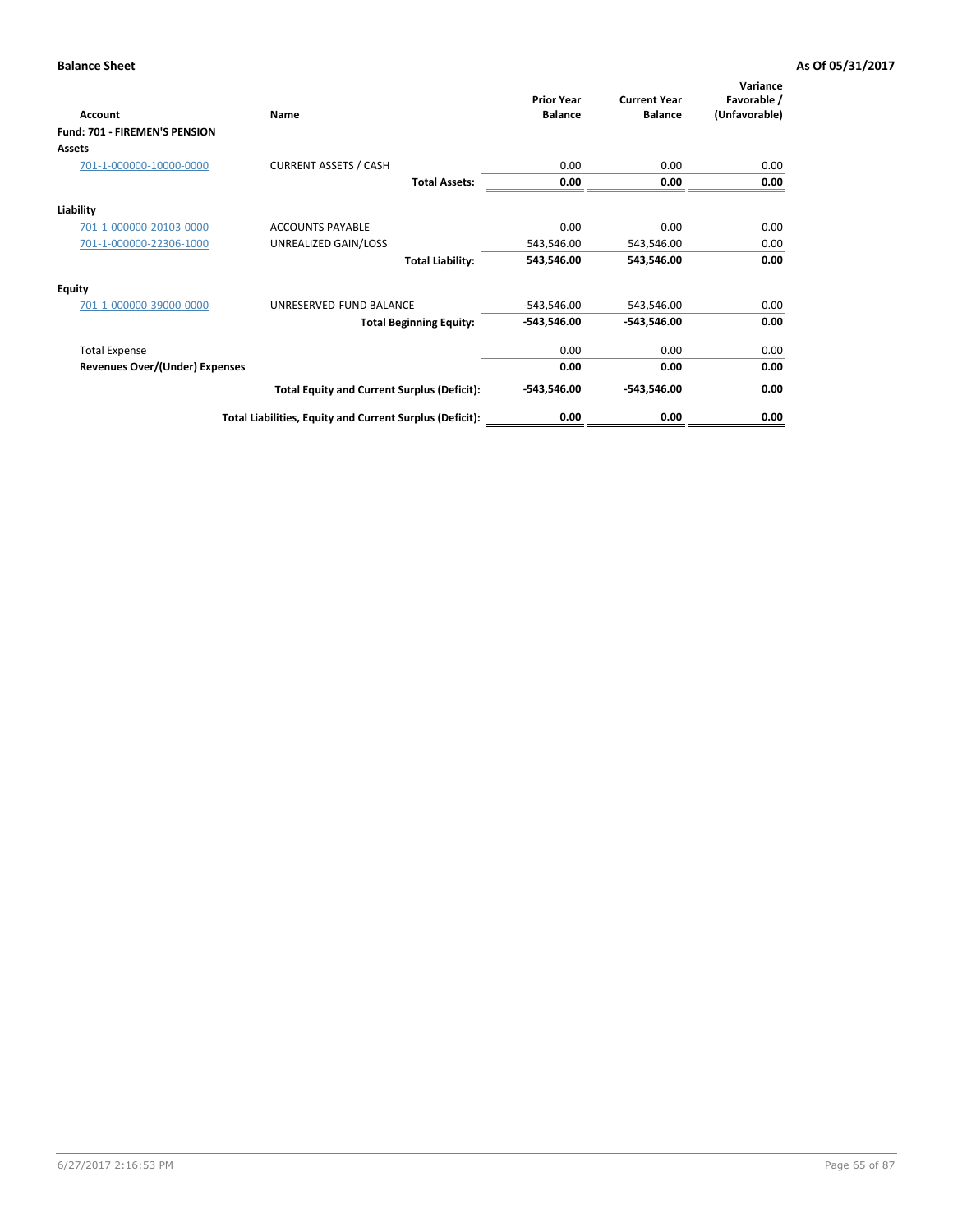| <b>Account</b>                 | Name                                                     | <b>Prior Year</b><br><b>Balance</b> | <b>Current Year</b><br><b>Balance</b> | Variance<br>Favorable /<br>(Unfavorable) |
|--------------------------------|----------------------------------------------------------|-------------------------------------|---------------------------------------|------------------------------------------|
| Fund: 701 - FIREMEN'S PENSION  |                                                          |                                     |                                       |                                          |
| <b>Assets</b>                  |                                                          |                                     |                                       |                                          |
| 701-1-000000-10000-0000        | <b>CURRENT ASSETS / CASH</b>                             | 0.00                                | 0.00                                  | 0.00                                     |
|                                | <b>Total Assets:</b>                                     | 0.00                                | 0.00                                  | 0.00                                     |
| Liability                      |                                                          |                                     |                                       |                                          |
| 701-1-000000-20103-0000        | <b>ACCOUNTS PAYABLE</b>                                  | 0.00                                | 0.00                                  | 0.00                                     |
| 701-1-000000-22306-1000        | UNREALIZED GAIN/LOSS                                     | 543,546.00                          | 543,546.00                            | 0.00                                     |
|                                | <b>Total Liability:</b>                                  | 543,546.00                          | 543,546.00                            | 0.00                                     |
| <b>Equity</b>                  |                                                          |                                     |                                       |                                          |
| 701-1-000000-39000-0000        | UNRESERVED-FUND BALANCE                                  | $-543,546.00$                       | $-543,546.00$                         | 0.00                                     |
|                                | <b>Total Beginning Equity:</b>                           | $-543,546.00$                       | -543,546.00                           | 0.00                                     |
| <b>Total Expense</b>           |                                                          | 0.00                                | 0.00                                  | 0.00                                     |
| Revenues Over/(Under) Expenses |                                                          | 0.00                                | 0.00                                  | 0.00                                     |
|                                | <b>Total Equity and Current Surplus (Deficit):</b>       | $-543,546.00$                       | -543,546.00                           | 0.00                                     |
|                                | Total Liabilities, Equity and Current Surplus (Deficit): | 0.00                                | 0.00                                  | 0.00                                     |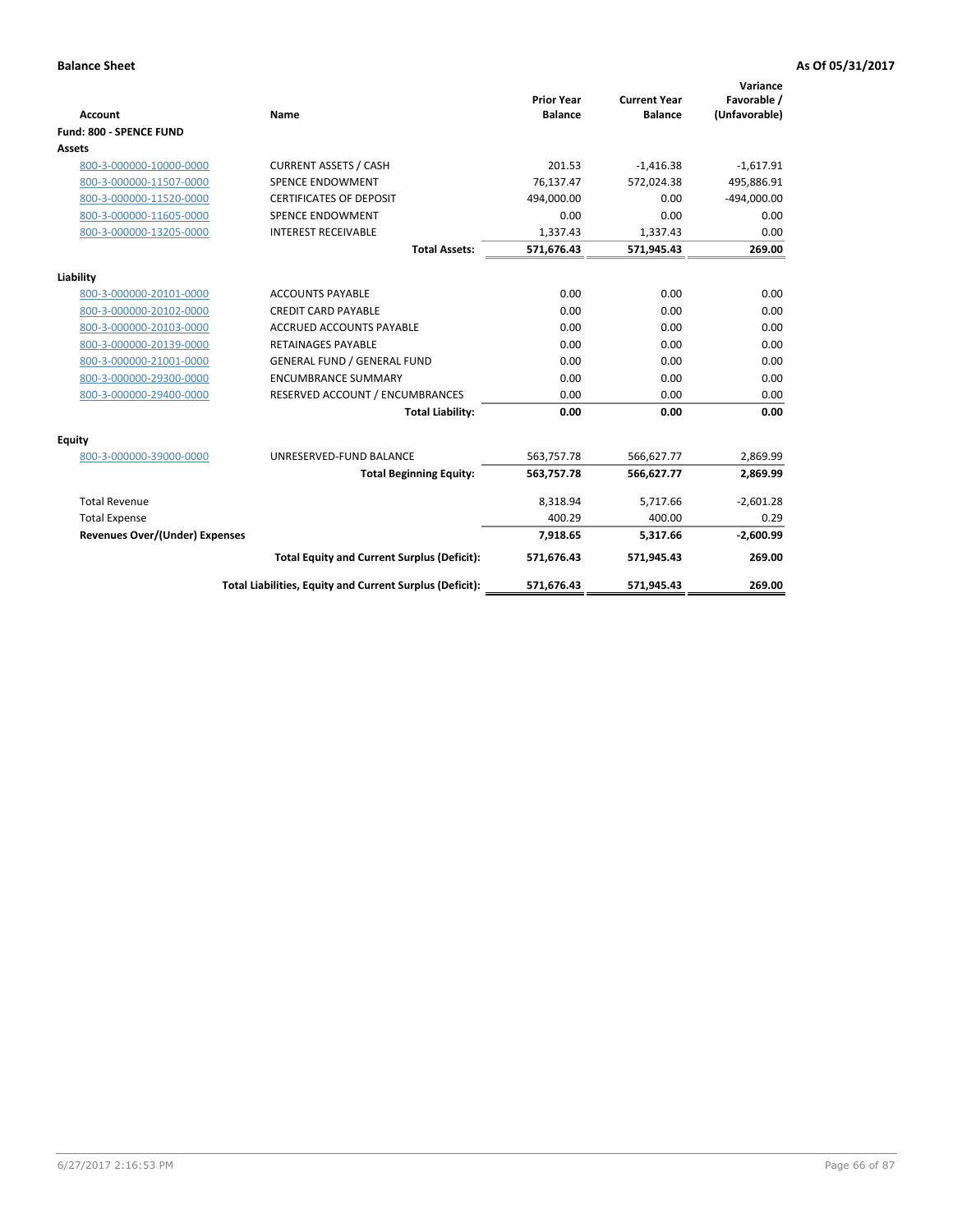|                                       |                                                          |                                     |                                       | Variance                     |
|---------------------------------------|----------------------------------------------------------|-------------------------------------|---------------------------------------|------------------------------|
| <b>Account</b>                        | <b>Name</b>                                              | <b>Prior Year</b><br><b>Balance</b> | <b>Current Year</b><br><b>Balance</b> | Favorable /<br>(Unfavorable) |
| <b>Fund: 800 - SPENCE FUND</b>        |                                                          |                                     |                                       |                              |
| Assets                                |                                                          |                                     |                                       |                              |
| 800-3-000000-10000-0000               | <b>CURRENT ASSETS / CASH</b>                             | 201.53                              | $-1,416.38$                           | $-1,617.91$                  |
| 800-3-000000-11507-0000               | <b>SPENCE ENDOWMENT</b>                                  | 76.137.47                           | 572.024.38                            | 495,886.91                   |
| 800-3-000000-11520-0000               | <b>CERTIFICATES OF DEPOSIT</b>                           | 494,000.00                          | 0.00                                  | $-494,000.00$                |
| 800-3-000000-11605-0000               | SPENCE ENDOWMENT                                         | 0.00                                | 0.00                                  | 0.00                         |
| 800-3-000000-13205-0000               | <b>INTEREST RECEIVABLE</b>                               | 1,337.43                            | 1,337.43                              | 0.00                         |
|                                       | <b>Total Assets:</b>                                     | 571,676.43                          | 571,945.43                            | 269.00                       |
|                                       |                                                          |                                     |                                       |                              |
| Liability                             |                                                          |                                     |                                       |                              |
| 800-3-000000-20101-0000               | <b>ACCOUNTS PAYABLE</b>                                  | 0.00                                | 0.00                                  | 0.00                         |
| 800-3-000000-20102-0000               | <b>CREDIT CARD PAYABLE</b>                               | 0.00                                | 0.00                                  | 0.00                         |
| 800-3-000000-20103-0000               | <b>ACCRUED ACCOUNTS PAYABLE</b>                          | 0.00                                | 0.00                                  | 0.00                         |
| 800-3-000000-20139-0000               | <b>RETAINAGES PAYABLE</b>                                | 0.00                                | 0.00                                  | 0.00                         |
| 800-3-000000-21001-0000               | <b>GENERAL FUND / GENERAL FUND</b>                       | 0.00                                | 0.00                                  | 0.00                         |
| 800-3-000000-29300-0000               | <b>ENCUMBRANCE SUMMARY</b>                               | 0.00                                | 0.00                                  | 0.00                         |
| 800-3-000000-29400-0000               | RESERVED ACCOUNT / ENCUMBRANCES                          | 0.00                                | 0.00                                  | 0.00                         |
|                                       | <b>Total Liability:</b>                                  | 0.00                                | 0.00                                  | 0.00                         |
| Equity                                |                                                          |                                     |                                       |                              |
| 800-3-000000-39000-0000               | UNRESERVED-FUND BALANCE                                  | 563,757.78                          | 566,627.77                            | 2,869.99                     |
|                                       | <b>Total Beginning Equity:</b>                           | 563,757.78                          | 566,627.77                            | 2,869.99                     |
| <b>Total Revenue</b>                  |                                                          | 8,318.94                            | 5,717.66                              | $-2,601.28$                  |
| <b>Total Expense</b>                  |                                                          | 400.29                              | 400.00                                | 0.29                         |
| <b>Revenues Over/(Under) Expenses</b> |                                                          | 7,918.65                            | 5,317.66                              | $-2,600.99$                  |
|                                       | <b>Total Equity and Current Surplus (Deficit):</b>       | 571,676.43                          | 571,945.43                            | 269.00                       |
|                                       | Total Liabilities, Equity and Current Surplus (Deficit): | 571,676.43                          | 571,945.43                            | 269.00                       |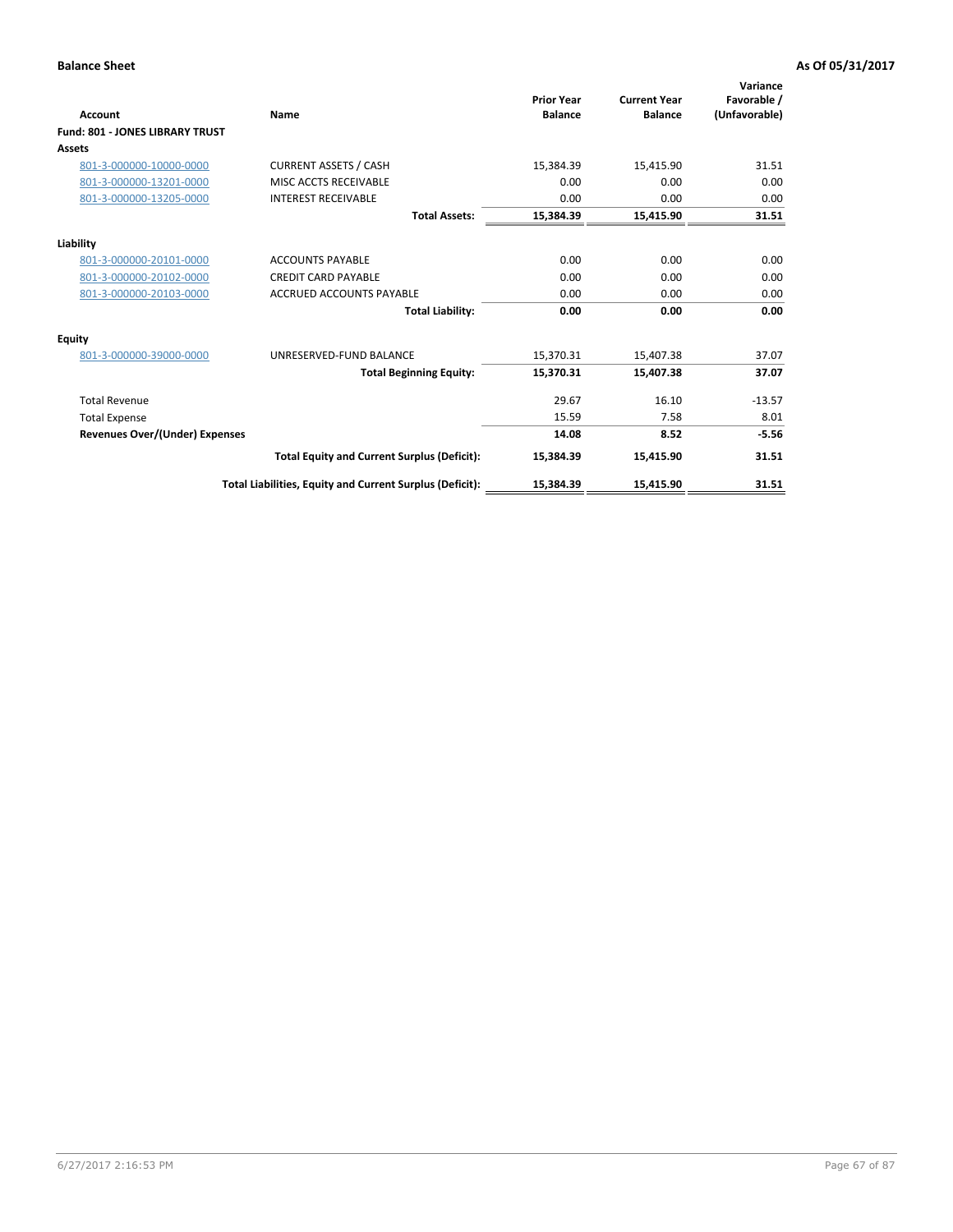|                                        |                                                          | <b>Prior Year</b> | <b>Current Year</b> | Variance<br>Favorable / |
|----------------------------------------|----------------------------------------------------------|-------------------|---------------------|-------------------------|
| Account                                | Name                                                     | <b>Balance</b>    | <b>Balance</b>      | (Unfavorable)           |
| <b>Fund: 801 - JONES LIBRARY TRUST</b> |                                                          |                   |                     |                         |
| Assets                                 |                                                          |                   |                     |                         |
| 801-3-000000-10000-0000                | <b>CURRENT ASSETS / CASH</b>                             | 15,384.39         | 15,415.90           | 31.51                   |
| 801-3-000000-13201-0000                | MISC ACCTS RECEIVABLE                                    | 0.00              | 0.00                | 0.00                    |
| 801-3-000000-13205-0000                | <b>INTEREST RECEIVABLE</b>                               | 0.00              | 0.00                | 0.00                    |
|                                        | <b>Total Assets:</b>                                     | 15,384.39         | 15,415.90           | 31.51                   |
| Liability                              |                                                          |                   |                     |                         |
| 801-3-000000-20101-0000                | <b>ACCOUNTS PAYABLE</b>                                  | 0.00              | 0.00                | 0.00                    |
| 801-3-000000-20102-0000                | <b>CREDIT CARD PAYABLE</b>                               | 0.00              | 0.00                | 0.00                    |
| 801-3-000000-20103-0000                | <b>ACCRUED ACCOUNTS PAYABLE</b>                          | 0.00              | 0.00                | 0.00                    |
|                                        | <b>Total Liability:</b>                                  | 0.00              | 0.00                | 0.00                    |
| Equity                                 |                                                          |                   |                     |                         |
| 801-3-000000-39000-0000                | UNRESERVED-FUND BALANCE                                  | 15,370.31         | 15,407.38           | 37.07                   |
|                                        | <b>Total Beginning Equity:</b>                           | 15,370.31         | 15,407.38           | 37.07                   |
| <b>Total Revenue</b>                   |                                                          | 29.67             | 16.10               | $-13.57$                |
| <b>Total Expense</b>                   |                                                          | 15.59             | 7.58                | 8.01                    |
| Revenues Over/(Under) Expenses         |                                                          | 14.08             | 8.52                | $-5.56$                 |
|                                        | <b>Total Equity and Current Surplus (Deficit):</b>       | 15,384.39         | 15,415.90           | 31.51                   |
|                                        | Total Liabilities, Equity and Current Surplus (Deficit): | 15,384.39         | 15,415.90           | 31.51                   |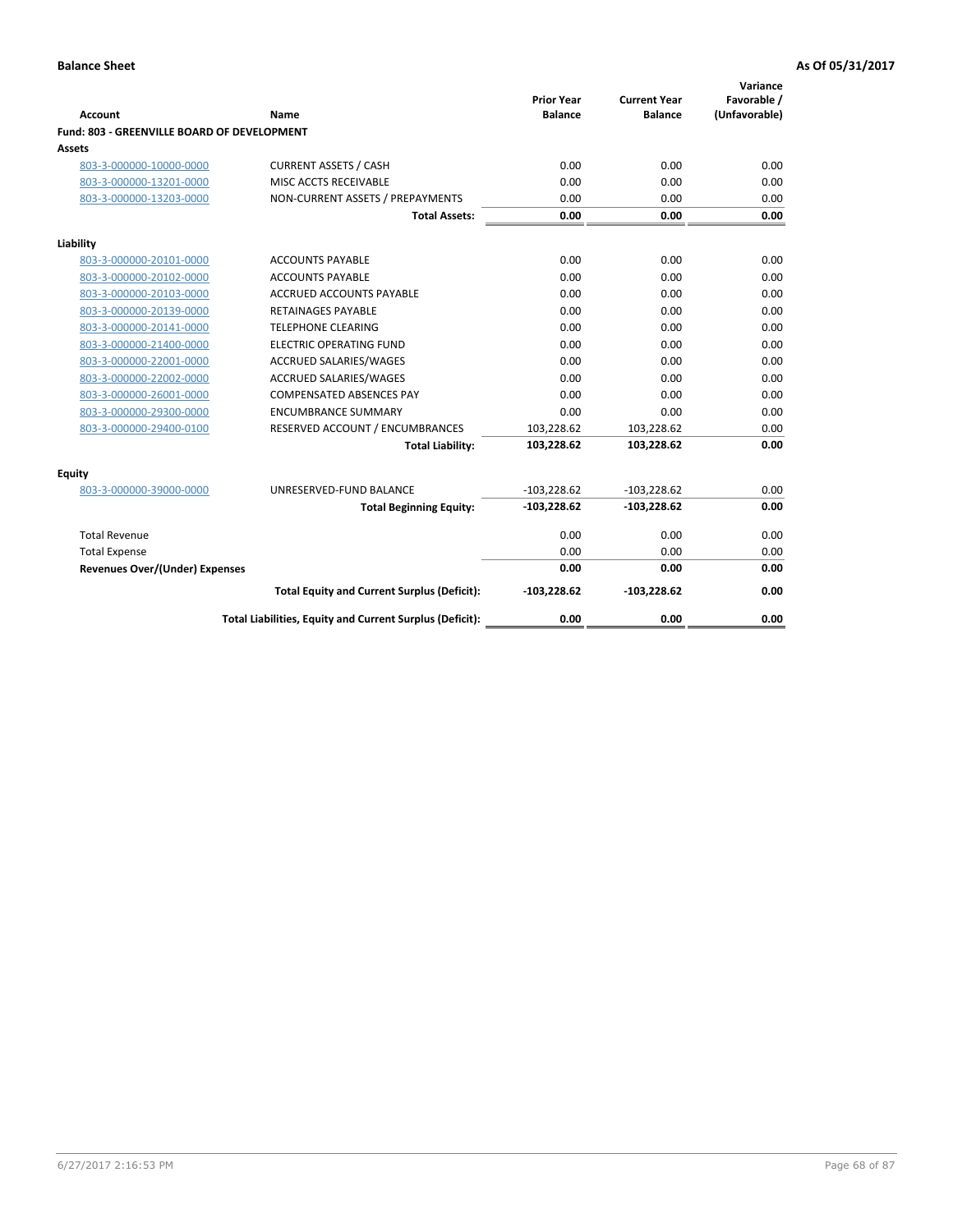| <b>Account</b>                              | Name                                                     | <b>Prior Year</b><br><b>Balance</b> | <b>Current Year</b><br><b>Balance</b> | Variance<br>Favorable /<br>(Unfavorable) |
|---------------------------------------------|----------------------------------------------------------|-------------------------------------|---------------------------------------|------------------------------------------|
| Fund: 803 - GREENVILLE BOARD OF DEVELOPMENT |                                                          |                                     |                                       |                                          |
| Assets                                      |                                                          |                                     |                                       |                                          |
| 803-3-000000-10000-0000                     | <b>CURRENT ASSETS / CASH</b>                             | 0.00                                | 0.00                                  | 0.00                                     |
| 803-3-000000-13201-0000                     | MISC ACCTS RECEIVABLE                                    | 0.00                                | 0.00                                  | 0.00                                     |
| 803-3-000000-13203-0000                     | NON-CURRENT ASSETS / PREPAYMENTS                         | 0.00                                | 0.00                                  | 0.00                                     |
|                                             | <b>Total Assets:</b>                                     | 0.00                                | 0.00                                  | 0.00                                     |
| Liability                                   |                                                          |                                     |                                       |                                          |
| 803-3-000000-20101-0000                     | <b>ACCOUNTS PAYABLE</b>                                  | 0.00                                | 0.00                                  | 0.00                                     |
| 803-3-000000-20102-0000                     | <b>ACCOUNTS PAYABLE</b>                                  | 0.00                                | 0.00                                  | 0.00                                     |
| 803-3-000000-20103-0000                     | <b>ACCRUED ACCOUNTS PAYABLE</b>                          | 0.00                                | 0.00                                  | 0.00                                     |
| 803-3-000000-20139-0000                     | <b>RETAINAGES PAYABLE</b>                                | 0.00                                | 0.00                                  | 0.00                                     |
| 803-3-000000-20141-0000                     | <b>TELEPHONE CLEARING</b>                                | 0.00                                | 0.00                                  | 0.00                                     |
| 803-3-000000-21400-0000                     | <b>ELECTRIC OPERATING FUND</b>                           | 0.00                                | 0.00                                  | 0.00                                     |
| 803-3-000000-22001-0000                     | ACCRUED SALARIES/WAGES                                   | 0.00                                | 0.00                                  | 0.00                                     |
| 803-3-000000-22002-0000                     | <b>ACCRUED SALARIES/WAGES</b>                            | 0.00                                | 0.00                                  | 0.00                                     |
| 803-3-000000-26001-0000                     | COMPENSATED ABSENCES PAY                                 | 0.00                                | 0.00                                  | 0.00                                     |
| 803-3-000000-29300-0000                     | <b>ENCUMBRANCE SUMMARY</b>                               | 0.00                                | 0.00                                  | 0.00                                     |
| 803-3-000000-29400-0100                     | RESERVED ACCOUNT / ENCUMBRANCES                          | 103,228.62                          | 103,228.62                            | 0.00                                     |
|                                             | <b>Total Liability:</b>                                  | 103,228.62                          | 103,228.62                            | 0.00                                     |
| Equity                                      |                                                          |                                     |                                       |                                          |
| 803-3-000000-39000-0000                     | UNRESERVED-FUND BALANCE                                  | $-103,228.62$                       | $-103,228.62$                         | 0.00                                     |
|                                             | <b>Total Beginning Equity:</b>                           | $-103,228.62$                       | $-103,228.62$                         | 0.00                                     |
| <b>Total Revenue</b>                        |                                                          | 0.00                                | 0.00                                  | 0.00                                     |
| <b>Total Expense</b>                        |                                                          | 0.00                                | 0.00                                  | 0.00                                     |
| <b>Revenues Over/(Under) Expenses</b>       |                                                          | 0.00                                | 0.00                                  | 0.00                                     |
|                                             | <b>Total Equity and Current Surplus (Deficit):</b>       | $-103,228.62$                       | $-103,228.62$                         | 0.00                                     |
|                                             | Total Liabilities, Equity and Current Surplus (Deficit): | 0.00                                | 0.00                                  | 0.00                                     |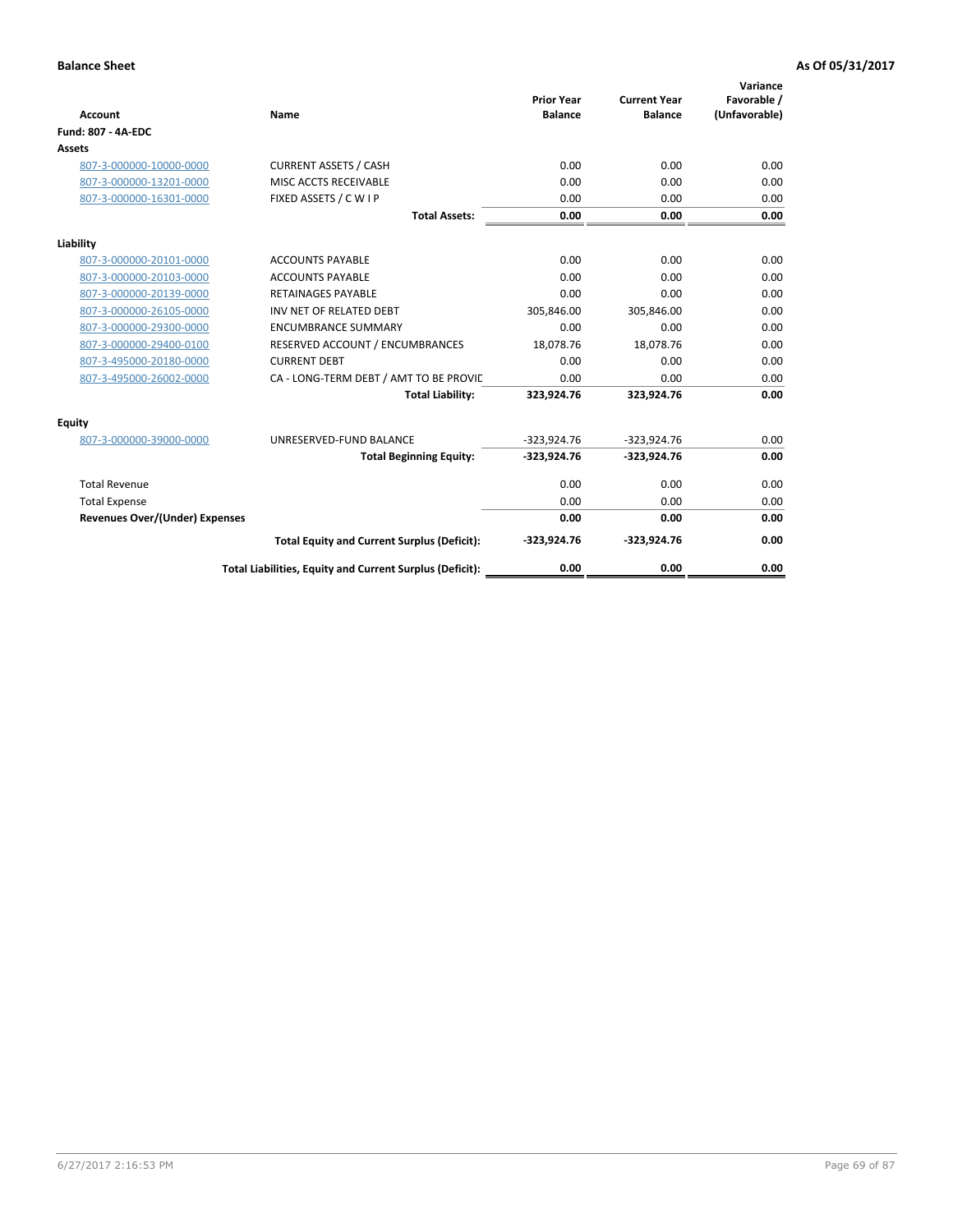| <b>Account</b>                 | Name                                                     | <b>Prior Year</b><br><b>Balance</b> | <b>Current Year</b><br><b>Balance</b> | Variance<br>Favorable /<br>(Unfavorable) |
|--------------------------------|----------------------------------------------------------|-------------------------------------|---------------------------------------|------------------------------------------|
| <b>Fund: 807 - 4A-EDC</b>      |                                                          |                                     |                                       |                                          |
| <b>Assets</b>                  |                                                          |                                     |                                       |                                          |
| 807-3-000000-10000-0000        | <b>CURRENT ASSETS / CASH</b>                             | 0.00                                | 0.00                                  | 0.00                                     |
| 807-3-000000-13201-0000        | MISC ACCTS RECEIVABLE                                    | 0.00                                | 0.00                                  | 0.00                                     |
| 807-3-000000-16301-0000        | FIXED ASSETS / C W I P                                   | 0.00                                | 0.00                                  | 0.00                                     |
|                                | <b>Total Assets:</b>                                     | 0.00                                | 0.00                                  | 0.00                                     |
| Liability                      |                                                          |                                     |                                       |                                          |
| 807-3-000000-20101-0000        | <b>ACCOUNTS PAYABLE</b>                                  | 0.00                                | 0.00                                  | 0.00                                     |
| 807-3-000000-20103-0000        | <b>ACCOUNTS PAYABLE</b>                                  | 0.00                                | 0.00                                  | 0.00                                     |
| 807-3-000000-20139-0000        | <b>RETAINAGES PAYABLE</b>                                | 0.00                                | 0.00                                  | 0.00                                     |
| 807-3-000000-26105-0000        | INV NET OF RELATED DEBT                                  | 305,846.00                          | 305,846.00                            | 0.00                                     |
| 807-3-000000-29300-0000        | <b>ENCUMBRANCE SUMMARY</b>                               | 0.00                                | 0.00                                  | 0.00                                     |
| 807-3-000000-29400-0100        | RESERVED ACCOUNT / ENCUMBRANCES                          | 18,078.76                           | 18,078.76                             | 0.00                                     |
| 807-3-495000-20180-0000        | <b>CURRENT DEBT</b>                                      | 0.00                                | 0.00                                  | 0.00                                     |
| 807-3-495000-26002-0000        | CA - LONG-TERM DEBT / AMT TO BE PROVIL                   | 0.00                                | 0.00                                  | 0.00                                     |
|                                | <b>Total Liability:</b>                                  | 323,924.76                          | 323,924.76                            | 0.00                                     |
| Equity                         |                                                          |                                     |                                       |                                          |
| 807-3-000000-39000-0000        | UNRESERVED-FUND BALANCE                                  | $-323,924.76$                       | $-323,924.76$                         | 0.00                                     |
|                                | <b>Total Beginning Equity:</b>                           | $-323,924.76$                       | $-323,924.76$                         | 0.00                                     |
| <b>Total Revenue</b>           |                                                          | 0.00                                | 0.00                                  | 0.00                                     |
| <b>Total Expense</b>           |                                                          | 0.00                                | 0.00                                  | 0.00                                     |
| Revenues Over/(Under) Expenses |                                                          | 0.00                                | 0.00                                  | 0.00                                     |
|                                | <b>Total Equity and Current Surplus (Deficit):</b>       | $-323,924.76$                       | $-323,924.76$                         | 0.00                                     |
|                                | Total Liabilities, Equity and Current Surplus (Deficit): | 0.00                                | 0.00                                  | 0.00                                     |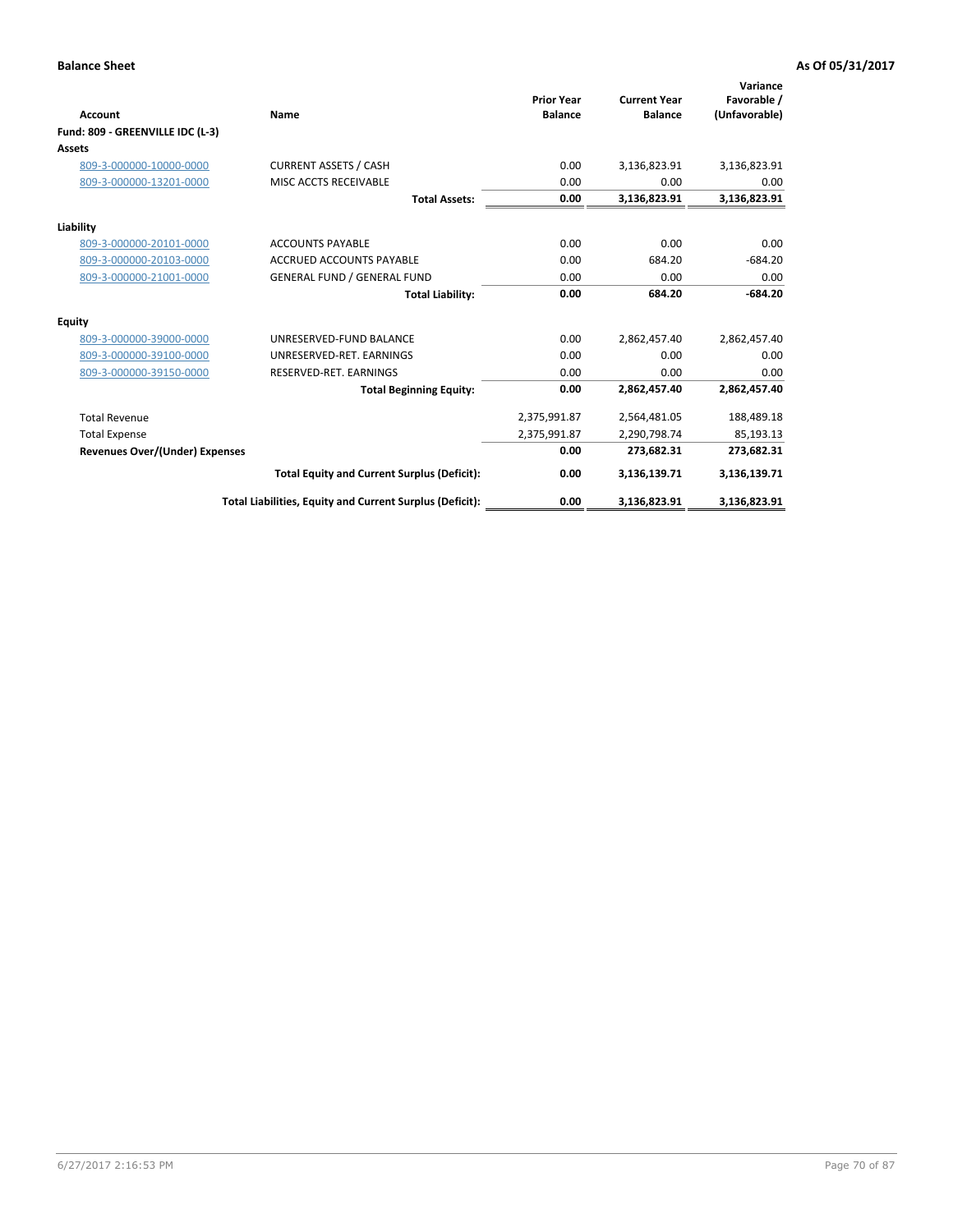|                                       |                                                          | <b>Prior Year</b><br><b>Balance</b> | <b>Current Year</b><br><b>Balance</b> | Variance<br>Favorable / |
|---------------------------------------|----------------------------------------------------------|-------------------------------------|---------------------------------------|-------------------------|
| <b>Account</b>                        | Name                                                     |                                     |                                       | (Unfavorable)           |
| Fund: 809 - GREENVILLE IDC (L-3)      |                                                          |                                     |                                       |                         |
| Assets                                |                                                          |                                     |                                       |                         |
| 809-3-000000-10000-0000               | <b>CURRENT ASSETS / CASH</b>                             | 0.00                                | 3,136,823.91                          | 3,136,823.91            |
| 809-3-000000-13201-0000               | MISC ACCTS RECEIVABLE                                    | 0.00                                | 0.00                                  | 0.00                    |
|                                       | <b>Total Assets:</b>                                     | 0.00                                | 3,136,823.91                          | 3,136,823.91            |
| Liability                             |                                                          |                                     |                                       |                         |
| 809-3-000000-20101-0000               | <b>ACCOUNTS PAYABLE</b>                                  | 0.00                                | 0.00                                  | 0.00                    |
| 809-3-000000-20103-0000               | <b>ACCRUED ACCOUNTS PAYABLE</b>                          | 0.00                                | 684.20                                | $-684.20$               |
| 809-3-000000-21001-0000               | <b>GENERAL FUND / GENERAL FUND</b>                       | 0.00                                | 0.00                                  | 0.00                    |
|                                       | <b>Total Liability:</b>                                  | 0.00                                | 684.20                                | $-684.20$               |
| Equity                                |                                                          |                                     |                                       |                         |
| 809-3-000000-39000-0000               | UNRESERVED-FUND BALANCE                                  | 0.00                                | 2,862,457.40                          | 2,862,457.40            |
| 809-3-000000-39100-0000               | UNRESERVED-RET, EARNINGS                                 | 0.00                                | 0.00                                  | 0.00                    |
| 809-3-000000-39150-0000               | RESERVED-RET. EARNINGS                                   | 0.00                                | 0.00                                  | 0.00                    |
|                                       | <b>Total Beginning Equity:</b>                           | 0.00                                | 2,862,457.40                          | 2,862,457.40            |
| <b>Total Revenue</b>                  |                                                          | 2,375,991.87                        | 2,564,481.05                          | 188,489.18              |
| <b>Total Expense</b>                  |                                                          | 2,375,991.87                        | 2,290,798.74                          | 85,193.13               |
| <b>Revenues Over/(Under) Expenses</b> |                                                          | 0.00                                | 273,682.31                            | 273,682.31              |
|                                       | <b>Total Equity and Current Surplus (Deficit):</b>       | 0.00                                | 3,136,139.71                          | 3,136,139.71            |
|                                       | Total Liabilities, Equity and Current Surplus (Deficit): | 0.00                                | 3,136,823.91                          | 3,136,823.91            |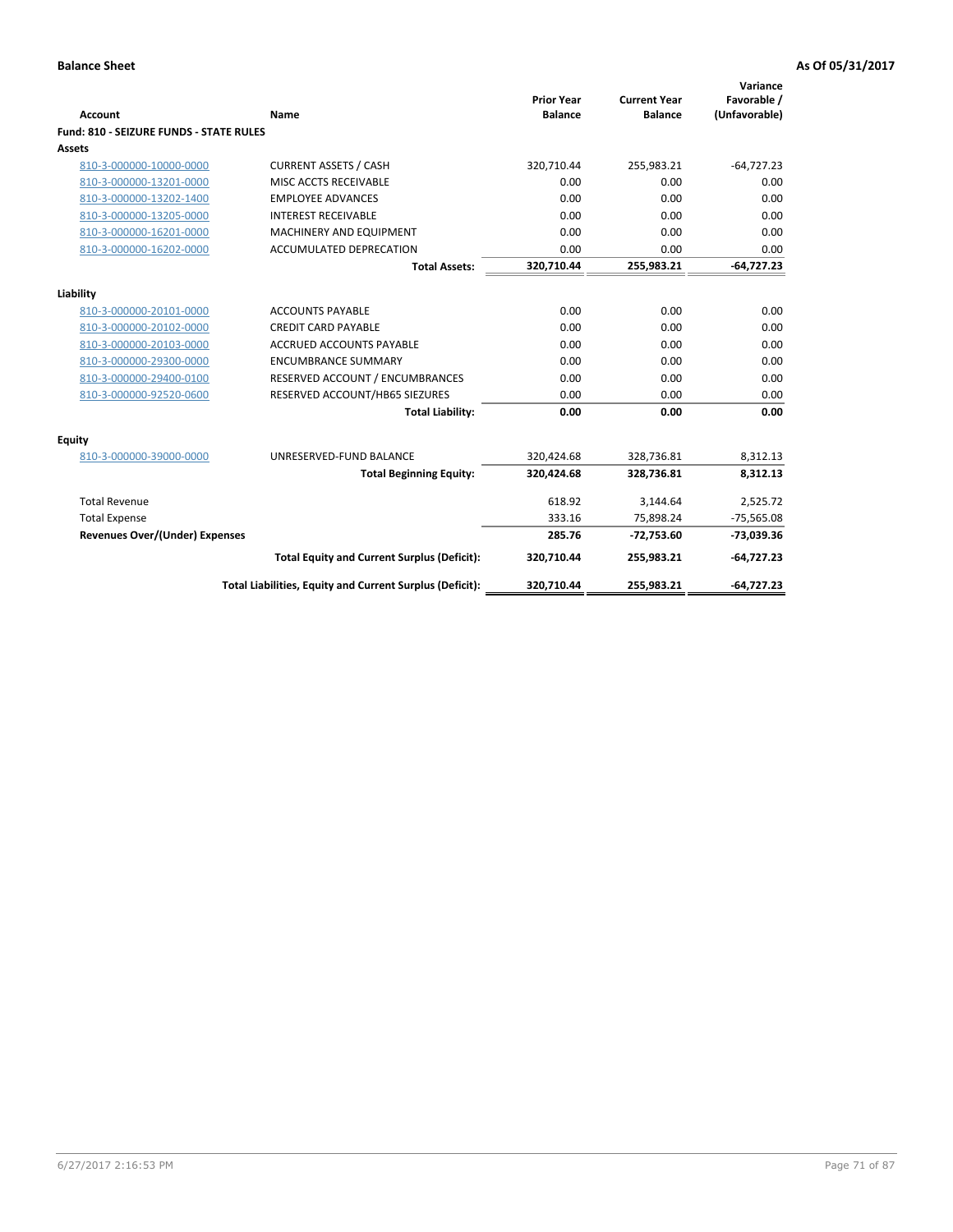| <b>Account</b>                                 | Name                                                     | <b>Prior Year</b><br><b>Balance</b> | <b>Current Year</b><br><b>Balance</b> | Variance<br>Favorable /<br>(Unfavorable) |
|------------------------------------------------|----------------------------------------------------------|-------------------------------------|---------------------------------------|------------------------------------------|
| <b>Fund: 810 - SEIZURE FUNDS - STATE RULES</b> |                                                          |                                     |                                       |                                          |
| Assets                                         |                                                          |                                     |                                       |                                          |
| 810-3-000000-10000-0000                        | <b>CURRENT ASSETS / CASH</b>                             | 320,710.44                          | 255,983.21                            | $-64,727.23$                             |
| 810-3-000000-13201-0000                        | MISC ACCTS RECEIVABLE                                    | 0.00                                | 0.00                                  | 0.00                                     |
| 810-3-000000-13202-1400                        | <b>EMPLOYEE ADVANCES</b>                                 | 0.00                                | 0.00                                  | 0.00                                     |
| 810-3-000000-13205-0000                        | <b>INTEREST RECEIVABLE</b>                               | 0.00                                | 0.00                                  | 0.00                                     |
| 810-3-000000-16201-0000                        | <b>MACHINERY AND EQUIPMENT</b>                           | 0.00                                | 0.00                                  | 0.00                                     |
| 810-3-000000-16202-0000                        | ACCUMULATED DEPRECATION                                  | 0.00                                | 0.00                                  | 0.00                                     |
|                                                | <b>Total Assets:</b>                                     | 320,710.44                          | 255,983.21                            | $-64,727.23$                             |
| Liability                                      |                                                          |                                     |                                       |                                          |
| 810-3-000000-20101-0000                        | <b>ACCOUNTS PAYABLE</b>                                  | 0.00                                | 0.00                                  | 0.00                                     |
| 810-3-000000-20102-0000                        | <b>CREDIT CARD PAYABLE</b>                               | 0.00                                | 0.00                                  | 0.00                                     |
| 810-3-000000-20103-0000                        | <b>ACCRUED ACCOUNTS PAYABLE</b>                          | 0.00                                | 0.00                                  | 0.00                                     |
| 810-3-000000-29300-0000                        | <b>ENCUMBRANCE SUMMARY</b>                               | 0.00                                | 0.00                                  | 0.00                                     |
| 810-3-000000-29400-0100                        | RESERVED ACCOUNT / ENCUMBRANCES                          | 0.00                                | 0.00                                  | 0.00                                     |
| 810-3-000000-92520-0600                        | RESERVED ACCOUNT/HB65 SIEZURES                           | 0.00                                | 0.00                                  | 0.00                                     |
|                                                | <b>Total Liability:</b>                                  | 0.00                                | 0.00                                  | 0.00                                     |
| <b>Equity</b>                                  |                                                          |                                     |                                       |                                          |
| 810-3-000000-39000-0000                        | UNRESERVED-FUND BALANCE                                  | 320,424.68                          | 328,736.81                            | 8,312.13                                 |
|                                                | <b>Total Beginning Equity:</b>                           | 320,424.68                          | 328,736.81                            | 8,312.13                                 |
| <b>Total Revenue</b>                           |                                                          | 618.92                              | 3,144.64                              | 2,525.72                                 |
| <b>Total Expense</b>                           |                                                          | 333.16                              | 75,898.24                             | $-75,565.08$                             |
| Revenues Over/(Under) Expenses                 |                                                          | 285.76                              | $-72,753.60$                          | $-73,039.36$                             |
|                                                | <b>Total Equity and Current Surplus (Deficit):</b>       | 320,710.44                          | 255,983.21                            | $-64,727.23$                             |
|                                                | Total Liabilities, Equity and Current Surplus (Deficit): | 320,710.44                          | 255,983.21                            | $-64,727.23$                             |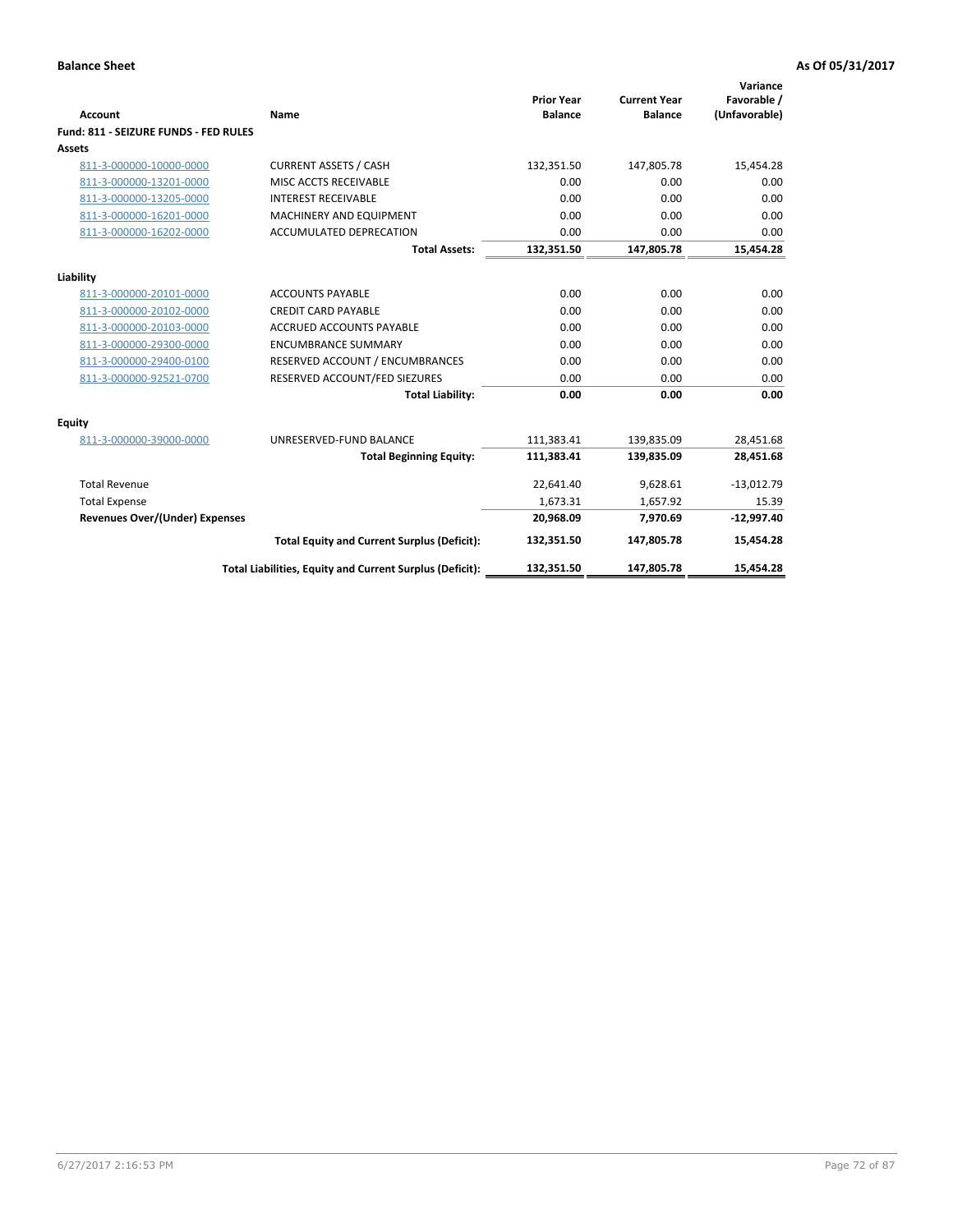| Account                               | Name                                                     | <b>Prior Year</b><br><b>Balance</b> | <b>Current Year</b><br><b>Balance</b> | Variance<br>Favorable /<br>(Unfavorable) |
|---------------------------------------|----------------------------------------------------------|-------------------------------------|---------------------------------------|------------------------------------------|
| Fund: 811 - SEIZURE FUNDS - FED RULES |                                                          |                                     |                                       |                                          |
| <b>Assets</b>                         |                                                          |                                     |                                       |                                          |
| 811-3-000000-10000-0000               | <b>CURRENT ASSETS / CASH</b>                             | 132,351.50                          | 147,805.78                            | 15,454.28                                |
| 811-3-000000-13201-0000               | MISC ACCTS RECEIVABLE                                    | 0.00                                | 0.00                                  | 0.00                                     |
| 811-3-000000-13205-0000               | <b>INTEREST RECEIVABLE</b>                               | 0.00                                | 0.00                                  | 0.00                                     |
| 811-3-000000-16201-0000               | <b>MACHINERY AND EQUIPMENT</b>                           | 0.00                                | 0.00                                  | 0.00                                     |
| 811-3-000000-16202-0000               | ACCUMULATED DEPRECATION                                  | 0.00                                | 0.00                                  | 0.00                                     |
|                                       | <b>Total Assets:</b>                                     | 132,351.50                          | 147,805.78                            | 15,454.28                                |
| Liability                             |                                                          |                                     |                                       |                                          |
| 811-3-000000-20101-0000               | <b>ACCOUNTS PAYABLE</b>                                  | 0.00                                | 0.00                                  | 0.00                                     |
| 811-3-000000-20102-0000               | <b>CREDIT CARD PAYABLE</b>                               | 0.00                                | 0.00                                  | 0.00                                     |
| 811-3-000000-20103-0000               | <b>ACCRUED ACCOUNTS PAYABLE</b>                          | 0.00                                | 0.00                                  | 0.00                                     |
| 811-3-000000-29300-0000               | <b>ENCUMBRANCE SUMMARY</b>                               | 0.00                                | 0.00                                  | 0.00                                     |
| 811-3-000000-29400-0100               | RESERVED ACCOUNT / ENCUMBRANCES                          | 0.00                                | 0.00                                  | 0.00                                     |
| 811-3-000000-92521-0700               | RESERVED ACCOUNT/FED SIEZURES                            | 0.00                                | 0.00                                  | 0.00                                     |
|                                       | <b>Total Liability:</b>                                  | 0.00                                | 0.00                                  | 0.00                                     |
|                                       |                                                          |                                     |                                       |                                          |
| <b>Equity</b>                         |                                                          |                                     |                                       |                                          |
| 811-3-000000-39000-0000               | UNRESERVED-FUND BALANCE                                  | 111,383.41                          | 139,835.09                            | 28,451.68                                |
|                                       | <b>Total Beginning Equity:</b>                           | 111,383.41                          | 139,835.09                            | 28,451.68                                |
| <b>Total Revenue</b>                  |                                                          | 22,641.40                           | 9,628.61                              | $-13,012.79$                             |
| <b>Total Expense</b>                  |                                                          | 1,673.31                            | 1,657.92                              | 15.39                                    |
| <b>Revenues Over/(Under) Expenses</b> |                                                          | 20,968.09                           | 7,970.69                              | $-12,997.40$                             |
|                                       | <b>Total Equity and Current Surplus (Deficit):</b>       | 132,351.50                          | 147,805.78                            | 15,454.28                                |
|                                       | Total Liabilities, Equity and Current Surplus (Deficit): | 132,351.50                          | 147,805.78                            | 15.454.28                                |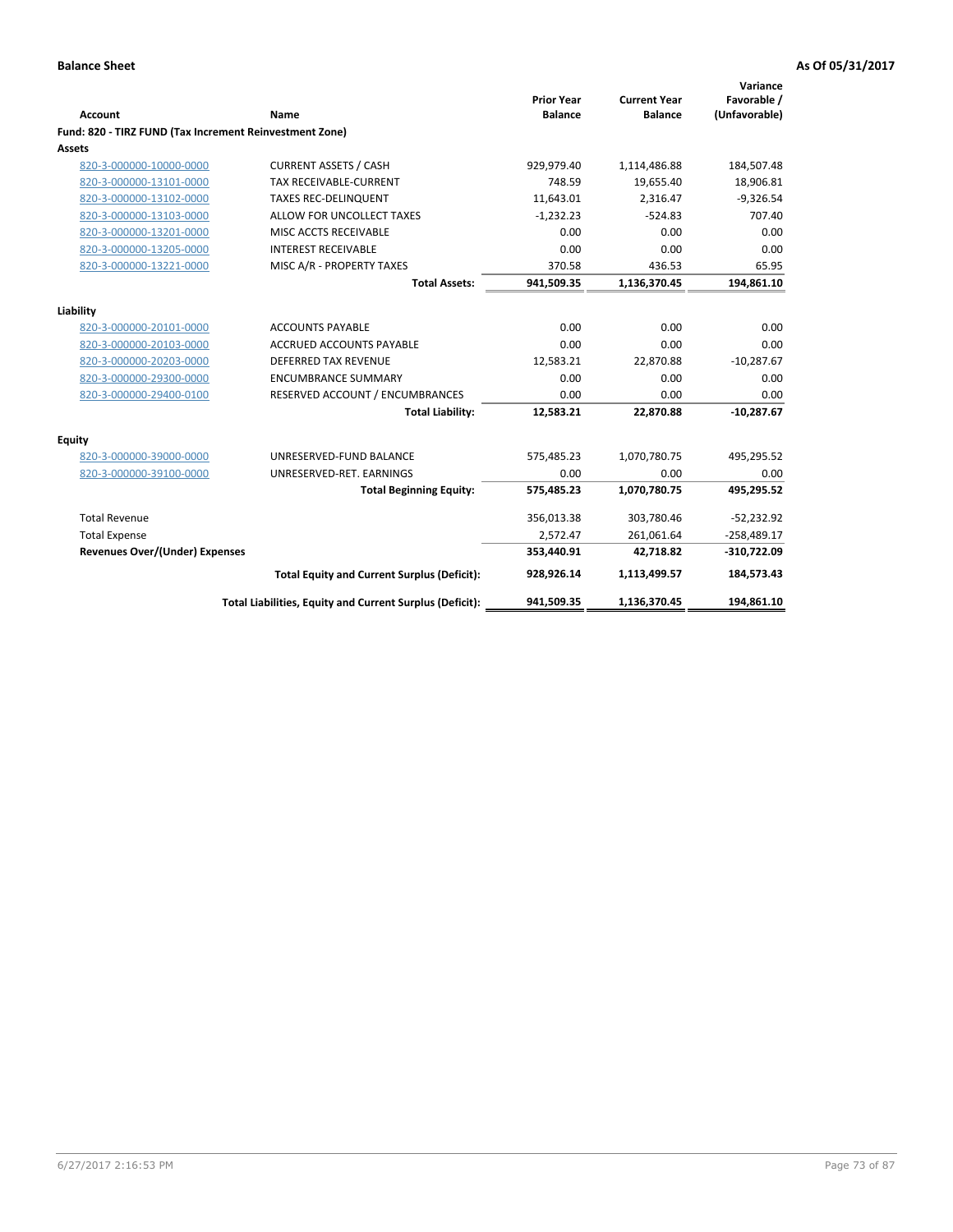| Account                                                 | Name                                                     | <b>Prior Year</b><br><b>Balance</b> | <b>Current Year</b><br><b>Balance</b> | Variance<br>Favorable /<br>(Unfavorable) |
|---------------------------------------------------------|----------------------------------------------------------|-------------------------------------|---------------------------------------|------------------------------------------|
| Fund: 820 - TIRZ FUND (Tax Increment Reinvestment Zone) |                                                          |                                     |                                       |                                          |
| Assets                                                  |                                                          |                                     |                                       |                                          |
| 820-3-000000-10000-0000                                 | <b>CURRENT ASSETS / CASH</b>                             | 929,979.40                          | 1,114,486.88                          | 184,507.48                               |
| 820-3-000000-13101-0000                                 | TAX RECEIVABLE-CURRENT                                   | 748.59                              | 19,655.40                             | 18,906.81                                |
| 820-3-000000-13102-0000                                 | <b>TAXES REC-DELINQUENT</b>                              | 11.643.01                           | 2.316.47                              | $-9,326.54$                              |
| 820-3-000000-13103-0000                                 | ALLOW FOR UNCOLLECT TAXES                                | $-1,232.23$                         | $-524.83$                             | 707.40                                   |
| 820-3-000000-13201-0000                                 | MISC ACCTS RECEIVABLE                                    | 0.00                                | 0.00                                  | 0.00                                     |
| 820-3-000000-13205-0000                                 | <b>INTEREST RECEIVABLE</b>                               | 0.00                                | 0.00                                  | 0.00                                     |
| 820-3-000000-13221-0000                                 | MISC A/R - PROPERTY TAXES                                | 370.58                              | 436.53                                | 65.95                                    |
|                                                         | <b>Total Assets:</b>                                     | 941,509.35                          | 1,136,370.45                          | 194,861.10                               |
| Liability                                               |                                                          |                                     |                                       |                                          |
| 820-3-000000-20101-0000                                 | <b>ACCOUNTS PAYABLE</b>                                  | 0.00                                | 0.00                                  | 0.00                                     |
| 820-3-000000-20103-0000                                 | ACCRUED ACCOUNTS PAYABLE                                 | 0.00                                | 0.00                                  | 0.00                                     |
| 820-3-000000-20203-0000                                 | <b>DEFERRED TAX REVENUE</b>                              | 12,583.21                           | 22,870.88                             | $-10,287.67$                             |
| 820-3-000000-29300-0000                                 | <b>ENCUMBRANCE SUMMARY</b>                               | 0.00                                | 0.00                                  | 0.00                                     |
| 820-3-000000-29400-0100                                 | RESERVED ACCOUNT / ENCUMBRANCES                          | 0.00                                | 0.00                                  | 0.00                                     |
|                                                         | <b>Total Liability:</b>                                  | 12,583.21                           | 22,870.88                             | $-10,287.67$                             |
| Equity                                                  |                                                          |                                     |                                       |                                          |
| 820-3-000000-39000-0000                                 | UNRESERVED-FUND BALANCE                                  | 575,485.23                          | 1,070,780.75                          | 495,295.52                               |
| 820-3-000000-39100-0000                                 | UNRESERVED-RET. EARNINGS                                 | 0.00                                | 0.00                                  | 0.00                                     |
|                                                         | <b>Total Beginning Equity:</b>                           | 575,485.23                          | 1,070,780.75                          | 495,295.52                               |
| <b>Total Revenue</b>                                    |                                                          | 356,013.38                          | 303,780.46                            | $-52,232.92$                             |
| <b>Total Expense</b>                                    |                                                          | 2,572.47                            | 261,061.64                            | $-258,489.17$                            |
| Revenues Over/(Under) Expenses                          |                                                          | 353,440.91                          | 42,718.82                             | $-310,722.09$                            |
|                                                         | <b>Total Equity and Current Surplus (Deficit):</b>       | 928,926.14                          | 1,113,499.57                          | 184,573.43                               |
|                                                         | Total Liabilities, Equity and Current Surplus (Deficit): | 941,509.35                          | 1,136,370.45                          | 194,861.10                               |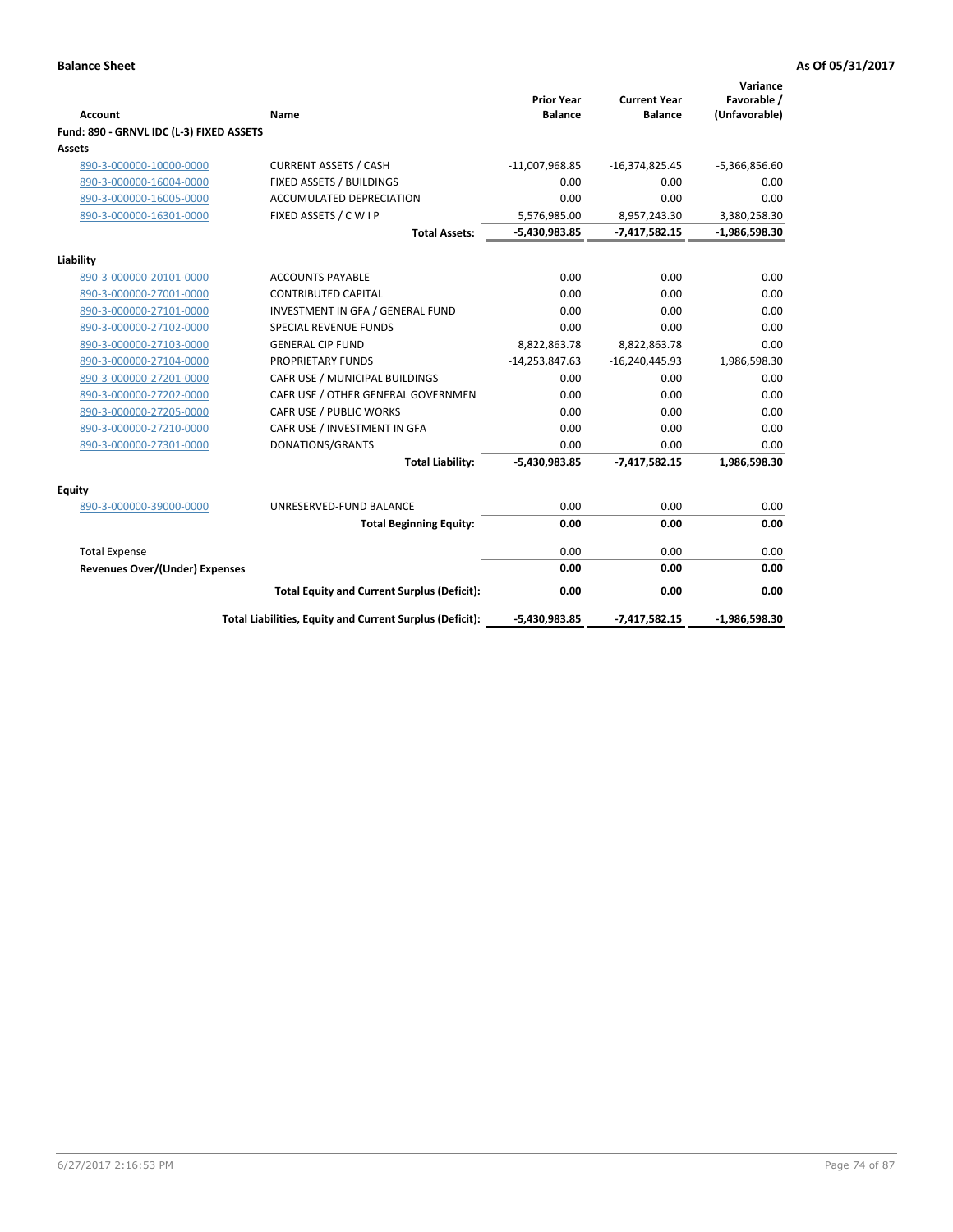|                                          |                                                          | <b>Prior Year</b> | <b>Current Year</b> | Variance<br>Favorable / |
|------------------------------------------|----------------------------------------------------------|-------------------|---------------------|-------------------------|
| <b>Account</b>                           | Name                                                     | <b>Balance</b>    | <b>Balance</b>      | (Unfavorable)           |
| Fund: 890 - GRNVL IDC (L-3) FIXED ASSETS |                                                          |                   |                     |                         |
| Assets                                   |                                                          |                   |                     |                         |
| 890-3-000000-10000-0000                  | <b>CURRENT ASSETS / CASH</b>                             | $-11,007,968.85$  | $-16,374,825.45$    | $-5,366,856.60$         |
| 890-3-000000-16004-0000                  | FIXED ASSETS / BUILDINGS                                 | 0.00              | 0.00                | 0.00                    |
| 890-3-000000-16005-0000                  | <b>ACCUMULATED DEPRECIATION</b>                          | 0.00              | 0.00                | 0.00                    |
| 890-3-000000-16301-0000                  | FIXED ASSETS / C W I P                                   | 5,576,985.00      | 8,957,243.30        | 3,380,258.30            |
|                                          | <b>Total Assets:</b>                                     | -5,430,983.85     | $-7,417,582.15$     | $-1,986,598.30$         |
| Liability                                |                                                          |                   |                     |                         |
| 890-3-000000-20101-0000                  | <b>ACCOUNTS PAYABLE</b>                                  | 0.00              | 0.00                | 0.00                    |
| 890-3-000000-27001-0000                  | <b>CONTRIBUTED CAPITAL</b>                               | 0.00              | 0.00                | 0.00                    |
| 890-3-000000-27101-0000                  | INVESTMENT IN GFA / GENERAL FUND                         | 0.00              | 0.00                | 0.00                    |
| 890-3-000000-27102-0000                  | <b>SPECIAL REVENUE FUNDS</b>                             | 0.00              | 0.00                | 0.00                    |
| 890-3-000000-27103-0000                  | <b>GENERAL CIP FUND</b>                                  | 8,822,863.78      | 8,822,863.78        | 0.00                    |
| 890-3-000000-27104-0000                  | PROPRIETARY FUNDS                                        | $-14,253,847.63$  | $-16,240,445.93$    | 1,986,598.30            |
| 890-3-000000-27201-0000                  | CAFR USE / MUNICIPAL BUILDINGS                           | 0.00              | 0.00                | 0.00                    |
| 890-3-000000-27202-0000                  | CAFR USE / OTHER GENERAL GOVERNMEN                       | 0.00              | 0.00                | 0.00                    |
| 890-3-000000-27205-0000                  | CAFR USE / PUBLIC WORKS                                  | 0.00              | 0.00                | 0.00                    |
| 890-3-000000-27210-0000                  | CAFR USE / INVESTMENT IN GFA                             | 0.00              | 0.00                | 0.00                    |
| 890-3-000000-27301-0000                  | DONATIONS/GRANTS                                         | 0.00              | 0.00                | 0.00                    |
|                                          | <b>Total Liability:</b>                                  | $-5,430,983.85$   | $-7,417,582.15$     | 1,986,598.30            |
| Equity                                   |                                                          |                   |                     |                         |
| 890-3-000000-39000-0000                  | UNRESERVED-FUND BALANCE                                  | 0.00              | 0.00                | 0.00                    |
|                                          | <b>Total Beginning Equity:</b>                           | 0.00              | 0.00                | 0.00                    |
| <b>Total Expense</b>                     |                                                          | 0.00              | 0.00                | 0.00                    |
| <b>Revenues Over/(Under) Expenses</b>    |                                                          | 0.00              | 0.00                | 0.00                    |
|                                          | <b>Total Equity and Current Surplus (Deficit):</b>       | 0.00              | 0.00                | 0.00                    |
|                                          | Total Liabilities, Equity and Current Surplus (Deficit): | $-5,430,983.85$   | $-7,417,582.15$     | $-1,986,598.30$         |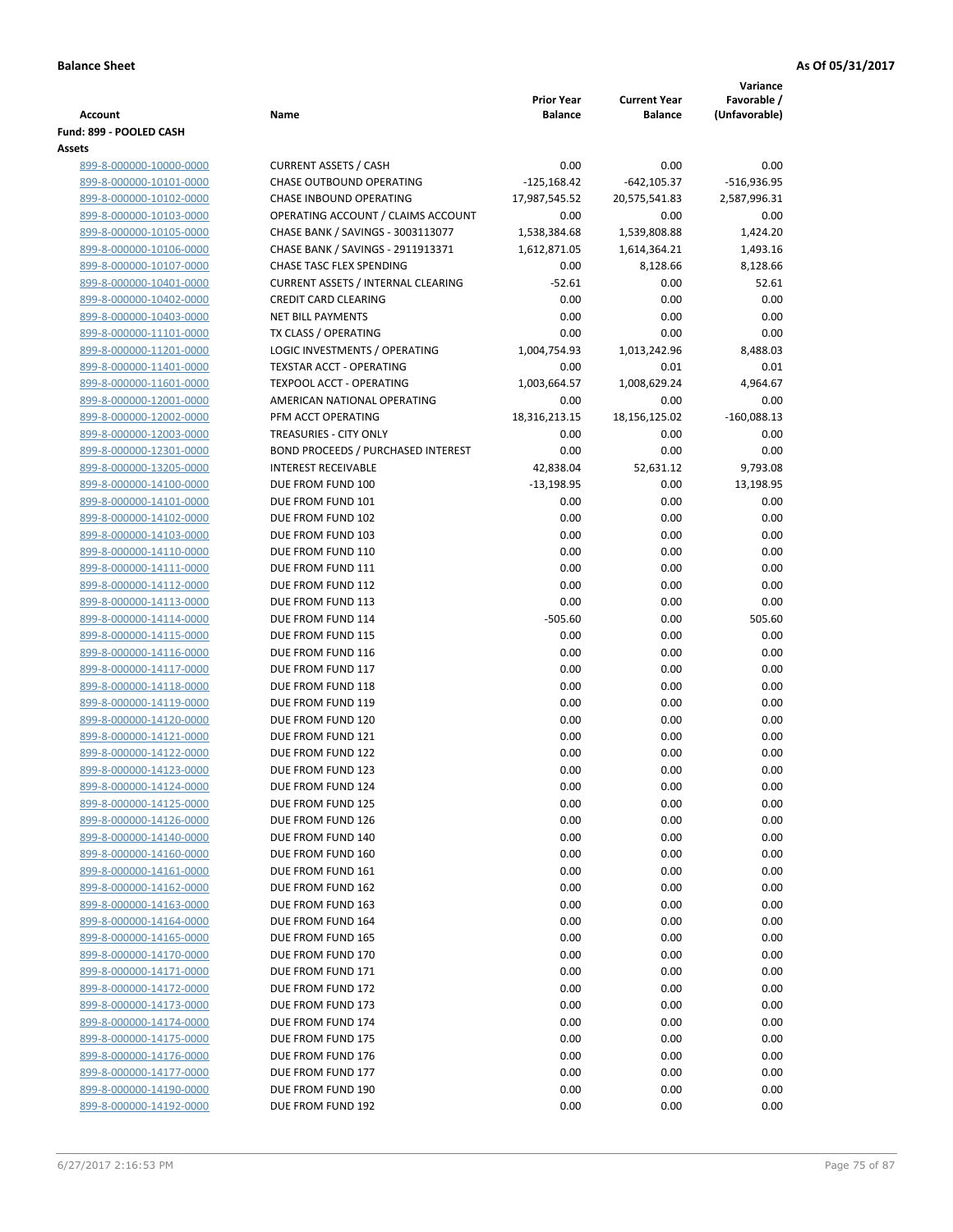|                                                    |                                                                         |                       |                       | Variance             |
|----------------------------------------------------|-------------------------------------------------------------------------|-----------------------|-----------------------|----------------------|
|                                                    |                                                                         | <b>Prior Year</b>     | <b>Current Year</b>   | Favorable /          |
| <b>Account</b>                                     | Name                                                                    | <b>Balance</b>        | <b>Balance</b>        | (Unfavorable)        |
| Fund: 899 - POOLED CASH                            |                                                                         |                       |                       |                      |
| Assets                                             | <b>CURRENT ASSETS / CASH</b>                                            | 0.00                  | 0.00                  | 0.00                 |
| 899-8-000000-10000-0000                            | <b>CHASE OUTBOUND OPERATING</b>                                         |                       | $-642, 105.37$        |                      |
| 899-8-000000-10101-0000                            |                                                                         | $-125,168.42$         |                       | -516,936.95          |
| 899-8-000000-10102-0000                            | CHASE INBOUND OPERATING                                                 | 17,987,545.52<br>0.00 | 20,575,541.83<br>0.00 | 2,587,996.31<br>0.00 |
| 899-8-000000-10103-0000<br>899-8-000000-10105-0000 | OPERATING ACCOUNT / CLAIMS ACCOUNT<br>CHASE BANK / SAVINGS - 3003113077 | 1,538,384.68          | 1,539,808.88          | 1,424.20             |
| 899-8-000000-10106-0000                            | CHASE BANK / SAVINGS - 2911913371                                       | 1,612,871.05          | 1,614,364.21          | 1,493.16             |
| 899-8-000000-10107-0000                            | CHASE TASC FLEX SPENDING                                                | 0.00                  | 8,128.66              | 8,128.66             |
| 899-8-000000-10401-0000                            | <b>CURRENT ASSETS / INTERNAL CLEARING</b>                               | $-52.61$              | 0.00                  | 52.61                |
| 899-8-000000-10402-0000                            | <b>CREDIT CARD CLEARING</b>                                             | 0.00                  | 0.00                  | 0.00                 |
| 899-8-000000-10403-0000                            | <b>NET BILL PAYMENTS</b>                                                | 0.00                  | 0.00                  | 0.00                 |
| 899-8-000000-11101-0000                            | TX CLASS / OPERATING                                                    | 0.00                  | 0.00                  | 0.00                 |
| 899-8-000000-11201-0000                            | LOGIC INVESTMENTS / OPERATING                                           | 1,004,754.93          | 1,013,242.96          | 8,488.03             |
| 899-8-000000-11401-0000                            | <b>TEXSTAR ACCT - OPERATING</b>                                         | 0.00                  | 0.01                  | 0.01                 |
| 899-8-000000-11601-0000                            | <b>TEXPOOL ACCT - OPERATING</b>                                         | 1,003,664.57          | 1,008,629.24          | 4,964.67             |
| 899-8-000000-12001-0000                            | AMERICAN NATIONAL OPERATING                                             | 0.00                  | 0.00                  | 0.00                 |
| 899-8-000000-12002-0000                            | PFM ACCT OPERATING                                                      | 18,316,213.15         | 18,156,125.02         | $-160,088.13$        |
| 899-8-000000-12003-0000                            | TREASURIES - CITY ONLY                                                  | 0.00                  | 0.00                  | 0.00                 |
| 899-8-000000-12301-0000                            | <b>BOND PROCEEDS / PURCHASED INTEREST</b>                               | 0.00                  | 0.00                  | 0.00                 |
| 899-8-000000-13205-0000                            | <b>INTEREST RECEIVABLE</b>                                              | 42,838.04             | 52,631.12             | 9,793.08             |
| 899-8-000000-14100-0000                            | DUE FROM FUND 100                                                       | $-13,198.95$          | 0.00                  | 13,198.95            |
| 899-8-000000-14101-0000                            | DUE FROM FUND 101                                                       | 0.00                  | 0.00                  | 0.00                 |
| 899-8-000000-14102-0000                            | DUE FROM FUND 102                                                       | 0.00                  | 0.00                  | 0.00                 |
| 899-8-000000-14103-0000                            | DUE FROM FUND 103                                                       | 0.00                  | 0.00                  | 0.00                 |
| 899-8-000000-14110-0000                            | DUE FROM FUND 110                                                       | 0.00                  | 0.00                  | 0.00                 |
| 899-8-000000-14111-0000                            | DUE FROM FUND 111                                                       | 0.00                  | 0.00                  | 0.00                 |
| 899-8-000000-14112-0000                            | DUE FROM FUND 112                                                       | 0.00                  | 0.00                  | 0.00                 |
| 899-8-000000-14113-0000                            | DUE FROM FUND 113                                                       | 0.00                  | 0.00                  | 0.00                 |
| 899-8-000000-14114-0000                            | DUE FROM FUND 114                                                       | $-505.60$             | 0.00                  | 505.60               |
| 899-8-000000-14115-0000<br>899-8-000000-14116-0000 | DUE FROM FUND 115<br>DUE FROM FUND 116                                  | 0.00<br>0.00          | 0.00<br>0.00          | 0.00<br>0.00         |
| 899-8-000000-14117-0000                            | DUE FROM FUND 117                                                       | 0.00                  | 0.00                  | 0.00                 |
| 899-8-000000-14118-0000                            | DUE FROM FUND 118                                                       | 0.00                  | 0.00                  | 0.00                 |
| 899-8-000000-14119-0000                            | DUE FROM FUND 119                                                       | 0.00                  | 0.00                  | 0.00                 |
| 899-8-000000-14120-0000                            | DUE FROM FUND 120                                                       | 0.00                  | 0.00                  | 0.00                 |
| 899-8-000000-14121-0000                            | DUE FROM FUND 121                                                       | 0.00                  | 0.00                  | 0.00                 |
| 899-8-000000-14122-0000                            | DUE FROM FUND 122                                                       | 0.00                  | 0.00                  | 0.00                 |
| 899-8-000000-14123-0000                            | DUE FROM FUND 123                                                       | 0.00                  | 0.00                  | 0.00                 |
| 899-8-000000-14124-0000                            | DUE FROM FUND 124                                                       | 0.00                  | 0.00                  | 0.00                 |
| 899-8-000000-14125-0000                            | DUE FROM FUND 125                                                       | 0.00                  | 0.00                  | 0.00                 |
| 899-8-000000-14126-0000                            | DUE FROM FUND 126                                                       | 0.00                  | 0.00                  | 0.00                 |
| 899-8-000000-14140-0000                            | DUE FROM FUND 140                                                       | 0.00                  | 0.00                  | 0.00                 |
| 899-8-000000-14160-0000                            | DUE FROM FUND 160                                                       | 0.00                  | 0.00                  | 0.00                 |
| 899-8-000000-14161-0000                            | DUE FROM FUND 161                                                       | 0.00                  | 0.00                  | 0.00                 |
| 899-8-000000-14162-0000                            | DUE FROM FUND 162                                                       | 0.00                  | 0.00                  | 0.00                 |
| 899-8-000000-14163-0000                            | DUE FROM FUND 163                                                       | 0.00                  | 0.00                  | 0.00                 |
| 899-8-000000-14164-0000                            | DUE FROM FUND 164                                                       | 0.00                  | 0.00                  | 0.00                 |
| 899-8-000000-14165-0000                            | DUE FROM FUND 165                                                       | 0.00                  | 0.00                  | 0.00                 |
| 899-8-000000-14170-0000                            | DUE FROM FUND 170                                                       | 0.00                  | 0.00                  | 0.00                 |
| 899-8-000000-14171-0000                            | DUE FROM FUND 171                                                       | 0.00<br>0.00          | 0.00<br>0.00          | 0.00<br>0.00         |
| 899-8-000000-14172-0000<br>899-8-000000-14173-0000 | DUE FROM FUND 172<br>DUE FROM FUND 173                                  | 0.00                  | 0.00                  | 0.00                 |
| 899-8-000000-14174-0000                            | DUE FROM FUND 174                                                       | 0.00                  | 0.00                  | 0.00                 |
| 899-8-000000-14175-0000                            | DUE FROM FUND 175                                                       | 0.00                  | 0.00                  | 0.00                 |
| 899-8-000000-14176-0000                            | DUE FROM FUND 176                                                       | 0.00                  | 0.00                  | 0.00                 |
| 899-8-000000-14177-0000                            | DUE FROM FUND 177                                                       | 0.00                  | 0.00                  | 0.00                 |
| 899-8-000000-14190-0000                            | DUE FROM FUND 190                                                       | 0.00                  | 0.00                  | 0.00                 |
| 899-8-000000-14192-0000                            | DUE FROM FUND 192                                                       | 0.00                  | 0.00                  | 0.00                 |
|                                                    |                                                                         |                       |                       |                      |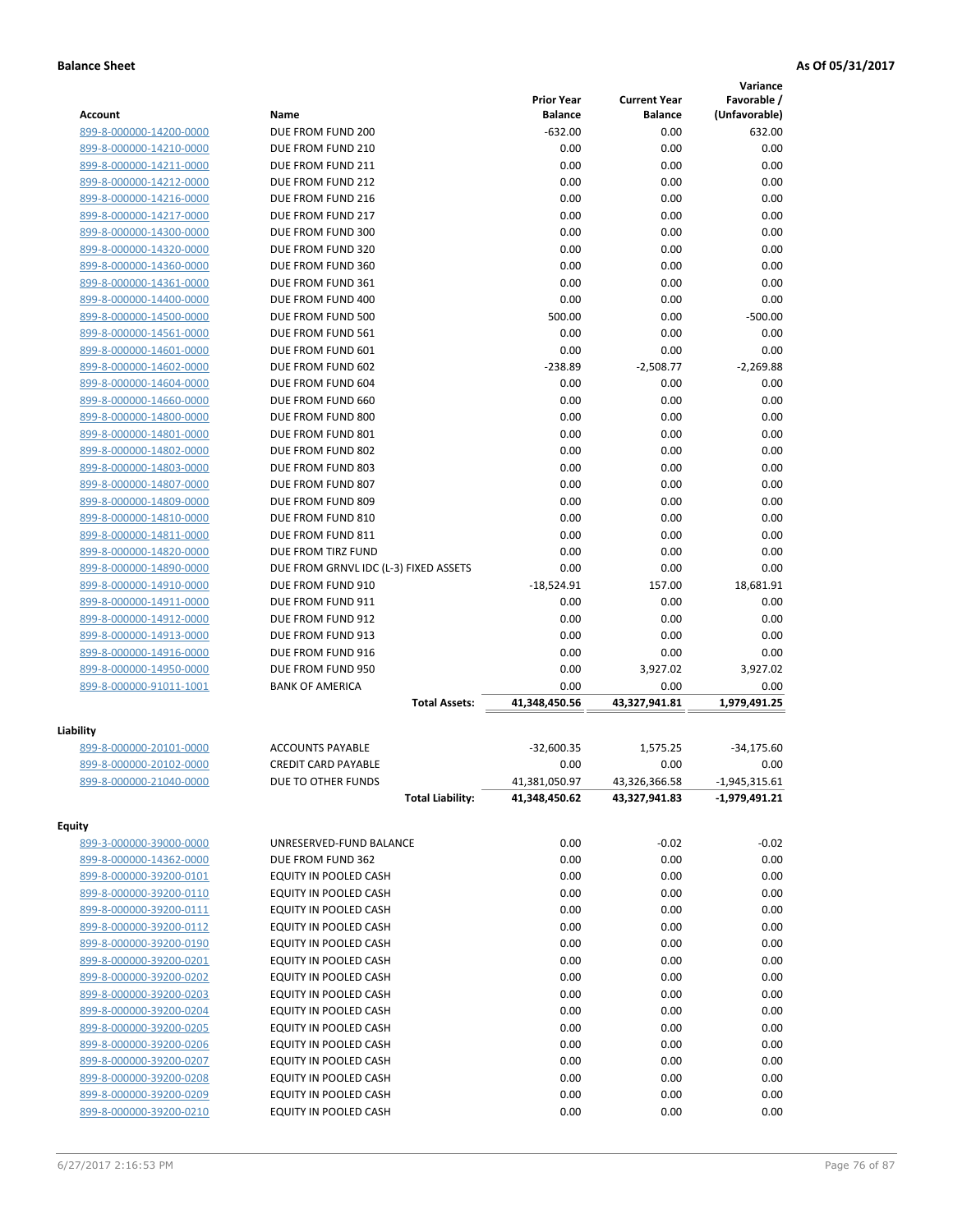|                                                    |                                       |                   |                     | Variance        |
|----------------------------------------------------|---------------------------------------|-------------------|---------------------|-----------------|
|                                                    |                                       | <b>Prior Year</b> | <b>Current Year</b> | Favorable /     |
| <b>Account</b>                                     | Name                                  | <b>Balance</b>    | <b>Balance</b>      | (Unfavorable)   |
| 899-8-000000-14200-0000                            | DUE FROM FUND 200                     | $-632.00$         | 0.00                | 632.00          |
| 899-8-000000-14210-0000                            | DUE FROM FUND 210                     | 0.00              | 0.00                | 0.00            |
| 899-8-000000-14211-0000                            | DUE FROM FUND 211                     | 0.00              | 0.00                | 0.00            |
| 899-8-000000-14212-0000                            | DUE FROM FUND 212                     | 0.00              | 0.00                | 0.00            |
| 899-8-000000-14216-0000                            | DUE FROM FUND 216                     | 0.00              | 0.00                | 0.00            |
| 899-8-000000-14217-0000                            | DUE FROM FUND 217                     | 0.00              | 0.00                | 0.00            |
| 899-8-000000-14300-0000                            | DUE FROM FUND 300                     | 0.00              | 0.00                | 0.00            |
| 899-8-000000-14320-0000                            | DUE FROM FUND 320                     | 0.00              | 0.00                | 0.00            |
| 899-8-000000-14360-0000                            | DUE FROM FUND 360                     | 0.00              | 0.00                | 0.00            |
| 899-8-000000-14361-0000                            | DUE FROM FUND 361                     | 0.00              | 0.00                | 0.00            |
| 899-8-000000-14400-0000                            | DUE FROM FUND 400                     | 0.00              | 0.00                | 0.00            |
| 899-8-000000-14500-0000                            | DUE FROM FUND 500                     | 500.00            | 0.00                | $-500.00$       |
| 899-8-000000-14561-0000                            | DUE FROM FUND 561                     | 0.00              | 0.00                | 0.00            |
| 899-8-000000-14601-0000                            | DUE FROM FUND 601                     | 0.00              | 0.00                | 0.00            |
| 899-8-000000-14602-0000                            | DUE FROM FUND 602                     | $-238.89$         | $-2,508.77$         | $-2,269.88$     |
| 899-8-000000-14604-0000                            | DUE FROM FUND 604                     | 0.00              | 0.00                | 0.00            |
| 899-8-000000-14660-0000                            | DUE FROM FUND 660                     | 0.00              | 0.00                | 0.00            |
| 899-8-000000-14800-0000                            | DUE FROM FUND 800                     | 0.00              | 0.00                | 0.00            |
| 899-8-000000-14801-0000                            | DUE FROM FUND 801                     | 0.00              | 0.00                | 0.00            |
| 899-8-000000-14802-0000                            | DUE FROM FUND 802                     | 0.00              | 0.00                | 0.00            |
| 899-8-000000-14803-0000                            | DUE FROM FUND 803                     | 0.00              | 0.00                | 0.00            |
| 899-8-000000-14807-0000                            | DUE FROM FUND 807                     | 0.00              | 0.00                | 0.00            |
| 899-8-000000-14809-0000                            | DUE FROM FUND 809                     | 0.00              | 0.00                | 0.00            |
| 899-8-000000-14810-0000                            | DUE FROM FUND 810                     | 0.00              | 0.00                | 0.00            |
| 899-8-000000-14811-0000                            | DUE FROM FUND 811                     | 0.00              | 0.00                | 0.00            |
| 899-8-000000-14820-0000                            | DUE FROM TIRZ FUND                    | 0.00              | 0.00                | 0.00            |
| 899-8-000000-14890-0000                            | DUE FROM GRNVL IDC (L-3) FIXED ASSETS | 0.00              | 0.00                | 0.00            |
| 899-8-000000-14910-0000                            | DUE FROM FUND 910                     | $-18,524.91$      | 157.00              | 18,681.91       |
| 899-8-000000-14911-0000                            | DUE FROM FUND 911                     | 0.00              | 0.00                | 0.00            |
| 899-8-000000-14912-0000                            | DUE FROM FUND 912                     | 0.00              | 0.00                | 0.00            |
| 899-8-000000-14913-0000                            | DUE FROM FUND 913                     | 0.00              | 0.00                | 0.00            |
| 899-8-000000-14916-0000                            | DUE FROM FUND 916                     | 0.00              | 0.00                | 0.00            |
|                                                    | DUE FROM FUND 950                     |                   |                     | 3,927.02        |
| 899-8-000000-14950-0000<br>899-8-000000-91011-1001 |                                       | 0.00              | 3,927.02<br>0.00    |                 |
|                                                    | <b>BANK OF AMERICA</b>                | 0.00              | 43,327,941.81       | 0.00            |
|                                                    | <b>Total Assets:</b>                  | 41,348,450.56     |                     | 1,979,491.25    |
| Liability                                          |                                       |                   |                     |                 |
| 899-8-000000-20101-0000                            | <b>ACCOUNTS PAYABLE</b>               | $-32,600.35$      | 1,575.25            | $-34,175.60$    |
| 899-8-000000-20102-0000                            | <b>CREDIT CARD PAYABLE</b>            | 0.00              | 0.00                | 0.00            |
| 899-8-000000-21040-0000                            | DUE TO OTHER FUNDS                    | 41,381,050.97     | 43,326,366.58       | $-1,945,315.61$ |
|                                                    | <b>Total Liability:</b>               | 41,348,450.62     | 43,327,941.83       | $-1,979,491.21$ |
|                                                    |                                       |                   |                     |                 |
| <b>Equity</b>                                      |                                       |                   |                     |                 |
| 899-3-000000-39000-0000                            | UNRESERVED-FUND BALANCE               | 0.00              | $-0.02$             | $-0.02$         |
| 899-8-000000-14362-0000                            | DUE FROM FUND 362                     | 0.00              | 0.00                | 0.00            |
| 899-8-000000-39200-0101                            | EQUITY IN POOLED CASH                 | 0.00              | 0.00                | 0.00            |
| 899-8-000000-39200-0110                            | EQUITY IN POOLED CASH                 | 0.00              | 0.00                | 0.00            |
| 899-8-000000-39200-0111                            | EQUITY IN POOLED CASH                 | 0.00              | 0.00                | 0.00            |
| 899-8-000000-39200-0112                            | EQUITY IN POOLED CASH                 | 0.00              | 0.00                | 0.00            |
| 899-8-000000-39200-0190                            | EQUITY IN POOLED CASH                 | 0.00              | 0.00                | 0.00            |
| 899-8-000000-39200-0201                            | EQUITY IN POOLED CASH                 | 0.00              | 0.00                | 0.00            |
| 899-8-000000-39200-0202                            | EQUITY IN POOLED CASH                 | 0.00              | 0.00                | 0.00            |
| 899-8-000000-39200-0203                            | EQUITY IN POOLED CASH                 | 0.00              | 0.00                | 0.00            |
| 899-8-000000-39200-0204                            | EQUITY IN POOLED CASH                 | 0.00              | 0.00                | 0.00            |
| 899-8-000000-39200-0205                            | EQUITY IN POOLED CASH                 | 0.00              | 0.00                | 0.00            |
| 899-8-000000-39200-0206                            | EQUITY IN POOLED CASH                 | 0.00              | 0.00                | 0.00            |
| 899-8-000000-39200-0207                            | EQUITY IN POOLED CASH                 | 0.00              | 0.00                | 0.00            |
| 899-8-000000-39200-0208                            | EQUITY IN POOLED CASH                 | 0.00              | 0.00                | 0.00            |
| 899-8-000000-39200-0209                            | EQUITY IN POOLED CASH                 | 0.00              | 0.00                | 0.00            |
| 899-8-000000-39200-0210                            | EQUITY IN POOLED CASH                 | 0.00              | 0.00                | 0.00            |
|                                                    |                                       |                   |                     |                 |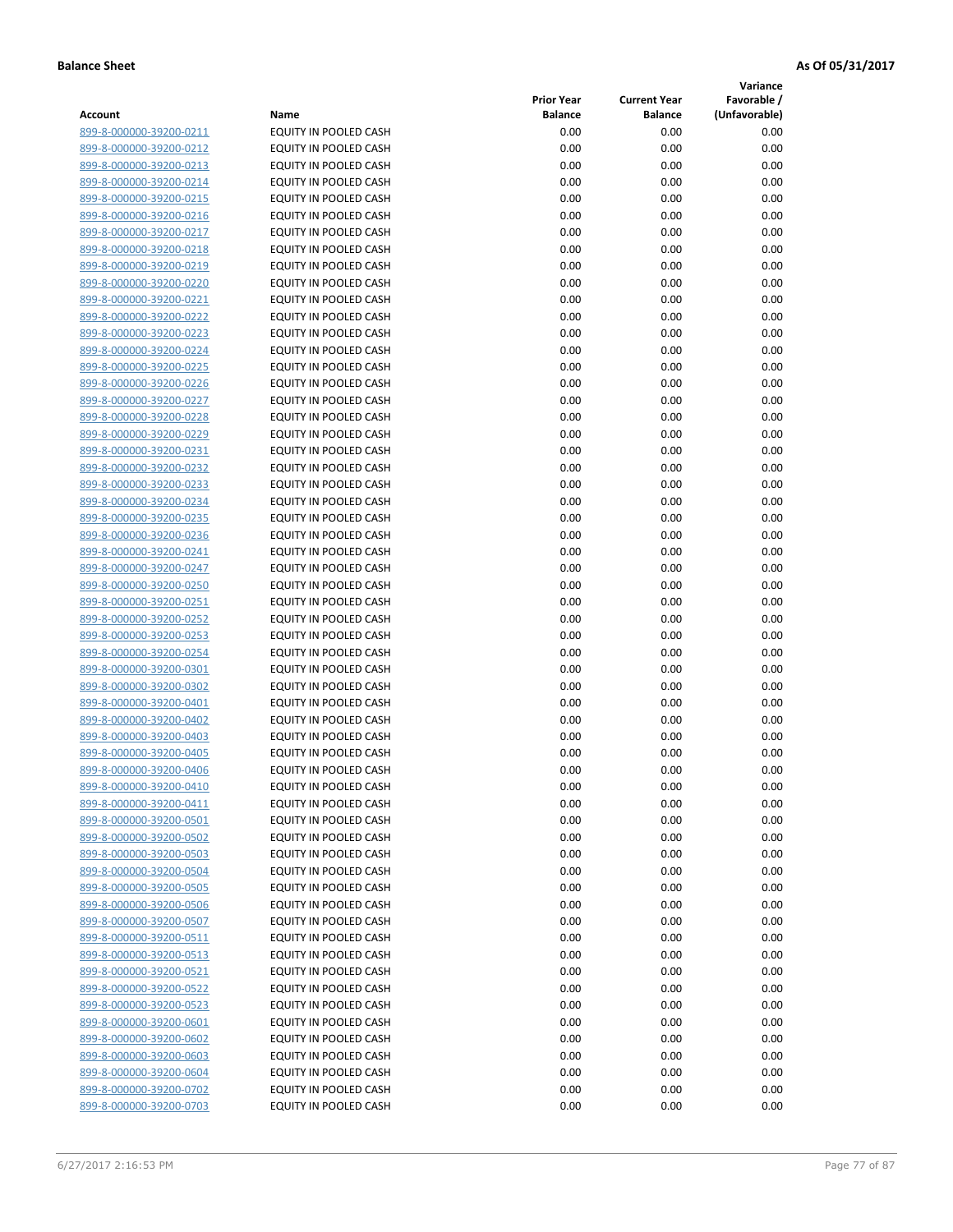**Variance**

|                         |                              | <b>Prior Year</b> | <b>Current Year</b> | vanance<br>Favorable / |
|-------------------------|------------------------------|-------------------|---------------------|------------------------|
| Account                 | Name                         | <b>Balance</b>    | <b>Balance</b>      | (Unfavorable)          |
| 899-8-000000-39200-0211 | EQUITY IN POOLED CASH        | 0.00              | 0.00                | 0.00                   |
| 899-8-000000-39200-0212 | EQUITY IN POOLED CASH        | 0.00              | 0.00                | 0.00                   |
| 899-8-000000-39200-0213 | EQUITY IN POOLED CASH        | 0.00              | 0.00                | 0.00                   |
|                         |                              |                   |                     |                        |
| 899-8-000000-39200-0214 | EQUITY IN POOLED CASH        | 0.00              | 0.00                | 0.00                   |
| 899-8-000000-39200-0215 | EQUITY IN POOLED CASH        | 0.00              | 0.00                | 0.00                   |
| 899-8-000000-39200-0216 | EQUITY IN POOLED CASH        | 0.00              | 0.00                | 0.00                   |
| 899-8-000000-39200-0217 | EQUITY IN POOLED CASH        | 0.00              | 0.00                | 0.00                   |
| 899-8-000000-39200-0218 | EQUITY IN POOLED CASH        | 0.00              | 0.00                | 0.00                   |
| 899-8-000000-39200-0219 | EQUITY IN POOLED CASH        | 0.00              | 0.00                | 0.00                   |
| 899-8-000000-39200-0220 | EQUITY IN POOLED CASH        | 0.00              | 0.00                | 0.00                   |
| 899-8-000000-39200-0221 | EQUITY IN POOLED CASH        | 0.00              | 0.00                | 0.00                   |
| 899-8-000000-39200-0222 | EQUITY IN POOLED CASH        | 0.00              | 0.00                | 0.00                   |
| 899-8-000000-39200-0223 | EQUITY IN POOLED CASH        | 0.00              | 0.00                | 0.00                   |
| 899-8-000000-39200-0224 | EQUITY IN POOLED CASH        | 0.00              | 0.00                | 0.00                   |
| 899-8-000000-39200-0225 | EQUITY IN POOLED CASH        | 0.00              | 0.00                | 0.00                   |
| 899-8-000000-39200-0226 | EQUITY IN POOLED CASH        | 0.00              | 0.00                | 0.00                   |
| 899-8-000000-39200-0227 | EQUITY IN POOLED CASH        | 0.00              | 0.00                | 0.00                   |
|                         |                              |                   |                     |                        |
| 899-8-000000-39200-0228 | EQUITY IN POOLED CASH        | 0.00              | 0.00                | 0.00                   |
| 899-8-000000-39200-0229 | EQUITY IN POOLED CASH        | 0.00              | 0.00                | 0.00                   |
| 899-8-000000-39200-0231 | EQUITY IN POOLED CASH        | 0.00              | 0.00                | 0.00                   |
| 899-8-000000-39200-0232 | EQUITY IN POOLED CASH        | 0.00              | 0.00                | 0.00                   |
| 899-8-000000-39200-0233 | EQUITY IN POOLED CASH        | 0.00              | 0.00                | 0.00                   |
| 899-8-000000-39200-0234 | EQUITY IN POOLED CASH        | 0.00              | 0.00                | 0.00                   |
| 899-8-000000-39200-0235 | EQUITY IN POOLED CASH        | 0.00              | 0.00                | 0.00                   |
| 899-8-000000-39200-0236 | EQUITY IN POOLED CASH        | 0.00              | 0.00                | 0.00                   |
| 899-8-000000-39200-0241 | EQUITY IN POOLED CASH        | 0.00              | 0.00                | 0.00                   |
| 899-8-000000-39200-0247 | EQUITY IN POOLED CASH        | 0.00              | 0.00                | 0.00                   |
| 899-8-000000-39200-0250 | EQUITY IN POOLED CASH        | 0.00              | 0.00                | 0.00                   |
| 899-8-000000-39200-0251 | EQUITY IN POOLED CASH        | 0.00              | 0.00                | 0.00                   |
| 899-8-000000-39200-0252 | EQUITY IN POOLED CASH        | 0.00              | 0.00                | 0.00                   |
| 899-8-000000-39200-0253 | EQUITY IN POOLED CASH        | 0.00              | 0.00                | 0.00                   |
| 899-8-000000-39200-0254 |                              |                   |                     | 0.00                   |
|                         | EQUITY IN POOLED CASH        | 0.00              | 0.00                |                        |
| 899-8-000000-39200-0301 | EQUITY IN POOLED CASH        | 0.00              | 0.00                | 0.00                   |
| 899-8-000000-39200-0302 | EQUITY IN POOLED CASH        | 0.00              | 0.00                | 0.00                   |
| 899-8-000000-39200-0401 | EQUITY IN POOLED CASH        | 0.00              | 0.00                | 0.00                   |
| 899-8-000000-39200-0402 | EQUITY IN POOLED CASH        | 0.00              | 0.00                | 0.00                   |
| 899-8-000000-39200-0403 | EQUITY IN POOLED CASH        | 0.00              | 0.00                | 0.00                   |
| 899-8-000000-39200-0405 | EQUITY IN POOLED CASH        | 0.00              | 0.00                | 0.00                   |
| 899-8-000000-39200-0406 | EQUITY IN POOLED CASH        | 0.00              | 0.00                | 0.00                   |
| 899-8-000000-39200-0410 | EQUITY IN POOLED CASH        | 0.00              | 0.00                | 0.00                   |
| 899-8-000000-39200-0411 | EQUITY IN POOLED CASH        | 0.00              | 0.00                | 0.00                   |
| 899-8-000000-39200-0501 | EQUITY IN POOLED CASH        | 0.00              | 0.00                | 0.00                   |
| 899-8-000000-39200-0502 | EQUITY IN POOLED CASH        | 0.00              | 0.00                | 0.00                   |
| 899-8-000000-39200-0503 | EQUITY IN POOLED CASH        | 0.00              | 0.00                | 0.00                   |
| 899-8-000000-39200-0504 | EQUITY IN POOLED CASH        | 0.00              | 0.00                | 0.00                   |
| 899-8-000000-39200-0505 | <b>EQUITY IN POOLED CASH</b> | 0.00              | 0.00                | 0.00                   |
| 899-8-000000-39200-0506 | EQUITY IN POOLED CASH        | 0.00              | 0.00                | 0.00                   |
|                         |                              |                   |                     |                        |
| 899-8-000000-39200-0507 | EQUITY IN POOLED CASH        | 0.00              | 0.00                | 0.00                   |
| 899-8-000000-39200-0511 | EQUITY IN POOLED CASH        | 0.00              | 0.00                | 0.00                   |
| 899-8-000000-39200-0513 | EQUITY IN POOLED CASH        | 0.00              | 0.00                | 0.00                   |
| 899-8-000000-39200-0521 | EQUITY IN POOLED CASH        | 0.00              | 0.00                | 0.00                   |
| 899-8-000000-39200-0522 | EQUITY IN POOLED CASH        | 0.00              | 0.00                | 0.00                   |
| 899-8-000000-39200-0523 | EQUITY IN POOLED CASH        | 0.00              | 0.00                | 0.00                   |
| 899-8-000000-39200-0601 | EQUITY IN POOLED CASH        | 0.00              | 0.00                | 0.00                   |
| 899-8-000000-39200-0602 | EQUITY IN POOLED CASH        | 0.00              | 0.00                | 0.00                   |
| 899-8-000000-39200-0603 | EQUITY IN POOLED CASH        | 0.00              | 0.00                | 0.00                   |
| 899-8-000000-39200-0604 | EQUITY IN POOLED CASH        | 0.00              | 0.00                | 0.00                   |
| 899-8-000000-39200-0702 | EQUITY IN POOLED CASH        | 0.00              | 0.00                | 0.00                   |
| 899-8-000000-39200-0703 | EQUITY IN POOLED CASH        | 0.00              | 0.00                | 0.00                   |
|                         |                              |                   |                     |                        |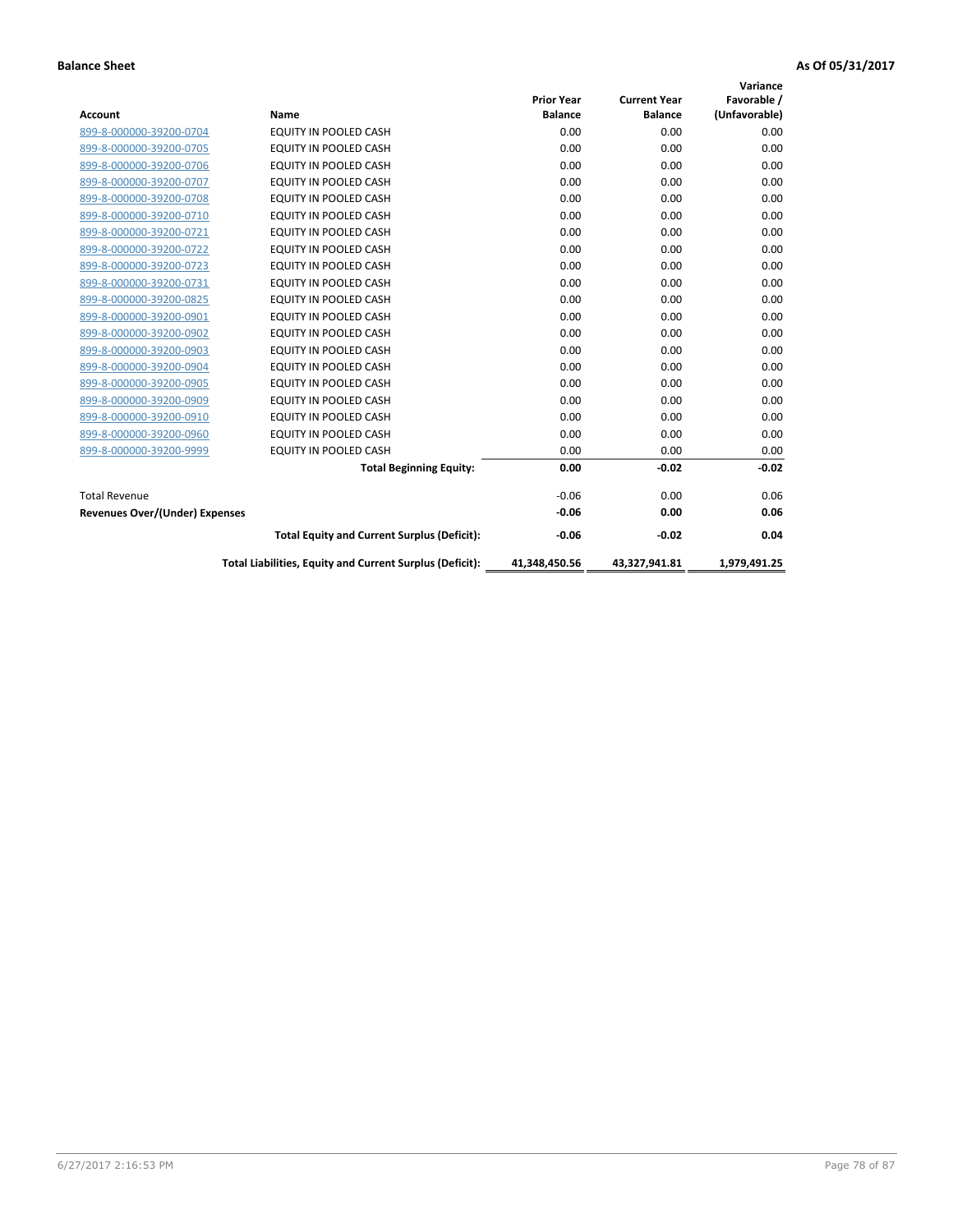| <b>Account</b>                        | Name                                                     | <b>Prior Year</b><br><b>Balance</b> | <b>Current Year</b><br><b>Balance</b> | Variance<br>Favorable /<br>(Unfavorable) |
|---------------------------------------|----------------------------------------------------------|-------------------------------------|---------------------------------------|------------------------------------------|
| 899-8-000000-39200-0704               | <b>EQUITY IN POOLED CASH</b>                             | 0.00                                | 0.00                                  | 0.00                                     |
| 899-8-000000-39200-0705               | EQUITY IN POOLED CASH                                    | 0.00                                | 0.00                                  | 0.00                                     |
| 899-8-000000-39200-0706               | <b>EQUITY IN POOLED CASH</b>                             | 0.00                                | 0.00                                  | 0.00                                     |
| 899-8-000000-39200-0707               | <b>EQUITY IN POOLED CASH</b>                             | 0.00                                | 0.00                                  | 0.00                                     |
| 899-8-000000-39200-0708               | <b>EQUITY IN POOLED CASH</b>                             | 0.00                                | 0.00                                  | 0.00                                     |
| 899-8-000000-39200-0710               | <b>EQUITY IN POOLED CASH</b>                             | 0.00                                | 0.00                                  | 0.00                                     |
| 899-8-000000-39200-0721               | EQUITY IN POOLED CASH                                    | 0.00                                | 0.00                                  | 0.00                                     |
| 899-8-000000-39200-0722               | EQUITY IN POOLED CASH                                    | 0.00                                | 0.00                                  | 0.00                                     |
| 899-8-000000-39200-0723               | <b>EQUITY IN POOLED CASH</b>                             | 0.00                                | 0.00                                  | 0.00                                     |
| 899-8-000000-39200-0731               | <b>EQUITY IN POOLED CASH</b>                             | 0.00                                | 0.00                                  | 0.00                                     |
| 899-8-000000-39200-0825               | <b>EQUITY IN POOLED CASH</b>                             | 0.00                                | 0.00                                  | 0.00                                     |
| 899-8-000000-39200-0901               | <b>EQUITY IN POOLED CASH</b>                             | 0.00                                | 0.00                                  | 0.00                                     |
| 899-8-000000-39200-0902               | <b>EQUITY IN POOLED CASH</b>                             | 0.00                                | 0.00                                  | 0.00                                     |
| 899-8-000000-39200-0903               | <b>EQUITY IN POOLED CASH</b>                             | 0.00                                | 0.00                                  | 0.00                                     |
| 899-8-000000-39200-0904               | <b>EQUITY IN POOLED CASH</b>                             | 0.00                                | 0.00                                  | 0.00                                     |
| 899-8-000000-39200-0905               | <b>EQUITY IN POOLED CASH</b>                             | 0.00                                | 0.00                                  | 0.00                                     |
| 899-8-000000-39200-0909               | EQUITY IN POOLED CASH                                    | 0.00                                | 0.00                                  | 0.00                                     |
| 899-8-000000-39200-0910               | <b>EQUITY IN POOLED CASH</b>                             | 0.00                                | 0.00                                  | 0.00                                     |
| 899-8-000000-39200-0960               | EQUITY IN POOLED CASH                                    | 0.00                                | 0.00                                  | 0.00                                     |
| 899-8-000000-39200-9999               | EQUITY IN POOLED CASH                                    | 0.00                                | 0.00                                  | 0.00                                     |
|                                       | <b>Total Beginning Equity:</b>                           | 0.00                                | $-0.02$                               | $-0.02$                                  |
| <b>Total Revenue</b>                  |                                                          | $-0.06$                             | 0.00                                  | 0.06                                     |
| <b>Revenues Over/(Under) Expenses</b> |                                                          | $-0.06$                             | 0.00                                  | 0.06                                     |
|                                       | <b>Total Equity and Current Surplus (Deficit):</b>       | $-0.06$                             | $-0.02$                               | 0.04                                     |
|                                       | Total Liabilities, Equity and Current Surplus (Deficit): | 41,348,450.56                       | 43,327,941.81                         | 1,979,491.25                             |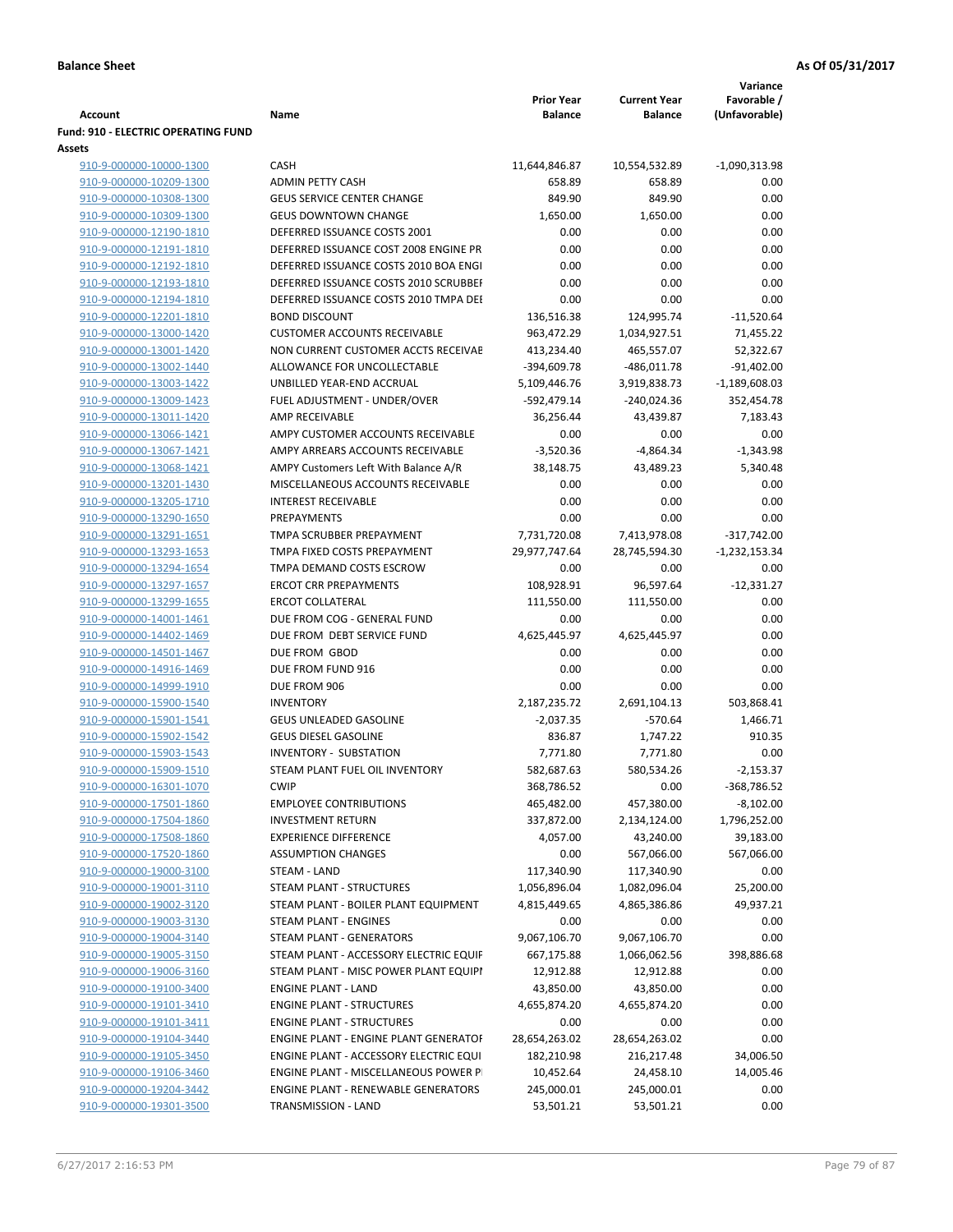|                                                    |                                                          |                       |                       | Variance                |
|----------------------------------------------------|----------------------------------------------------------|-----------------------|-----------------------|-------------------------|
|                                                    |                                                          | <b>Prior Year</b>     | <b>Current Year</b>   | Favorable /             |
| <b>Account</b>                                     | Name                                                     | <b>Balance</b>        | <b>Balance</b>        | (Unfavorable)           |
| Fund: 910 - ELECTRIC OPERATING FUND<br>Assets      |                                                          |                       |                       |                         |
| 910-9-000000-10000-1300                            | <b>CASH</b>                                              | 11,644,846.87         | 10,554,532.89         | $-1,090,313.98$         |
| 910-9-000000-10209-1300                            | <b>ADMIN PETTY CASH</b>                                  | 658.89                | 658.89                | 0.00                    |
| 910-9-000000-10308-1300                            | <b>GEUS SERVICE CENTER CHANGE</b>                        | 849.90                | 849.90                | 0.00                    |
| 910-9-000000-10309-1300                            | <b>GEUS DOWNTOWN CHANGE</b>                              | 1,650.00              | 1,650.00              | 0.00                    |
| 910-9-000000-12190-1810                            | DEFERRED ISSUANCE COSTS 2001                             | 0.00                  | 0.00                  | 0.00                    |
| 910-9-000000-12191-1810                            | DEFERRED ISSUANCE COST 2008 ENGINE PR                    | 0.00                  | 0.00                  | 0.00                    |
| 910-9-000000-12192-1810                            | DEFERRED ISSUANCE COSTS 2010 BOA ENGI                    | 0.00                  | 0.00                  | 0.00                    |
| 910-9-000000-12193-1810                            | DEFERRED ISSUANCE COSTS 2010 SCRUBBEI                    | 0.00                  | 0.00                  | 0.00                    |
| 910-9-000000-12194-1810                            | DEFERRED ISSUANCE COSTS 2010 TMPA DEI                    | 0.00                  | 0.00                  | 0.00                    |
| 910-9-000000-12201-1810                            | <b>BOND DISCOUNT</b>                                     | 136,516.38            | 124,995.74            | $-11,520.64$            |
| 910-9-000000-13000-1420                            | <b>CUSTOMER ACCOUNTS RECEIVABLE</b>                      | 963,472.29            | 1,034,927.51          | 71,455.22               |
| 910-9-000000-13001-1420                            | NON CURRENT CUSTOMER ACCTS RECEIVAE                      | 413,234.40            | 465,557.07            | 52,322.67               |
| 910-9-000000-13002-1440                            | ALLOWANCE FOR UNCOLLECTABLE                              | -394,609.78           | $-486,011.78$         | $-91,402.00$            |
| 910-9-000000-13003-1422                            | UNBILLED YEAR-END ACCRUAL                                | 5,109,446.76          | 3,919,838.73          | $-1,189,608.03$         |
| 910-9-000000-13009-1423                            | FUEL ADJUSTMENT - UNDER/OVER                             | -592,479.14           | $-240,024.36$         | 352,454.78              |
| 910-9-000000-13011-1420                            | <b>AMP RECEIVABLE</b>                                    | 36,256.44             | 43,439.87             | 7,183.43                |
| 910-9-000000-13066-1421                            | AMPY CUSTOMER ACCOUNTS RECEIVABLE                        | 0.00                  | 0.00                  | 0.00                    |
| 910-9-000000-13067-1421                            | AMPY ARREARS ACCOUNTS RECEIVABLE                         | $-3,520.36$           | $-4,864.34$           | $-1,343.98$             |
| 910-9-000000-13068-1421                            | AMPY Customers Left With Balance A/R                     | 38,148.75             | 43,489.23             | 5,340.48                |
| 910-9-000000-13201-1430                            | MISCELLANEOUS ACCOUNTS RECEIVABLE                        | 0.00                  | 0.00                  | 0.00                    |
| 910-9-000000-13205-1710                            | <b>INTEREST RECEIVABLE</b>                               | 0.00                  | 0.00                  | 0.00                    |
| 910-9-000000-13290-1650                            | PREPAYMENTS                                              | 0.00                  | 0.00                  | 0.00                    |
| 910-9-000000-13291-1651<br>910-9-000000-13293-1653 | TMPA SCRUBBER PREPAYMENT<br>TMPA FIXED COSTS PREPAYMENT  | 7,731,720.08          | 7,413,978.08          | $-317,742.00$           |
| 910-9-000000-13294-1654                            | TMPA DEMAND COSTS ESCROW                                 | 29,977,747.64<br>0.00 | 28,745,594.30<br>0.00 | $-1,232,153.34$<br>0.00 |
| 910-9-000000-13297-1657                            | <b>ERCOT CRR PREPAYMENTS</b>                             | 108,928.91            | 96,597.64             | $-12,331.27$            |
| 910-9-000000-13299-1655                            | <b>ERCOT COLLATERAL</b>                                  | 111,550.00            | 111,550.00            | 0.00                    |
| 910-9-000000-14001-1461                            | DUE FROM COG - GENERAL FUND                              | 0.00                  | 0.00                  | 0.00                    |
| 910-9-000000-14402-1469                            | DUE FROM DEBT SERVICE FUND                               | 4,625,445.97          | 4,625,445.97          | 0.00                    |
| 910-9-000000-14501-1467                            | DUE FROM GBOD                                            | 0.00                  | 0.00                  | 0.00                    |
| 910-9-000000-14916-1469                            | DUE FROM FUND 916                                        | 0.00                  | 0.00                  | 0.00                    |
| 910-9-000000-14999-1910                            | DUE FROM 906                                             | 0.00                  | 0.00                  | 0.00                    |
| 910-9-000000-15900-1540                            | <b>INVENTORY</b>                                         | 2,187,235.72          | 2,691,104.13          | 503,868.41              |
| 910-9-000000-15901-1541                            | <b>GEUS UNLEADED GASOLINE</b>                            | $-2,037.35$           | $-570.64$             | 1,466.71                |
| 910-9-000000-15902-1542                            | <b>GEUS DIESEL GASOLINE</b>                              | 836.87                | 1,747.22              | 910.35                  |
| 910-9-000000-15903-1543                            | <b>INVENTORY - SUBSTATION</b>                            | 7,771.80              | 7,771.80              | 0.00                    |
| 910-9-000000-15909-1510                            | STEAM PLANT FUEL OIL INVENTORY                           | 582,687.63            | 580,534.26            | $-2,153.37$             |
| 910-9-000000-16301-1070                            | <b>CWIP</b>                                              | 368,786.52            | 0.00                  | -368,786.52             |
| 910-9-000000-17501-1860                            | <b>EMPLOYEE CONTRIBUTIONS</b>                            | 465,482.00            | 457,380.00            | $-8,102.00$             |
| 910-9-000000-17504-1860                            | <b>INVESTMENT RETURN</b>                                 | 337,872.00            | 2,134,124.00          | 1,796,252.00            |
| 910-9-000000-17508-1860                            | <b>EXPERIENCE DIFFERENCE</b>                             | 4,057.00              | 43,240.00             | 39,183.00               |
| 910-9-000000-17520-1860                            | <b>ASSUMPTION CHANGES</b>                                | 0.00                  | 567,066.00            | 567,066.00              |
| 910-9-000000-19000-3100                            | STEAM - LAND                                             | 117,340.90            | 117,340.90            | 0.00                    |
| 910-9-000000-19001-3110                            | <b>STEAM PLANT - STRUCTURES</b>                          | 1,056,896.04          | 1,082,096.04          | 25,200.00               |
| 910-9-000000-19002-3120                            | STEAM PLANT - BOILER PLANT EQUIPMENT                     | 4,815,449.65          | 4,865,386.86          | 49,937.21               |
| 910-9-000000-19003-3130<br>910-9-000000-19004-3140 | STEAM PLANT - ENGINES<br><b>STEAM PLANT - GENERATORS</b> | 0.00<br>9,067,106.70  | 0.00<br>9,067,106.70  | 0.00<br>0.00            |
| 910-9-000000-19005-3150                            | STEAM PLANT - ACCESSORY ELECTRIC EQUIF                   | 667,175.88            | 1,066,062.56          | 398,886.68              |
| 910-9-000000-19006-3160                            | STEAM PLANT - MISC POWER PLANT EQUIPI                    | 12,912.88             | 12,912.88             | 0.00                    |
| 910-9-000000-19100-3400                            | <b>ENGINE PLANT - LAND</b>                               | 43,850.00             | 43,850.00             | 0.00                    |
| 910-9-000000-19101-3410                            | <b>ENGINE PLANT - STRUCTURES</b>                         | 4,655,874.20          | 4,655,874.20          | 0.00                    |
| 910-9-000000-19101-3411                            | <b>ENGINE PLANT - STRUCTURES</b>                         | 0.00                  | 0.00                  | 0.00                    |
| 910-9-000000-19104-3440                            | ENGINE PLANT - ENGINE PLANT GENERATOF                    | 28,654,263.02         | 28,654,263.02         | 0.00                    |
| 910-9-000000-19105-3450                            | ENGINE PLANT - ACCESSORY ELECTRIC EQUI                   | 182,210.98            | 216,217.48            | 34,006.50               |
| 910-9-000000-19106-3460                            | ENGINE PLANT - MISCELLANEOUS POWER P                     | 10,452.64             | 24,458.10             | 14,005.46               |
| 910-9-000000-19204-3442                            | <b>ENGINE PLANT - RENEWABLE GENERATORS</b>               | 245,000.01            | 245,000.01            | 0.00                    |
| 910-9-000000-19301-3500                            | TRANSMISSION - LAND                                      | 53,501.21             | 53,501.21             | 0.00                    |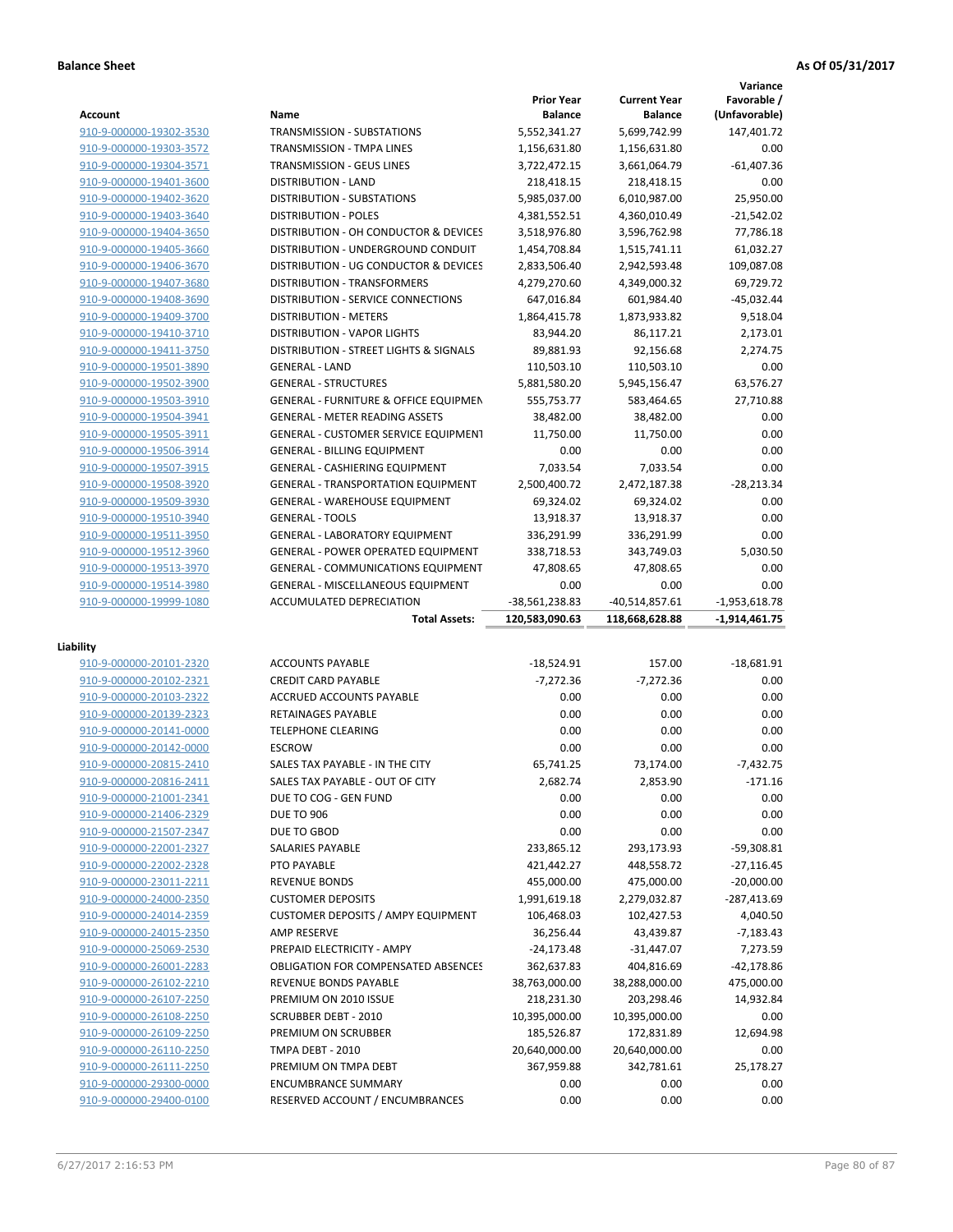|                                                    |                                                  |                                     |                                       | Variance                     |
|----------------------------------------------------|--------------------------------------------------|-------------------------------------|---------------------------------------|------------------------------|
| <b>Account</b>                                     | Name                                             | <b>Prior Year</b><br><b>Balance</b> | <b>Current Year</b><br><b>Balance</b> | Favorable /<br>(Unfavorable) |
| 910-9-000000-19302-3530                            | <b>TRANSMISSION - SUBSTATIONS</b>                | 5,552,341.27                        | 5,699,742.99                          | 147,401.72                   |
| 910-9-000000-19303-3572                            | TRANSMISSION - TMPA LINES                        | 1,156,631.80                        | 1,156,631.80                          | 0.00                         |
| 910-9-000000-19304-3571                            | <b>TRANSMISSION - GEUS LINES</b>                 | 3,722,472.15                        | 3,661,064.79                          | $-61,407.36$                 |
| 910-9-000000-19401-3600                            | <b>DISTRIBUTION - LAND</b>                       | 218,418.15                          | 218,418.15                            | 0.00                         |
| 910-9-000000-19402-3620                            | <b>DISTRIBUTION - SUBSTATIONS</b>                | 5,985,037.00                        | 6,010,987.00                          | 25,950.00                    |
| 910-9-000000-19403-3640                            | <b>DISTRIBUTION - POLES</b>                      | 4,381,552.51                        | 4,360,010.49                          | $-21,542.02$                 |
| 910-9-000000-19404-3650                            | DISTRIBUTION - OH CONDUCTOR & DEVICES            | 3,518,976.80                        | 3,596,762.98                          | 77,786.18                    |
| 910-9-000000-19405-3660                            | DISTRIBUTION - UNDERGROUND CONDUIT               | 1,454,708.84                        | 1,515,741.11                          | 61,032.27                    |
| 910-9-000000-19406-3670                            | DISTRIBUTION - UG CONDUCTOR & DEVICES            | 2,833,506.40                        | 2,942,593.48                          | 109,087.08                   |
| 910-9-000000-19407-3680                            | DISTRIBUTION - TRANSFORMERS                      | 4,279,270.60                        | 4,349,000.32                          | 69,729.72                    |
| 910-9-000000-19408-3690                            | DISTRIBUTION - SERVICE CONNECTIONS               | 647,016.84                          | 601,984.40                            | $-45,032.44$                 |
| 910-9-000000-19409-3700                            | <b>DISTRIBUTION - METERS</b>                     | 1,864,415.78                        | 1,873,933.82                          | 9,518.04                     |
| 910-9-000000-19410-3710                            | <b>DISTRIBUTION - VAPOR LIGHTS</b>               | 83,944.20                           | 86,117.21                             | 2,173.01                     |
| 910-9-000000-19411-3750                            | DISTRIBUTION - STREET LIGHTS & SIGNALS           | 89,881.93                           | 92,156.68                             | 2,274.75                     |
| 910-9-000000-19501-3890                            | <b>GENERAL - LAND</b>                            | 110,503.10                          | 110,503.10                            | 0.00                         |
| 910-9-000000-19502-3900                            | <b>GENERAL - STRUCTURES</b>                      | 5,881,580.20                        | 5,945,156.47                          | 63,576.27                    |
| 910-9-000000-19503-3910                            | <b>GENERAL - FURNITURE &amp; OFFICE EQUIPMEN</b> | 555,753.77                          | 583,464.65                            | 27,710.88                    |
| 910-9-000000-19504-3941                            | <b>GENERAL - METER READING ASSETS</b>            | 38,482.00                           | 38,482.00                             | 0.00                         |
| 910-9-000000-19505-3911                            | GENERAL - CUSTOMER SERVICE EQUIPMENT             | 11,750.00                           | 11,750.00                             | 0.00                         |
| 910-9-000000-19506-3914                            | <b>GENERAL - BILLING EQUIPMENT</b>               | 0.00                                | 0.00                                  | 0.00                         |
| 910-9-000000-19507-3915                            | <b>GENERAL - CASHIERING EQUIPMENT</b>            | 7.033.54                            | 7.033.54                              | 0.00                         |
| 910-9-000000-19508-3920                            | <b>GENERAL - TRANSPORTATION EQUIPMENT</b>        | 2,500,400.72                        | 2,472,187.38                          | $-28,213.34$                 |
| 910-9-000000-19509-3930                            | <b>GENERAL - WAREHOUSE EQUIPMENT</b>             | 69,324.02                           | 69,324.02                             | 0.00                         |
| 910-9-000000-19510-3940                            | <b>GENERAL - TOOLS</b>                           | 13,918.37                           | 13,918.37                             | 0.00                         |
| 910-9-000000-19511-3950                            | <b>GENERAL - LABORATORY EQUIPMENT</b>            | 336,291.99                          | 336,291.99                            | 0.00                         |
| 910-9-000000-19512-3960                            | <b>GENERAL - POWER OPERATED EQUIPMENT</b>        | 338,718.53                          | 343,749.03                            | 5,030.50                     |
| 910-9-000000-19513-3970                            | <b>GENERAL - COMMUNICATIONS EQUIPMENT</b>        | 47,808.65                           | 47,808.65                             | 0.00                         |
| 910-9-000000-19514-3980                            | <b>GENERAL - MISCELLANEOUS EQUIPMENT</b>         | 0.00                                | 0.00                                  | 0.00                         |
|                                                    |                                                  |                                     |                                       |                              |
| 910-9-000000-19999-1080                            | ACCUMULATED DEPRECIATION                         | -38,561,238.83                      | $-40,514,857.61$                      | $-1,953,618.78$              |
|                                                    | <b>Total Assets:</b>                             | 120,583,090.63                      | 118,668,628.88                        | $-1,914,461.75$              |
|                                                    |                                                  |                                     |                                       |                              |
| Liability                                          |                                                  |                                     |                                       |                              |
| 910-9-000000-20101-2320                            | <b>ACCOUNTS PAYABLE</b>                          | $-18,524.91$                        | 157.00                                | $-18,681.91$                 |
| 910-9-000000-20102-2321                            | <b>CREDIT CARD PAYABLE</b>                       | $-7,272.36$                         | $-7,272.36$                           | 0.00                         |
| 910-9-000000-20103-2322                            | ACCRUED ACCOUNTS PAYABLE                         | 0.00                                | 0.00                                  | 0.00                         |
| 910-9-000000-20139-2323                            | RETAINAGES PAYABLE<br><b>TELEPHONE CLEARING</b>  | 0.00                                | 0.00                                  | 0.00                         |
| 910-9-000000-20141-0000                            |                                                  | 0.00                                | 0.00                                  | 0.00                         |
| 910-9-000000-20142-0000                            | <b>ESCROW</b><br>SALES TAX PAYABLE - IN THE CITY | 0.00<br>65,741.25                   | 0.00                                  | 0.00<br>$-7,432.75$          |
| 910-9-000000-20815-2410                            | SALES TAX PAYABLE - OUT OF CITY                  |                                     | 73,174.00                             | $-171.16$                    |
| 910-9-000000-20816-2411                            | DUE TO COG - GEN FUND                            | 2,682.74                            | 2,853.90                              |                              |
| 910-9-000000-21001-2341<br>910-9-000000-21406-2329 |                                                  | 0.00                                | 0.00                                  | 0.00                         |
| 910-9-000000-21507-2347                            | <b>DUE TO 906</b><br>DUE TO GBOD                 | 0.00<br>0.00                        | 0.00<br>0.00                          | 0.00<br>0.00                 |
| 910-9-000000-22001-2327                            | SALARIES PAYABLE                                 | 233,865.12                          | 293,173.93                            | -59,308.81                   |
| 910-9-000000-22002-2328                            | PTO PAYABLE                                      | 421,442.27                          | 448,558.72                            | $-27,116.45$                 |
| 910-9-000000-23011-2211                            | <b>REVENUE BONDS</b>                             | 455,000.00                          | 475,000.00                            | $-20,000.00$                 |
| 910-9-000000-24000-2350                            | <b>CUSTOMER DEPOSITS</b>                         | 1,991,619.18                        | 2,279,032.87                          | -287,413.69                  |
| 910-9-000000-24014-2359                            | <b>CUSTOMER DEPOSITS / AMPY EQUIPMENT</b>        | 106,468.03                          | 102,427.53                            | 4,040.50                     |
| 910-9-000000-24015-2350                            | AMP RESERVE                                      | 36,256.44                           | 43,439.87                             | $-7,183.43$                  |
| 910-9-000000-25069-2530                            | PREPAID ELECTRICITY - AMPY                       | $-24,173.48$                        | $-31,447.07$                          | 7,273.59                     |
| 910-9-000000-26001-2283                            | OBLIGATION FOR COMPENSATED ABSENCES              | 362,637.83                          | 404,816.69                            | -42,178.86                   |
| 910-9-000000-26102-2210                            | REVENUE BONDS PAYABLE                            | 38,763,000.00                       | 38,288,000.00                         | 475,000.00                   |
| 910-9-000000-26107-2250                            | PREMIUM ON 2010 ISSUE                            | 218,231.30                          | 203,298.46                            | 14,932.84                    |
| 910-9-000000-26108-2250                            | <b>SCRUBBER DEBT - 2010</b>                      | 10,395,000.00                       | 10,395,000.00                         | 0.00                         |
| 910-9-000000-26109-2250                            | PREMIUM ON SCRUBBER                              | 185,526.87                          | 172,831.89                            | 12,694.98                    |
| 910-9-000000-26110-2250                            | TMPA DEBT - 2010                                 | 20,640,000.00                       | 20,640,000.00                         | 0.00                         |
| 910-9-000000-26111-2250                            | PREMIUM ON TMPA DEBT                             | 367,959.88                          | 342,781.61                            | 25,178.27                    |
| 910-9-000000-29300-0000                            | <b>ENCUMBRANCE SUMMARY</b>                       | 0.00                                | 0.00                                  | 0.00                         |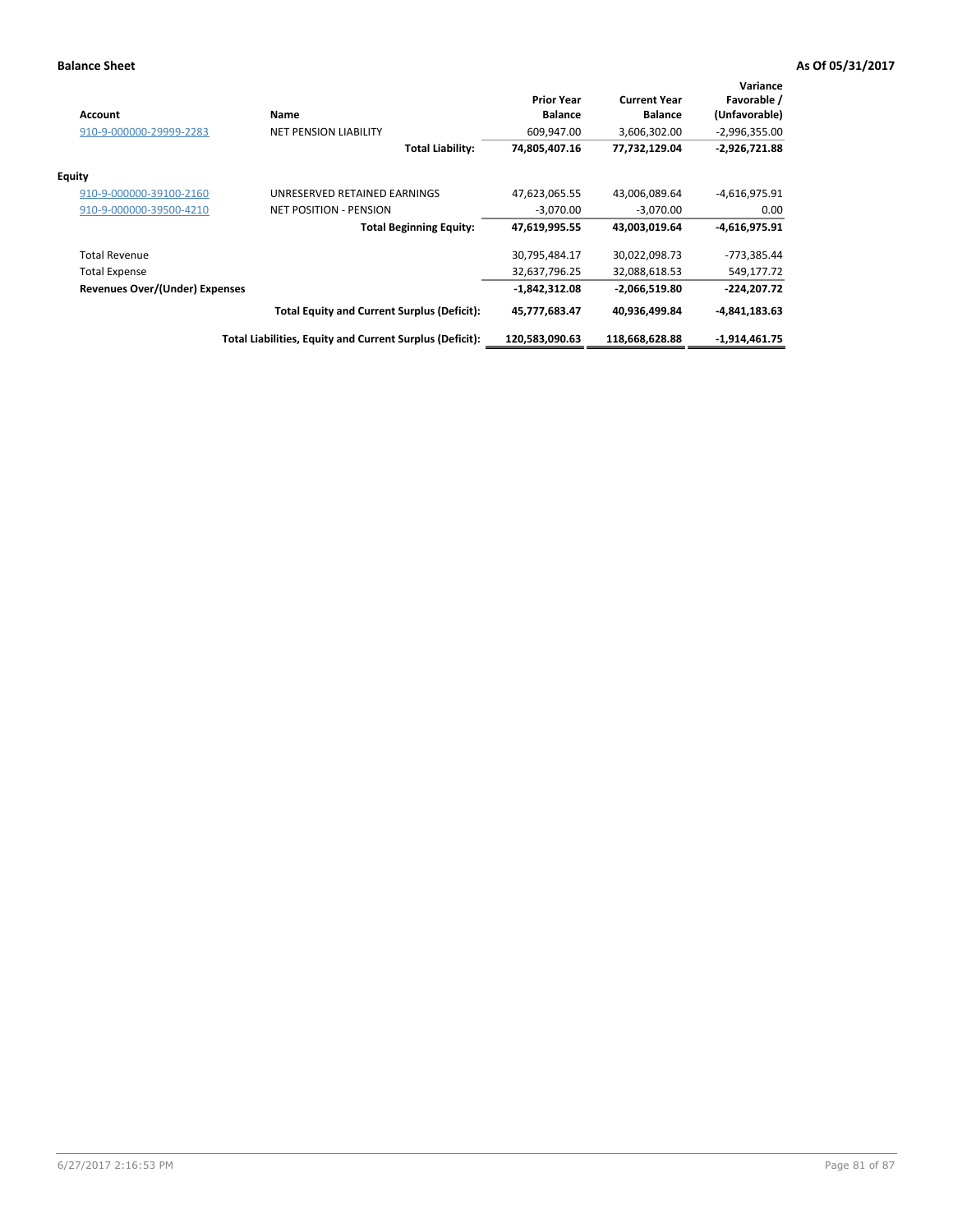| <b>Account</b>                        | Name                                                     | <b>Prior Year</b><br><b>Balance</b> | <b>Current Year</b><br><b>Balance</b> | Variance<br>Favorable /<br>(Unfavorable) |
|---------------------------------------|----------------------------------------------------------|-------------------------------------|---------------------------------------|------------------------------------------|
| 910-9-000000-29999-2283               | <b>NET PENSION LIABILITY</b>                             | 609,947.00                          | 3,606,302.00                          | $-2,996,355.00$                          |
|                                       | <b>Total Liability:</b>                                  | 74,805,407.16                       | 77,732,129.04                         | $-2,926,721.88$                          |
| <b>Equity</b>                         |                                                          |                                     |                                       |                                          |
| 910-9-000000-39100-2160               | UNRESERVED RETAINED EARNINGS                             | 47,623,065.55                       | 43,006,089.64                         | $-4,616,975.91$                          |
| 910-9-000000-39500-4210               | <b>NET POSITION - PENSION</b>                            | $-3.070.00$                         | -3.070.00                             | 0.00                                     |
|                                       | <b>Total Beginning Equity:</b>                           | 47,619,995.55                       | 43,003,019.64                         | $-4,616,975.91$                          |
| <b>Total Revenue</b>                  |                                                          | 30,795,484.17                       | 30,022,098.73                         | -773,385.44                              |
| <b>Total Expense</b>                  |                                                          | 32,637,796.25                       | 32,088,618.53                         | 549,177.72                               |
| <b>Revenues Over/(Under) Expenses</b> |                                                          | $-1,842,312.08$                     | $-2,066,519.80$                       | $-224,207.72$                            |
|                                       | <b>Total Equity and Current Surplus (Deficit):</b>       | 45,777,683.47                       | 40,936,499.84                         | $-4,841,183.63$                          |
|                                       | Total Liabilities, Equity and Current Surplus (Deficit): | 120,583,090.63                      | 118,668,628.88                        | $-1,914,461.75$                          |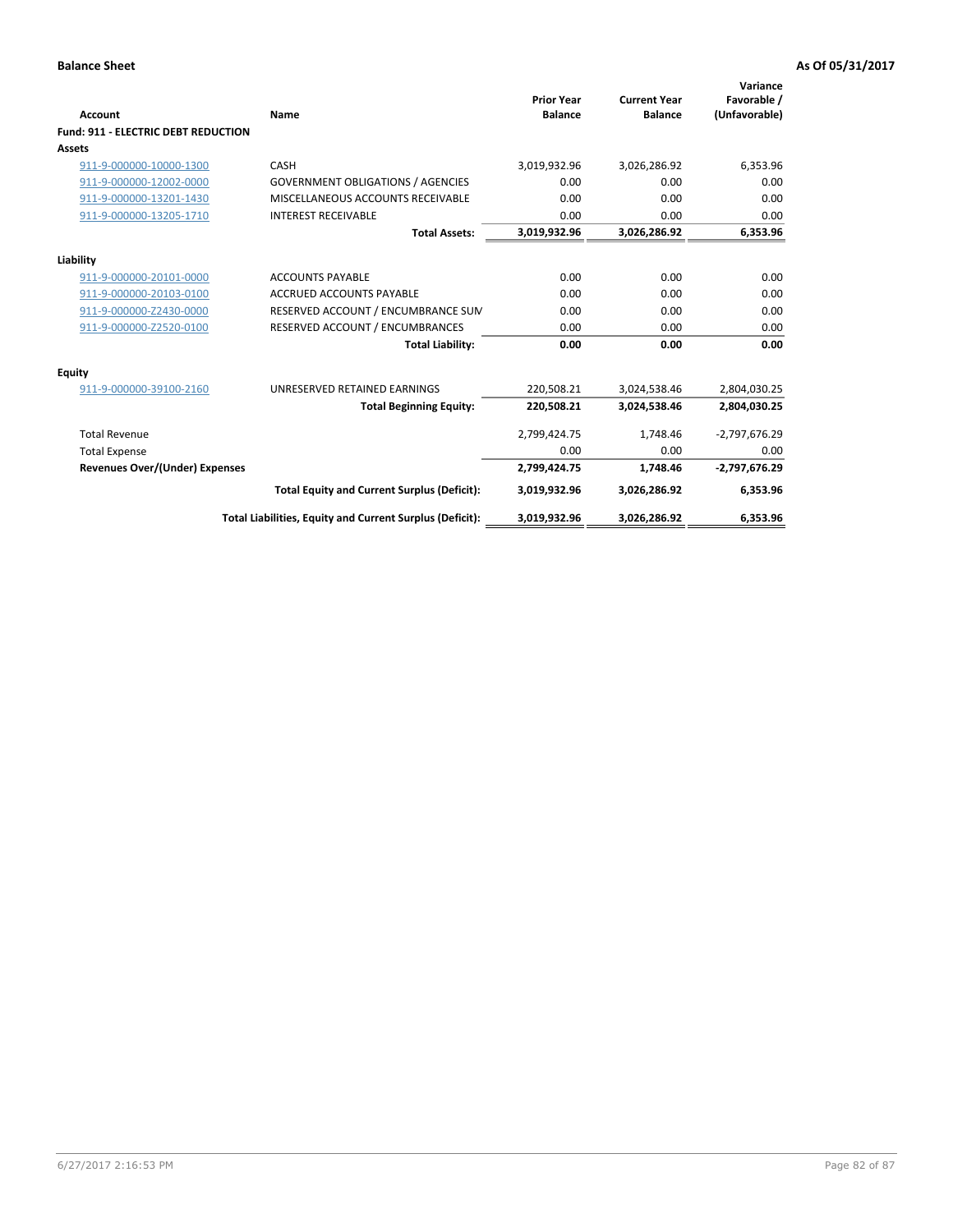| <b>Account</b>                             | Name                                                     | <b>Prior Year</b><br><b>Balance</b> | <b>Current Year</b><br><b>Balance</b> | Variance<br>Favorable /<br>(Unfavorable) |
|--------------------------------------------|----------------------------------------------------------|-------------------------------------|---------------------------------------|------------------------------------------|
| <b>Fund: 911 - ELECTRIC DEBT REDUCTION</b> |                                                          |                                     |                                       |                                          |
| <b>Assets</b>                              |                                                          |                                     |                                       |                                          |
| 911-9-000000-10000-1300                    | CASH                                                     | 3,019,932.96                        | 3,026,286.92                          | 6,353.96                                 |
| 911-9-000000-12002-0000                    | <b>GOVERNMENT OBLIGATIONS / AGENCIES</b>                 | 0.00                                | 0.00                                  | 0.00                                     |
| 911-9-000000-13201-1430                    | MISCELLANEOUS ACCOUNTS RECEIVABLE                        | 0.00                                | 0.00                                  | 0.00                                     |
| 911-9-000000-13205-1710                    | <b>INTEREST RECEIVABLE</b>                               | 0.00                                | 0.00                                  | 0.00                                     |
|                                            | <b>Total Assets:</b>                                     | 3,019,932.96                        | 3,026,286.92                          | 6,353.96                                 |
| Liability                                  |                                                          |                                     |                                       |                                          |
| 911-9-000000-20101-0000                    | <b>ACCOUNTS PAYABLE</b>                                  | 0.00                                | 0.00                                  | 0.00                                     |
| 911-9-000000-20103-0100                    | <b>ACCRUED ACCOUNTS PAYABLE</b>                          | 0.00                                | 0.00                                  | 0.00                                     |
| 911-9-000000-Z2430-0000                    | RESERVED ACCOUNT / ENCUMBRANCE SUM                       | 0.00                                | 0.00                                  | 0.00                                     |
| 911-9-000000-Z2520-0100                    | RESERVED ACCOUNT / ENCUMBRANCES                          | 0.00                                | 0.00                                  | 0.00                                     |
|                                            | <b>Total Liability:</b>                                  | 0.00                                | 0.00                                  | 0.00                                     |
| Equity                                     |                                                          |                                     |                                       |                                          |
| 911-9-000000-39100-2160                    | UNRESERVED RETAINED EARNINGS                             | 220,508.21                          | 3,024,538.46                          | 2,804,030.25                             |
|                                            | <b>Total Beginning Equity:</b>                           | 220,508.21                          | 3,024,538.46                          | 2,804,030.25                             |
| <b>Total Revenue</b>                       |                                                          | 2,799,424.75                        | 1,748.46                              | $-2,797,676.29$                          |
| <b>Total Expense</b>                       |                                                          | 0.00                                | 0.00                                  | 0.00                                     |
| <b>Revenues Over/(Under) Expenses</b>      |                                                          | 2,799,424.75                        | 1,748.46                              | $-2,797,676.29$                          |
|                                            | <b>Total Equity and Current Surplus (Deficit):</b>       | 3,019,932.96                        | 3,026,286.92                          | 6,353.96                                 |
|                                            | Total Liabilities, Equity and Current Surplus (Deficit): | 3,019,932.96                        | 3,026,286.92                          | 6,353.96                                 |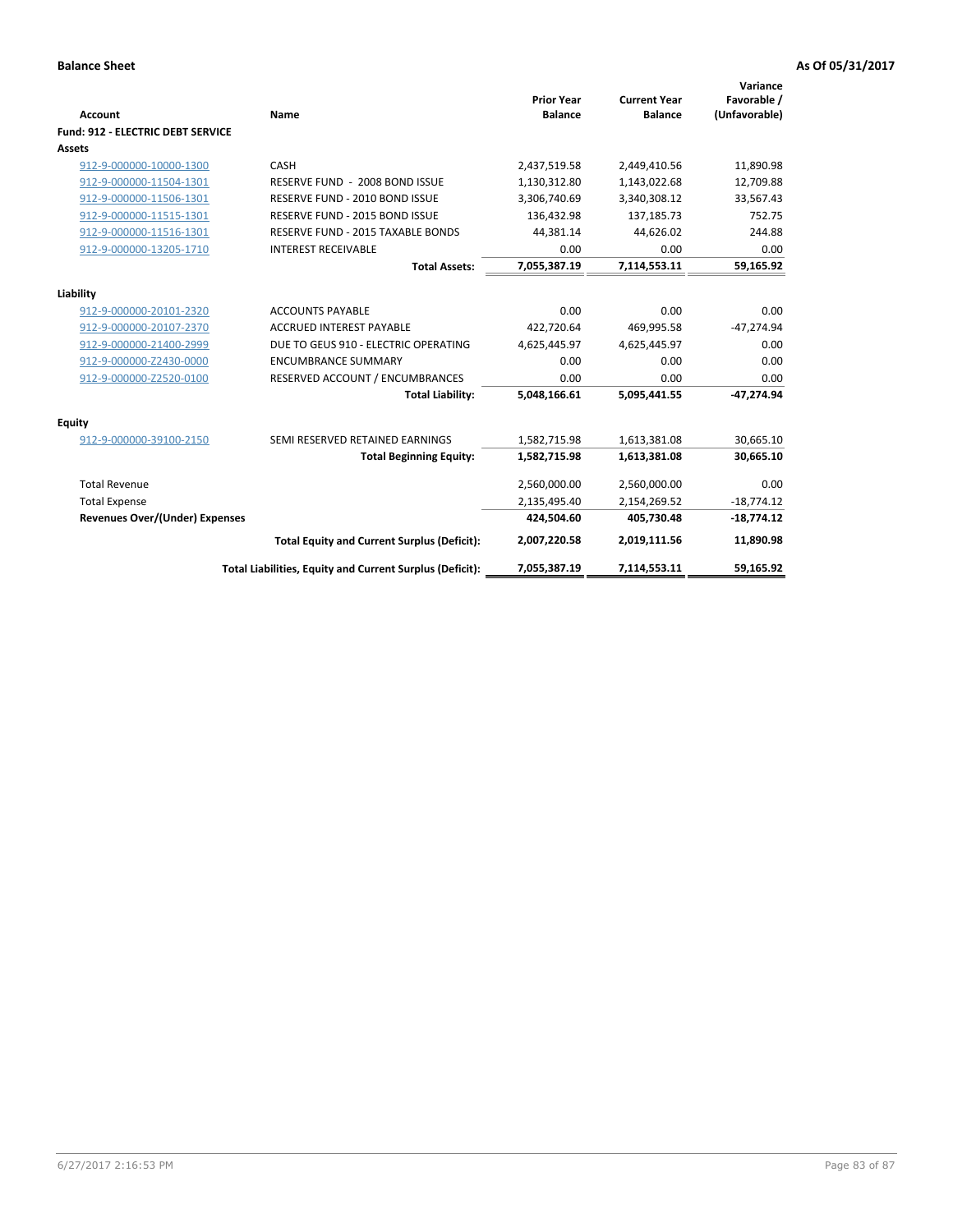| <b>Account</b>                           | Name                                                     | <b>Prior Year</b><br><b>Balance</b> | <b>Current Year</b><br><b>Balance</b> | Variance<br>Favorable /<br>(Unfavorable) |
|------------------------------------------|----------------------------------------------------------|-------------------------------------|---------------------------------------|------------------------------------------|
| <b>Fund: 912 - ELECTRIC DEBT SERVICE</b> |                                                          |                                     |                                       |                                          |
| <b>Assets</b>                            |                                                          |                                     |                                       |                                          |
| 912-9-000000-10000-1300                  | CASH                                                     | 2,437,519.58                        | 2,449,410.56                          | 11,890.98                                |
| 912-9-000000-11504-1301                  | RESERVE FUND - 2008 BOND ISSUE                           | 1,130,312.80                        | 1,143,022.68                          | 12,709.88                                |
| 912-9-000000-11506-1301                  | RESERVE FUND - 2010 BOND ISSUE                           | 3,306,740.69                        | 3,340,308.12                          | 33,567.43                                |
| 912-9-000000-11515-1301                  | RESERVE FUND - 2015 BOND ISSUE                           | 136,432.98                          | 137,185.73                            | 752.75                                   |
| 912-9-000000-11516-1301                  | <b>RESERVE FUND - 2015 TAXABLE BONDS</b>                 | 44,381.14                           | 44,626.02                             | 244.88                                   |
| 912-9-000000-13205-1710                  | <b>INTEREST RECEIVABLE</b>                               | 0.00                                | 0.00                                  | 0.00                                     |
|                                          | <b>Total Assets:</b>                                     | 7,055,387.19                        | 7,114,553.11                          | 59,165.92                                |
| Liability                                |                                                          |                                     |                                       |                                          |
| 912-9-000000-20101-2320                  | <b>ACCOUNTS PAYABLE</b>                                  | 0.00                                | 0.00                                  | 0.00                                     |
| 912-9-000000-20107-2370                  | <b>ACCRUED INTEREST PAYABLE</b>                          | 422,720.64                          | 469,995.58                            | $-47,274.94$                             |
| 912-9-000000-21400-2999                  | DUE TO GEUS 910 - ELECTRIC OPERATING                     | 4,625,445.97                        | 4,625,445.97                          | 0.00                                     |
| 912-9-000000-Z2430-0000                  | <b>ENCUMBRANCE SUMMARY</b>                               | 0.00                                | 0.00                                  | 0.00                                     |
| 912-9-000000-Z2520-0100                  | RESERVED ACCOUNT / ENCUMBRANCES                          | 0.00                                | 0.00                                  | 0.00                                     |
|                                          | <b>Total Liability:</b>                                  | 5,048,166.61                        | 5,095,441.55                          | $-47,274.94$                             |
| Equity                                   |                                                          |                                     |                                       |                                          |
| 912-9-000000-39100-2150                  | SEMI RESERVED RETAINED EARNINGS                          | 1,582,715.98                        | 1,613,381.08                          | 30,665.10                                |
|                                          | <b>Total Beginning Equity:</b>                           | 1,582,715.98                        | 1,613,381.08                          | 30,665.10                                |
| <b>Total Revenue</b>                     |                                                          | 2,560,000.00                        | 2,560,000.00                          | 0.00                                     |
| <b>Total Expense</b>                     |                                                          | 2,135,495.40                        | 2,154,269.52                          | $-18,774.12$                             |
| <b>Revenues Over/(Under) Expenses</b>    |                                                          | 424,504.60                          | 405,730.48                            | $-18,774.12$                             |
|                                          | <b>Total Equity and Current Surplus (Deficit):</b>       | 2,007,220.58                        | 2,019,111.56                          | 11,890.98                                |
|                                          | Total Liabilities, Equity and Current Surplus (Deficit): | 7,055,387.19                        | 7,114,553.11                          | 59.165.92                                |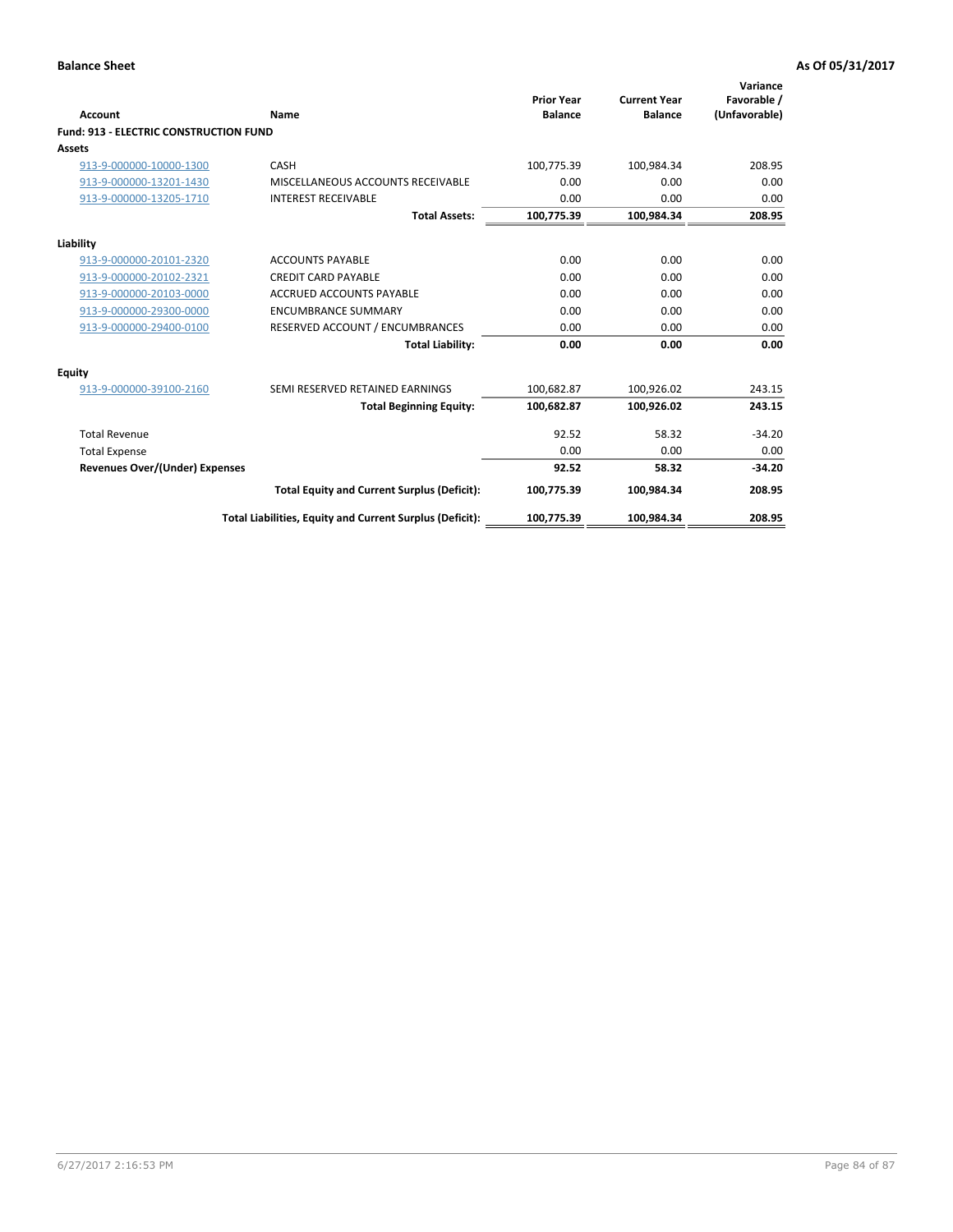| Account                                       | Name                                                     | <b>Prior Year</b><br><b>Balance</b> | <b>Current Year</b><br><b>Balance</b> | Variance<br>Favorable /<br>(Unfavorable) |
|-----------------------------------------------|----------------------------------------------------------|-------------------------------------|---------------------------------------|------------------------------------------|
| <b>Fund: 913 - ELECTRIC CONSTRUCTION FUND</b> |                                                          |                                     |                                       |                                          |
| <b>Assets</b>                                 |                                                          |                                     |                                       |                                          |
| 913-9-000000-10000-1300                       | CASH                                                     | 100,775.39                          | 100,984.34                            | 208.95                                   |
| 913-9-000000-13201-1430                       | MISCELLANEOUS ACCOUNTS RECEIVABLE                        | 0.00                                | 0.00                                  | 0.00                                     |
| 913-9-000000-13205-1710                       | <b>INTEREST RECEIVABLE</b>                               | 0.00                                | 0.00                                  | 0.00                                     |
|                                               | <b>Total Assets:</b>                                     | 100,775.39                          | 100,984.34                            | 208.95                                   |
| Liability                                     |                                                          |                                     |                                       |                                          |
| 913-9-000000-20101-2320                       | <b>ACCOUNTS PAYABLE</b>                                  | 0.00                                | 0.00                                  | 0.00                                     |
| 913-9-000000-20102-2321                       | <b>CREDIT CARD PAYABLE</b>                               | 0.00                                | 0.00                                  | 0.00                                     |
| 913-9-000000-20103-0000                       | <b>ACCRUED ACCOUNTS PAYABLE</b>                          | 0.00                                | 0.00                                  | 0.00                                     |
| 913-9-000000-29300-0000                       | <b>ENCUMBRANCE SUMMARY</b>                               | 0.00                                | 0.00                                  | 0.00                                     |
| 913-9-000000-29400-0100                       | RESERVED ACCOUNT / ENCUMBRANCES                          | 0.00                                | 0.00                                  | 0.00                                     |
|                                               | <b>Total Liability:</b>                                  | 0.00                                | 0.00                                  | 0.00                                     |
| <b>Equity</b>                                 |                                                          |                                     |                                       |                                          |
| 913-9-000000-39100-2160                       | SEMI RESERVED RETAINED EARNINGS                          | 100,682.87                          | 100,926.02                            | 243.15                                   |
|                                               | <b>Total Beginning Equity:</b>                           | 100,682.87                          | 100,926.02                            | 243.15                                   |
| <b>Total Revenue</b>                          |                                                          | 92.52                               | 58.32                                 | $-34.20$                                 |
| <b>Total Expense</b>                          |                                                          | 0.00                                | 0.00                                  | 0.00                                     |
| <b>Revenues Over/(Under) Expenses</b>         |                                                          | 92.52                               | 58.32                                 | $-34.20$                                 |
|                                               | <b>Total Equity and Current Surplus (Deficit):</b>       | 100,775.39                          | 100.984.34                            | 208.95                                   |
|                                               | Total Liabilities, Equity and Current Surplus (Deficit): | 100,775.39                          | 100,984.34                            | 208.95                                   |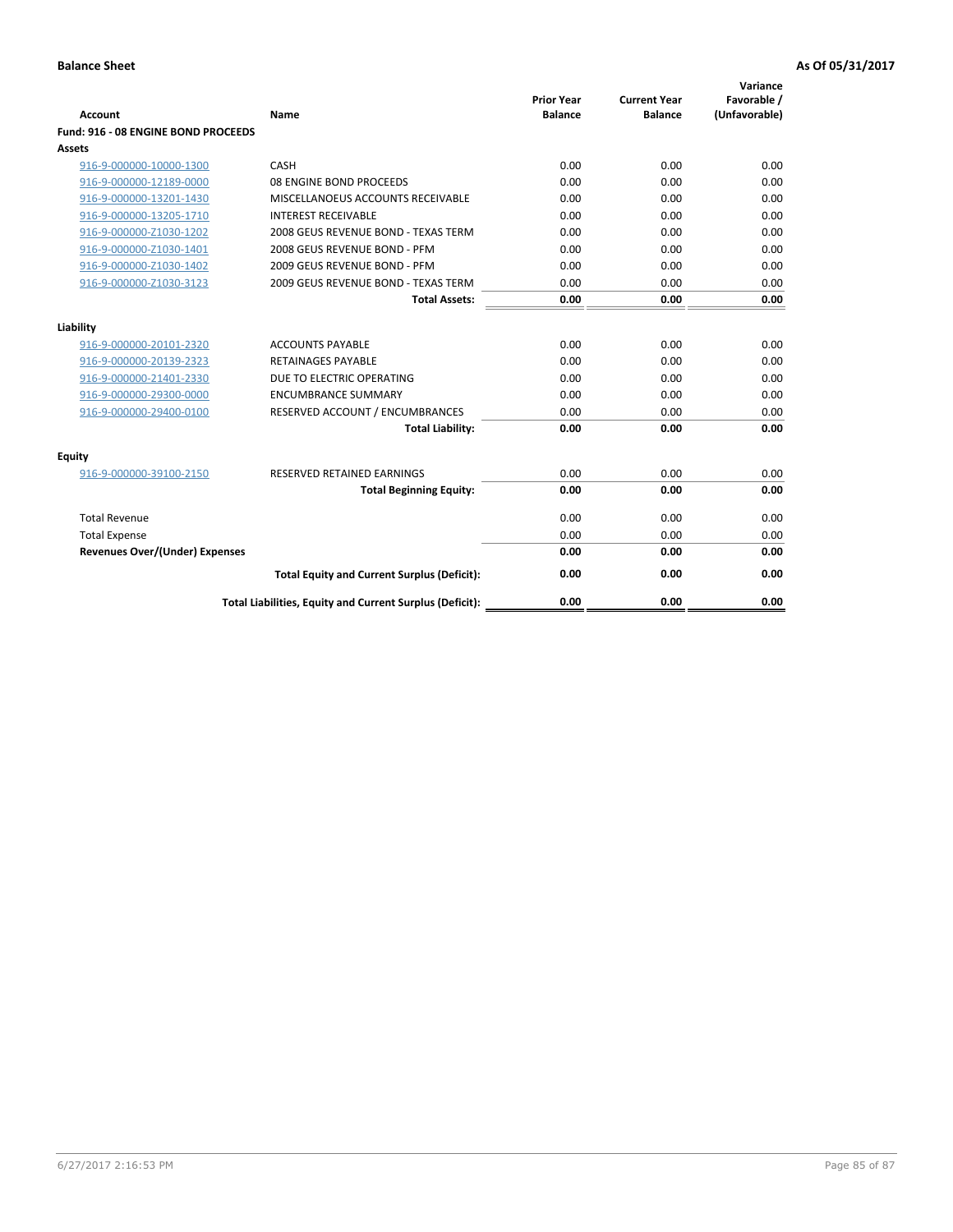| <b>Account</b>                        | Name                                                     | <b>Prior Year</b><br><b>Balance</b> | <b>Current Year</b><br><b>Balance</b> | Variance<br>Favorable /<br>(Unfavorable) |
|---------------------------------------|----------------------------------------------------------|-------------------------------------|---------------------------------------|------------------------------------------|
| Fund: 916 - 08 ENGINE BOND PROCEEDS   |                                                          |                                     |                                       |                                          |
| Assets                                |                                                          |                                     |                                       |                                          |
| 916-9-000000-10000-1300               | CASH                                                     | 0.00                                | 0.00                                  | 0.00                                     |
| 916-9-000000-12189-0000               | 08 ENGINE BOND PROCEEDS                                  | 0.00                                | 0.00                                  | 0.00                                     |
| 916-9-000000-13201-1430               | MISCELLANOEUS ACCOUNTS RECEIVABLE                        | 0.00                                | 0.00                                  | 0.00                                     |
| 916-9-000000-13205-1710               | <b>INTEREST RECEIVABLE</b>                               | 0.00                                | 0.00                                  | 0.00                                     |
| 916-9-000000-Z1030-1202               | 2008 GEUS REVENUE BOND - TEXAS TERM                      | 0.00                                | 0.00                                  | 0.00                                     |
| 916-9-000000-Z1030-1401               | 2008 GEUS REVENUE BOND - PFM                             | 0.00                                | 0.00                                  | 0.00                                     |
| 916-9-000000-Z1030-1402               | 2009 GEUS REVENUE BOND - PFM                             | 0.00                                | 0.00                                  | 0.00                                     |
| 916-9-000000-Z1030-3123               | 2009 GEUS REVENUE BOND - TEXAS TERM                      | 0.00                                | 0.00                                  | 0.00                                     |
|                                       | <b>Total Assets:</b>                                     | 0.00                                | 0.00                                  | 0.00                                     |
| Liability                             |                                                          |                                     |                                       |                                          |
| 916-9-000000-20101-2320               | <b>ACCOUNTS PAYABLE</b>                                  | 0.00                                | 0.00                                  | 0.00                                     |
| 916-9-000000-20139-2323               | <b>RETAINAGES PAYABLE</b>                                | 0.00                                | 0.00                                  | 0.00                                     |
| 916-9-000000-21401-2330               | DUE TO ELECTRIC OPERATING                                | 0.00                                | 0.00                                  | 0.00                                     |
| 916-9-000000-29300-0000               | <b>ENCUMBRANCE SUMMARY</b>                               | 0.00                                | 0.00                                  | 0.00                                     |
| 916-9-000000-29400-0100               | RESERVED ACCOUNT / ENCUMBRANCES                          | 0.00                                | 0.00                                  | 0.00                                     |
|                                       | <b>Total Liability:</b>                                  | 0.00                                | 0.00                                  | 0.00                                     |
| Equity                                |                                                          |                                     |                                       |                                          |
| 916-9-000000-39100-2150               | <b>RESERVED RETAINED EARNINGS</b>                        | 0.00                                | 0.00                                  | 0.00                                     |
|                                       | <b>Total Beginning Equity:</b>                           | 0.00                                | 0.00                                  | 0.00                                     |
| <b>Total Revenue</b>                  |                                                          | 0.00                                | 0.00                                  | 0.00                                     |
| <b>Total Expense</b>                  |                                                          | 0.00                                | 0.00                                  | 0.00                                     |
| <b>Revenues Over/(Under) Expenses</b> |                                                          | 0.00                                | 0.00                                  | 0.00                                     |
|                                       | <b>Total Equity and Current Surplus (Deficit):</b>       | 0.00                                | 0.00                                  | 0.00                                     |
|                                       | Total Liabilities, Equity and Current Surplus (Deficit): | 0.00                                | 0.00                                  | 0.00                                     |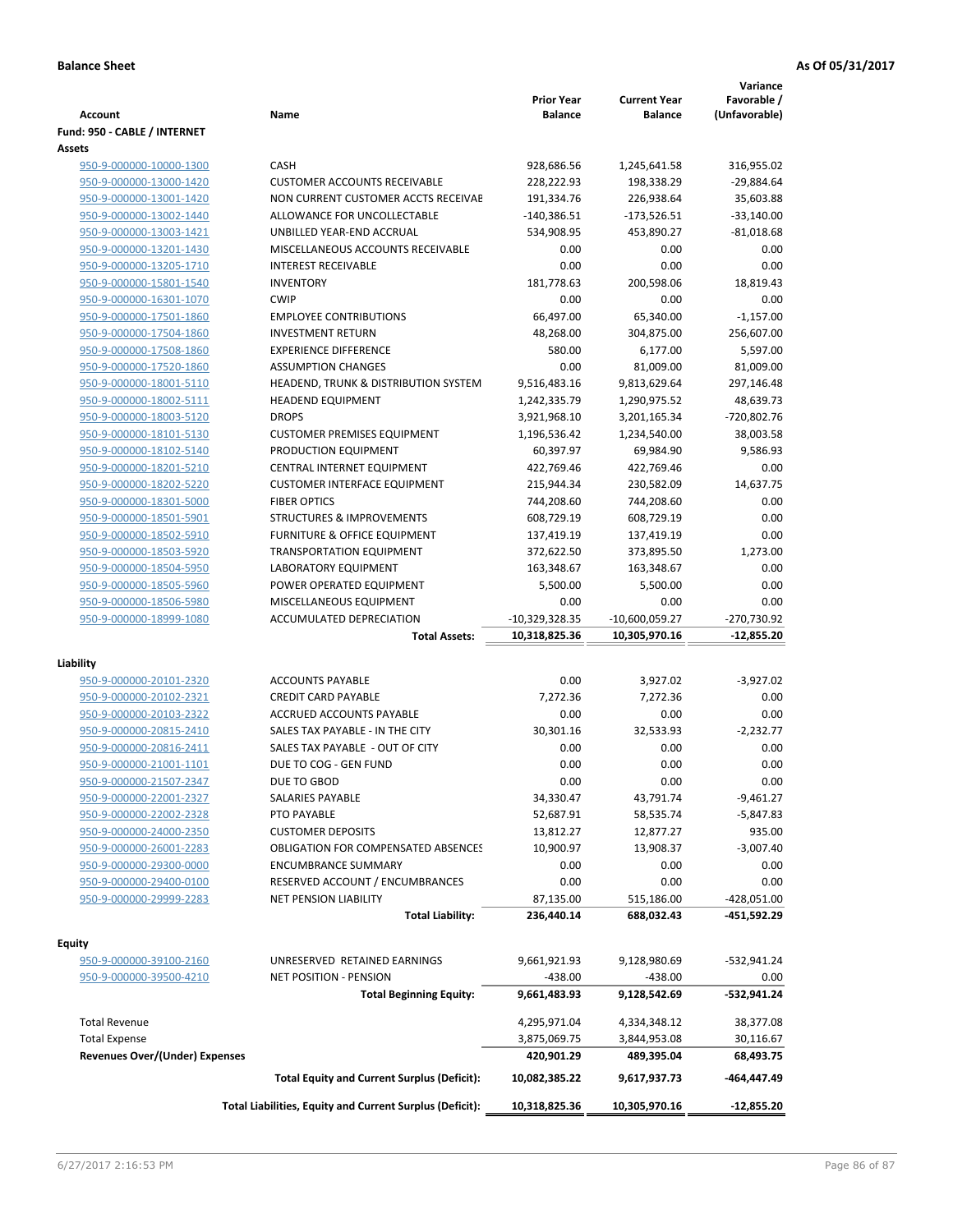| <b>Balance</b><br>(Unfavorable)<br><b>Account</b><br>Name<br><b>Balance</b><br>Fund: 950 - CABLE / INTERNET<br>Assets<br>950-9-000000-10000-1300<br>CASH<br>928,686.56<br>1,245,641.58<br>316,955.02<br>950-9-000000-13000-1420<br><b>CUSTOMER ACCOUNTS RECEIVABLE</b><br>228,222.93<br>198,338.29<br>$-29,884.64$<br>950-9-000000-13001-1420<br>NON CURRENT CUSTOMER ACCTS RECEIVAE<br>191,334.76<br>226,938.64<br>35,603.88<br>950-9-000000-13002-1440<br>ALLOWANCE FOR UNCOLLECTABLE<br>$-140,386.51$<br>$-173,526.51$<br>$-33,140.00$<br>UNBILLED YEAR-END ACCRUAL<br>534,908.95<br>453,890.27<br>$-81,018.68$<br>950-9-000000-13003-1421<br>950-9-000000-13201-1430<br>MISCELLANEOUS ACCOUNTS RECEIVABLE<br>0.00<br>0.00<br>0.00<br>0.00<br>950-9-000000-13205-1710<br><b>INTEREST RECEIVABLE</b><br>0.00<br>0.00<br>181,778.63<br>200,598.06<br>950-9-000000-15801-1540<br><b>INVENTORY</b><br>18,819.43<br>950-9-000000-16301-1070<br><b>CWIP</b><br>0.00<br>0.00<br>0.00<br><b>EMPLOYEE CONTRIBUTIONS</b><br>66,497.00<br>65,340.00<br>$-1,157.00$<br>950-9-000000-17501-1860<br>950-9-000000-17504-1860<br><b>INVESTMENT RETURN</b><br>48,268.00<br>304,875.00<br>256,607.00<br>5,597.00<br>950-9-000000-17508-1860<br><b>EXPERIENCE DIFFERENCE</b><br>580.00<br>6,177.00<br>0.00<br>81,009.00<br>950-9-000000-17520-1860<br><b>ASSUMPTION CHANGES</b><br>81,009.00<br>950-9-000000-18001-5110<br>HEADEND, TRUNK & DISTRIBUTION SYSTEM<br>9,516,483.16<br>9,813,629.64<br>297,146.48<br>1,242,335.79<br>48,639.73<br>950-9-000000-18002-5111<br><b>HEADEND EQUIPMENT</b><br>1,290,975.52<br>950-9-000000-18003-5120<br><b>DROPS</b><br>3,921,968.10<br>3,201,165.34<br>-720,802.76<br>38,003.58<br>950-9-000000-18101-5130<br><b>CUSTOMER PREMISES EQUIPMENT</b><br>1,196,536.42<br>1,234,540.00<br>950-9-000000-18102-5140<br>PRODUCTION EQUIPMENT<br>60,397.97<br>69,984.90<br>9,586.93<br>950-9-000000-18201-5210<br>CENTRAL INTERNET EQUIPMENT<br>422,769.46<br>422,769.46<br>0.00<br>14,637.75<br><b>CUSTOMER INTERFACE EQUIPMENT</b><br>215,944.34<br>230,582.09<br>950-9-000000-18202-5220<br>950-9-000000-18301-5000<br><b>FIBER OPTICS</b><br>744,208.60<br>744,208.60<br>0.00<br>0.00<br>950-9-000000-18501-5901<br><b>STRUCTURES &amp; IMPROVEMENTS</b><br>608,729.19<br>608,729.19<br>0.00<br>950-9-000000-18502-5910<br><b>FURNITURE &amp; OFFICE EQUIPMENT</b><br>137,419.19<br>137,419.19<br>950-9-000000-18503-5920<br><b>TRANSPORTATION EQUIPMENT</b><br>372,622.50<br>373,895.50<br>1,273.00<br>LABORATORY EQUIPMENT<br>163,348.67<br>163,348.67<br>0.00<br>950-9-000000-18504-5950<br>950-9-000000-18505-5960<br>POWER OPERATED EQUIPMENT<br>5,500.00<br>5,500.00<br>0.00<br>950-9-000000-18506-5980<br>MISCELLANEOUS EQUIPMENT<br>0.00<br>0.00<br>0.00<br><b>ACCUMULATED DEPRECIATION</b><br>950-9-000000-18999-1080<br>$-10,329,328.35$<br>$-10,600,059.27$<br>-270,730.92<br><b>Total Assets:</b><br>$-12,855.20$<br>10,318,825.36<br>10,305,970.16<br>Liability<br><b>ACCOUNTS PAYABLE</b><br>0.00<br>$-3,927.02$<br>950-9-000000-20101-2320<br>3,927.02<br>7,272.36<br><b>CREDIT CARD PAYABLE</b><br>7,272.36<br>0.00<br>950-9-000000-20102-2321<br>0.00<br>0.00<br>0.00<br>950-9-000000-20103-2322<br>ACCRUED ACCOUNTS PAYABLE<br>$-2,232.77$<br>950-9-000000-20815-2410<br>SALES TAX PAYABLE - IN THE CITY<br>30,301.16<br>32,533.93<br>950-9-000000-20816-2411<br>SALES TAX PAYABLE - OUT OF CITY<br>0.00<br>0.00<br>0.00<br>950-9-000000-21001-1101<br>DUE TO COG - GEN FUND<br>0.00<br>0.00<br>0.00<br>950-9-000000-21507-2347<br>DUE TO GBOD<br>0.00<br>0.00<br>0.00<br>950-9-000000-22001-2327<br>SALARIES PAYABLE<br>34,330.47<br>43,791.74<br>$-9,461.27$<br>PTO PAYABLE<br>52,687.91<br>58,535.74<br>-5,847.83<br>950-9-000000-22002-2328<br>950-9-000000-24000-2350<br><b>CUSTOMER DEPOSITS</b><br>13,812.27<br>12,877.27<br>935.00<br>10,900.97<br>$-3,007.40$<br>950-9-000000-26001-2283<br><b>OBLIGATION FOR COMPENSATED ABSENCES</b><br>13,908.37<br>0.00<br>950-9-000000-29300-0000<br><b>ENCUMBRANCE SUMMARY</b><br>0.00<br>0.00<br>950-9-000000-29400-0100<br>RESERVED ACCOUNT / ENCUMBRANCES<br>0.00<br>0.00<br>0.00<br>950-9-000000-29999-2283<br><b>NET PENSION LIABILITY</b><br>87,135.00<br>515,186.00<br>$-428,051.00$<br><b>Total Liability:</b><br>236,440.14<br>688,032.43<br>-451,592.29<br><b>Equity</b><br>UNRESERVED RETAINED EARNINGS<br>9,661,921.93<br>950-9-000000-39100-2160<br>9,128,980.69<br>-532,941.24<br>950-9-000000-39500-4210<br><b>NET POSITION - PENSION</b><br>$-438.00$<br>$-438.00$<br>0.00<br><b>Total Beginning Equity:</b><br>9,661,483.93<br>9,128,542.69<br>-532,941.24<br><b>Total Revenue</b><br>4,295,971.04<br>4,334,348.12<br>38,377.08<br><b>Total Expense</b><br>3,875,069.75<br>3,844,953.08<br>30,116.67<br><b>Revenues Over/(Under) Expenses</b><br>68,493.75<br>420,901.29<br>489,395.04<br><b>Total Equity and Current Surplus (Deficit):</b><br>10,082,385.22<br>9,617,937.73<br>-464,447.49 |                                                          | <b>Prior Year</b> | <b>Current Year</b> | Variance<br>Favorable / |
|---------------------------------------------------------------------------------------------------------------------------------------------------------------------------------------------------------------------------------------------------------------------------------------------------------------------------------------------------------------------------------------------------------------------------------------------------------------------------------------------------------------------------------------------------------------------------------------------------------------------------------------------------------------------------------------------------------------------------------------------------------------------------------------------------------------------------------------------------------------------------------------------------------------------------------------------------------------------------------------------------------------------------------------------------------------------------------------------------------------------------------------------------------------------------------------------------------------------------------------------------------------------------------------------------------------------------------------------------------------------------------------------------------------------------------------------------------------------------------------------------------------------------------------------------------------------------------------------------------------------------------------------------------------------------------------------------------------------------------------------------------------------------------------------------------------------------------------------------------------------------------------------------------------------------------------------------------------------------------------------------------------------------------------------------------------------------------------------------------------------------------------------------------------------------------------------------------------------------------------------------------------------------------------------------------------------------------------------------------------------------------------------------------------------------------------------------------------------------------------------------------------------------------------------------------------------------------------------------------------------------------------------------------------------------------------------------------------------------------------------------------------------------------------------------------------------------------------------------------------------------------------------------------------------------------------------------------------------------------------------------------------------------------------------------------------------------------------------------------------------------------------------------------------------------------------------------------------------------------------------------------------------------------------------------------------------------------------------------------------------------------------------------------------------------------------------------------------------------------------------------------------------------------------------------------------------------------------------------------------------------------------------------------------------------------------------------------------------------------------------------------------------------------------------------------------------------------------------------------------------------------------------------------------------------------------------------------------------------------------------------------------------------------------------------------------------------------------------------------------------------------------------------------------------------------------------------------------------------------------------------------------------------------------------------------------------------------------------------------------------------------------------------------------------------------------------------------------------------------------------------------------------------------------------------------------------------------------------------------------------------------------------------------------------------------------------------------------------------------------------------------------------------------------------------------------------------------------------------------------------------------------------------------------------------------------------------------------------------------------------------|----------------------------------------------------------|-------------------|---------------------|-------------------------|
|                                                                                                                                                                                                                                                                                                                                                                                                                                                                                                                                                                                                                                                                                                                                                                                                                                                                                                                                                                                                                                                                                                                                                                                                                                                                                                                                                                                                                                                                                                                                                                                                                                                                                                                                                                                                                                                                                                                                                                                                                                                                                                                                                                                                                                                                                                                                                                                                                                                                                                                                                                                                                                                                                                                                                                                                                                                                                                                                                                                                                                                                                                                                                                                                                                                                                                                                                                                                                                                                                                                                                                                                                                                                                                                                                                                                                                                                                                                                                                                                                                                                                                                                                                                                                                                                                                                                                                                                                                                                                                                                                                                                                                                                                                                                                                                                                                                                                                                                                                                                   |                                                          |                   |                     |                         |
|                                                                                                                                                                                                                                                                                                                                                                                                                                                                                                                                                                                                                                                                                                                                                                                                                                                                                                                                                                                                                                                                                                                                                                                                                                                                                                                                                                                                                                                                                                                                                                                                                                                                                                                                                                                                                                                                                                                                                                                                                                                                                                                                                                                                                                                                                                                                                                                                                                                                                                                                                                                                                                                                                                                                                                                                                                                                                                                                                                                                                                                                                                                                                                                                                                                                                                                                                                                                                                                                                                                                                                                                                                                                                                                                                                                                                                                                                                                                                                                                                                                                                                                                                                                                                                                                                                                                                                                                                                                                                                                                                                                                                                                                                                                                                                                                                                                                                                                                                                                                   |                                                          |                   |                     |                         |
|                                                                                                                                                                                                                                                                                                                                                                                                                                                                                                                                                                                                                                                                                                                                                                                                                                                                                                                                                                                                                                                                                                                                                                                                                                                                                                                                                                                                                                                                                                                                                                                                                                                                                                                                                                                                                                                                                                                                                                                                                                                                                                                                                                                                                                                                                                                                                                                                                                                                                                                                                                                                                                                                                                                                                                                                                                                                                                                                                                                                                                                                                                                                                                                                                                                                                                                                                                                                                                                                                                                                                                                                                                                                                                                                                                                                                                                                                                                                                                                                                                                                                                                                                                                                                                                                                                                                                                                                                                                                                                                                                                                                                                                                                                                                                                                                                                                                                                                                                                                                   |                                                          |                   |                     |                         |
|                                                                                                                                                                                                                                                                                                                                                                                                                                                                                                                                                                                                                                                                                                                                                                                                                                                                                                                                                                                                                                                                                                                                                                                                                                                                                                                                                                                                                                                                                                                                                                                                                                                                                                                                                                                                                                                                                                                                                                                                                                                                                                                                                                                                                                                                                                                                                                                                                                                                                                                                                                                                                                                                                                                                                                                                                                                                                                                                                                                                                                                                                                                                                                                                                                                                                                                                                                                                                                                                                                                                                                                                                                                                                                                                                                                                                                                                                                                                                                                                                                                                                                                                                                                                                                                                                                                                                                                                                                                                                                                                                                                                                                                                                                                                                                                                                                                                                                                                                                                                   |                                                          |                   |                     |                         |
|                                                                                                                                                                                                                                                                                                                                                                                                                                                                                                                                                                                                                                                                                                                                                                                                                                                                                                                                                                                                                                                                                                                                                                                                                                                                                                                                                                                                                                                                                                                                                                                                                                                                                                                                                                                                                                                                                                                                                                                                                                                                                                                                                                                                                                                                                                                                                                                                                                                                                                                                                                                                                                                                                                                                                                                                                                                                                                                                                                                                                                                                                                                                                                                                                                                                                                                                                                                                                                                                                                                                                                                                                                                                                                                                                                                                                                                                                                                                                                                                                                                                                                                                                                                                                                                                                                                                                                                                                                                                                                                                                                                                                                                                                                                                                                                                                                                                                                                                                                                                   |                                                          |                   |                     |                         |
|                                                                                                                                                                                                                                                                                                                                                                                                                                                                                                                                                                                                                                                                                                                                                                                                                                                                                                                                                                                                                                                                                                                                                                                                                                                                                                                                                                                                                                                                                                                                                                                                                                                                                                                                                                                                                                                                                                                                                                                                                                                                                                                                                                                                                                                                                                                                                                                                                                                                                                                                                                                                                                                                                                                                                                                                                                                                                                                                                                                                                                                                                                                                                                                                                                                                                                                                                                                                                                                                                                                                                                                                                                                                                                                                                                                                                                                                                                                                                                                                                                                                                                                                                                                                                                                                                                                                                                                                                                                                                                                                                                                                                                                                                                                                                                                                                                                                                                                                                                                                   |                                                          |                   |                     |                         |
|                                                                                                                                                                                                                                                                                                                                                                                                                                                                                                                                                                                                                                                                                                                                                                                                                                                                                                                                                                                                                                                                                                                                                                                                                                                                                                                                                                                                                                                                                                                                                                                                                                                                                                                                                                                                                                                                                                                                                                                                                                                                                                                                                                                                                                                                                                                                                                                                                                                                                                                                                                                                                                                                                                                                                                                                                                                                                                                                                                                                                                                                                                                                                                                                                                                                                                                                                                                                                                                                                                                                                                                                                                                                                                                                                                                                                                                                                                                                                                                                                                                                                                                                                                                                                                                                                                                                                                                                                                                                                                                                                                                                                                                                                                                                                                                                                                                                                                                                                                                                   |                                                          |                   |                     |                         |
|                                                                                                                                                                                                                                                                                                                                                                                                                                                                                                                                                                                                                                                                                                                                                                                                                                                                                                                                                                                                                                                                                                                                                                                                                                                                                                                                                                                                                                                                                                                                                                                                                                                                                                                                                                                                                                                                                                                                                                                                                                                                                                                                                                                                                                                                                                                                                                                                                                                                                                                                                                                                                                                                                                                                                                                                                                                                                                                                                                                                                                                                                                                                                                                                                                                                                                                                                                                                                                                                                                                                                                                                                                                                                                                                                                                                                                                                                                                                                                                                                                                                                                                                                                                                                                                                                                                                                                                                                                                                                                                                                                                                                                                                                                                                                                                                                                                                                                                                                                                                   |                                                          |                   |                     |                         |
|                                                                                                                                                                                                                                                                                                                                                                                                                                                                                                                                                                                                                                                                                                                                                                                                                                                                                                                                                                                                                                                                                                                                                                                                                                                                                                                                                                                                                                                                                                                                                                                                                                                                                                                                                                                                                                                                                                                                                                                                                                                                                                                                                                                                                                                                                                                                                                                                                                                                                                                                                                                                                                                                                                                                                                                                                                                                                                                                                                                                                                                                                                                                                                                                                                                                                                                                                                                                                                                                                                                                                                                                                                                                                                                                                                                                                                                                                                                                                                                                                                                                                                                                                                                                                                                                                                                                                                                                                                                                                                                                                                                                                                                                                                                                                                                                                                                                                                                                                                                                   |                                                          |                   |                     |                         |
|                                                                                                                                                                                                                                                                                                                                                                                                                                                                                                                                                                                                                                                                                                                                                                                                                                                                                                                                                                                                                                                                                                                                                                                                                                                                                                                                                                                                                                                                                                                                                                                                                                                                                                                                                                                                                                                                                                                                                                                                                                                                                                                                                                                                                                                                                                                                                                                                                                                                                                                                                                                                                                                                                                                                                                                                                                                                                                                                                                                                                                                                                                                                                                                                                                                                                                                                                                                                                                                                                                                                                                                                                                                                                                                                                                                                                                                                                                                                                                                                                                                                                                                                                                                                                                                                                                                                                                                                                                                                                                                                                                                                                                                                                                                                                                                                                                                                                                                                                                                                   |                                                          |                   |                     |                         |
|                                                                                                                                                                                                                                                                                                                                                                                                                                                                                                                                                                                                                                                                                                                                                                                                                                                                                                                                                                                                                                                                                                                                                                                                                                                                                                                                                                                                                                                                                                                                                                                                                                                                                                                                                                                                                                                                                                                                                                                                                                                                                                                                                                                                                                                                                                                                                                                                                                                                                                                                                                                                                                                                                                                                                                                                                                                                                                                                                                                                                                                                                                                                                                                                                                                                                                                                                                                                                                                                                                                                                                                                                                                                                                                                                                                                                                                                                                                                                                                                                                                                                                                                                                                                                                                                                                                                                                                                                                                                                                                                                                                                                                                                                                                                                                                                                                                                                                                                                                                                   |                                                          |                   |                     |                         |
|                                                                                                                                                                                                                                                                                                                                                                                                                                                                                                                                                                                                                                                                                                                                                                                                                                                                                                                                                                                                                                                                                                                                                                                                                                                                                                                                                                                                                                                                                                                                                                                                                                                                                                                                                                                                                                                                                                                                                                                                                                                                                                                                                                                                                                                                                                                                                                                                                                                                                                                                                                                                                                                                                                                                                                                                                                                                                                                                                                                                                                                                                                                                                                                                                                                                                                                                                                                                                                                                                                                                                                                                                                                                                                                                                                                                                                                                                                                                                                                                                                                                                                                                                                                                                                                                                                                                                                                                                                                                                                                                                                                                                                                                                                                                                                                                                                                                                                                                                                                                   |                                                          |                   |                     |                         |
|                                                                                                                                                                                                                                                                                                                                                                                                                                                                                                                                                                                                                                                                                                                                                                                                                                                                                                                                                                                                                                                                                                                                                                                                                                                                                                                                                                                                                                                                                                                                                                                                                                                                                                                                                                                                                                                                                                                                                                                                                                                                                                                                                                                                                                                                                                                                                                                                                                                                                                                                                                                                                                                                                                                                                                                                                                                                                                                                                                                                                                                                                                                                                                                                                                                                                                                                                                                                                                                                                                                                                                                                                                                                                                                                                                                                                                                                                                                                                                                                                                                                                                                                                                                                                                                                                                                                                                                                                                                                                                                                                                                                                                                                                                                                                                                                                                                                                                                                                                                                   |                                                          |                   |                     |                         |
|                                                                                                                                                                                                                                                                                                                                                                                                                                                                                                                                                                                                                                                                                                                                                                                                                                                                                                                                                                                                                                                                                                                                                                                                                                                                                                                                                                                                                                                                                                                                                                                                                                                                                                                                                                                                                                                                                                                                                                                                                                                                                                                                                                                                                                                                                                                                                                                                                                                                                                                                                                                                                                                                                                                                                                                                                                                                                                                                                                                                                                                                                                                                                                                                                                                                                                                                                                                                                                                                                                                                                                                                                                                                                                                                                                                                                                                                                                                                                                                                                                                                                                                                                                                                                                                                                                                                                                                                                                                                                                                                                                                                                                                                                                                                                                                                                                                                                                                                                                                                   |                                                          |                   |                     |                         |
|                                                                                                                                                                                                                                                                                                                                                                                                                                                                                                                                                                                                                                                                                                                                                                                                                                                                                                                                                                                                                                                                                                                                                                                                                                                                                                                                                                                                                                                                                                                                                                                                                                                                                                                                                                                                                                                                                                                                                                                                                                                                                                                                                                                                                                                                                                                                                                                                                                                                                                                                                                                                                                                                                                                                                                                                                                                                                                                                                                                                                                                                                                                                                                                                                                                                                                                                                                                                                                                                                                                                                                                                                                                                                                                                                                                                                                                                                                                                                                                                                                                                                                                                                                                                                                                                                                                                                                                                                                                                                                                                                                                                                                                                                                                                                                                                                                                                                                                                                                                                   |                                                          |                   |                     |                         |
|                                                                                                                                                                                                                                                                                                                                                                                                                                                                                                                                                                                                                                                                                                                                                                                                                                                                                                                                                                                                                                                                                                                                                                                                                                                                                                                                                                                                                                                                                                                                                                                                                                                                                                                                                                                                                                                                                                                                                                                                                                                                                                                                                                                                                                                                                                                                                                                                                                                                                                                                                                                                                                                                                                                                                                                                                                                                                                                                                                                                                                                                                                                                                                                                                                                                                                                                                                                                                                                                                                                                                                                                                                                                                                                                                                                                                                                                                                                                                                                                                                                                                                                                                                                                                                                                                                                                                                                                                                                                                                                                                                                                                                                                                                                                                                                                                                                                                                                                                                                                   |                                                          |                   |                     |                         |
|                                                                                                                                                                                                                                                                                                                                                                                                                                                                                                                                                                                                                                                                                                                                                                                                                                                                                                                                                                                                                                                                                                                                                                                                                                                                                                                                                                                                                                                                                                                                                                                                                                                                                                                                                                                                                                                                                                                                                                                                                                                                                                                                                                                                                                                                                                                                                                                                                                                                                                                                                                                                                                                                                                                                                                                                                                                                                                                                                                                                                                                                                                                                                                                                                                                                                                                                                                                                                                                                                                                                                                                                                                                                                                                                                                                                                                                                                                                                                                                                                                                                                                                                                                                                                                                                                                                                                                                                                                                                                                                                                                                                                                                                                                                                                                                                                                                                                                                                                                                                   |                                                          |                   |                     |                         |
|                                                                                                                                                                                                                                                                                                                                                                                                                                                                                                                                                                                                                                                                                                                                                                                                                                                                                                                                                                                                                                                                                                                                                                                                                                                                                                                                                                                                                                                                                                                                                                                                                                                                                                                                                                                                                                                                                                                                                                                                                                                                                                                                                                                                                                                                                                                                                                                                                                                                                                                                                                                                                                                                                                                                                                                                                                                                                                                                                                                                                                                                                                                                                                                                                                                                                                                                                                                                                                                                                                                                                                                                                                                                                                                                                                                                                                                                                                                                                                                                                                                                                                                                                                                                                                                                                                                                                                                                                                                                                                                                                                                                                                                                                                                                                                                                                                                                                                                                                                                                   |                                                          |                   |                     |                         |
|                                                                                                                                                                                                                                                                                                                                                                                                                                                                                                                                                                                                                                                                                                                                                                                                                                                                                                                                                                                                                                                                                                                                                                                                                                                                                                                                                                                                                                                                                                                                                                                                                                                                                                                                                                                                                                                                                                                                                                                                                                                                                                                                                                                                                                                                                                                                                                                                                                                                                                                                                                                                                                                                                                                                                                                                                                                                                                                                                                                                                                                                                                                                                                                                                                                                                                                                                                                                                                                                                                                                                                                                                                                                                                                                                                                                                                                                                                                                                                                                                                                                                                                                                                                                                                                                                                                                                                                                                                                                                                                                                                                                                                                                                                                                                                                                                                                                                                                                                                                                   |                                                          |                   |                     |                         |
|                                                                                                                                                                                                                                                                                                                                                                                                                                                                                                                                                                                                                                                                                                                                                                                                                                                                                                                                                                                                                                                                                                                                                                                                                                                                                                                                                                                                                                                                                                                                                                                                                                                                                                                                                                                                                                                                                                                                                                                                                                                                                                                                                                                                                                                                                                                                                                                                                                                                                                                                                                                                                                                                                                                                                                                                                                                                                                                                                                                                                                                                                                                                                                                                                                                                                                                                                                                                                                                                                                                                                                                                                                                                                                                                                                                                                                                                                                                                                                                                                                                                                                                                                                                                                                                                                                                                                                                                                                                                                                                                                                                                                                                                                                                                                                                                                                                                                                                                                                                                   |                                                          |                   |                     |                         |
|                                                                                                                                                                                                                                                                                                                                                                                                                                                                                                                                                                                                                                                                                                                                                                                                                                                                                                                                                                                                                                                                                                                                                                                                                                                                                                                                                                                                                                                                                                                                                                                                                                                                                                                                                                                                                                                                                                                                                                                                                                                                                                                                                                                                                                                                                                                                                                                                                                                                                                                                                                                                                                                                                                                                                                                                                                                                                                                                                                                                                                                                                                                                                                                                                                                                                                                                                                                                                                                                                                                                                                                                                                                                                                                                                                                                                                                                                                                                                                                                                                                                                                                                                                                                                                                                                                                                                                                                                                                                                                                                                                                                                                                                                                                                                                                                                                                                                                                                                                                                   |                                                          |                   |                     |                         |
|                                                                                                                                                                                                                                                                                                                                                                                                                                                                                                                                                                                                                                                                                                                                                                                                                                                                                                                                                                                                                                                                                                                                                                                                                                                                                                                                                                                                                                                                                                                                                                                                                                                                                                                                                                                                                                                                                                                                                                                                                                                                                                                                                                                                                                                                                                                                                                                                                                                                                                                                                                                                                                                                                                                                                                                                                                                                                                                                                                                                                                                                                                                                                                                                                                                                                                                                                                                                                                                                                                                                                                                                                                                                                                                                                                                                                                                                                                                                                                                                                                                                                                                                                                                                                                                                                                                                                                                                                                                                                                                                                                                                                                                                                                                                                                                                                                                                                                                                                                                                   |                                                          |                   |                     |                         |
|                                                                                                                                                                                                                                                                                                                                                                                                                                                                                                                                                                                                                                                                                                                                                                                                                                                                                                                                                                                                                                                                                                                                                                                                                                                                                                                                                                                                                                                                                                                                                                                                                                                                                                                                                                                                                                                                                                                                                                                                                                                                                                                                                                                                                                                                                                                                                                                                                                                                                                                                                                                                                                                                                                                                                                                                                                                                                                                                                                                                                                                                                                                                                                                                                                                                                                                                                                                                                                                                                                                                                                                                                                                                                                                                                                                                                                                                                                                                                                                                                                                                                                                                                                                                                                                                                                                                                                                                                                                                                                                                                                                                                                                                                                                                                                                                                                                                                                                                                                                                   |                                                          |                   |                     |                         |
|                                                                                                                                                                                                                                                                                                                                                                                                                                                                                                                                                                                                                                                                                                                                                                                                                                                                                                                                                                                                                                                                                                                                                                                                                                                                                                                                                                                                                                                                                                                                                                                                                                                                                                                                                                                                                                                                                                                                                                                                                                                                                                                                                                                                                                                                                                                                                                                                                                                                                                                                                                                                                                                                                                                                                                                                                                                                                                                                                                                                                                                                                                                                                                                                                                                                                                                                                                                                                                                                                                                                                                                                                                                                                                                                                                                                                                                                                                                                                                                                                                                                                                                                                                                                                                                                                                                                                                                                                                                                                                                                                                                                                                                                                                                                                                                                                                                                                                                                                                                                   |                                                          |                   |                     |                         |
|                                                                                                                                                                                                                                                                                                                                                                                                                                                                                                                                                                                                                                                                                                                                                                                                                                                                                                                                                                                                                                                                                                                                                                                                                                                                                                                                                                                                                                                                                                                                                                                                                                                                                                                                                                                                                                                                                                                                                                                                                                                                                                                                                                                                                                                                                                                                                                                                                                                                                                                                                                                                                                                                                                                                                                                                                                                                                                                                                                                                                                                                                                                                                                                                                                                                                                                                                                                                                                                                                                                                                                                                                                                                                                                                                                                                                                                                                                                                                                                                                                                                                                                                                                                                                                                                                                                                                                                                                                                                                                                                                                                                                                                                                                                                                                                                                                                                                                                                                                                                   |                                                          |                   |                     |                         |
|                                                                                                                                                                                                                                                                                                                                                                                                                                                                                                                                                                                                                                                                                                                                                                                                                                                                                                                                                                                                                                                                                                                                                                                                                                                                                                                                                                                                                                                                                                                                                                                                                                                                                                                                                                                                                                                                                                                                                                                                                                                                                                                                                                                                                                                                                                                                                                                                                                                                                                                                                                                                                                                                                                                                                                                                                                                                                                                                                                                                                                                                                                                                                                                                                                                                                                                                                                                                                                                                                                                                                                                                                                                                                                                                                                                                                                                                                                                                                                                                                                                                                                                                                                                                                                                                                                                                                                                                                                                                                                                                                                                                                                                                                                                                                                                                                                                                                                                                                                                                   |                                                          |                   |                     |                         |
|                                                                                                                                                                                                                                                                                                                                                                                                                                                                                                                                                                                                                                                                                                                                                                                                                                                                                                                                                                                                                                                                                                                                                                                                                                                                                                                                                                                                                                                                                                                                                                                                                                                                                                                                                                                                                                                                                                                                                                                                                                                                                                                                                                                                                                                                                                                                                                                                                                                                                                                                                                                                                                                                                                                                                                                                                                                                                                                                                                                                                                                                                                                                                                                                                                                                                                                                                                                                                                                                                                                                                                                                                                                                                                                                                                                                                                                                                                                                                                                                                                                                                                                                                                                                                                                                                                                                                                                                                                                                                                                                                                                                                                                                                                                                                                                                                                                                                                                                                                                                   |                                                          |                   |                     |                         |
|                                                                                                                                                                                                                                                                                                                                                                                                                                                                                                                                                                                                                                                                                                                                                                                                                                                                                                                                                                                                                                                                                                                                                                                                                                                                                                                                                                                                                                                                                                                                                                                                                                                                                                                                                                                                                                                                                                                                                                                                                                                                                                                                                                                                                                                                                                                                                                                                                                                                                                                                                                                                                                                                                                                                                                                                                                                                                                                                                                                                                                                                                                                                                                                                                                                                                                                                                                                                                                                                                                                                                                                                                                                                                                                                                                                                                                                                                                                                                                                                                                                                                                                                                                                                                                                                                                                                                                                                                                                                                                                                                                                                                                                                                                                                                                                                                                                                                                                                                                                                   |                                                          |                   |                     |                         |
|                                                                                                                                                                                                                                                                                                                                                                                                                                                                                                                                                                                                                                                                                                                                                                                                                                                                                                                                                                                                                                                                                                                                                                                                                                                                                                                                                                                                                                                                                                                                                                                                                                                                                                                                                                                                                                                                                                                                                                                                                                                                                                                                                                                                                                                                                                                                                                                                                                                                                                                                                                                                                                                                                                                                                                                                                                                                                                                                                                                                                                                                                                                                                                                                                                                                                                                                                                                                                                                                                                                                                                                                                                                                                                                                                                                                                                                                                                                                                                                                                                                                                                                                                                                                                                                                                                                                                                                                                                                                                                                                                                                                                                                                                                                                                                                                                                                                                                                                                                                                   |                                                          |                   |                     |                         |
|                                                                                                                                                                                                                                                                                                                                                                                                                                                                                                                                                                                                                                                                                                                                                                                                                                                                                                                                                                                                                                                                                                                                                                                                                                                                                                                                                                                                                                                                                                                                                                                                                                                                                                                                                                                                                                                                                                                                                                                                                                                                                                                                                                                                                                                                                                                                                                                                                                                                                                                                                                                                                                                                                                                                                                                                                                                                                                                                                                                                                                                                                                                                                                                                                                                                                                                                                                                                                                                                                                                                                                                                                                                                                                                                                                                                                                                                                                                                                                                                                                                                                                                                                                                                                                                                                                                                                                                                                                                                                                                                                                                                                                                                                                                                                                                                                                                                                                                                                                                                   |                                                          |                   |                     |                         |
|                                                                                                                                                                                                                                                                                                                                                                                                                                                                                                                                                                                                                                                                                                                                                                                                                                                                                                                                                                                                                                                                                                                                                                                                                                                                                                                                                                                                                                                                                                                                                                                                                                                                                                                                                                                                                                                                                                                                                                                                                                                                                                                                                                                                                                                                                                                                                                                                                                                                                                                                                                                                                                                                                                                                                                                                                                                                                                                                                                                                                                                                                                                                                                                                                                                                                                                                                                                                                                                                                                                                                                                                                                                                                                                                                                                                                                                                                                                                                                                                                                                                                                                                                                                                                                                                                                                                                                                                                                                                                                                                                                                                                                                                                                                                                                                                                                                                                                                                                                                                   |                                                          |                   |                     |                         |
|                                                                                                                                                                                                                                                                                                                                                                                                                                                                                                                                                                                                                                                                                                                                                                                                                                                                                                                                                                                                                                                                                                                                                                                                                                                                                                                                                                                                                                                                                                                                                                                                                                                                                                                                                                                                                                                                                                                                                                                                                                                                                                                                                                                                                                                                                                                                                                                                                                                                                                                                                                                                                                                                                                                                                                                                                                                                                                                                                                                                                                                                                                                                                                                                                                                                                                                                                                                                                                                                                                                                                                                                                                                                                                                                                                                                                                                                                                                                                                                                                                                                                                                                                                                                                                                                                                                                                                                                                                                                                                                                                                                                                                                                                                                                                                                                                                                                                                                                                                                                   |                                                          |                   |                     |                         |
|                                                                                                                                                                                                                                                                                                                                                                                                                                                                                                                                                                                                                                                                                                                                                                                                                                                                                                                                                                                                                                                                                                                                                                                                                                                                                                                                                                                                                                                                                                                                                                                                                                                                                                                                                                                                                                                                                                                                                                                                                                                                                                                                                                                                                                                                                                                                                                                                                                                                                                                                                                                                                                                                                                                                                                                                                                                                                                                                                                                                                                                                                                                                                                                                                                                                                                                                                                                                                                                                                                                                                                                                                                                                                                                                                                                                                                                                                                                                                                                                                                                                                                                                                                                                                                                                                                                                                                                                                                                                                                                                                                                                                                                                                                                                                                                                                                                                                                                                                                                                   |                                                          |                   |                     |                         |
|                                                                                                                                                                                                                                                                                                                                                                                                                                                                                                                                                                                                                                                                                                                                                                                                                                                                                                                                                                                                                                                                                                                                                                                                                                                                                                                                                                                                                                                                                                                                                                                                                                                                                                                                                                                                                                                                                                                                                                                                                                                                                                                                                                                                                                                                                                                                                                                                                                                                                                                                                                                                                                                                                                                                                                                                                                                                                                                                                                                                                                                                                                                                                                                                                                                                                                                                                                                                                                                                                                                                                                                                                                                                                                                                                                                                                                                                                                                                                                                                                                                                                                                                                                                                                                                                                                                                                                                                                                                                                                                                                                                                                                                                                                                                                                                                                                                                                                                                                                                                   |                                                          |                   |                     |                         |
|                                                                                                                                                                                                                                                                                                                                                                                                                                                                                                                                                                                                                                                                                                                                                                                                                                                                                                                                                                                                                                                                                                                                                                                                                                                                                                                                                                                                                                                                                                                                                                                                                                                                                                                                                                                                                                                                                                                                                                                                                                                                                                                                                                                                                                                                                                                                                                                                                                                                                                                                                                                                                                                                                                                                                                                                                                                                                                                                                                                                                                                                                                                                                                                                                                                                                                                                                                                                                                                                                                                                                                                                                                                                                                                                                                                                                                                                                                                                                                                                                                                                                                                                                                                                                                                                                                                                                                                                                                                                                                                                                                                                                                                                                                                                                                                                                                                                                                                                                                                                   |                                                          |                   |                     |                         |
|                                                                                                                                                                                                                                                                                                                                                                                                                                                                                                                                                                                                                                                                                                                                                                                                                                                                                                                                                                                                                                                                                                                                                                                                                                                                                                                                                                                                                                                                                                                                                                                                                                                                                                                                                                                                                                                                                                                                                                                                                                                                                                                                                                                                                                                                                                                                                                                                                                                                                                                                                                                                                                                                                                                                                                                                                                                                                                                                                                                                                                                                                                                                                                                                                                                                                                                                                                                                                                                                                                                                                                                                                                                                                                                                                                                                                                                                                                                                                                                                                                                                                                                                                                                                                                                                                                                                                                                                                                                                                                                                                                                                                                                                                                                                                                                                                                                                                                                                                                                                   |                                                          |                   |                     |                         |
|                                                                                                                                                                                                                                                                                                                                                                                                                                                                                                                                                                                                                                                                                                                                                                                                                                                                                                                                                                                                                                                                                                                                                                                                                                                                                                                                                                                                                                                                                                                                                                                                                                                                                                                                                                                                                                                                                                                                                                                                                                                                                                                                                                                                                                                                                                                                                                                                                                                                                                                                                                                                                                                                                                                                                                                                                                                                                                                                                                                                                                                                                                                                                                                                                                                                                                                                                                                                                                                                                                                                                                                                                                                                                                                                                                                                                                                                                                                                                                                                                                                                                                                                                                                                                                                                                                                                                                                                                                                                                                                                                                                                                                                                                                                                                                                                                                                                                                                                                                                                   |                                                          |                   |                     |                         |
|                                                                                                                                                                                                                                                                                                                                                                                                                                                                                                                                                                                                                                                                                                                                                                                                                                                                                                                                                                                                                                                                                                                                                                                                                                                                                                                                                                                                                                                                                                                                                                                                                                                                                                                                                                                                                                                                                                                                                                                                                                                                                                                                                                                                                                                                                                                                                                                                                                                                                                                                                                                                                                                                                                                                                                                                                                                                                                                                                                                                                                                                                                                                                                                                                                                                                                                                                                                                                                                                                                                                                                                                                                                                                                                                                                                                                                                                                                                                                                                                                                                                                                                                                                                                                                                                                                                                                                                                                                                                                                                                                                                                                                                                                                                                                                                                                                                                                                                                                                                                   |                                                          |                   |                     |                         |
|                                                                                                                                                                                                                                                                                                                                                                                                                                                                                                                                                                                                                                                                                                                                                                                                                                                                                                                                                                                                                                                                                                                                                                                                                                                                                                                                                                                                                                                                                                                                                                                                                                                                                                                                                                                                                                                                                                                                                                                                                                                                                                                                                                                                                                                                                                                                                                                                                                                                                                                                                                                                                                                                                                                                                                                                                                                                                                                                                                                                                                                                                                                                                                                                                                                                                                                                                                                                                                                                                                                                                                                                                                                                                                                                                                                                                                                                                                                                                                                                                                                                                                                                                                                                                                                                                                                                                                                                                                                                                                                                                                                                                                                                                                                                                                                                                                                                                                                                                                                                   |                                                          |                   |                     |                         |
|                                                                                                                                                                                                                                                                                                                                                                                                                                                                                                                                                                                                                                                                                                                                                                                                                                                                                                                                                                                                                                                                                                                                                                                                                                                                                                                                                                                                                                                                                                                                                                                                                                                                                                                                                                                                                                                                                                                                                                                                                                                                                                                                                                                                                                                                                                                                                                                                                                                                                                                                                                                                                                                                                                                                                                                                                                                                                                                                                                                                                                                                                                                                                                                                                                                                                                                                                                                                                                                                                                                                                                                                                                                                                                                                                                                                                                                                                                                                                                                                                                                                                                                                                                                                                                                                                                                                                                                                                                                                                                                                                                                                                                                                                                                                                                                                                                                                                                                                                                                                   |                                                          |                   |                     |                         |
|                                                                                                                                                                                                                                                                                                                                                                                                                                                                                                                                                                                                                                                                                                                                                                                                                                                                                                                                                                                                                                                                                                                                                                                                                                                                                                                                                                                                                                                                                                                                                                                                                                                                                                                                                                                                                                                                                                                                                                                                                                                                                                                                                                                                                                                                                                                                                                                                                                                                                                                                                                                                                                                                                                                                                                                                                                                                                                                                                                                                                                                                                                                                                                                                                                                                                                                                                                                                                                                                                                                                                                                                                                                                                                                                                                                                                                                                                                                                                                                                                                                                                                                                                                                                                                                                                                                                                                                                                                                                                                                                                                                                                                                                                                                                                                                                                                                                                                                                                                                                   |                                                          |                   |                     |                         |
|                                                                                                                                                                                                                                                                                                                                                                                                                                                                                                                                                                                                                                                                                                                                                                                                                                                                                                                                                                                                                                                                                                                                                                                                                                                                                                                                                                                                                                                                                                                                                                                                                                                                                                                                                                                                                                                                                                                                                                                                                                                                                                                                                                                                                                                                                                                                                                                                                                                                                                                                                                                                                                                                                                                                                                                                                                                                                                                                                                                                                                                                                                                                                                                                                                                                                                                                                                                                                                                                                                                                                                                                                                                                                                                                                                                                                                                                                                                                                                                                                                                                                                                                                                                                                                                                                                                                                                                                                                                                                                                                                                                                                                                                                                                                                                                                                                                                                                                                                                                                   |                                                          |                   |                     |                         |
|                                                                                                                                                                                                                                                                                                                                                                                                                                                                                                                                                                                                                                                                                                                                                                                                                                                                                                                                                                                                                                                                                                                                                                                                                                                                                                                                                                                                                                                                                                                                                                                                                                                                                                                                                                                                                                                                                                                                                                                                                                                                                                                                                                                                                                                                                                                                                                                                                                                                                                                                                                                                                                                                                                                                                                                                                                                                                                                                                                                                                                                                                                                                                                                                                                                                                                                                                                                                                                                                                                                                                                                                                                                                                                                                                                                                                                                                                                                                                                                                                                                                                                                                                                                                                                                                                                                                                                                                                                                                                                                                                                                                                                                                                                                                                                                                                                                                                                                                                                                                   |                                                          |                   |                     |                         |
|                                                                                                                                                                                                                                                                                                                                                                                                                                                                                                                                                                                                                                                                                                                                                                                                                                                                                                                                                                                                                                                                                                                                                                                                                                                                                                                                                                                                                                                                                                                                                                                                                                                                                                                                                                                                                                                                                                                                                                                                                                                                                                                                                                                                                                                                                                                                                                                                                                                                                                                                                                                                                                                                                                                                                                                                                                                                                                                                                                                                                                                                                                                                                                                                                                                                                                                                                                                                                                                                                                                                                                                                                                                                                                                                                                                                                                                                                                                                                                                                                                                                                                                                                                                                                                                                                                                                                                                                                                                                                                                                                                                                                                                                                                                                                                                                                                                                                                                                                                                                   |                                                          |                   |                     |                         |
|                                                                                                                                                                                                                                                                                                                                                                                                                                                                                                                                                                                                                                                                                                                                                                                                                                                                                                                                                                                                                                                                                                                                                                                                                                                                                                                                                                                                                                                                                                                                                                                                                                                                                                                                                                                                                                                                                                                                                                                                                                                                                                                                                                                                                                                                                                                                                                                                                                                                                                                                                                                                                                                                                                                                                                                                                                                                                                                                                                                                                                                                                                                                                                                                                                                                                                                                                                                                                                                                                                                                                                                                                                                                                                                                                                                                                                                                                                                                                                                                                                                                                                                                                                                                                                                                                                                                                                                                                                                                                                                                                                                                                                                                                                                                                                                                                                                                                                                                                                                                   |                                                          |                   |                     |                         |
|                                                                                                                                                                                                                                                                                                                                                                                                                                                                                                                                                                                                                                                                                                                                                                                                                                                                                                                                                                                                                                                                                                                                                                                                                                                                                                                                                                                                                                                                                                                                                                                                                                                                                                                                                                                                                                                                                                                                                                                                                                                                                                                                                                                                                                                                                                                                                                                                                                                                                                                                                                                                                                                                                                                                                                                                                                                                                                                                                                                                                                                                                                                                                                                                                                                                                                                                                                                                                                                                                                                                                                                                                                                                                                                                                                                                                                                                                                                                                                                                                                                                                                                                                                                                                                                                                                                                                                                                                                                                                                                                                                                                                                                                                                                                                                                                                                                                                                                                                                                                   |                                                          |                   |                     |                         |
|                                                                                                                                                                                                                                                                                                                                                                                                                                                                                                                                                                                                                                                                                                                                                                                                                                                                                                                                                                                                                                                                                                                                                                                                                                                                                                                                                                                                                                                                                                                                                                                                                                                                                                                                                                                                                                                                                                                                                                                                                                                                                                                                                                                                                                                                                                                                                                                                                                                                                                                                                                                                                                                                                                                                                                                                                                                                                                                                                                                                                                                                                                                                                                                                                                                                                                                                                                                                                                                                                                                                                                                                                                                                                                                                                                                                                                                                                                                                                                                                                                                                                                                                                                                                                                                                                                                                                                                                                                                                                                                                                                                                                                                                                                                                                                                                                                                                                                                                                                                                   |                                                          |                   |                     |                         |
|                                                                                                                                                                                                                                                                                                                                                                                                                                                                                                                                                                                                                                                                                                                                                                                                                                                                                                                                                                                                                                                                                                                                                                                                                                                                                                                                                                                                                                                                                                                                                                                                                                                                                                                                                                                                                                                                                                                                                                                                                                                                                                                                                                                                                                                                                                                                                                                                                                                                                                                                                                                                                                                                                                                                                                                                                                                                                                                                                                                                                                                                                                                                                                                                                                                                                                                                                                                                                                                                                                                                                                                                                                                                                                                                                                                                                                                                                                                                                                                                                                                                                                                                                                                                                                                                                                                                                                                                                                                                                                                                                                                                                                                                                                                                                                                                                                                                                                                                                                                                   |                                                          |                   |                     |                         |
|                                                                                                                                                                                                                                                                                                                                                                                                                                                                                                                                                                                                                                                                                                                                                                                                                                                                                                                                                                                                                                                                                                                                                                                                                                                                                                                                                                                                                                                                                                                                                                                                                                                                                                                                                                                                                                                                                                                                                                                                                                                                                                                                                                                                                                                                                                                                                                                                                                                                                                                                                                                                                                                                                                                                                                                                                                                                                                                                                                                                                                                                                                                                                                                                                                                                                                                                                                                                                                                                                                                                                                                                                                                                                                                                                                                                                                                                                                                                                                                                                                                                                                                                                                                                                                                                                                                                                                                                                                                                                                                                                                                                                                                                                                                                                                                                                                                                                                                                                                                                   |                                                          |                   |                     |                         |
|                                                                                                                                                                                                                                                                                                                                                                                                                                                                                                                                                                                                                                                                                                                                                                                                                                                                                                                                                                                                                                                                                                                                                                                                                                                                                                                                                                                                                                                                                                                                                                                                                                                                                                                                                                                                                                                                                                                                                                                                                                                                                                                                                                                                                                                                                                                                                                                                                                                                                                                                                                                                                                                                                                                                                                                                                                                                                                                                                                                                                                                                                                                                                                                                                                                                                                                                                                                                                                                                                                                                                                                                                                                                                                                                                                                                                                                                                                                                                                                                                                                                                                                                                                                                                                                                                                                                                                                                                                                                                                                                                                                                                                                                                                                                                                                                                                                                                                                                                                                                   |                                                          |                   |                     |                         |
|                                                                                                                                                                                                                                                                                                                                                                                                                                                                                                                                                                                                                                                                                                                                                                                                                                                                                                                                                                                                                                                                                                                                                                                                                                                                                                                                                                                                                                                                                                                                                                                                                                                                                                                                                                                                                                                                                                                                                                                                                                                                                                                                                                                                                                                                                                                                                                                                                                                                                                                                                                                                                                                                                                                                                                                                                                                                                                                                                                                                                                                                                                                                                                                                                                                                                                                                                                                                                                                                                                                                                                                                                                                                                                                                                                                                                                                                                                                                                                                                                                                                                                                                                                                                                                                                                                                                                                                                                                                                                                                                                                                                                                                                                                                                                                                                                                                                                                                                                                                                   |                                                          |                   |                     |                         |
|                                                                                                                                                                                                                                                                                                                                                                                                                                                                                                                                                                                                                                                                                                                                                                                                                                                                                                                                                                                                                                                                                                                                                                                                                                                                                                                                                                                                                                                                                                                                                                                                                                                                                                                                                                                                                                                                                                                                                                                                                                                                                                                                                                                                                                                                                                                                                                                                                                                                                                                                                                                                                                                                                                                                                                                                                                                                                                                                                                                                                                                                                                                                                                                                                                                                                                                                                                                                                                                                                                                                                                                                                                                                                                                                                                                                                                                                                                                                                                                                                                                                                                                                                                                                                                                                                                                                                                                                                                                                                                                                                                                                                                                                                                                                                                                                                                                                                                                                                                                                   |                                                          |                   |                     |                         |
|                                                                                                                                                                                                                                                                                                                                                                                                                                                                                                                                                                                                                                                                                                                                                                                                                                                                                                                                                                                                                                                                                                                                                                                                                                                                                                                                                                                                                                                                                                                                                                                                                                                                                                                                                                                                                                                                                                                                                                                                                                                                                                                                                                                                                                                                                                                                                                                                                                                                                                                                                                                                                                                                                                                                                                                                                                                                                                                                                                                                                                                                                                                                                                                                                                                                                                                                                                                                                                                                                                                                                                                                                                                                                                                                                                                                                                                                                                                                                                                                                                                                                                                                                                                                                                                                                                                                                                                                                                                                                                                                                                                                                                                                                                                                                                                                                                                                                                                                                                                                   |                                                          |                   |                     |                         |
|                                                                                                                                                                                                                                                                                                                                                                                                                                                                                                                                                                                                                                                                                                                                                                                                                                                                                                                                                                                                                                                                                                                                                                                                                                                                                                                                                                                                                                                                                                                                                                                                                                                                                                                                                                                                                                                                                                                                                                                                                                                                                                                                                                                                                                                                                                                                                                                                                                                                                                                                                                                                                                                                                                                                                                                                                                                                                                                                                                                                                                                                                                                                                                                                                                                                                                                                                                                                                                                                                                                                                                                                                                                                                                                                                                                                                                                                                                                                                                                                                                                                                                                                                                                                                                                                                                                                                                                                                                                                                                                                                                                                                                                                                                                                                                                                                                                                                                                                                                                                   |                                                          |                   |                     |                         |
|                                                                                                                                                                                                                                                                                                                                                                                                                                                                                                                                                                                                                                                                                                                                                                                                                                                                                                                                                                                                                                                                                                                                                                                                                                                                                                                                                                                                                                                                                                                                                                                                                                                                                                                                                                                                                                                                                                                                                                                                                                                                                                                                                                                                                                                                                                                                                                                                                                                                                                                                                                                                                                                                                                                                                                                                                                                                                                                                                                                                                                                                                                                                                                                                                                                                                                                                                                                                                                                                                                                                                                                                                                                                                                                                                                                                                                                                                                                                                                                                                                                                                                                                                                                                                                                                                                                                                                                                                                                                                                                                                                                                                                                                                                                                                                                                                                                                                                                                                                                                   |                                                          |                   |                     |                         |
|                                                                                                                                                                                                                                                                                                                                                                                                                                                                                                                                                                                                                                                                                                                                                                                                                                                                                                                                                                                                                                                                                                                                                                                                                                                                                                                                                                                                                                                                                                                                                                                                                                                                                                                                                                                                                                                                                                                                                                                                                                                                                                                                                                                                                                                                                                                                                                                                                                                                                                                                                                                                                                                                                                                                                                                                                                                                                                                                                                                                                                                                                                                                                                                                                                                                                                                                                                                                                                                                                                                                                                                                                                                                                                                                                                                                                                                                                                                                                                                                                                                                                                                                                                                                                                                                                                                                                                                                                                                                                                                                                                                                                                                                                                                                                                                                                                                                                                                                                                                                   |                                                          |                   |                     |                         |
|                                                                                                                                                                                                                                                                                                                                                                                                                                                                                                                                                                                                                                                                                                                                                                                                                                                                                                                                                                                                                                                                                                                                                                                                                                                                                                                                                                                                                                                                                                                                                                                                                                                                                                                                                                                                                                                                                                                                                                                                                                                                                                                                                                                                                                                                                                                                                                                                                                                                                                                                                                                                                                                                                                                                                                                                                                                                                                                                                                                                                                                                                                                                                                                                                                                                                                                                                                                                                                                                                                                                                                                                                                                                                                                                                                                                                                                                                                                                                                                                                                                                                                                                                                                                                                                                                                                                                                                                                                                                                                                                                                                                                                                                                                                                                                                                                                                                                                                                                                                                   |                                                          |                   |                     |                         |
|                                                                                                                                                                                                                                                                                                                                                                                                                                                                                                                                                                                                                                                                                                                                                                                                                                                                                                                                                                                                                                                                                                                                                                                                                                                                                                                                                                                                                                                                                                                                                                                                                                                                                                                                                                                                                                                                                                                                                                                                                                                                                                                                                                                                                                                                                                                                                                                                                                                                                                                                                                                                                                                                                                                                                                                                                                                                                                                                                                                                                                                                                                                                                                                                                                                                                                                                                                                                                                                                                                                                                                                                                                                                                                                                                                                                                                                                                                                                                                                                                                                                                                                                                                                                                                                                                                                                                                                                                                                                                                                                                                                                                                                                                                                                                                                                                                                                                                                                                                                                   | Total Liabilities, Equity and Current Surplus (Deficit): | 10,318,825.36     | 10,305,970.16       | -12,855.20              |